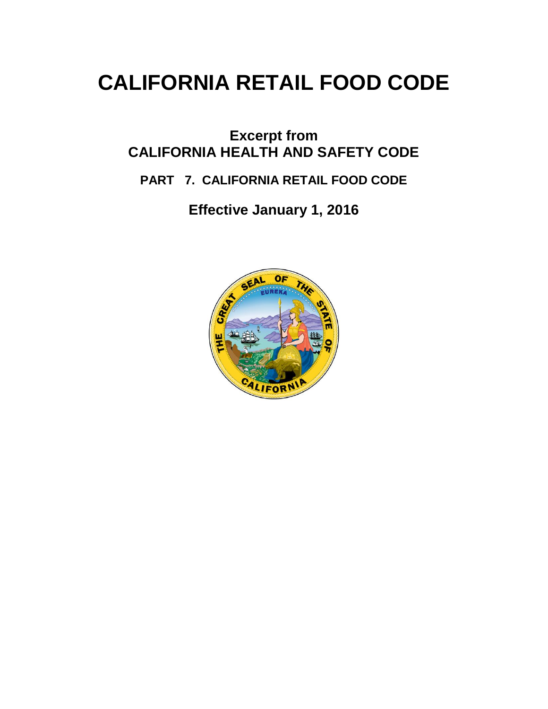# **CALIFORNIA RETAIL FOOD CODE**

# **Excerpt from CALIFORNIA HEALTH AND SAFETY CODE**

# **PART 7. CALIFORNIA RETAIL FOOD CODE**

**Effective January 1, 2016**

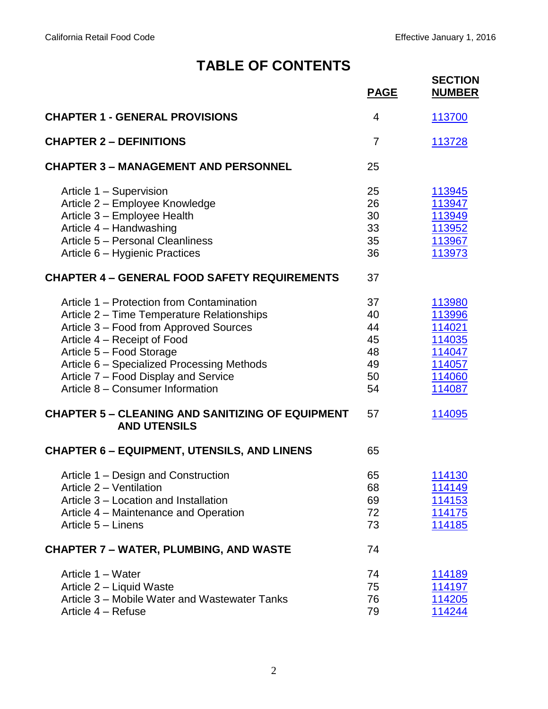# **TABLE OF CONTENTS**

<span id="page-1-0"></span>

|                                                                                | <b>PAGE</b>    | <b>SECTION</b><br><b>NUMBER</b> |
|--------------------------------------------------------------------------------|----------------|---------------------------------|
| <b>CHAPTER 1 - GENERAL PROVISIONS</b>                                          | 4              | 113700                          |
| <b>CHAPTER 2 - DEFINITIONS</b>                                                 | $\overline{7}$ | 113728                          |
| <b>CHAPTER 3 - MANAGEMENT AND PERSONNEL</b>                                    | 25             |                                 |
| Article 1 - Supervision                                                        | 25             | 113945                          |
| Article 2 - Employee Knowledge                                                 | 26             | 113947                          |
| Article 3 - Employee Health                                                    | 30             | 113949                          |
| Article 4 - Handwashing                                                        | 33             | 113952                          |
| Article 5 - Personal Cleanliness                                               | 35             | 113967                          |
| Article 6 - Hygienic Practices                                                 | 36             | 113973                          |
| <b>CHAPTER 4 - GENERAL FOOD SAFETY REQUIREMENTS</b>                            | 37             |                                 |
| Article 1 – Protection from Contamination                                      | 37             | 113980                          |
| Article 2 - Time Temperature Relationships                                     | 40             | 113996                          |
| Article 3 – Food from Approved Sources                                         | 44             | 114021                          |
| Article 4 - Receipt of Food                                                    | 45             | 114035                          |
| Article 5 - Food Storage                                                       | 48             | 114047                          |
| Article 6 - Specialized Processing Methods                                     | 49             | 114057                          |
| Article 7 - Food Display and Service                                           | 50             | 114060                          |
| Article 8 - Consumer Information                                               | 54             | 114087                          |
| <b>CHAPTER 5 - CLEANING AND SANITIZING OF EQUIPMENT</b><br><b>AND UTENSILS</b> | 57             | 114095                          |
| <b>CHAPTER 6 - EQUIPMENT, UTENSILS, AND LINENS</b>                             | 65             |                                 |
| Article 1 - Design and Construction                                            | 65             | 114130                          |
| Article 2 - Ventilation                                                        | 68             | 114149                          |
| Article 3 - Location and Installation                                          | 69             | 114153                          |
| Article 4 – Maintenance and Operation                                          | 72             | 114175                          |
| Article 5 - Linens                                                             | 73             | 114185                          |
| <b>CHAPTER 7 – WATER, PLUMBING, AND WASTE</b>                                  | 74             |                                 |
| Article 1 - Water                                                              | 74             | 114189                          |
| Article 2 - Liquid Waste                                                       | 75             | 114197                          |
| Article 3 - Mobile Water and Wastewater Tanks                                  | 76             | 114205                          |
| Article 4 - Refuse                                                             | 79             | 114244                          |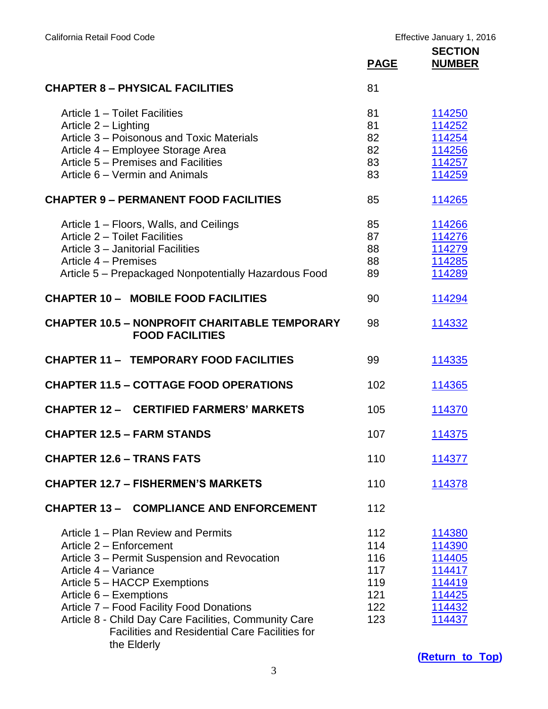|                                                                                                                                                                                                                                                                                                                                                                               | <b>PAGE</b>                                          | <b>SECTION</b><br><b>NUMBER</b>                                              |
|-------------------------------------------------------------------------------------------------------------------------------------------------------------------------------------------------------------------------------------------------------------------------------------------------------------------------------------------------------------------------------|------------------------------------------------------|------------------------------------------------------------------------------|
| <b>CHAPTER 8 - PHYSICAL FACILITIES</b>                                                                                                                                                                                                                                                                                                                                        | 81                                                   |                                                                              |
| Article 1 - Toilet Facilities<br>Article 2 - Lighting<br>Article 3 - Poisonous and Toxic Materials<br>Article 4 - Employee Storage Area<br>Article 5 – Premises and Facilities<br>Article 6 – Vermin and Animals                                                                                                                                                              | 81<br>81<br>82<br>82<br>83<br>83                     | 114250<br>114252<br>114254<br>114256<br>114257<br>114259                     |
| <b>CHAPTER 9 - PERMANENT FOOD FACILITIES</b>                                                                                                                                                                                                                                                                                                                                  | 85                                                   | 114265                                                                       |
| Article 1 – Floors, Walls, and Ceilings<br>Article 2 - Toilet Facilities<br>Article 3 - Janitorial Facilities<br>Article 4 – Premises<br>Article 5 - Prepackaged Nonpotentially Hazardous Food                                                                                                                                                                                | 85<br>87<br>88<br>88<br>89                           | 114266<br>114276<br>114279<br>114285<br>114289                               |
| <b>CHAPTER 10 - MOBILE FOOD FACILITIES</b>                                                                                                                                                                                                                                                                                                                                    | 90                                                   | 114294                                                                       |
| <b>CHAPTER 10.5 - NONPROFIT CHARITABLE TEMPORARY</b><br><b>FOOD FACILITIES</b>                                                                                                                                                                                                                                                                                                | 98                                                   | 114332                                                                       |
| <b>CHAPTER 11 - TEMPORARY FOOD FACILITIES</b>                                                                                                                                                                                                                                                                                                                                 | 99                                                   | 114335                                                                       |
| <b>CHAPTER 11.5 - COTTAGE FOOD OPERATIONS</b>                                                                                                                                                                                                                                                                                                                                 | 102                                                  | 114365                                                                       |
| <b>CHAPTER 12 - CERTIFIED FARMERS' MARKETS</b>                                                                                                                                                                                                                                                                                                                                | 105                                                  | 114370                                                                       |
| <b>CHAPTER 12.5 - FARM STANDS</b>                                                                                                                                                                                                                                                                                                                                             | 107                                                  | 114375                                                                       |
| <b>CHAPTER 12.6 - TRANS FATS</b>                                                                                                                                                                                                                                                                                                                                              | 110                                                  | 114377                                                                       |
| <b>CHAPTER 12.7 - FISHERMEN'S MARKETS</b>                                                                                                                                                                                                                                                                                                                                     | 110                                                  | 114378                                                                       |
| <b>CHAPTER 13 - COMPLIANCE AND ENFORCEMENT</b>                                                                                                                                                                                                                                                                                                                                | 112                                                  |                                                                              |
| Article 1 – Plan Review and Permits<br>Article 2 - Enforcement<br>Article 3 – Permit Suspension and Revocation<br>Article 4 - Variance<br>Article 5 - HACCP Exemptions<br>Article 6 – Exemptions<br>Article 7 - Food Facility Food Donations<br>Article 8 - Child Day Care Facilities, Community Care<br><b>Facilities and Residential Care Facilities for</b><br>the Elderly | 112<br>114<br>116<br>117<br>119<br>121<br>122<br>123 | 114380<br>114390<br>114405<br>114417<br>114419<br>114425<br>114432<br>114437 |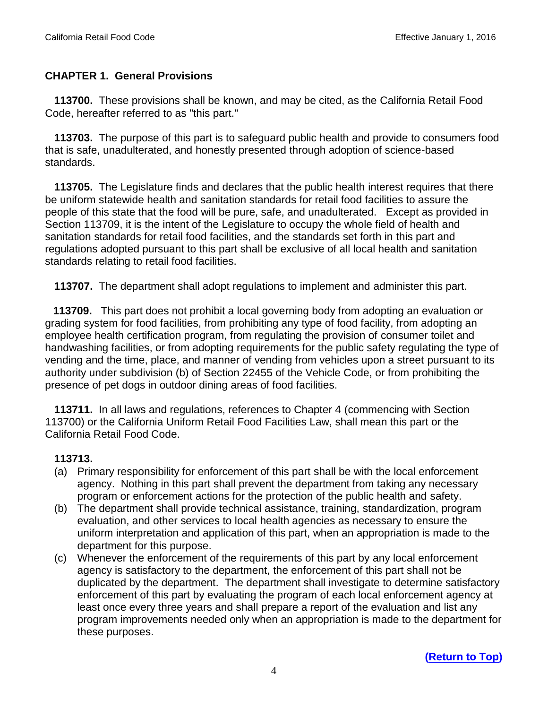## <span id="page-3-0"></span>**CHAPTER 1. General Provisions**

 **113700.** These provisions shall be known, and may be cited, as the California Retail Food Code, hereafter referred to as "this part."

 **113703.** The purpose of this part is to safeguard public health and provide to consumers food that is safe, unadulterated, and honestly presented through adoption of science-based standards.

 **113705.** The Legislature finds and declares that the public health interest requires that there be uniform statewide health and sanitation standards for retail food facilities to assure the people of this state that the food will be pure, safe, and unadulterated. Except as provided in Section 113709, it is the intent of the Legislature to occupy the whole field of health and sanitation standards for retail food facilities, and the standards set forth in this part and regulations adopted pursuant to this part shall be exclusive of all local health and sanitation standards relating to retail food facilities.

**113707.** The department shall adopt regulations to implement and administer this part.

 **113709.** This part does not prohibit a local governing body from adopting an evaluation or grading system for food facilities, from prohibiting any type of food facility, from adopting an employee health certification program, from regulating the provision of consumer toilet and handwashing facilities, or from adopting requirements for the public safety regulating the type of vending and the time, place, and manner of vending from vehicles upon a street pursuant to its authority under subdivision (b) of Section 22455 of the Vehicle Code, or from prohibiting the presence of pet dogs in outdoor dining areas of food facilities.

 **113711.** In all laws and regulations, references to Chapter 4 (commencing with Section 113700) or the California Uniform Retail Food Facilities Law, shall mean this part or the California Retail Food Code.

- (a) Primary responsibility for enforcement of this part shall be with the local enforcement agency. Nothing in this part shall prevent the department from taking any necessary program or enforcement actions for the protection of the public health and safety.
- (b) The department shall provide technical assistance, training, standardization, program evaluation, and other services to local health agencies as necessary to ensure the uniform interpretation and application of this part, when an appropriation is made to the department for this purpose.
- (c) Whenever the enforcement of the requirements of this part by any local enforcement agency is satisfactory to the department, the enforcement of this part shall not be duplicated by the department. The department shall investigate to determine satisfactory enforcement of this part by evaluating the program of each local enforcement agency at least once every three years and shall prepare a report of the evaluation and list any program improvements needed only when an appropriation is made to the department for these purposes.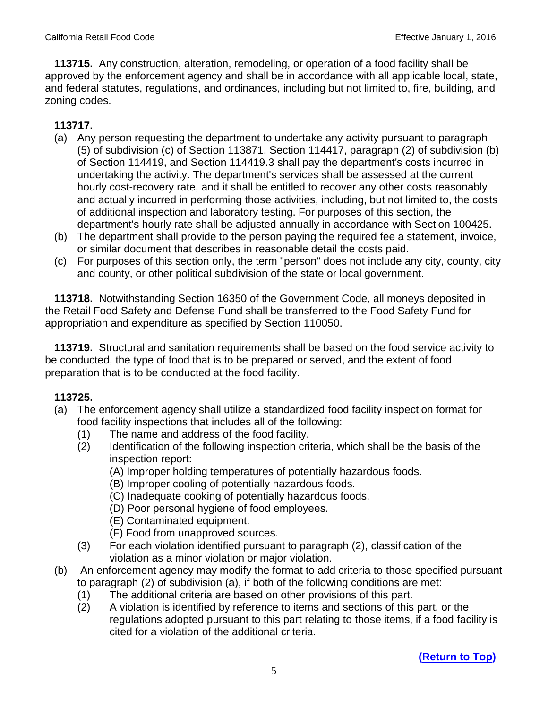**113715.** Any construction, alteration, remodeling, or operation of a food facility shall be approved by the enforcement agency and shall be in accordance with all applicable local, state, and federal statutes, regulations, and ordinances, including but not limited to, fire, building, and zoning codes.

# **113717.**

- (a) Any person requesting the department to undertake any activity pursuant to paragraph (5) of subdivision (c) of Section 113871, Section 114417, paragraph (2) of subdivision (b) of Section 114419, and Section 114419.3 shall pay the department's costs incurred in undertaking the activity. The department's services shall be assessed at the current hourly cost-recovery rate, and it shall be entitled to recover any other costs reasonably and actually incurred in performing those activities, including, but not limited to, the costs of additional inspection and laboratory testing. For purposes of this section, the department's hourly rate shall be adjusted annually in accordance with Section 100425.
- (b) The department shall provide to the person paying the required fee a statement, invoice, or similar document that describes in reasonable detail the costs paid.
- (c) For purposes of this section only, the term "person" does not include any city, county, city and county, or other political subdivision of the state or local government.

 **113718.** Notwithstanding Section 16350 of the Government Code, all moneys deposited in the Retail Food Safety and Defense Fund shall be transferred to the Food Safety Fund for appropriation and expenditure as specified by Section 110050.

 **113719.** Structural and sanitation requirements shall be based on the food service activity to be conducted, the type of food that is to be prepared or served, and the extent of food preparation that is to be conducted at the food facility.

- (a) The enforcement agency shall utilize a standardized food facility inspection format for food facility inspections that includes all of the following:
	- (1) The name and address of the food facility.
	- (2) Identification of the following inspection criteria, which shall be the basis of the inspection report:
		- (A) Improper holding temperatures of potentially hazardous foods.
		- (B) Improper cooling of potentially hazardous foods.
		- (C) Inadequate cooking of potentially hazardous foods.
		- (D) Poor personal hygiene of food employees.
		- (E) Contaminated equipment.
		- (F) Food from unapproved sources.
	- (3) For each violation identified pursuant to paragraph (2), classification of the violation as a minor violation or major violation.
- (b) An enforcement agency may modify the format to add criteria to those specified pursuant to paragraph (2) of subdivision (a), if both of the following conditions are met:
	- (1) The additional criteria are based on other provisions of this part.
	- (2) A violation is identified by reference to items and sections of this part, or the regulations adopted pursuant to this part relating to those items, if a food facility is cited for a violation of the additional criteria.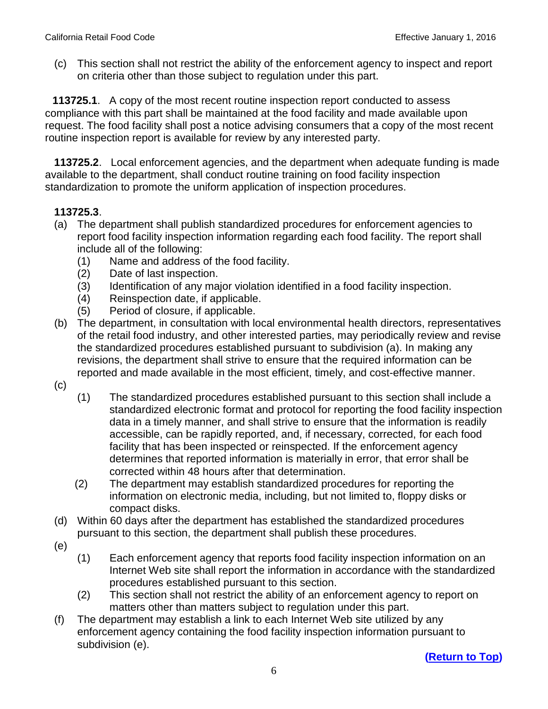(c) This section shall not restrict the ability of the enforcement agency to inspect and report on criteria other than those subject to regulation under this part.

 **113725.1**. A copy of the most recent routine inspection report conducted to assess compliance with this part shall be maintained at the food facility and made available upon request. The food facility shall post a notice advising consumers that a copy of the most recent routine inspection report is available for review by any interested party.

 **113725.2**. Local enforcement agencies, and the department when adequate funding is made available to the department, shall conduct routine training on food facility inspection standardization to promote the uniform application of inspection procedures.

## **113725.3**.

- (a) The department shall publish standardized procedures for enforcement agencies to report food facility inspection information regarding each food facility. The report shall include all of the following:
	- (1) Name and address of the food facility.
	- (2) Date of last inspection.
	- (3) Identification of any major violation identified in a food facility inspection.
	- (4) Reinspection date, if applicable.
	- (5) Period of closure, if applicable.
- (b) The department, in consultation with local environmental health directors, representatives of the retail food industry, and other interested parties, may periodically review and revise the standardized procedures established pursuant to subdivision (a). In making any revisions, the department shall strive to ensure that the required information can be reported and made available in the most efficient, timely, and cost-effective manner.
- (c)
- (1) The standardized procedures established pursuant to this section shall include a standardized electronic format and protocol for reporting the food facility inspection data in a timely manner, and shall strive to ensure that the information is readily accessible, can be rapidly reported, and, if necessary, corrected, for each food facility that has been inspected or reinspected. If the enforcement agency determines that reported information is materially in error, that error shall be corrected within 48 hours after that determination.
- (2) The department may establish standardized procedures for reporting the information on electronic media, including, but not limited to, floppy disks or compact disks.
- (d) Within 60 days after the department has established the standardized procedures pursuant to this section, the department shall publish these procedures.
- (e)
- (1) Each enforcement agency that reports food facility inspection information on an Internet Web site shall report the information in accordance with the standardized procedures established pursuant to this section.
- (2) This section shall not restrict the ability of an enforcement agency to report on matters other than matters subject to regulation under this part.
- (f) The department may establish a link to each Internet Web site utilized by any enforcement agency containing the food facility inspection information pursuant to subdivision (e).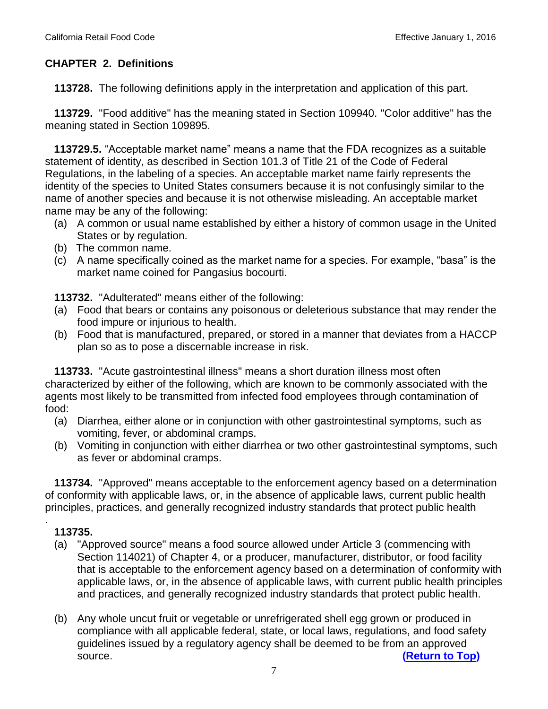## **CHAPTER 2. Definitions**

<span id="page-6-0"></span>**113728.** The following definitions apply in the interpretation and application of this part.

 **113729.** "Food additive" has the meaning stated in Section 109940. "Color additive" has the meaning stated in Section 109895.

**113729.5.** "Acceptable market name" means a name that the FDA recognizes as a suitable statement of identity, as described in Section 101.3 of Title 21 of the Code of Federal Regulations, in the labeling of a species. An acceptable market name fairly represents the identity of the species to United States consumers because it is not confusingly similar to the name of another species and because it is not otherwise misleading. An acceptable market name may be any of the following:

- (a) A common or usual name established by either a history of common usage in the United States or by regulation.
- (b) The common name.
- (c) A name specifically coined as the market name for a species. For example, "basa" is the market name coined for Pangasius bocourti.

**113732.** "Adulterated" means either of the following:

- (a) Food that bears or contains any poisonous or deleterious substance that may render the food impure or injurious to health.
- (b) Food that is manufactured, prepared, or stored in a manner that deviates from a HACCP plan so as to pose a discernable increase in risk.

 **113733.** "Acute gastrointestinal illness" means a short duration illness most often characterized by either of the following, which are known to be commonly associated with the agents most likely to be transmitted from infected food employees through contamination of food:

- (a) Diarrhea, either alone or in conjunction with other gastrointestinal symptoms, such as vomiting, fever, or abdominal cramps.
- (b) Vomiting in conjunction with either diarrhea or two other gastrointestinal symptoms, such as fever or abdominal cramps.

 **113734.** "Approved" means acceptable to the enforcement agency based on a determination of conformity with applicable laws, or, in the absence of applicable laws, current public health principles, practices, and generally recognized industry standards that protect public health

## **113735.**

- (a) "Approved source" means a food source allowed under Article 3 (commencing with Section 114021) of Chapter 4, or a producer, manufacturer, distributor, or food facility that is acceptable to the enforcement agency based on a determination of conformity with applicable laws, or, in the absence of applicable laws, with current public health principles and practices, and generally recognized industry standards that protect public health.
- (b) Any whole uncut fruit or vegetable or unrefrigerated shell egg grown or produced in compliance with all applicable federal, state, or local laws, regulations, and food safety guidelines issued by a regulatory agency shall be deemed to be from an approved source. **[\(Return to Top\)](#page-1-0)**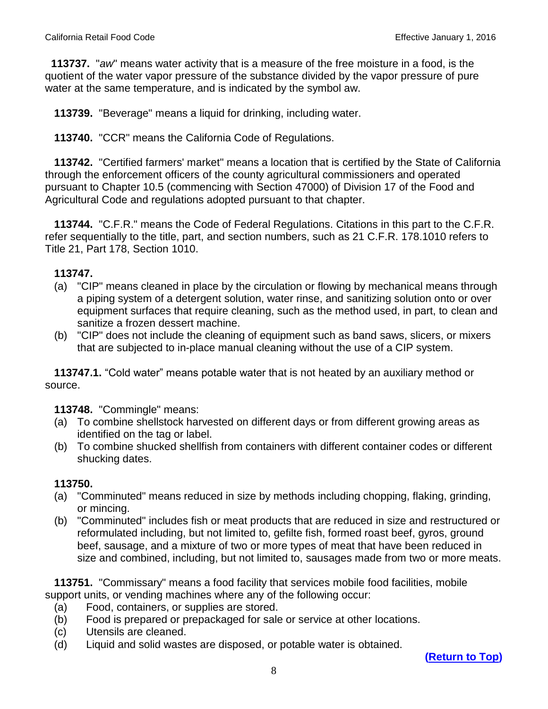**113737.** "*aw*" means water activity that is a measure of the free moisture in a food, is the quotient of the water vapor pressure of the substance divided by the vapor pressure of pure water at the same temperature, and is indicated by the symbol aw.

 **113739.** "Beverage" means a liquid for drinking, including water.

 **113740.** "CCR" means the California Code of Regulations.

 **113742.** "Certified farmers' market" means a location that is certified by the State of California through the enforcement officers of the county agricultural commissioners and operated pursuant to Chapter 10.5 (commencing with Section 47000) of Division 17 of the Food and Agricultural Code and regulations adopted pursuant to that chapter.

 **113744.** "C.F.R." means the Code of Federal Regulations. Citations in this part to the C.F.R. refer sequentially to the title, part, and section numbers, such as 21 C.F.R. 178.1010 refers to Title 21, Part 178, Section 1010.

#### **113747.**

- (a) "CIP" means cleaned in place by the circulation or flowing by mechanical means through a piping system of a detergent solution, water rinse, and sanitizing solution onto or over equipment surfaces that require cleaning, such as the method used, in part, to clean and sanitize a frozen dessert machine.
- (b) "CIP" does not include the cleaning of equipment such as band saws, slicers, or mixers that are subjected to in-place manual cleaning without the use of a CIP system.

 **113747.1.** "Cold water" means potable water that is not heated by an auxiliary method or source.

 **113748.** "Commingle" means:

- (a) To combine shellstock harvested on different days or from different growing areas as identified on the tag or label.
- (b) To combine shucked shellfish from containers with different container codes or different shucking dates.

## **113750.**

- (a) "Comminuted" means reduced in size by methods including chopping, flaking, grinding, or mincing.
- (b) "Comminuted" includes fish or meat products that are reduced in size and restructured or reformulated including, but not limited to, gefilte fish, formed roast beef, gyros, ground beef, sausage, and a mixture of two or more types of meat that have been reduced in size and combined, including, but not limited to, sausages made from two or more meats.

 **113751.** "Commissary" means a food facility that services mobile food facilities, mobile support units, or vending machines where any of the following occur:

- (a) Food, containers, or supplies are stored.
- (b) Food is prepared or prepackaged for sale or service at other locations.
- (c) Utensils are cleaned.
- (d) Liquid and solid wastes are disposed, or potable water is obtained.

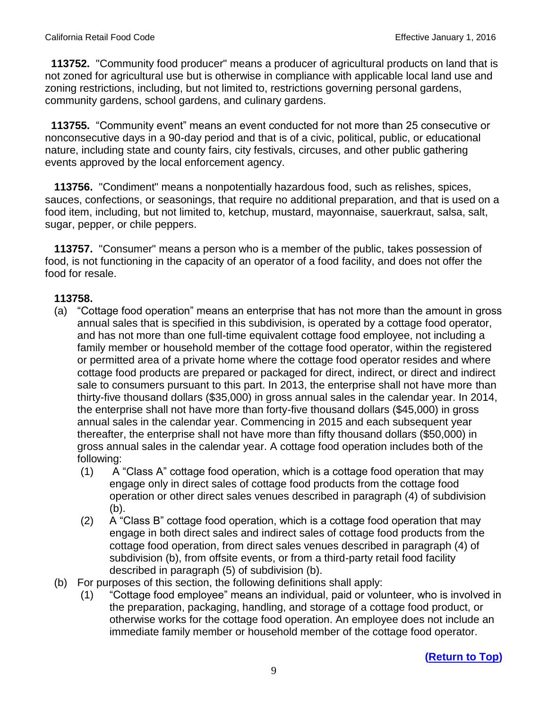**113752.** "Community food producer" means a producer of agricultural products on land that is not zoned for agricultural use but is otherwise in compliance with applicable local land use and zoning restrictions, including, but not limited to, restrictions governing personal gardens, community gardens, school gardens, and culinary gardens.

 **113755.** "Community event" means an event conducted for not more than 25 consecutive or nonconsecutive days in a 90-day period and that is of a civic, political, public, or educational nature, including state and county fairs, city festivals, circuses, and other public gathering events approved by the local enforcement agency.

 **113756.** "Condiment" means a nonpotentially hazardous food, such as relishes, spices, sauces, confections, or seasonings, that require no additional preparation, and that is used on a food item, including, but not limited to, ketchup, mustard, mayonnaise, sauerkraut, salsa, salt, sugar, pepper, or chile peppers.

 **113757.** "Consumer" means a person who is a member of the public, takes possession of food, is not functioning in the capacity of an operator of a food facility, and does not offer the food for resale.

- (a) "Cottage food operation" means an enterprise that has not more than the amount in gross annual sales that is specified in this subdivision, is operated by a cottage food operator, and has not more than one full-time equivalent cottage food employee, not including a family member or household member of the cottage food operator, within the registered or permitted area of a private home where the cottage food operator resides and where cottage food products are prepared or packaged for direct, indirect, or direct and indirect sale to consumers pursuant to this part. In 2013, the enterprise shall not have more than thirty-five thousand dollars (\$35,000) in gross annual sales in the calendar year. In 2014, the enterprise shall not have more than forty-five thousand dollars (\$45,000) in gross annual sales in the calendar year. Commencing in 2015 and each subsequent year thereafter, the enterprise shall not have more than fifty thousand dollars (\$50,000) in gross annual sales in the calendar year. A cottage food operation includes both of the following:
	- (1) A "Class A" cottage food operation, which is a cottage food operation that may engage only in direct sales of cottage food products from the cottage food operation or other direct sales venues described in paragraph (4) of subdivision (b).
	- (2) A "Class B" cottage food operation, which is a cottage food operation that may engage in both direct sales and indirect sales of cottage food products from the cottage food operation, from direct sales venues described in paragraph (4) of subdivision (b), from offsite events, or from a third-party retail food facility described in paragraph (5) of subdivision (b).
- (b) For purposes of this section, the following definitions shall apply:
	- (1) "Cottage food employee" means an individual, paid or volunteer, who is involved in the preparation, packaging, handling, and storage of a cottage food product, or otherwise works for the cottage food operation. An employee does not include an immediate family member or household member of the cottage food operator.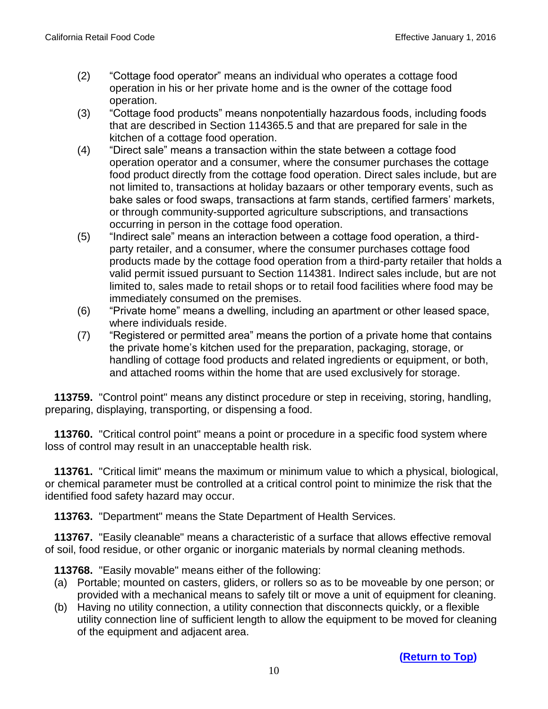- (2) "Cottage food operator" means an individual who operates a cottage food operation in his or her private home and is the owner of the cottage food operation.
- (3) "Cottage food products" means nonpotentially hazardous foods, including foods that are described in Section 114365.5 and that are prepared for sale in the kitchen of a cottage food operation.
- (4) "Direct sale" means a transaction within the state between a cottage food operation operator and a consumer, where the consumer purchases the cottage food product directly from the cottage food operation. Direct sales include, but are not limited to, transactions at holiday bazaars or other temporary events, such as bake sales or food swaps, transactions at farm stands, certified farmers' markets, or through community-supported agriculture subscriptions, and transactions occurring in person in the cottage food operation.
- (5) "Indirect sale" means an interaction between a cottage food operation, a thirdparty retailer, and a consumer, where the consumer purchases cottage food products made by the cottage food operation from a third-party retailer that holds a valid permit issued pursuant to Section 114381. Indirect sales include, but are not limited to, sales made to retail shops or to retail food facilities where food may be immediately consumed on the premises.
- (6) "Private home" means a dwelling, including an apartment or other leased space, where individuals reside.
- (7) "Registered or permitted area" means the portion of a private home that contains the private home's kitchen used for the preparation, packaging, storage, or handling of cottage food products and related ingredients or equipment, or both, and attached rooms within the home that are used exclusively for storage.

 **113759.** "Control point" means any distinct procedure or step in receiving, storing, handling, preparing, displaying, transporting, or dispensing a food.

 **113760.** "Critical control point" means a point or procedure in a specific food system where loss of control may result in an unacceptable health risk.

 **113761.** "Critical limit" means the maximum or minimum value to which a physical, biological, or chemical parameter must be controlled at a critical control point to minimize the risk that the identified food safety hazard may occur.

 **113763.** "Department" means the State Department of Health Services.

 **113767.** "Easily cleanable" means a characteristic of a surface that allows effective removal of soil, food residue, or other organic or inorganic materials by normal cleaning methods.

 **113768.** "Easily movable" means either of the following:

- (a) Portable; mounted on casters, gliders, or rollers so as to be moveable by one person; or provided with a mechanical means to safely tilt or move a unit of equipment for cleaning.
- (b) Having no utility connection, a utility connection that disconnects quickly, or a flexible utility connection line of sufficient length to allow the equipment to be moved for cleaning of the equipment and adjacent area.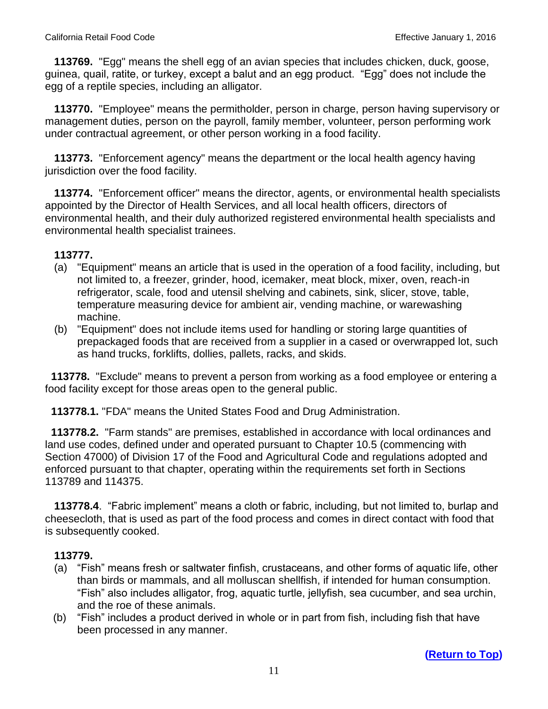**113769.** "Egg" means the shell egg of an avian species that includes chicken, duck, goose, guinea, quail, ratite, or turkey, except a balut and an egg product. "Egg" does not include the egg of a reptile species, including an alligator.

 **113770.** "Employee" means the permitholder, person in charge, person having supervisory or management duties, person on the payroll, family member, volunteer, person performing work under contractual agreement, or other person working in a food facility.

 **113773.** "Enforcement agency" means the department or the local health agency having jurisdiction over the food facility.

 **113774.** "Enforcement officer" means the director, agents, or environmental health specialists appointed by the Director of Health Services, and all local health officers, directors of environmental health, and their duly authorized registered environmental health specialists and environmental health specialist trainees.

#### **113777.**

- (a) "Equipment" means an article that is used in the operation of a food facility, including, but not limited to, a freezer, grinder, hood, icemaker, meat block, mixer, oven, reach-in refrigerator, scale, food and utensil shelving and cabinets, sink, slicer, stove, table, temperature measuring device for ambient air, vending machine, or warewashing machine.
- (b) "Equipment" does not include items used for handling or storing large quantities of prepackaged foods that are received from a supplier in a cased or overwrapped lot, such as hand trucks, forklifts, dollies, pallets, racks, and skids.

 **113778.** "Exclude" means to prevent a person from working as a food employee or entering a food facility except for those areas open to the general public.

 **113778.1.** "FDA" means the United States Food and Drug Administration.

 **113778.2.** "Farm stands" are premises, established in accordance with local ordinances and land use codes, defined under and operated pursuant to Chapter 10.5 (commencing with Section 47000) of Division 17 of the Food and Agricultural Code and regulations adopted and enforced pursuant to that chapter, operating within the requirements set forth in Sections 113789 and 114375.

 **113778.4**. "Fabric implement" means a cloth or fabric, including, but not limited to, burlap and cheesecloth, that is used as part of the food process and comes in direct contact with food that is subsequently cooked.

- (a) "Fish" means fresh or saltwater finfish, crustaceans, and other forms of aquatic life, other than birds or mammals, and all molluscan shellfish, if intended for human consumption. "Fish" also includes alligator, frog, aquatic turtle, jellyfish, sea cucumber, and sea urchin, and the roe of these animals.
- (b) "Fish" includes a product derived in whole or in part from fish, including fish that have been processed in any manner.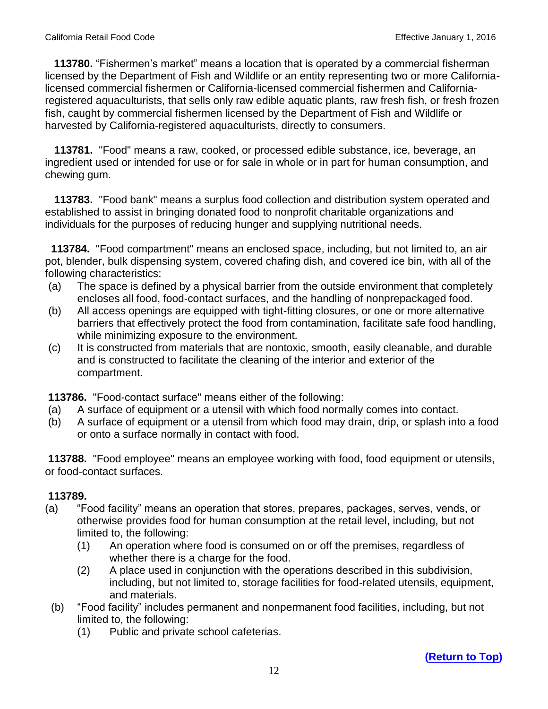**113780.** "Fishermen's market" means a location that is operated by a commercial fisherman licensed by the Department of Fish and Wildlife or an entity representing two or more Californialicensed commercial fishermen or California-licensed commercial fishermen and Californiaregistered aquaculturists, that sells only raw edible aquatic plants, raw fresh fish, or fresh frozen fish, caught by commercial fishermen licensed by the Department of Fish and Wildlife or harvested by California-registered aquaculturists, directly to consumers.

 **113781.** "Food" means a raw, cooked, or processed edible substance, ice, beverage, an ingredient used or intended for use or for sale in whole or in part for human consumption, and chewing gum.

 **113783.** "Food bank" means a surplus food collection and distribution system operated and established to assist in bringing donated food to nonprofit charitable organizations and individuals for the purposes of reducing hunger and supplying nutritional needs.

**113784.** "Food compartment" means an enclosed space, including, but not limited to, an air pot, blender, bulk dispensing system, covered chafing dish, and covered ice bin, with all of the following characteristics:

- (a) The space is defined by a physical barrier from the outside environment that completely encloses all food, food-contact surfaces, and the handling of nonprepackaged food.
- (b) All access openings are equipped with tight-fitting closures, or one or more alternative barriers that effectively protect the food from contamination, facilitate safe food handling, while minimizing exposure to the environment.
- (c) It is constructed from materials that are nontoxic, smooth, easily cleanable, and durable and is constructed to facilitate the cleaning of the interior and exterior of the compartment.

**113786.** "Food-contact surface" means either of the following:

- (a) A surface of equipment or a utensil with which food normally comes into contact.
- (b) A surface of equipment or a utensil from which food may drain, drip, or splash into a food or onto a surface normally in contact with food.

**113788.** "Food employee" means an employee working with food, food equipment or utensils, or food-contact surfaces.

- (a) "Food facility" means an operation that stores, prepares, packages, serves, vends, or otherwise provides food for human consumption at the retail level, including, but not limited to, the following:
	- (1) An operation where food is consumed on or off the premises, regardless of whether there is a charge for the food.
	- (2) A place used in conjunction with the operations described in this subdivision, including, but not limited to, storage facilities for food-related utensils, equipment, and materials.
- (b) "Food facility" includes permanent and nonpermanent food facilities, including, but not limited to, the following:
	- (1) Public and private school cafeterias.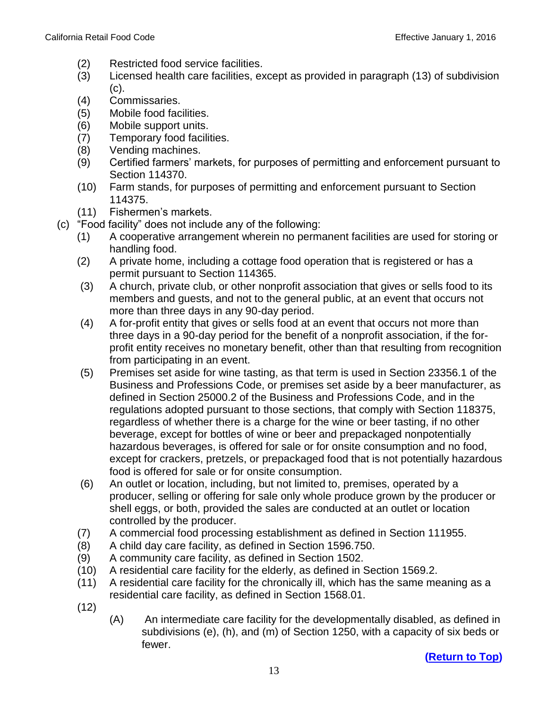- (2) Restricted food service facilities.
- (3) Licensed health care facilities, except as provided in paragraph (13) of subdivision (c).
- (4) Commissaries.
- (5) Mobile food facilities.
- (6) Mobile support units.
- (7) Temporary food facilities.
- (8) Vending machines.
- (9) Certified farmers' markets, for purposes of permitting and enforcement pursuant to Section 114370.
- (10) Farm stands, for purposes of permitting and enforcement pursuant to Section 114375.
- (11) Fishermen's markets.
- (c) "Food facility" does not include any of the following:
	- (1) A cooperative arrangement wherein no permanent facilities are used for storing or handling food.
	- (2) A private home, including a cottage food operation that is registered or has a permit pursuant to Section 114365.
	- (3) A church, private club, or other nonprofit association that gives or sells food to its members and guests, and not to the general public, at an event that occurs not more than three days in any 90-day period.
	- (4) A for-profit entity that gives or sells food at an event that occurs not more than three days in a 90-day period for the benefit of a nonprofit association, if the forprofit entity receives no monetary benefit, other than that resulting from recognition from participating in an event.
	- (5) Premises set aside for wine tasting, as that term is used in Section 23356.1 of the Business and Professions Code, or premises set aside by a beer manufacturer, as defined in Section 25000.2 of the Business and Professions Code, and in the regulations adopted pursuant to those sections, that comply with Section 118375, regardless of whether there is a charge for the wine or beer tasting, if no other beverage, except for bottles of wine or beer and prepackaged nonpotentially hazardous beverages, is offered for sale or for onsite consumption and no food, except for crackers, pretzels, or prepackaged food that is not potentially hazardous food is offered for sale or for onsite consumption.
	- (6) An outlet or location, including, but not limited to, premises, operated by a producer, selling or offering for sale only whole produce grown by the producer or shell eggs, or both, provided the sales are conducted at an outlet or location controlled by the producer.
	- (7) A commercial food processing establishment as defined in Section 111955.
	- (8) A child day care facility, as defined in Section 1596.750.
	- (9) A community care facility, as defined in Section 1502.
	- (10) A residential care facility for the elderly, as defined in Section 1569.2.
	- (11) A residential care facility for the chronically ill, which has the same meaning as a residential care facility, as defined in Section 1568.01.
	- (12)
- (A) An intermediate care facility for the developmentally disabled, as defined in subdivisions (e), (h), and (m) of Section 1250, with a capacity of six beds or fewer.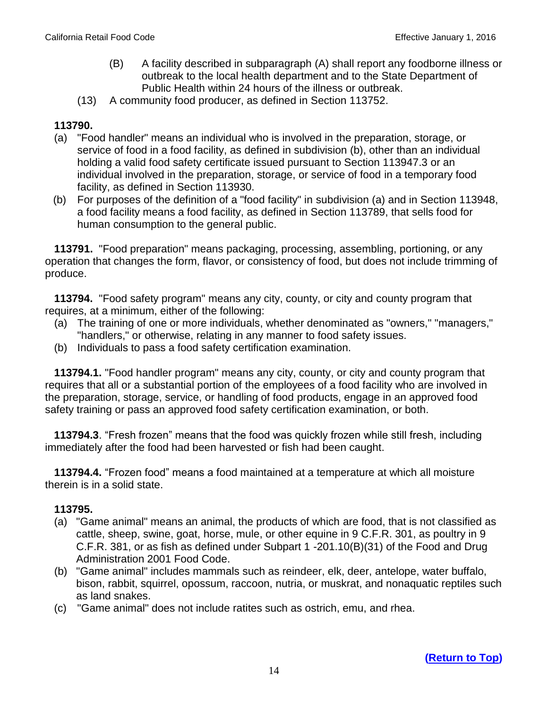- (B) A facility described in subparagraph (A) shall report any foodborne illness or outbreak to the local health department and to the State Department of Public Health within 24 hours of the illness or outbreak.
- (13) A community food producer, as defined in Section 113752.

## **113790.**

- (a) "Food handler" means an individual who is involved in the preparation, storage, or service of food in a food facility, as defined in subdivision (b), other than an individual holding a valid food safety certificate issued pursuant to Section 113947.3 or an individual involved in the preparation, storage, or service of food in a temporary food facility, as defined in Section 113930.
- (b) For purposes of the definition of a "food facility" in subdivision (a) and in Section 113948, a food facility means a food facility, as defined in Section 113789, that sells food for human consumption to the general public.

 **113791.** "Food preparation" means packaging, processing, assembling, portioning, or any operation that changes the form, flavor, or consistency of food, but does not include trimming of produce.

 **113794.** "Food safety program" means any city, county, or city and county program that requires, at a minimum, either of the following:

- (a) The training of one or more individuals, whether denominated as "owners," "managers," "handlers," or otherwise, relating in any manner to food safety issues.
- (b) Individuals to pass a food safety certification examination.

 **113794.1.** "Food handler program" means any city, county, or city and county program that requires that all or a substantial portion of the employees of a food facility who are involved in the preparation, storage, service, or handling of food products, engage in an approved food safety training or pass an approved food safety certification examination, or both.

**113794.3**. "Fresh frozen" means that the food was quickly frozen while still fresh, including immediately after the food had been harvested or fish had been caught.

 **113794.4.** "Frozen food" means a food maintained at a temperature at which all moisture therein is in a solid state.

- (a) "Game animal" means an animal, the products of which are food, that is not classified as cattle, sheep, swine, goat, horse, mule, or other equine in 9 C.F.R. 301, as poultry in 9 C.F.R. 381, or as fish as defined under Subpart 1 -201.10(B)(31) of the Food and Drug Administration 2001 Food Code.
- (b) "Game animal" includes mammals such as reindeer, elk, deer, antelope, water buffalo, bison, rabbit, squirrel, opossum, raccoon, nutria, or muskrat, and nonaquatic reptiles such as land snakes.
- (c) "Game animal" does not include ratites such as ostrich, emu, and rhea.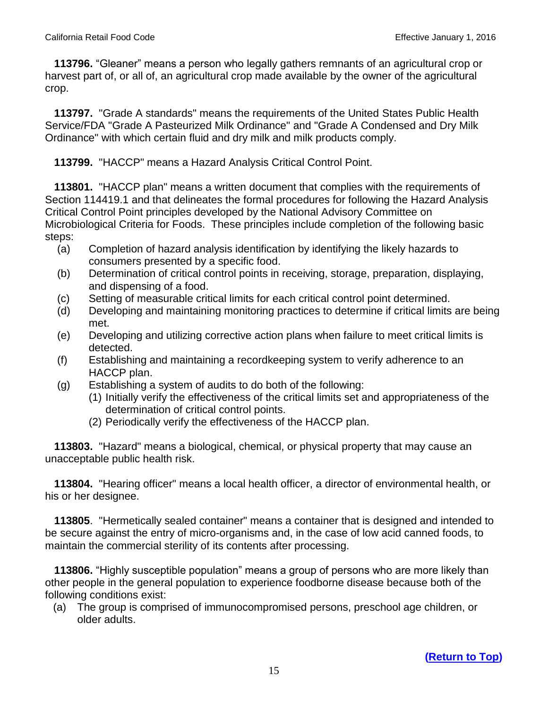**113796.** "Gleaner" means a person who legally gathers remnants of an agricultural crop or harvest part of, or all of, an agricultural crop made available by the owner of the agricultural crop.

 **113797.** "Grade A standards" means the requirements of the United States Public Health Service/FDA "Grade A Pasteurized Milk Ordinance" and "Grade A Condensed and Dry Milk Ordinance" with which certain fluid and dry milk and milk products comply.

 **113799.** "HACCP" means a Hazard Analysis Critical Control Point.

 **113801.** "HACCP plan" means a written document that complies with the requirements of Section 114419.1 and that delineates the formal procedures for following the Hazard Analysis Critical Control Point principles developed by the National Advisory Committee on Microbiological Criteria for Foods. These principles include completion of the following basic steps:

- (a) Completion of hazard analysis identification by identifying the likely hazards to consumers presented by a specific food.
- (b) Determination of critical control points in receiving, storage, preparation, displaying, and dispensing of a food.
- (c) Setting of measurable critical limits for each critical control point determined.
- (d) Developing and maintaining monitoring practices to determine if critical limits are being met.
- (e) Developing and utilizing corrective action plans when failure to meet critical limits is detected.
- (f) Establishing and maintaining a recordkeeping system to verify adherence to an HACCP plan.
- (g) Establishing a system of audits to do both of the following:
	- (1) Initially verify the effectiveness of the critical limits set and appropriateness of the determination of critical control points.
	- (2) Periodically verify the effectiveness of the HACCP plan.

 **113803.** "Hazard" means a biological, chemical, or physical property that may cause an unacceptable public health risk.

 **113804.** "Hearing officer" means a local health officer, a director of environmental health, or his or her designee.

 **113805**. "Hermetically sealed container" means a container that is designed and intended to be secure against the entry of micro-organisms and, in the case of low acid canned foods, to maintain the commercial sterility of its contents after processing.

 **113806.** "Highly susceptible population" means a group of persons who are more likely than other people in the general population to experience foodborne disease because both of the following conditions exist:

(a) The group is comprised of immunocompromised persons, preschool age children, or older adults.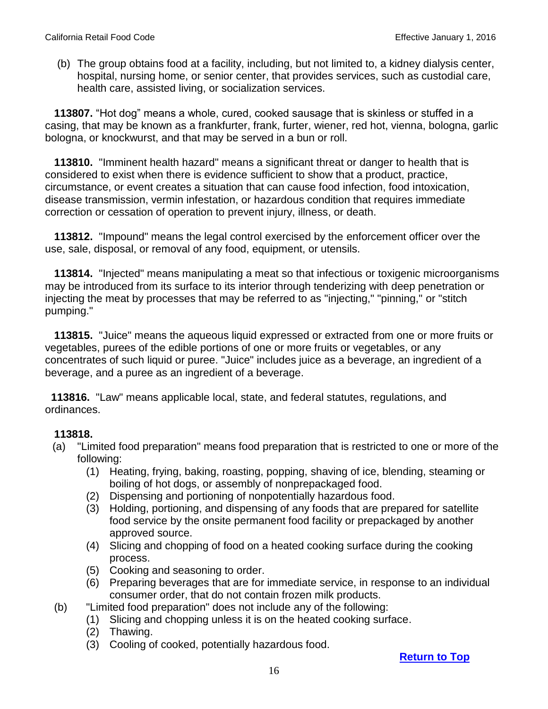(b) The group obtains food at a facility, including, but not limited to, a kidney dialysis center, hospital, nursing home, or senior center, that provides services, such as custodial care, health care, assisted living, or socialization services.

 **113807.** "Hot dog" means a whole, cured, cooked sausage that is skinless or stuffed in a casing, that may be known as a frankfurter, frank, furter, wiener, red hot, vienna, bologna, garlic bologna, or knockwurst, and that may be served in a bun or roll.

 **113810.** "Imminent health hazard" means a significant threat or danger to health that is considered to exist when there is evidence sufficient to show that a product, practice, circumstance, or event creates a situation that can cause food infection, food intoxication, disease transmission, vermin infestation, or hazardous condition that requires immediate correction or cessation of operation to prevent injury, illness, or death.

 **113812.** "Impound" means the legal control exercised by the enforcement officer over the use, sale, disposal, or removal of any food, equipment, or utensils.

 **113814.** "Injected" means manipulating a meat so that infectious or toxigenic microorganisms may be introduced from its surface to its interior through tenderizing with deep penetration or injecting the meat by processes that may be referred to as "injecting," "pinning," or "stitch pumping."

 **113815.** "Juice" means the aqueous liquid expressed or extracted from one or more fruits or vegetables, purees of the edible portions of one or more fruits or vegetables, or any concentrates of such liquid or puree. "Juice" includes juice as a beverage, an ingredient of a beverage, and a puree as an ingredient of a beverage.

 **113816.** "Law" means applicable local, state, and federal statutes, regulations, and ordinances.

#### **113818.**

- (a) "Limited food preparation" means food preparation that is restricted to one or more of the following:
	- (1) Heating, frying, baking, roasting, popping, shaving of ice, blending, steaming or boiling of hot dogs, or assembly of nonprepackaged food.
	- (2) Dispensing and portioning of nonpotentially hazardous food.
	- (3) Holding, portioning, and dispensing of any foods that are prepared for satellite food service by the onsite permanent food facility or prepackaged by another approved source.
	- (4) Slicing and chopping of food on a heated cooking surface during the cooking process.
	- (5) Cooking and seasoning to order.
	- (6) Preparing beverages that are for immediate service, in response to an individual consumer order, that do not contain frozen milk products.
- (b) "Limited food preparation" does not include any of the following:
	- (1) Slicing and chopping unless it is on the heated cooking surface.
	- (2) Thawing.
	- (3) Cooling of cooked, potentially hazardous food.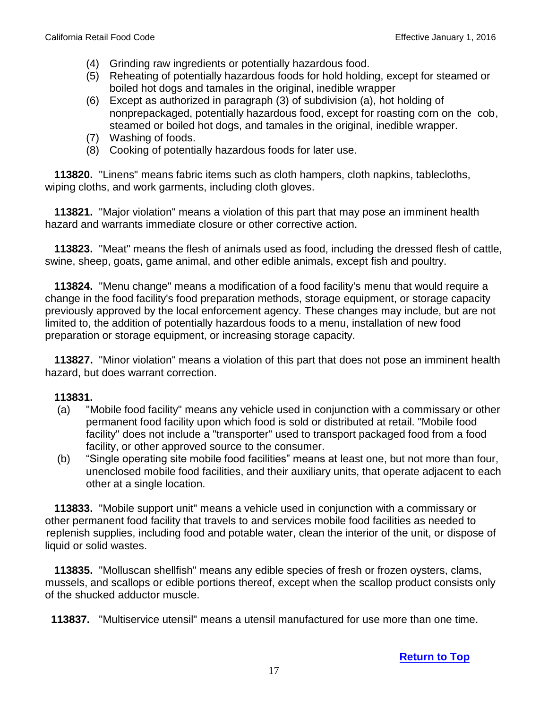- (4) Grinding raw ingredients or potentially hazardous food.
- (5) Reheating of potentially hazardous foods for hold holding, except for steamed or boiled hot dogs and tamales in the original, inedible wrapper
- (6) Except as authorized in paragraph (3) of subdivision (a), hot holding of nonprepackaged, potentially hazardous food, except for roasting corn on the cob, steamed or boiled hot dogs, and tamales in the original, inedible wrapper.
- (7) Washing of foods.
- (8) Cooking of potentially hazardous foods for later use.

 **113820.** "Linens" means fabric items such as cloth hampers, cloth napkins, tablecloths, wiping cloths, and work garments, including cloth gloves.

 **113821.** "Major violation" means a violation of this part that may pose an imminent health hazard and warrants immediate closure or other corrective action.

 **113823.** "Meat" means the flesh of animals used as food, including the dressed flesh of cattle, swine, sheep, goats, game animal, and other edible animals, except fish and poultry.

 **113824.** "Menu change" means a modification of a food facility's menu that would require a change in the food facility's food preparation methods, storage equipment, or storage capacity previously approved by the local enforcement agency. These changes may include, but are not limited to, the addition of potentially hazardous foods to a menu, installation of new food preparation or storage equipment, or increasing storage capacity.

 **113827.** "Minor violation" means a violation of this part that does not pose an imminent health hazard, but does warrant correction.

#### **113831.**

- (a) "Mobile food facility" means any vehicle used in conjunction with a commissary or other permanent food facility upon which food is sold or distributed at retail. "Mobile food facility" does not include a "transporter" used to transport packaged food from a food facility, or other approved source to the consumer.
- (b) "Single operating site mobile food facilities" means at least one, but not more than four, unenclosed mobile food facilities, and their auxiliary units, that operate adjacent to each other at a single location.

 **113833.** "Mobile support unit" means a vehicle used in conjunction with a commissary or other permanent food facility that travels to and services mobile food facilities as needed to replenish supplies, including food and potable water, clean the interior of the unit, or dispose of liquid or solid wastes.

 **113835.** "Molluscan shellfish" means any edible species of fresh or frozen oysters, clams, mussels, and scallops or edible portions thereof, except when the scallop product consists only of the shucked adductor muscle.

 **113837.** "Multiservice utensil" means a utensil manufactured for use more than one time.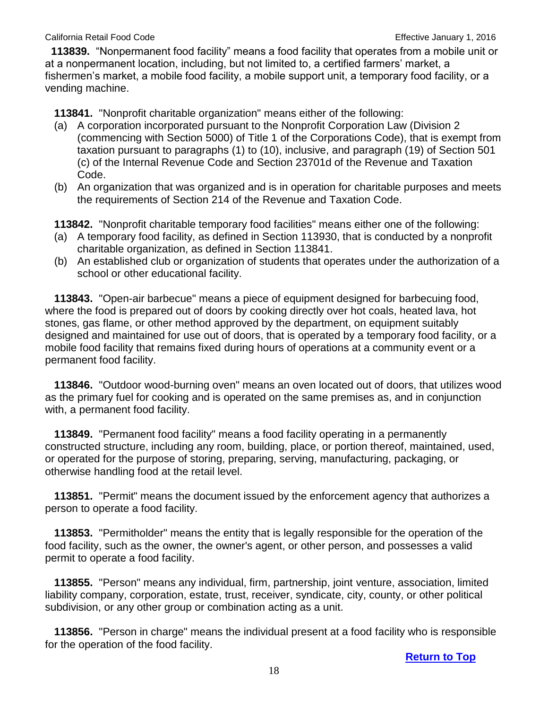**113839.** "Nonpermanent food facility" means a food facility that operates from a mobile unit or at a nonpermanent location, including, but not limited to, a certified farmers' market, a fishermen's market, a mobile food facility, a mobile support unit, a temporary food facility, or a vending machine.

 **113841.** "Nonprofit charitable organization" means either of the following:

- (a) A corporation incorporated pursuant to the Nonprofit Corporation Law (Division 2 (commencing with Section 5000) of Title 1 of the Corporations Code), that is exempt from taxation pursuant to paragraphs (1) to (10), inclusive, and paragraph (19) of Section 501 (c) of the Internal Revenue Code and Section 23701d of the Revenue and Taxation Code.
- (b) An organization that was organized and is in operation for charitable purposes and meets the requirements of Section 214 of the Revenue and Taxation Code.

**113842.** "Nonprofit charitable temporary food facilities" means either one of the following:

- (a) A temporary food facility, as defined in Section 113930, that is conducted by a nonprofit charitable organization, as defined in Section 113841.
- (b) An established club or organization of students that operates under the authorization of a school or other educational facility.

 **113843.** "Open-air barbecue" means a piece of equipment designed for barbecuing food, where the food is prepared out of doors by cooking directly over hot coals, heated lava, hot stones, gas flame, or other method approved by the department, on equipment suitably designed and maintained for use out of doors, that is operated by a temporary food facility, or a mobile food facility that remains fixed during hours of operations at a community event or a permanent food facility.

 **113846.** "Outdoor wood-burning oven" means an oven located out of doors, that utilizes wood as the primary fuel for cooking and is operated on the same premises as, and in conjunction with, a permanent food facility.

 **113849.** "Permanent food facility" means a food facility operating in a permanently constructed structure, including any room, building, place, or portion thereof, maintained, used, or operated for the purpose of storing, preparing, serving, manufacturing, packaging, or otherwise handling food at the retail level.

 **113851.** "Permit" means the document issued by the enforcement agency that authorizes a person to operate a food facility.

 **113853.** "Permitholder" means the entity that is legally responsible for the operation of the food facility, such as the owner, the owner's agent, or other person, and possesses a valid permit to operate a food facility.

 **113855.** "Person" means any individual, firm, partnership, joint venture, association, limited liability company, corporation, estate, trust, receiver, syndicate, city, county, or other political subdivision, or any other group or combination acting as a unit.

 **113856.** "Person in charge" means the individual present at a food facility who is responsible for the operation of the food facility.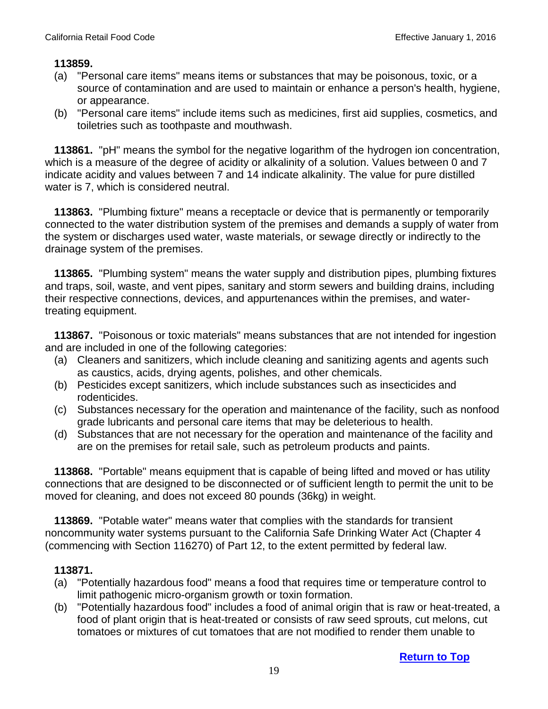#### **113859.**

- (a) "Personal care items" means items or substances that may be poisonous, toxic, or a source of contamination and are used to maintain or enhance a person's health, hygiene, or appearance.
- (b) "Personal care items" include items such as medicines, first aid supplies, cosmetics, and toiletries such as toothpaste and mouthwash.

 **113861.** "pH" means the symbol for the negative logarithm of the hydrogen ion concentration, which is a measure of the degree of acidity or alkalinity of a solution. Values between 0 and 7 indicate acidity and values between 7 and 14 indicate alkalinity. The value for pure distilled water is 7, which is considered neutral.

 **113863.** "Plumbing fixture" means a receptacle or device that is permanently or temporarily connected to the water distribution system of the premises and demands a supply of water from the system or discharges used water, waste materials, or sewage directly or indirectly to the drainage system of the premises.

 **113865.** "Plumbing system" means the water supply and distribution pipes, plumbing fixtures and traps, soil, waste, and vent pipes, sanitary and storm sewers and building drains, including their respective connections, devices, and appurtenances within the premises, and watertreating equipment.

 **113867.** "Poisonous or toxic materials" means substances that are not intended for ingestion and are included in one of the following categories:

- (a) Cleaners and sanitizers, which include cleaning and sanitizing agents and agents such as caustics, acids, drying agents, polishes, and other chemicals.
- (b) Pesticides except sanitizers, which include substances such as insecticides and rodenticides.
- (c) Substances necessary for the operation and maintenance of the facility, such as nonfood grade lubricants and personal care items that may be deleterious to health.
- (d) Substances that are not necessary for the operation and maintenance of the facility and are on the premises for retail sale, such as petroleum products and paints.

 **113868.** "Portable" means equipment that is capable of being lifted and moved or has utility connections that are designed to be disconnected or of sufficient length to permit the unit to be moved for cleaning, and does not exceed 80 pounds (36kg) in weight.

 **113869.** "Potable water" means water that complies with the standards for transient noncommunity water systems pursuant to the California Safe Drinking Water Act (Chapter 4 (commencing with Section 116270) of Part 12, to the extent permitted by federal law.

- (a) "Potentially hazardous food" means a food that requires time or temperature control to limit pathogenic micro-organism growth or toxin formation.
- (b) "Potentially hazardous food" includes a food of animal origin that is raw or heat-treated, a food of plant origin that is heat-treated or consists of raw seed sprouts, cut melons, cut tomatoes or mixtures of cut tomatoes that are not modified to render them unable to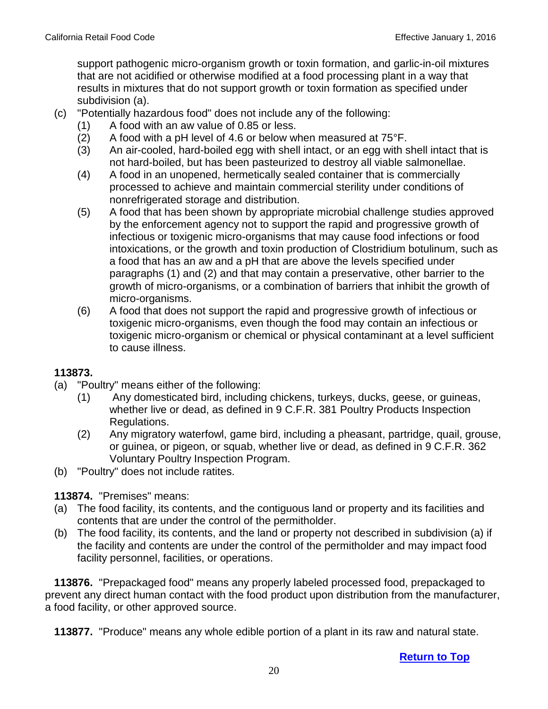support pathogenic micro-organism growth or toxin formation, and garlic-in-oil mixtures that are not acidified or otherwise modified at a food processing plant in a way that results in mixtures that do not support growth or toxin formation as specified under subdivision (a).

- (c) "Potentially hazardous food" does not include any of the following:
	- (1) A food with an aw value of 0.85 or less.
	- (2) A food with a pH level of 4.6 or below when measured at  $75^{\circ}$ F.
	- (3) An air-cooled, hard-boiled egg with shell intact, or an egg with shell intact that is not hard-boiled, but has been pasteurized to destroy all viable salmonellae.
	- (4) A food in an unopened, hermetically sealed container that is commercially processed to achieve and maintain commercial sterility under conditions of nonrefrigerated storage and distribution.
	- (5) A food that has been shown by appropriate microbial challenge studies approved by the enforcement agency not to support the rapid and progressive growth of infectious or toxigenic micro-organisms that may cause food infections or food intoxications, or the growth and toxin production of Clostridium botulinum, such as a food that has an aw and a pH that are above the levels specified under paragraphs (1) and (2) and that may contain a preservative, other barrier to the growth of micro-organisms, or a combination of barriers that inhibit the growth of micro-organisms.
	- (6) A food that does not support the rapid and progressive growth of infectious or toxigenic micro-organisms, even though the food may contain an infectious or toxigenic micro-organism or chemical or physical contaminant at a level sufficient to cause illness.

## **113873.**

- (a) "Poultry" means either of the following:
	- (1) Any domesticated bird, including chickens, turkeys, ducks, geese, or guineas, whether live or dead, as defined in 9 C.F.R. 381 Poultry Products Inspection Regulations.
	- (2) Any migratory waterfowl, game bird, including a pheasant, partridge, quail, grouse, or guinea, or pigeon, or squab, whether live or dead, as defined in 9 C.F.R. 362 Voluntary Poultry Inspection Program.
- (b) "Poultry" does not include ratites.

## **113874.** "Premises" means:

- (a) The food facility, its contents, and the contiguous land or property and its facilities and contents that are under the control of the permitholder.
- (b) The food facility, its contents, and the land or property not described in subdivision (a) if the facility and contents are under the control of the permitholder and may impact food facility personnel, facilities, or operations.

 **113876.** "Prepackaged food" means any properly labeled processed food, prepackaged to prevent any direct human contact with the food product upon distribution from the manufacturer, a food facility, or other approved source.

 **113877.** "Produce" means any whole edible portion of a plant in its raw and natural state.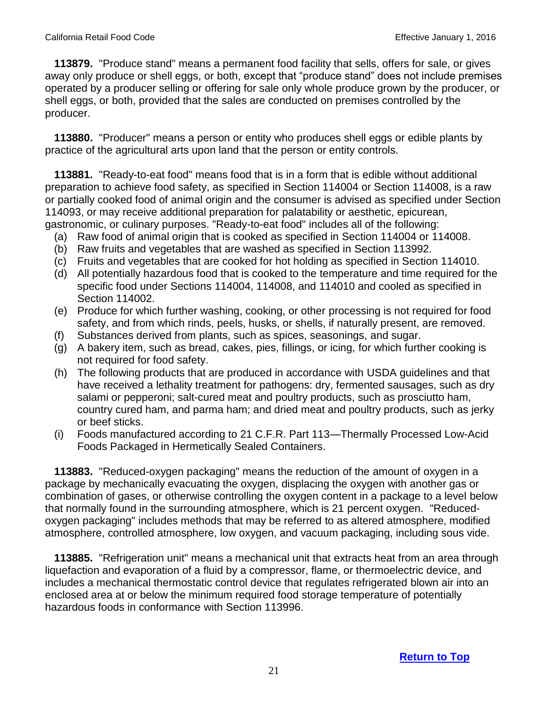**113879.** "Produce stand" means a permanent food facility that sells, offers for sale, or gives away only produce or shell eggs, or both, except that "produce stand" does not include premises operated by a producer selling or offering for sale only whole produce grown by the producer, or shell eggs, or both, provided that the sales are conducted on premises controlled by the producer.

 **113880.** "Producer" means a person or entity who produces shell eggs or edible plants by practice of the agricultural arts upon land that the person or entity controls.

 **113881.** "Ready-to-eat food" means food that is in a form that is edible without additional preparation to achieve food safety, as specified in Section 114004 or Section 114008, is a raw or partially cooked food of animal origin and the consumer is advised as specified under Section 114093, or may receive additional preparation for palatability or aesthetic, epicurean, gastronomic, or culinary purposes. "Ready-to-eat food" includes all of the following:

- (a) Raw food of animal origin that is cooked as specified in Section 114004 or 114008.
- (b) Raw fruits and vegetables that are washed as specified in Section 113992.
- (c) Fruits and vegetables that are cooked for hot holding as specified in Section 114010.
- (d) All potentially hazardous food that is cooked to the temperature and time required for the specific food under Sections 114004, 114008, and 114010 and cooled as specified in Section 114002.
- (e) Produce for which further washing, cooking, or other processing is not required for food safety, and from which rinds, peels, husks, or shells, if naturally present, are removed.
- (f) Substances derived from plants, such as spices, seasonings, and sugar.
- (g) A bakery item, such as bread, cakes, pies, fillings, or icing, for which further cooking is not required for food safety.
- (h) The following products that are produced in accordance with USDA guidelines and that have received a lethality treatment for pathogens: dry, fermented sausages, such as dry salami or pepperoni; salt-cured meat and poultry products, such as prosciutto ham, country cured ham, and parma ham; and dried meat and poultry products, such as jerky or beef sticks.
- (i) Foods manufactured according to 21 C.F.R. Part 113—Thermally Processed Low-Acid Foods Packaged in Hermetically Sealed Containers.

 **113883.** "Reduced-oxygen packaging" means the reduction of the amount of oxygen in a package by mechanically evacuating the oxygen, displacing the oxygen with another gas or combination of gases, or otherwise controlling the oxygen content in a package to a level below that normally found in the surrounding atmosphere, which is 21 percent oxygen. "Reducedoxygen packaging" includes methods that may be referred to as altered atmosphere, modified atmosphere, controlled atmosphere, low oxygen, and vacuum packaging, including sous vide.

 **113885.** "Refrigeration unit" means a mechanical unit that extracts heat from an area through liquefaction and evaporation of a fluid by a compressor, flame, or thermoelectric device, and includes a mechanical thermostatic control device that regulates refrigerated blown air into an enclosed area at or below the minimum required food storage temperature of potentially hazardous foods in conformance with Section 113996.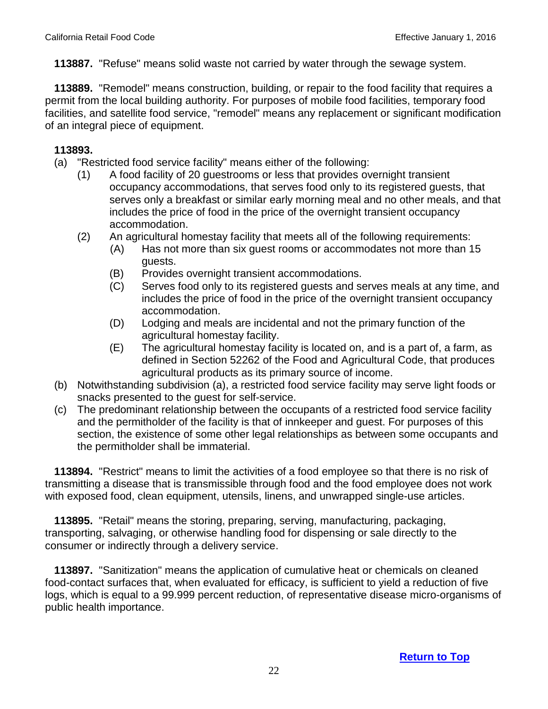**113887.** "Refuse" means solid waste not carried by water through the sewage system.

 **113889.** "Remodel" means construction, building, or repair to the food facility that requires a permit from the local building authority. For purposes of mobile food facilities, temporary food facilities, and satellite food service, "remodel" means any replacement or significant modification of an integral piece of equipment.

## **113893.**

- (a) "Restricted food service facility" means either of the following:
	- (1) A food facility of 20 guestrooms or less that provides overnight transient occupancy accommodations, that serves food only to its registered guests, that serves only a breakfast or similar early morning meal and no other meals, and that includes the price of food in the price of the overnight transient occupancy accommodation.
	- (2) An agricultural homestay facility that meets all of the following requirements:
		- (A) Has not more than six guest rooms or accommodates not more than 15 guests.
		- (B) Provides overnight transient accommodations.
		- (C) Serves food only to its registered guests and serves meals at any time, and includes the price of food in the price of the overnight transient occupancy accommodation.
		- (D) Lodging and meals are incidental and not the primary function of the agricultural homestay facility.
		- (E) The agricultural homestay facility is located on, and is a part of, a farm, as defined in Section 52262 of the Food and Agricultural Code, that produces agricultural products as its primary source of income.
- (b) Notwithstanding subdivision (a), a restricted food service facility may serve light foods or snacks presented to the guest for self-service.
- (c) The predominant relationship between the occupants of a restricted food service facility and the permitholder of the facility is that of innkeeper and guest. For purposes of this section, the existence of some other legal relationships as between some occupants and the permitholder shall be immaterial.

 **113894.** "Restrict" means to limit the activities of a food employee so that there is no risk of transmitting a disease that is transmissible through food and the food employee does not work with exposed food, clean equipment, utensils, linens, and unwrapped single-use articles.

 **113895.** "Retail" means the storing, preparing, serving, manufacturing, packaging, transporting, salvaging, or otherwise handling food for dispensing or sale directly to the consumer or indirectly through a delivery service.

 **113897.** "Sanitization" means the application of cumulative heat or chemicals on cleaned food-contact surfaces that, when evaluated for efficacy, is sufficient to yield a reduction of five logs, which is equal to a 99.999 percent reduction, of representative disease micro-organisms of public health importance.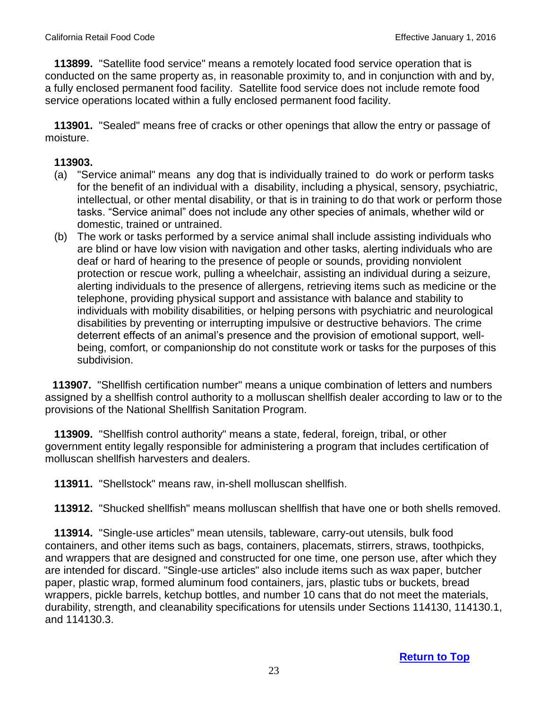**113899.** "Satellite food service" means a remotely located food service operation that is conducted on the same property as, in reasonable proximity to, and in conjunction with and by, a fully enclosed permanent food facility. Satellite food service does not include remote food service operations located within a fully enclosed permanent food facility.

 **113901.** "Sealed" means free of cracks or other openings that allow the entry or passage of moisture.

## **113903.**

- (a) "Service animal" means any dog that is individually trained to do work or perform tasks for the benefit of an individual with a disability, including a physical, sensory, psychiatric, intellectual, or other mental disability, or that is in training to do that work or perform those tasks. "Service animal" does not include any other species of animals, whether wild or domestic, trained or untrained.
- (b) The work or tasks performed by a service animal shall include assisting individuals who are blind or have low vision with navigation and other tasks, alerting individuals who are deaf or hard of hearing to the presence of people or sounds, providing nonviolent protection or rescue work, pulling a wheelchair, assisting an individual during a seizure, alerting individuals to the presence of allergens, retrieving items such as medicine or the telephone, providing physical support and assistance with balance and stability to individuals with mobility disabilities, or helping persons with psychiatric and neurological disabilities by preventing or interrupting impulsive or destructive behaviors. The crime deterrent effects of an animal's presence and the provision of emotional support, wellbeing, comfort, or companionship do not constitute work or tasks for the purposes of this subdivision.

 **113907.** "Shellfish certification number" means a unique combination of letters and numbers assigned by a shellfish control authority to a molluscan shellfish dealer according to law or to the provisions of the National Shellfish Sanitation Program.

 **113909.** "Shellfish control authority" means a state, federal, foreign, tribal, or other government entity legally responsible for administering a program that includes certification of molluscan shellfish harvesters and dealers.

 **113911.** "Shellstock" means raw, in-shell molluscan shellfish.

 **113912.** "Shucked shellfish" means molluscan shellfish that have one or both shells removed.

 **113914.** "Single-use articles" mean utensils, tableware, carry-out utensils, bulk food containers, and other items such as bags, containers, placemats, stirrers, straws, toothpicks, and wrappers that are designed and constructed for one time, one person use, after which they are intended for discard. "Single-use articles" also include items such as wax paper, butcher paper, plastic wrap, formed aluminum food containers, jars, plastic tubs or buckets, bread wrappers, pickle barrels, ketchup bottles, and number 10 cans that do not meet the materials, durability, strength, and cleanability specifications for utensils under Sections 114130, 114130.1, and 114130.3.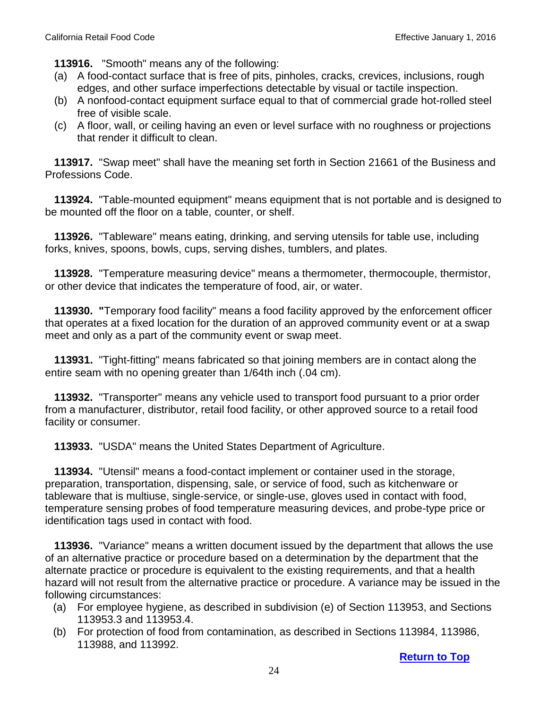**113916.** "Smooth" means any of the following:

- (a) A food-contact surface that is free of pits, pinholes, cracks, crevices, inclusions, rough edges, and other surface imperfections detectable by visual or tactile inspection.
- (b) A nonfood-contact equipment surface equal to that of commercial grade hot-rolled steel free of visible scale.
- (c) A floor, wall, or ceiling having an even or level surface with no roughness or projections that render it difficult to clean.

 **113917.** "Swap meet" shall have the meaning set forth in Section 21661 of the Business and Professions Code.

 **113924.** "Table-mounted equipment" means equipment that is not portable and is designed to be mounted off the floor on a table, counter, or shelf.

 **113926.** "Tableware" means eating, drinking, and serving utensils for table use, including forks, knives, spoons, bowls, cups, serving dishes, tumblers, and plates.

 **113928.** "Temperature measuring device" means a thermometer, thermocouple, thermistor, or other device that indicates the temperature of food, air, or water.

 **113930. "**Temporary food facility" means a food facility approved by the enforcement officer that operates at a fixed location for the duration of an approved community event or at a swap meet and only as a part of the community event or swap meet.

 **113931.** "Tight-fitting" means fabricated so that joining members are in contact along the entire seam with no opening greater than 1/64th inch (.04 cm).

 **113932.** "Transporter" means any vehicle used to transport food pursuant to a prior order from a manufacturer, distributor, retail food facility, or other approved source to a retail food facility or consumer.

 **113933.** "USDA" means the United States Department of Agriculture.

 **113934.** "Utensil" means a food-contact implement or container used in the storage, preparation, transportation, dispensing, sale, or service of food, such as kitchenware or tableware that is multiuse, single-service, or single-use, gloves used in contact with food, temperature sensing probes of food temperature measuring devices, and probe-type price or identification tags used in contact with food.

 **113936.** "Variance" means a written document issued by the department that allows the use of an alternative practice or procedure based on a determination by the department that the alternate practice or procedure is equivalent to the existing requirements, and that a health hazard will not result from the alternative practice or procedure. A variance may be issued in the following circumstances:

- (a) For employee hygiene, as described in subdivision (e) of Section 113953, and Sections 113953.3 and 113953.4.
- (b) For protection of food from contamination, as described in Sections 113984, 113986, 113988, and 113992.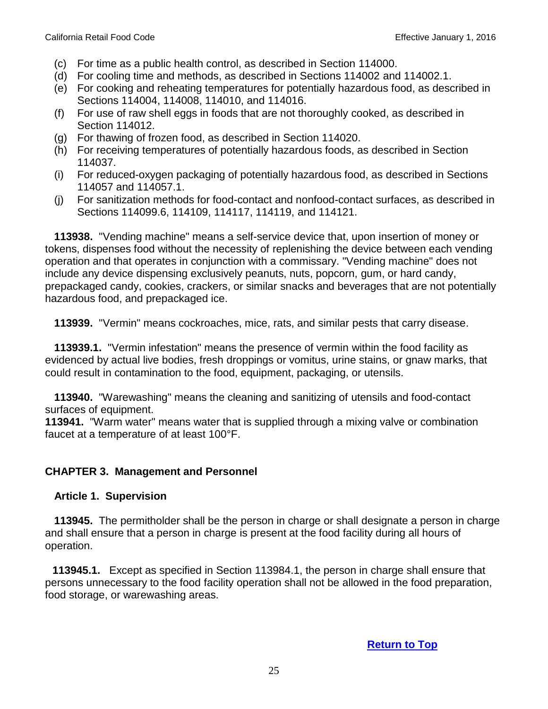- (c) For time as a public health control, as described in Section 114000.
- (d) For cooling time and methods, as described in Sections 114002 and 114002.1.
- (e) For cooking and reheating temperatures for potentially hazardous food, as described in Sections 114004, 114008, 114010, and 114016.
- (f) For use of raw shell eggs in foods that are not thoroughly cooked, as described in Section 114012.
- (g) For thawing of frozen food, as described in Section 114020.
- (h) For receiving temperatures of potentially hazardous foods, as described in Section 114037.
- (i) For reduced-oxygen packaging of potentially hazardous food, as described in Sections 114057 and 114057.1.
- (j) For sanitization methods for food-contact and nonfood-contact surfaces, as described in Sections 114099.6, 114109, 114117, 114119, and 114121.

 **113938.** "Vending machine" means a self-service device that, upon insertion of money or tokens, dispenses food without the necessity of replenishing the device between each vending operation and that operates in conjunction with a commissary. "Vending machine" does not include any device dispensing exclusively peanuts, nuts, popcorn, gum, or hard candy, prepackaged candy, cookies, crackers, or similar snacks and beverages that are not potentially hazardous food, and prepackaged ice.

 **113939.** "Vermin" means cockroaches, mice, rats, and similar pests that carry disease.

 **113939.1.** "Vermin infestation" means the presence of vermin within the food facility as evidenced by actual live bodies, fresh droppings or vomitus, urine stains, or gnaw marks, that could result in contamination to the food, equipment, packaging, or utensils.

 **113940.** "Warewashing" means the cleaning and sanitizing of utensils and food-contact surfaces of equipment.

**113941.** "Warm water" means water that is supplied through a mixing valve or combination faucet at a temperature of at least 100°F.

## **CHAPTER 3. Management and Personnel**

#### <span id="page-24-0"></span>**Article 1. Supervision**

 **113945.** The permitholder shall be the person in charge or shall designate a person in charge and shall ensure that a person in charge is present at the food facility during all hours of operation.

 **113945.1.** Except as specified in Section 113984.1, the person in charge shall ensure that persons unnecessary to the food facility operation shall not be allowed in the food preparation, food storage, or warewashing areas.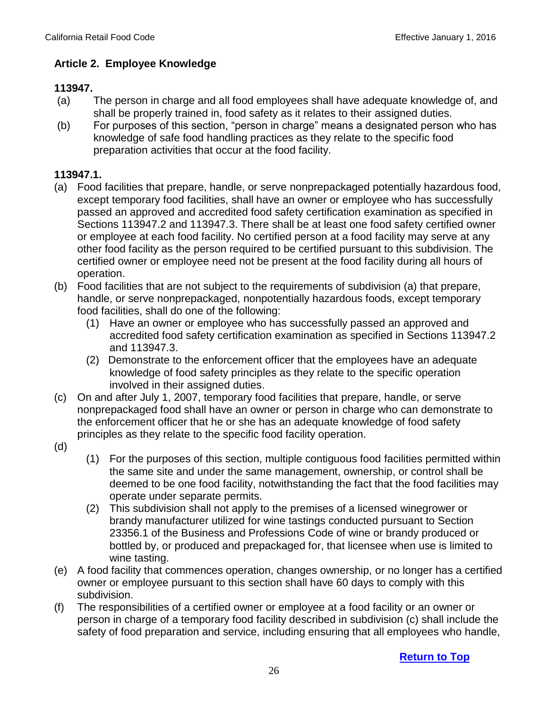### <span id="page-25-0"></span> **Article 2. Employee Knowledge**

#### **113947.**

- (a) The person in charge and all food employees shall have adequate knowledge of, and shall be properly trained in, food safety as it relates to their assigned duties.
- (b) For purposes of this section, "person in charge" means a designated person who has knowledge of safe food handling practices as they relate to the specific food preparation activities that occur at the food facility.

#### **113947.1.**

- (a) Food facilities that prepare, handle, or serve nonprepackaged potentially hazardous food, except temporary food facilities, shall have an owner or employee who has successfully passed an approved and accredited food safety certification examination as specified in Sections 113947.2 and 113947.3. There shall be at least one food safety certified owner or employee at each food facility. No certified person at a food facility may serve at any other food facility as the person required to be certified pursuant to this subdivision. The certified owner or employee need not be present at the food facility during all hours of operation.
- (b) Food facilities that are not subject to the requirements of subdivision (a) that prepare, handle, or serve nonprepackaged, nonpotentially hazardous foods, except temporary food facilities, shall do one of the following:
	- (1) Have an owner or employee who has successfully passed an approved and accredited food safety certification examination as specified in Sections 113947.2 and 113947.3.
	- (2) Demonstrate to the enforcement officer that the employees have an adequate knowledge of food safety principles as they relate to the specific operation involved in their assigned duties.
- (c) On and after July 1, 2007, temporary food facilities that prepare, handle, or serve nonprepackaged food shall have an owner or person in charge who can demonstrate to the enforcement officer that he or she has an adequate knowledge of food safety principles as they relate to the specific food facility operation.
- (d)
- (1) For the purposes of this section, multiple contiguous food facilities permitted within the same site and under the same management, ownership, or control shall be deemed to be one food facility, notwithstanding the fact that the food facilities may operate under separate permits.
- (2) This subdivision shall not apply to the premises of a licensed winegrower or brandy manufacturer utilized for wine tastings conducted pursuant to Section 23356.1 of the Business and Professions Code of wine or brandy produced or bottled by, or produced and prepackaged for, that licensee when use is limited to wine tasting.
- (e) A food facility that commences operation, changes ownership, or no longer has a certified owner or employee pursuant to this section shall have 60 days to comply with this subdivision.
- (f) The responsibilities of a certified owner or employee at a food facility or an owner or person in charge of a temporary food facility described in subdivision (c) shall include the safety of food preparation and service, including ensuring that all employees who handle,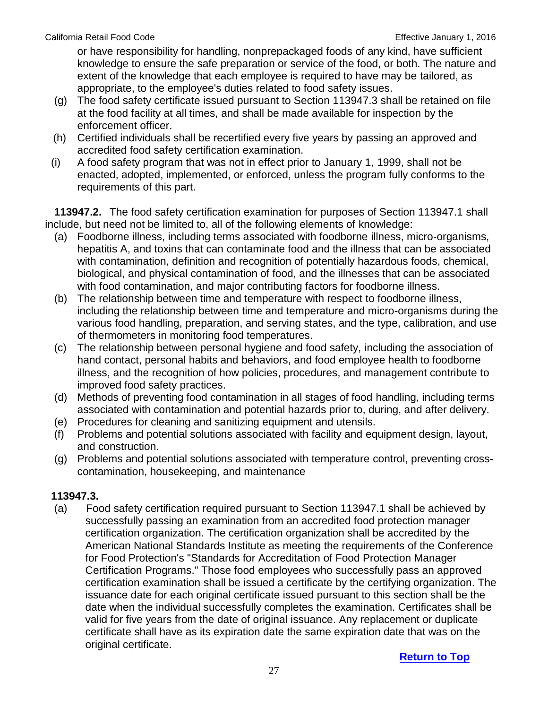or have responsibility for handling, nonprepackaged foods of any kind, have sufficient knowledge to ensure the safe preparation or service of the food, or both. The nature and extent of the knowledge that each employee is required to have may be tailored, as appropriate, to the employee's duties related to food safety issues.

- (g) The food safety certificate issued pursuant to Section 113947.3 shall be retained on file at the food facility at all times, and shall be made available for inspection by the enforcement officer.
- (h) Certified individuals shall be recertified every five years by passing an approved and accredited food safety certification examination.
- (i) A food safety program that was not in effect prior to January 1, 1999, shall not be enacted, adopted, implemented, or enforced, unless the program fully conforms to the requirements of this part.

 **113947.2.** The food safety certification examination for purposes of Section 113947.1 shall include, but need not be limited to, all of the following elements of knowledge:

- (a) Foodborne illness, including terms associated with foodborne illness, micro-organisms, hepatitis A, and toxins that can contaminate food and the illness that can be associated with contamination, definition and recognition of potentially hazardous foods, chemical, biological, and physical contamination of food, and the illnesses that can be associated with food contamination, and major contributing factors for foodborne illness.
- (b) The relationship between time and temperature with respect to foodborne illness, including the relationship between time and temperature and micro-organisms during the various food handling, preparation, and serving states, and the type, calibration, and use of thermometers in monitoring food temperatures.
- (c) The relationship between personal hygiene and food safety, including the association of hand contact, personal habits and behaviors, and food employee health to foodborne illness, and the recognition of how policies, procedures, and management contribute to improved food safety practices.
- (d) Methods of preventing food contamination in all stages of food handling, including terms associated with contamination and potential hazards prior to, during, and after delivery.
- (e) Procedures for cleaning and sanitizing equipment and utensils.
- (f) Problems and potential solutions associated with facility and equipment design, layout, and construction.
- (g) Problems and potential solutions associated with temperature control, preventing crosscontamination, housekeeping, and maintenance

# **113947.3.**

(a) Food safety certification required pursuant to Section 113947.1 shall be achieved by successfully passing an examination from an accredited food protection manager certification organization. The certification organization shall be accredited by the American National Standards Institute as meeting the requirements of the Conference for Food Protection's "Standards for Accreditation of Food Protection Manager Certification Programs." Those food employees who successfully pass an approved certification examination shall be issued a certificate by the certifying organization. The issuance date for each original certificate issued pursuant to this section shall be the date when the individual successfully completes the examination. Certificates shall be valid for five years from the date of original issuance. Any replacement or duplicate certificate shall have as its expiration date the same expiration date that was on the original certificate.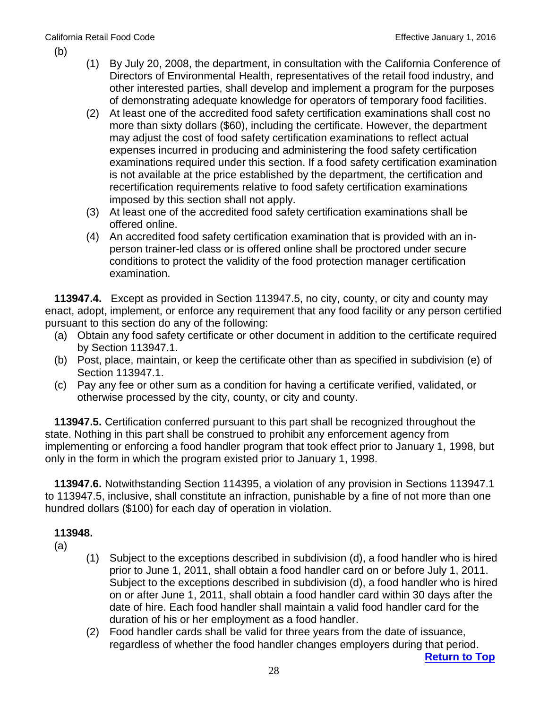- (b)
- (1) By July 20, 2008, the department, in consultation with the California Conference of Directors of Environmental Health, representatives of the retail food industry, and other interested parties, shall develop and implement a program for the purposes of demonstrating adequate knowledge for operators of temporary food facilities.
- (2) At least one of the accredited food safety certification examinations shall cost no more than sixty dollars (\$60), including the certificate. However, the department may adjust the cost of food safety certification examinations to reflect actual expenses incurred in producing and administering the food safety certification examinations required under this section. If a food safety certification examination is not available at the price established by the department, the certification and recertification requirements relative to food safety certification examinations imposed by this section shall not apply.
- (3) At least one of the accredited food safety certification examinations shall be offered online.
- (4) An accredited food safety certification examination that is provided with an inperson trainer-led class or is offered online shall be proctored under secure conditions to protect the validity of the food protection manager certification examination.

 **113947.4.** Except as provided in Section 113947.5, no city, county, or city and county may enact, adopt, implement, or enforce any requirement that any food facility or any person certified pursuant to this section do any of the following:

- (a) Obtain any food safety certificate or other document in addition to the certificate required by Section 113947.1.
- (b) Post, place, maintain, or keep the certificate other than as specified in subdivision (e) of Section 113947.1.
- (c) Pay any fee or other sum as a condition for having a certificate verified, validated, or otherwise processed by the city, county, or city and county.

 **113947.5.** Certification conferred pursuant to this part shall be recognized throughout the state. Nothing in this part shall be construed to prohibit any enforcement agency from implementing or enforcing a food handler program that took effect prior to January 1, 1998, but only in the form in which the program existed prior to January 1, 1998.

 **113947.6.** Notwithstanding Section 114395, a violation of any provision in Sections 113947.1 to 113947.5, inclusive, shall constitute an infraction, punishable by a fine of not more than one hundred dollars (\$100) for each day of operation in violation.

- (a)
	- (1) Subject to the exceptions described in subdivision (d), a food handler who is hired prior to June 1, 2011, shall obtain a food handler card on or before July 1, 2011. Subject to the exceptions described in subdivision (d), a food handler who is hired on or after June 1, 2011, shall obtain a food handler card within 30 days after the date of hire. Each food handler shall maintain a valid food handler card for the duration of his or her employment as a food handler.
	- (2) Food handler cards shall be valid for three years from the date of issuance, regardless of whether the food handler changes employers during that period.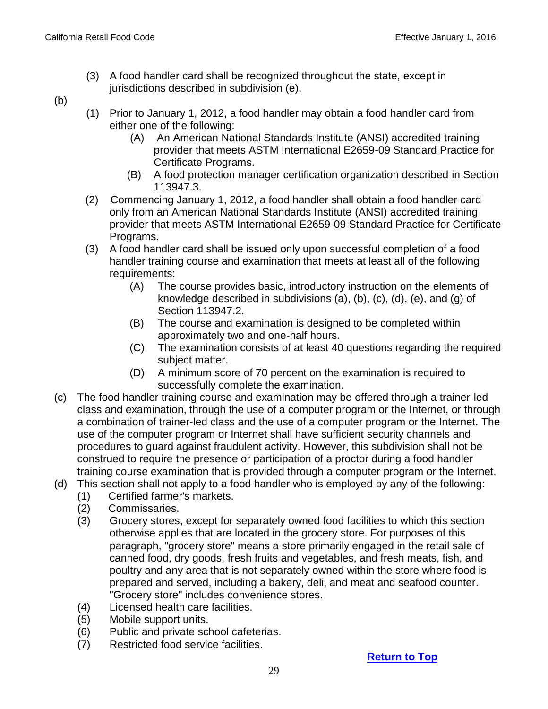(3) A food handler card shall be recognized throughout the state, except in jurisdictions described in subdivision (e).

(b)

- (1) Prior to January 1, 2012, a food handler may obtain a food handler card from either one of the following:
	- (A) An American National Standards Institute (ANSI) accredited training provider that meets ASTM International E2659-09 Standard Practice for Certificate Programs.
	- (B) A food protection manager certification organization described in Section 113947.3.
- (2) Commencing January 1, 2012, a food handler shall obtain a food handler card only from an American National Standards Institute (ANSI) accredited training provider that meets ASTM International E2659-09 Standard Practice for Certificate Programs.
- (3) A food handler card shall be issued only upon successful completion of a food handler training course and examination that meets at least all of the following requirements:
	- (A) The course provides basic, introductory instruction on the elements of knowledge described in subdivisions (a), (b), (c), (d), (e), and (g) of Section 113947.2.
	- (B) The course and examination is designed to be completed within approximately two and one-half hours.
	- (C) The examination consists of at least 40 questions regarding the required subject matter.
	- (D) A minimum score of 70 percent on the examination is required to successfully complete the examination.
- (c) The food handler training course and examination may be offered through a trainer-led class and examination, through the use of a computer program or the Internet, or through a combination of trainer-led class and the use of a computer program or the Internet. The use of the computer program or Internet shall have sufficient security channels and procedures to guard against fraudulent activity. However, this subdivision shall not be construed to require the presence or participation of a proctor during a food handler training course examination that is provided through a computer program or the Internet.
- (d) This section shall not apply to a food handler who is employed by any of the following:
	- (1) Certified farmer's markets.
	- (2) Commissaries.
	- (3) Grocery stores, except for separately owned food facilities to which this section otherwise applies that are located in the grocery store. For purposes of this paragraph, "grocery store" means a store primarily engaged in the retail sale of canned food, dry goods, fresh fruits and vegetables, and fresh meats, fish, and poultry and any area that is not separately owned within the store where food is prepared and served, including a bakery, deli, and meat and seafood counter. "Grocery store" includes convenience stores.
	- (4) Licensed health care facilities.
	- (5) Mobile support units.
	- (6) Public and private school cafeterias.
	- (7) Restricted food service facilities.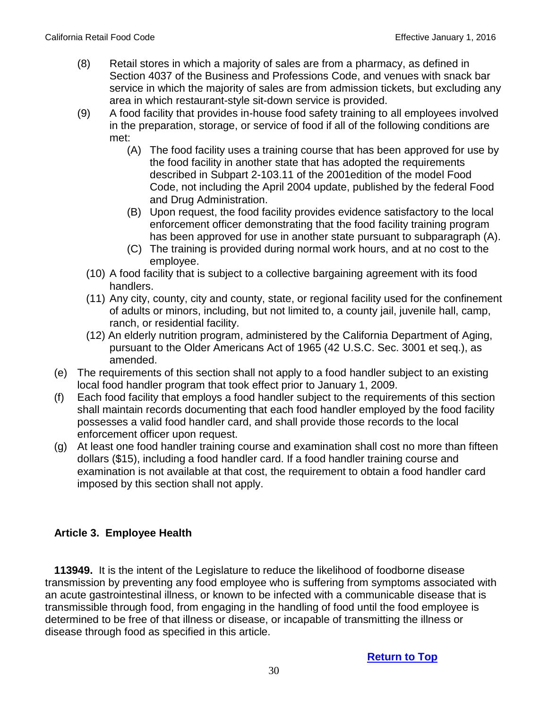- (8) Retail stores in which a majority of sales are from a pharmacy, as defined in Section 4037 of the Business and Professions Code, and venues with snack bar service in which the majority of sales are from admission tickets, but excluding any area in which restaurant-style sit-down service is provided.
- (9) A food facility that provides in-house food safety training to all employees involved in the preparation, storage, or service of food if all of the following conditions are met:
	- (A) The food facility uses a training course that has been approved for use by the food facility in another state that has adopted the requirements described in Subpart 2-103.11 of the 2001edition of the model Food Code, not including the April 2004 update, published by the federal Food and Drug Administration.
	- (B) Upon request, the food facility provides evidence satisfactory to the local enforcement officer demonstrating that the food facility training program has been approved for use in another state pursuant to subparagraph (A).
	- (C) The training is provided during normal work hours, and at no cost to the employee.
	- (10) A food facility that is subject to a collective bargaining agreement with its food handlers.
	- (11) Any city, county, city and county, state, or regional facility used for the confinement of adults or minors, including, but not limited to, a county jail, juvenile hall, camp, ranch, or residential facility.
	- (12) An elderly nutrition program, administered by the California Department of Aging, pursuant to the Older Americans Act of 1965 (42 U.S.C. Sec. 3001 et seq.), as amended.
- (e) The requirements of this section shall not apply to a food handler subject to an existing local food handler program that took effect prior to January 1, 2009.
- (f) Each food facility that employs a food handler subject to the requirements of this section shall maintain records documenting that each food handler employed by the food facility possesses a valid food handler card, and shall provide those records to the local enforcement officer upon request.
- (g) At least one food handler training course and examination shall cost no more than fifteen dollars (\$15), including a food handler card. If a food handler training course and examination is not available at that cost, the requirement to obtain a food handler card imposed by this section shall not apply.

# <span id="page-29-0"></span>**Article 3. Employee Health**

 **113949.** It is the intent of the Legislature to reduce the likelihood of foodborne disease transmission by preventing any food employee who is suffering from symptoms associated with an acute gastrointestinal illness, or known to be infected with a communicable disease that is transmissible through food, from engaging in the handling of food until the food employee is determined to be free of that illness or disease, or incapable of transmitting the illness or disease through food as specified in this article.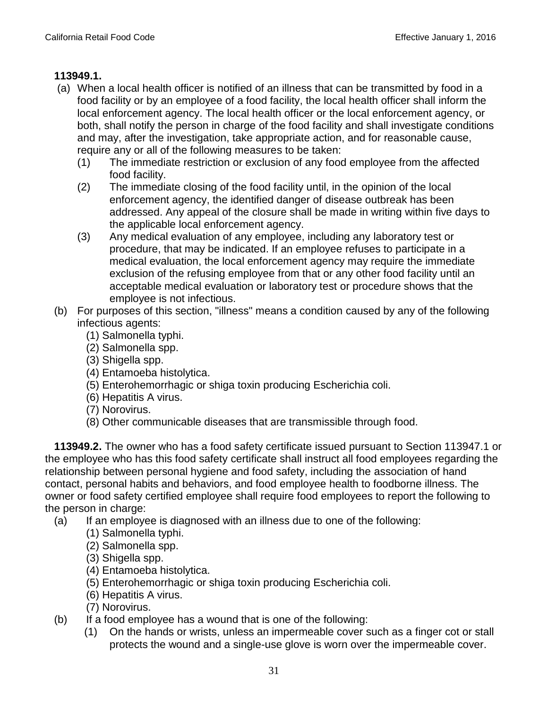#### **113949.1.**

- (a) When a local health officer is notified of an illness that can be transmitted by food in a food facility or by an employee of a food facility, the local health officer shall inform the local enforcement agency. The local health officer or the local enforcement agency, or both, shall notify the person in charge of the food facility and shall investigate conditions and may, after the investigation, take appropriate action, and for reasonable cause, require any or all of the following measures to be taken:
	- (1) The immediate restriction or exclusion of any food employee from the affected food facility.
	- (2) The immediate closing of the food facility until, in the opinion of the local enforcement agency, the identified danger of disease outbreak has been addressed. Any appeal of the closure shall be made in writing within five days to the applicable local enforcement agency.
	- (3) Any medical evaluation of any employee, including any laboratory test or procedure, that may be indicated. If an employee refuses to participate in a medical evaluation, the local enforcement agency may require the immediate exclusion of the refusing employee from that or any other food facility until an acceptable medical evaluation or laboratory test or procedure shows that the employee is not infectious.
- (b) For purposes of this section, "illness" means a condition caused by any of the following infectious agents:
	- (1) Salmonella typhi.
	- (2) Salmonella spp.
	- (3) Shigella spp.
	- (4) Entamoeba histolytica.
	- (5) Enterohemorrhagic or shiga toxin producing Escherichia coli.
	- (6) Hepatitis A virus.
	- (7) Norovirus.
	- (8) Other communicable diseases that are transmissible through food.

 **113949.2.** The owner who has a food safety certificate issued pursuant to Section 113947.1 or the employee who has this food safety certificate shall instruct all food employees regarding the relationship between personal hygiene and food safety, including the association of hand contact, personal habits and behaviors, and food employee health to foodborne illness. The owner or food safety certified employee shall require food employees to report the following to the person in charge:

- (a) If an employee is diagnosed with an illness due to one of the following:
	- (1) Salmonella typhi.
	- (2) Salmonella spp.
	- (3) Shigella spp.
	- (4) Entamoeba histolytica.
	- (5) Enterohemorrhagic or shiga toxin producing Escherichia coli.
	- (6) Hepatitis A virus.
	- (7) Norovirus.
- (b) If a food employee has a wound that is one of the following:
	- (1) On the hands or wrists, unless an impermeable cover such as a finger cot or stall protects the wound and a single-use glove is worn over the impermeable cover.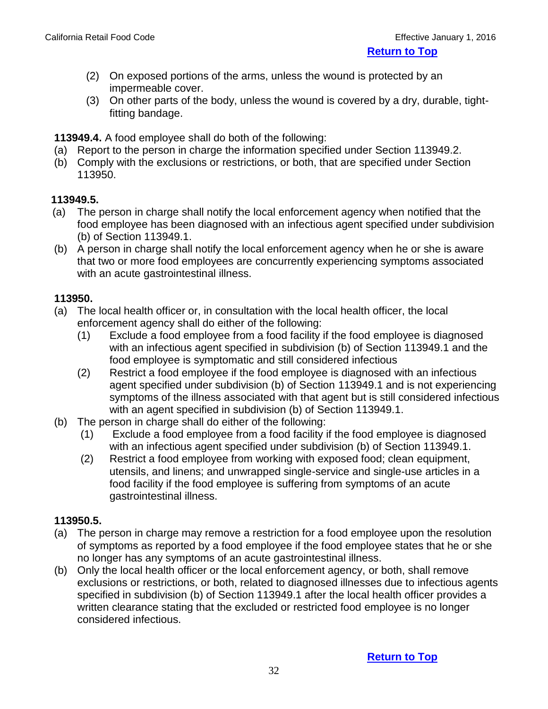**[Return to Top](#page-1-0)**

- (2) On exposed portions of the arms, unless the wound is protected by an impermeable cover.
- (3) On other parts of the body, unless the wound is covered by a dry, durable, tightfitting bandage.

 **113949.4.** A food employee shall do both of the following:

- (a) Report to the person in charge the information specified under Section 113949.2.
- (b) Comply with the exclusions or restrictions, or both, that are specified under Section 113950.

## **113949.5.**

- (a) The person in charge shall notify the local enforcement agency when notified that the food employee has been diagnosed with an infectious agent specified under subdivision (b) of Section 113949.1.
- (b) A person in charge shall notify the local enforcement agency when he or she is aware that two or more food employees are concurrently experiencing symptoms associated with an acute gastrointestinal illness.

## **113950.**

- (a) The local health officer or, in consultation with the local health officer, the local enforcement agency shall do either of the following:
	- (1) Exclude a food employee from a food facility if the food employee is diagnosed with an infectious agent specified in subdivision (b) of Section 113949.1 and the food employee is symptomatic and still considered infectious
	- (2) Restrict a food employee if the food employee is diagnosed with an infectious agent specified under subdivision (b) of Section 113949.1 and is not experiencing symptoms of the illness associated with that agent but is still considered infectious with an agent specified in subdivision (b) of Section 113949.1.
- (b) The person in charge shall do either of the following:
	- (1) Exclude a food employee from a food facility if the food employee is diagnosed with an infectious agent specified under subdivision (b) of Section 113949.1.
	- (2) Restrict a food employee from working with exposed food; clean equipment, utensils, and linens; and unwrapped single-service and single-use articles in a food facility if the food employee is suffering from symptoms of an acute gastrointestinal illness.

# **113950.5.**

- (a) The person in charge may remove a restriction for a food employee upon the resolution of symptoms as reported by a food employee if the food employee states that he or she no longer has any symptoms of an acute gastrointestinal illness.
- (b) Only the local health officer or the local enforcement agency, or both, shall remove exclusions or restrictions, or both, related to diagnosed illnesses due to infectious agents specified in subdivision (b) of Section 113949.1 after the local health officer provides a written clearance stating that the excluded or restricted food employee is no longer considered infectious.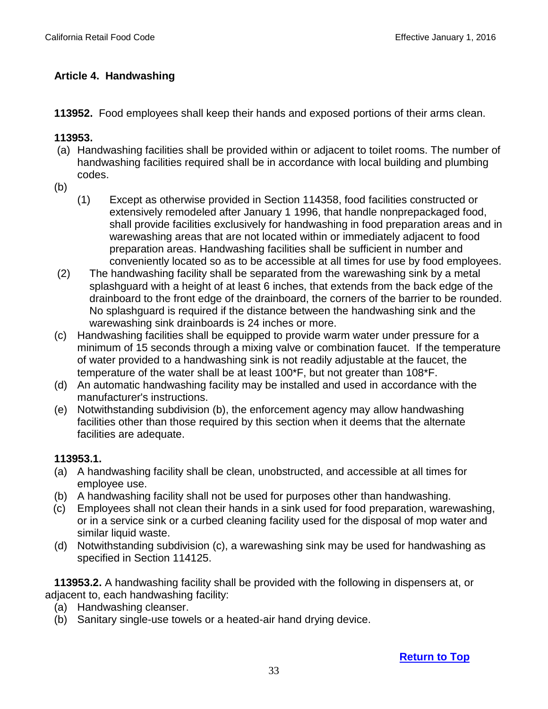# <span id="page-32-0"></span> **Article 4. Handwashing**

 **113952.** Food employees shall keep their hands and exposed portions of their arms clean.

#### **113953.**

- (a) Handwashing facilities shall be provided within or adjacent to toilet rooms. The number of handwashing facilities required shall be in accordance with local building and plumbing codes.
- (b)
	- (1) Except as otherwise provided in Section 114358, food facilities constructed or extensively remodeled after January 1 1996, that handle nonprepackaged food, shall provide facilities exclusively for handwashing in food preparation areas and in warewashing areas that are not located within or immediately adjacent to food preparation areas. Handwashing facilities shall be sufficient in number and conveniently located so as to be accessible at all times for use by food employees.
- (2) The handwashing facility shall be separated from the warewashing sink by a metal splashguard with a height of at least 6 inches, that extends from the back edge of the drainboard to the front edge of the drainboard, the corners of the barrier to be rounded. No splashguard is required if the distance between the handwashing sink and the warewashing sink drainboards is 24 inches or more.
- (c) Handwashing facilities shall be equipped to provide warm water under pressure for a minimum of 15 seconds through a mixing valve or combination faucet. If the temperature of water provided to a handwashing sink is not readily adjustable at the faucet, the temperature of the water shall be at least 100\*F, but not greater than 108\*F.
- (d) An automatic handwashing facility may be installed and used in accordance with the manufacturer's instructions.
- (e) Notwithstanding subdivision (b), the enforcement agency may allow handwashing facilities other than those required by this section when it deems that the alternate facilities are adequate.

## **113953.1.**

- (a) A handwashing facility shall be clean, unobstructed, and accessible at all times for employee use.
- (b) A handwashing facility shall not be used for purposes other than handwashing.
- (c) Employees shall not clean their hands in a sink used for food preparation, warewashing, or in a service sink or a curbed cleaning facility used for the disposal of mop water and similar liquid waste.
- (d) Notwithstanding subdivision (c), a warewashing sink may be used for handwashing as specified in Section 114125.

 **113953.2.** A handwashing facility shall be provided with the following in dispensers at, or adjacent to, each handwashing facility:

- (a) Handwashing cleanser.
- (b) Sanitary single-use towels or a heated-air hand drying device.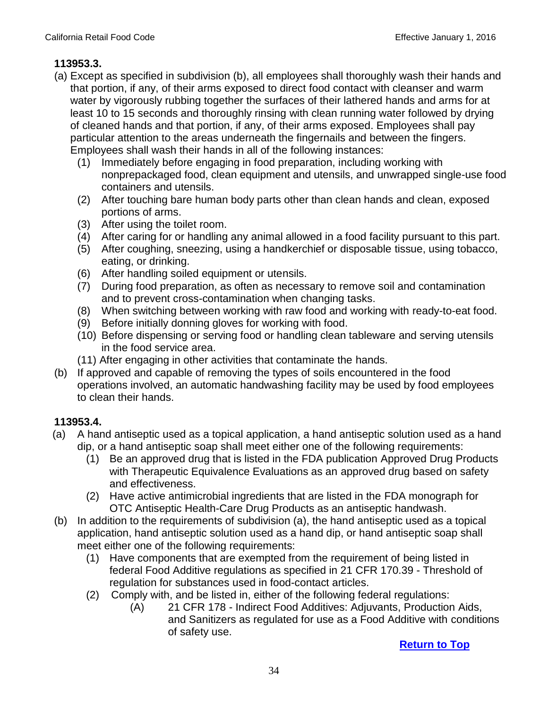# **113953.3.**

- (a) Except as specified in subdivision (b), all employees shall thoroughly wash their hands and that portion, if any, of their arms exposed to direct food contact with cleanser and warm water by vigorously rubbing together the surfaces of their lathered hands and arms for at least 10 to 15 seconds and thoroughly rinsing with clean running water followed by drying of cleaned hands and that portion, if any, of their arms exposed. Employees shall pay particular attention to the areas underneath the fingernails and between the fingers. Employees shall wash their hands in all of the following instances:
	- (1) Immediately before engaging in food preparation, including working with nonprepackaged food, clean equipment and utensils, and unwrapped single-use food containers and utensils.
	- (2) After touching bare human body parts other than clean hands and clean, exposed portions of arms.
	- (3) After using the toilet room.
	- (4) After caring for or handling any animal allowed in a food facility pursuant to this part.
	- (5) After coughing, sneezing, using a handkerchief or disposable tissue, using tobacco, eating, or drinking.
	- (6) After handling soiled equipment or utensils.
	- (7) During food preparation, as often as necessary to remove soil and contamination and to prevent cross-contamination when changing tasks.
	- (8) When switching between working with raw food and working with ready-to-eat food.
	- (9) Before initially donning gloves for working with food.
	- (10) Before dispensing or serving food or handling clean tableware and serving utensils in the food service area.
	- (11) After engaging in other activities that contaminate the hands.
- (b) If approved and capable of removing the types of soils encountered in the food operations involved, an automatic handwashing facility may be used by food employees to clean their hands.

# **113953.4.**

- (a) A hand antiseptic used as a topical application, a hand antiseptic solution used as a hand dip, or a hand antiseptic soap shall meet either one of the following requirements:
	- (1) Be an approved drug that is listed in the FDA publication Approved Drug Products with Therapeutic Equivalence Evaluations as an approved drug based on safety and effectiveness.
	- (2) Have active antimicrobial ingredients that are listed in the FDA monograph for OTC Antiseptic Health-Care Drug Products as an antiseptic handwash.
- (b) In addition to the requirements of subdivision (a), the hand antiseptic used as a topical application, hand antiseptic solution used as a hand dip, or hand antiseptic soap shall meet either one of the following requirements:
	- (1) Have components that are exempted from the requirement of being listed in federal Food Additive regulations as specified in 21 CFR 170.39 - Threshold of regulation for substances used in food-contact articles.
	- (2) Comply with, and be listed in, either of the following federal regulations:
		- (A) 21 CFR 178 Indirect Food Additives: Adjuvants, Production Aids, and Sanitizers as regulated for use as a Food Additive with conditions of safety use.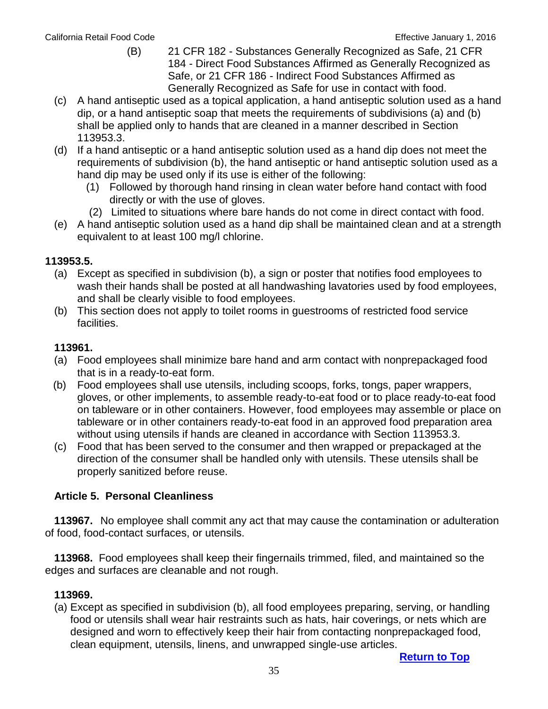- (B) 21 CFR 182 Substances Generally Recognized as Safe, 21 CFR 184 - Direct Food Substances Affirmed as Generally Recognized as Safe, or 21 CFR 186 - Indirect Food Substances Affirmed as Generally Recognized as Safe for use in contact with food.
- (c) A hand antiseptic used as a topical application, a hand antiseptic solution used as a hand dip, or a hand antiseptic soap that meets the requirements of subdivisions (a) and (b) shall be applied only to hands that are cleaned in a manner described in Section 113953.3.
- (d) If a hand antiseptic or a hand antiseptic solution used as a hand dip does not meet the requirements of subdivision (b), the hand antiseptic or hand antiseptic solution used as a hand dip may be used only if its use is either of the following:
	- (1) Followed by thorough hand rinsing in clean water before hand contact with food directly or with the use of gloves.
	- (2) Limited to situations where bare hands do not come in direct contact with food.
- (e) A hand antiseptic solution used as a hand dip shall be maintained clean and at a strength equivalent to at least 100 mg/l chlorine.

## **113953.5.**

- (a) Except as specified in subdivision (b), a sign or poster that notifies food employees to wash their hands shall be posted at all handwashing lavatories used by food employees, and shall be clearly visible to food employees.
- (b) This section does not apply to toilet rooms in guestrooms of restricted food service facilities.

## <span id="page-34-0"></span> **113961.**

- (a) Food employees shall minimize bare hand and arm contact with nonprepackaged food that is in a ready-to-eat form.
- (b) Food employees shall use utensils, including scoops, forks, tongs, paper wrappers, gloves, or other implements, to assemble ready-to-eat food or to place ready-to-eat food on tableware or in other containers. However, food employees may assemble or place on tableware or in other containers ready-to-eat food in an approved food preparation area without using utensils if hands are cleaned in accordance with Section 113953.3.
- (c) Food that has been served to the consumer and then wrapped or prepackaged at the direction of the consumer shall be handled only with utensils. These utensils shall be properly sanitized before reuse.

## **Article 5. Personal Cleanliness**

 **113967.** No employee shall commit any act that may cause the contamination or adulteration of food, food-contact surfaces, or utensils.

 **113968.** Food employees shall keep their fingernails trimmed, filed, and maintained so the edges and surfaces are cleanable and not rough.

#### **113969.**

(a) Except as specified in subdivision (b), all food employees preparing, serving, or handling food or utensils shall wear hair restraints such as hats, hair coverings, or nets which are designed and worn to effectively keep their hair from contacting nonprepackaged food, clean equipment, utensils, linens, and unwrapped single-use articles.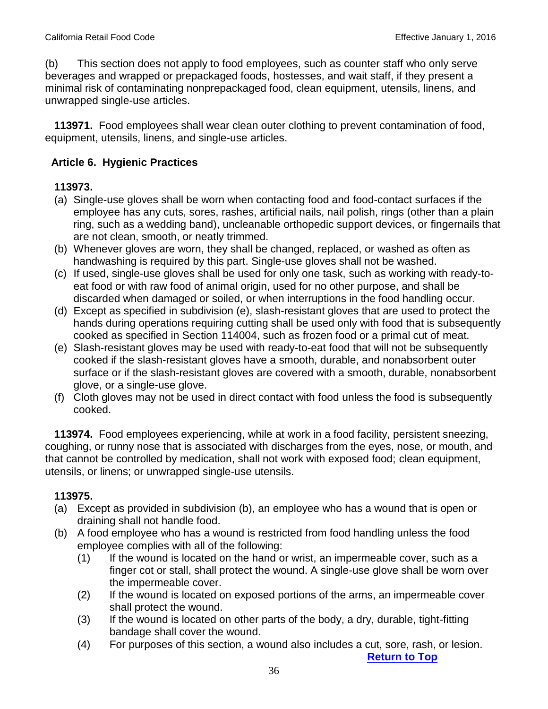(b) This section does not apply to food employees, such as counter staff who only serve beverages and wrapped or prepackaged foods, hostesses, and wait staff, if they present a minimal risk of contaminating nonprepackaged food, clean equipment, utensils, linens, and unwrapped single-use articles.

 **113971.** Food employees shall wear clean outer clothing to prevent contamination of food, equipment, utensils, linens, and single-use articles.

## <span id="page-35-0"></span>**Article 6. Hygienic Practices**

#### **113973.**

- (a) Single-use gloves shall be worn when contacting food and food-contact surfaces if the employee has any cuts, sores, rashes, artificial nails, nail polish, rings (other than a plain ring, such as a wedding band), uncleanable orthopedic support devices, or fingernails that are not clean, smooth, or neatly trimmed.
- (b) Whenever gloves are worn, they shall be changed, replaced, or washed as often as handwashing is required by this part. Single-use gloves shall not be washed.
- (c) If used, single-use gloves shall be used for only one task, such as working with ready-toeat food or with raw food of animal origin, used for no other purpose, and shall be discarded when damaged or soiled, or when interruptions in the food handling occur.
- (d) Except as specified in subdivision (e), slash-resistant gloves that are used to protect the hands during operations requiring cutting shall be used only with food that is subsequently cooked as specified in Section 114004, such as frozen food or a primal cut of meat.
- (e) Slash-resistant gloves may be used with ready-to-eat food that will not be subsequently cooked if the slash-resistant gloves have a smooth, durable, and nonabsorbent outer surface or if the slash-resistant gloves are covered with a smooth, durable, nonabsorbent glove, or a single-use glove.
- (f) Cloth gloves may not be used in direct contact with food unless the food is subsequently cooked.

 **113974.** Food employees experiencing, while at work in a food facility, persistent sneezing, coughing, or runny nose that is associated with discharges from the eyes, nose, or mouth, and that cannot be controlled by medication, shall not work with exposed food; clean equipment, utensils, or linens; or unwrapped single-use utensils.

## **113975.**

- (a) Except as provided in subdivision (b), an employee who has a wound that is open or draining shall not handle food.
- (b) A food employee who has a wound is restricted from food handling unless the food employee complies with all of the following:
	- (1) If the wound is located on the hand or wrist, an impermeable cover, such as a finger cot or stall, shall protect the wound. A single-use glove shall be worn over the impermeable cover.
	- (2) If the wound is located on exposed portions of the arms, an impermeable cover shall protect the wound.
	- (3) If the wound is located on other parts of the body, a dry, durable, tight-fitting bandage shall cover the wound.
	- (4) For purposes of this section, a wound also includes a cut, sore, rash, or lesion.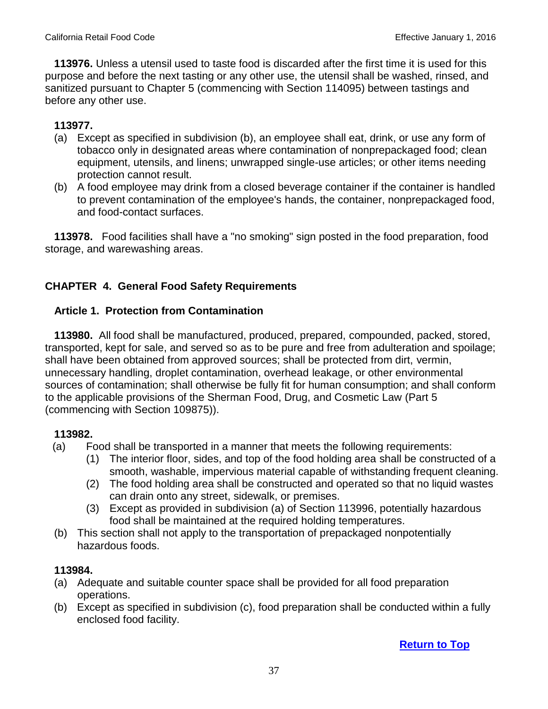**113976.** Unless a utensil used to taste food is discarded after the first time it is used for this purpose and before the next tasting or any other use, the utensil shall be washed, rinsed, and sanitized pursuant to Chapter 5 (commencing with Section 114095) between tastings and before any other use.

### **113977.**

- (a) Except as specified in subdivision (b), an employee shall eat, drink, or use any form of tobacco only in designated areas where contamination of nonprepackaged food; clean equipment, utensils, and linens; unwrapped single-use articles; or other items needing protection cannot result.
- (b) A food employee may drink from a closed beverage container if the container is handled to prevent contamination of the employee's hands, the container, nonprepackaged food, and food-contact surfaces.

 **113978.** Food facilities shall have a "no smoking" sign posted in the food preparation, food storage, and warewashing areas.

## **CHAPTER 4. General Food Safety Requirements**

#### **Article 1. Protection from Contamination**

 **113980.** All food shall be manufactured, produced, prepared, compounded, packed, stored, transported, kept for sale, and served so as to be pure and free from adulteration and spoilage; shall have been obtained from approved sources; shall be protected from dirt, vermin, unnecessary handling, droplet contamination, overhead leakage, or other environmental sources of contamination; shall otherwise be fully fit for human consumption; and shall conform to the applicable provisions of the Sherman Food, Drug, and Cosmetic Law (Part 5 (commencing with Section 109875)).

#### **113982.**

- (a) Food shall be transported in a manner that meets the following requirements:
	- (1) The interior floor, sides, and top of the food holding area shall be constructed of a smooth, washable, impervious material capable of withstanding frequent cleaning.
	- (2) The food holding area shall be constructed and operated so that no liquid wastes can drain onto any street, sidewalk, or premises.
	- (3) Except as provided in subdivision (a) of Section 113996, potentially hazardous food shall be maintained at the required holding temperatures.
- (b) This section shall not apply to the transportation of prepackaged nonpotentially hazardous foods.

### **113984.**

- (a) Adequate and suitable counter space shall be provided for all food preparation operations.
- (b) Except as specified in subdivision (c), food preparation shall be conducted within a fully enclosed food facility.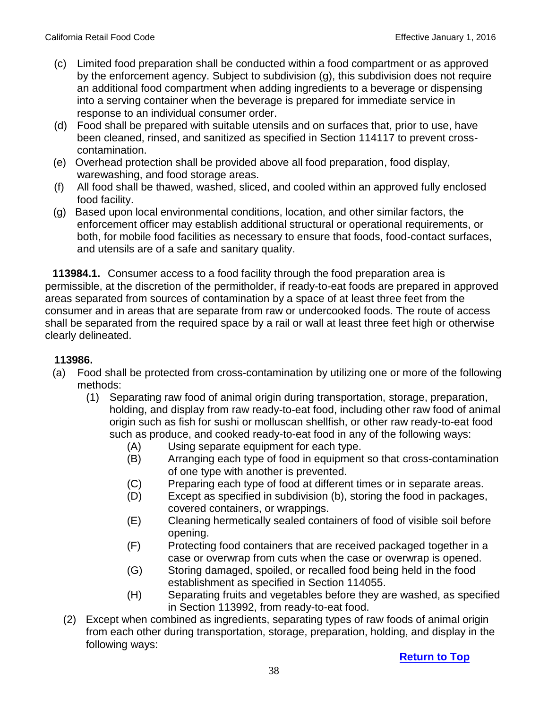- (c) Limited food preparation shall be conducted within a food compartment or as approved by the enforcement agency. Subject to subdivision (g), this subdivision does not require an additional food compartment when adding ingredients to a beverage or dispensing into a serving container when the beverage is prepared for immediate service in response to an individual consumer order.
- (d) Food shall be prepared with suitable utensils and on surfaces that, prior to use, have been cleaned, rinsed, and sanitized as specified in Section 114117 to prevent crosscontamination.
- (e) Overhead protection shall be provided above all food preparation, food display, warewashing, and food storage areas.
- (f) All food shall be thawed, washed, sliced, and cooled within an approved fully enclosed food facility.
- (g) Based upon local environmental conditions, location, and other similar factors, the enforcement officer may establish additional structural or operational requirements, or both, for mobile food facilities as necessary to ensure that foods, food-contact surfaces, and utensils are of a safe and sanitary quality.

 **113984.1.** Consumer access to a food facility through the food preparation area is permissible, at the discretion of the permitholder, if ready-to-eat foods are prepared in approved areas separated from sources of contamination by a space of at least three feet from the consumer and in areas that are separate from raw or undercooked foods. The route of access shall be separated from the required space by a rail or wall at least three feet high or otherwise clearly delineated.

- (a) Food shall be protected from cross-contamination by utilizing one or more of the following methods:
	- (1) Separating raw food of animal origin during transportation, storage, preparation, holding, and display from raw ready-to-eat food, including other raw food of animal origin such as fish for sushi or molluscan shellfish, or other raw ready-to-eat food such as produce, and cooked ready-to-eat food in any of the following ways:
		- (A) Using separate equipment for each type.
		- (B) Arranging each type of food in equipment so that cross-contamination of one type with another is prevented.
		- (C) Preparing each type of food at different times or in separate areas.
		- (D) Except as specified in subdivision (b), storing the food in packages, covered containers, or wrappings.
		- (E) Cleaning hermetically sealed containers of food of visible soil before opening.
		- (F) Protecting food containers that are received packaged together in a case or overwrap from cuts when the case or overwrap is opened.
		- (G) Storing damaged, spoiled, or recalled food being held in the food establishment as specified in Section 114055.
		- (H) Separating fruits and vegetables before they are washed, as specified in Section 113992, from ready-to-eat food.
	- (2) Except when combined as ingredients, separating types of raw foods of animal origin from each other during transportation, storage, preparation, holding, and display in the following ways: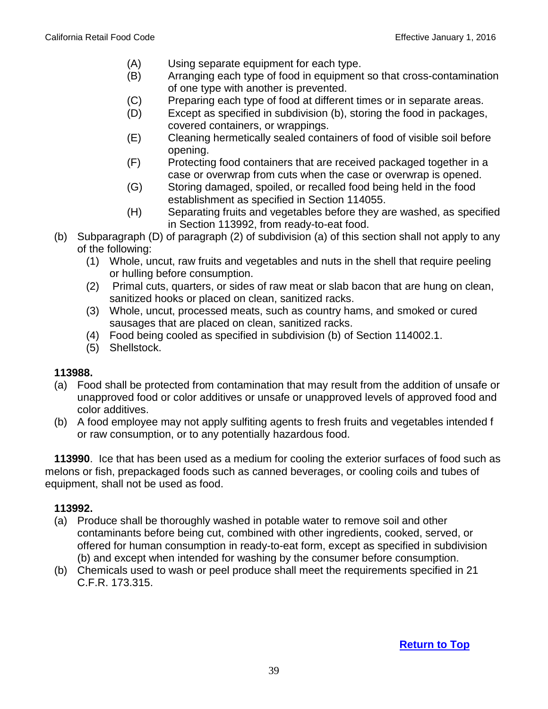- (A) Using separate equipment for each type.
- (B) Arranging each type of food in equipment so that cross-contamination of one type with another is prevented.
- (C) Preparing each type of food at different times or in separate areas.
- (D) Except as specified in subdivision (b), storing the food in packages, covered containers, or wrappings.
- (E) Cleaning hermetically sealed containers of food of visible soil before opening.
- (F) Protecting food containers that are received packaged together in a case or overwrap from cuts when the case or overwrap is opened.
- (G) Storing damaged, spoiled, or recalled food being held in the food establishment as specified in Section 114055.
- (H) Separating fruits and vegetables before they are washed, as specified in Section 113992, from ready-to-eat food.
- (b) Subparagraph (D) of paragraph (2) of subdivision (a) of this section shall not apply to any of the following:
	- (1) Whole, uncut, raw fruits and vegetables and nuts in the shell that require peeling or hulling before consumption.
	- (2) Primal cuts, quarters, or sides of raw meat or slab bacon that are hung on clean, sanitized hooks or placed on clean, sanitized racks.
	- (3) Whole, uncut, processed meats, such as country hams, and smoked or cured sausages that are placed on clean, sanitized racks.
	- (4) Food being cooled as specified in subdivision (b) of Section 114002.1.
	- (5) Shellstock.

- (a) Food shall be protected from contamination that may result from the addition of unsafe or unapproved food or color additives or unsafe or unapproved levels of approved food and color additives.
- (b) A food employee may not apply sulfiting agents to fresh fruits and vegetables intended f or raw consumption, or to any potentially hazardous food.

 **113990**. Ice that has been used as a medium for cooling the exterior surfaces of food such as melons or fish, prepackaged foods such as canned beverages, or cooling coils and tubes of equipment, shall not be used as food.

- (a) Produce shall be thoroughly washed in potable water to remove soil and other contaminants before being cut, combined with other ingredients, cooked, served, or offered for human consumption in ready-to-eat form, except as specified in subdivision (b) and except when intended for washing by the consumer before consumption.
- (b) Chemicals used to wash or peel produce shall meet the requirements specified in 21 C.F.R. 173.315.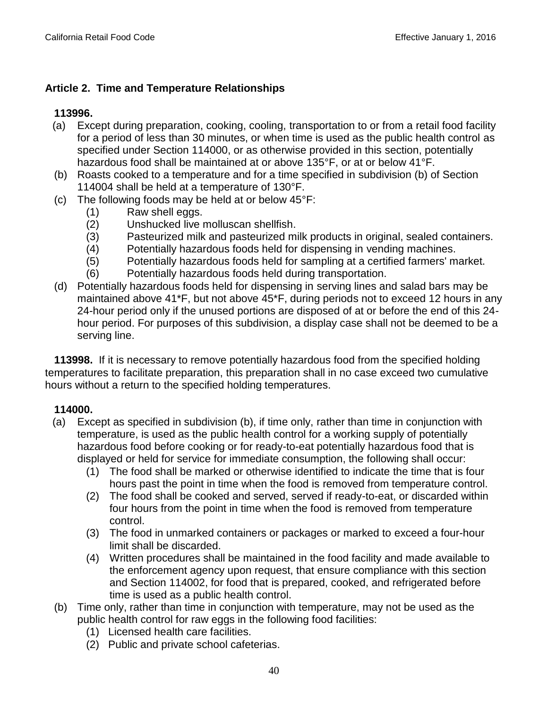## **Article 2. Time and Temperature Relationships**

## **113996.**

- (a) Except during preparation, cooking, cooling, transportation to or from a retail food facility for a period of less than 30 minutes, or when time is used as the public health control as specified under Section 114000, or as otherwise provided in this section, potentially hazardous food shall be maintained at or above 135°F, or at or below 41°F.
- (b) Roasts cooked to a temperature and for a time specified in subdivision (b) of Section 114004 shall be held at a temperature of 130°F.
- (c) The following foods may be held at or below 45°F:
	- (1) Raw shell eggs.
	- (2) Unshucked live molluscan shellfish.
	- (3) Pasteurized milk and pasteurized milk products in original, sealed containers.
	- (4) Potentially hazardous foods held for dispensing in vending machines.
	- (5) Potentially hazardous foods held for sampling at a certified farmers' market.
	- (6) Potentially hazardous foods held during transportation.
- (d) Potentially hazardous foods held for dispensing in serving lines and salad bars may be maintained above 41\*F, but not above 45\*F, during periods not to exceed 12 hours in any 24-hour period only if the unused portions are disposed of at or before the end of this 24 hour period. For purposes of this subdivision, a display case shall not be deemed to be a serving line.

**113998.** If it is necessary to remove potentially hazardous food from the specified holding temperatures to facilitate preparation, this preparation shall in no case exceed two cumulative hours without a return to the specified holding temperatures.

- (a) Except as specified in subdivision (b), if time only, rather than time in conjunction with temperature, is used as the public health control for a working supply of potentially hazardous food before cooking or for ready-to-eat potentially hazardous food that is displayed or held for service for immediate consumption, the following shall occur:
	- (1) The food shall be marked or otherwise identified to indicate the time that is four hours past the point in time when the food is removed from temperature control.
	- (2) The food shall be cooked and served, served if ready-to-eat, or discarded within four hours from the point in time when the food is removed from temperature control.
	- (3) The food in unmarked containers or packages or marked to exceed a four-hour limit shall be discarded.
	- (4) Written procedures shall be maintained in the food facility and made available to the enforcement agency upon request, that ensure compliance with this section and Section 114002, for food that is prepared, cooked, and refrigerated before time is used as a public health control.
- (b) Time only, rather than time in conjunction with temperature, may not be used as the public health control for raw eggs in the following food facilities:
	- (1) Licensed health care facilities.
	- (2) Public and private school cafeterias.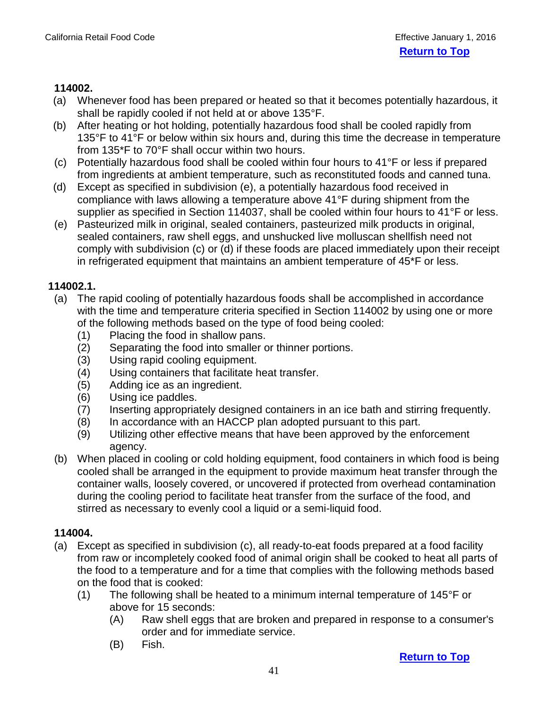- (a) Whenever food has been prepared or heated so that it becomes potentially hazardous, it shall be rapidly cooled if not held at or above 135°F.
- (b) After heating or hot holding, potentially hazardous food shall be cooled rapidly from 135°F to 41°F or below within six hours and, during this time the decrease in temperature from 135\*F to 70°F shall occur within two hours.
- (c) Potentially hazardous food shall be cooled within four hours to 41°F or less if prepared from ingredients at ambient temperature, such as reconstituted foods and canned tuna.
- (d) Except as specified in subdivision (e), a potentially hazardous food received in compliance with laws allowing a temperature above 41°F during shipment from the supplier as specified in Section 114037, shall be cooled within four hours to 41°F or less.
- (e) Pasteurized milk in original, sealed containers, pasteurized milk products in original, sealed containers, raw shell eggs, and unshucked live molluscan shellfish need not comply with subdivision (c) or (d) if these foods are placed immediately upon their receipt in refrigerated equipment that maintains an ambient temperature of 45\*F or less.

### **114002.1.**

- (a) The rapid cooling of potentially hazardous foods shall be accomplished in accordance with the time and temperature criteria specified in Section 114002 by using one or more of the following methods based on the type of food being cooled:
	- (1) Placing the food in shallow pans.
	- (2) Separating the food into smaller or thinner portions.
	- (3) Using rapid cooling equipment.
	- (4) Using containers that facilitate heat transfer.
	- (5) Adding ice as an ingredient.
	- (6) Using ice paddles.
	- (7) Inserting appropriately designed containers in an ice bath and stirring frequently.
	- (8) In accordance with an HACCP plan adopted pursuant to this part.
	- (9) Utilizing other effective means that have been approved by the enforcement agency.
- (b) When placed in cooling or cold holding equipment, food containers in which food is being cooled shall be arranged in the equipment to provide maximum heat transfer through the container walls, loosely covered, or uncovered if protected from overhead contamination during the cooling period to facilitate heat transfer from the surface of the food, and stirred as necessary to evenly cool a liquid or a semi-liquid food.

### **114004.**

- (a) Except as specified in subdivision (c), all ready-to-eat foods prepared at a food facility from raw or incompletely cooked food of animal origin shall be cooked to heat all parts of the food to a temperature and for a time that complies with the following methods based on the food that is cooked:
	- (1) The following shall be heated to a minimum internal temperature of 145 $\degree$ F or above for 15 seconds:
		- (A) Raw shell eggs that are broken and prepared in response to a consumer's order and for immediate service.
		- (B) Fish.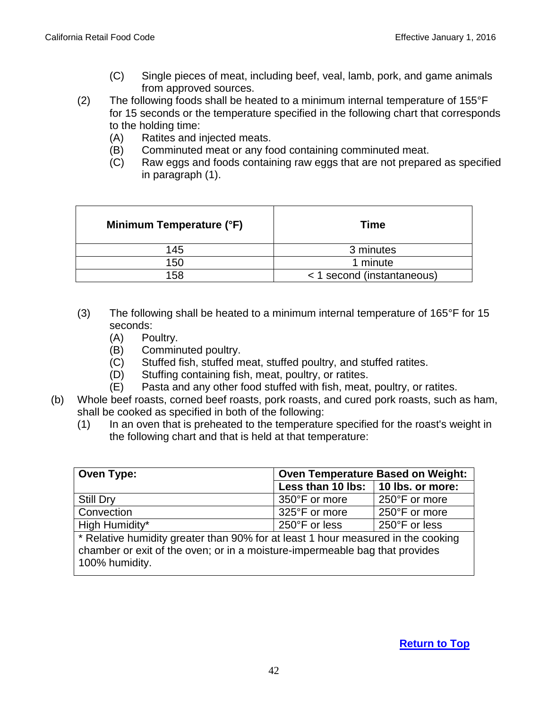- (C) Single pieces of meat, including beef, veal, lamb, pork, and game animals from approved sources.
- (2) The following foods shall be heated to a minimum internal temperature of 155°F for 15 seconds or the temperature specified in the following chart that corresponds to the holding time:
	- (A) Ratites and injected meats.
	- (B) Comminuted meat or any food containing comminuted meat.
	- (C) Raw eggs and foods containing raw eggs that are not prepared as specified in paragraph (1).

| Minimum Temperature (°F) | Time                       |  |
|--------------------------|----------------------------|--|
| 145                      | 3 minutes                  |  |
| 150                      | 1 minute                   |  |
| 158                      | < 1 second (instantaneous) |  |

- (3) The following shall be heated to a minimum internal temperature of 165°F for 15 seconds:
	- (A) Poultry.
	- (B) Comminuted poultry.
	- (C) Stuffed fish, stuffed meat, stuffed poultry, and stuffed ratites.
	- (D) Stuffing containing fish, meat, poultry, or ratites.
	- (E) Pasta and any other food stuffed with fish, meat, poultry, or ratites.
- (b) Whole beef roasts, corned beef roasts, pork roasts, and cured pork roasts, such as ham, shall be cooked as specified in both of the following:
	- (1) In an oven that is preheated to the temperature specified for the roast's weight in the following chart and that is held at that temperature:

| Oven Type:                                                                                    | <b>Oven Temperature Based on Weight:</b> |               |  |  |
|-----------------------------------------------------------------------------------------------|------------------------------------------|---------------|--|--|
|                                                                                               | Less than 10 lbs: 10 lbs. or more:       |               |  |  |
| <b>Still Dry</b>                                                                              | 350°F or more                            | 250°F or more |  |  |
| Convection                                                                                    | 325°F or more                            | 250°F or more |  |  |
| High Humidity*                                                                                | 250°F or less                            | 250°F or less |  |  |
| * Relative humidity greater than 90% for at least 1 hour measured in the cooking              |                                          |               |  |  |
| chamber or exit of the oven; or in a moisture-impermeable bag that provides<br>100% humidity. |                                          |               |  |  |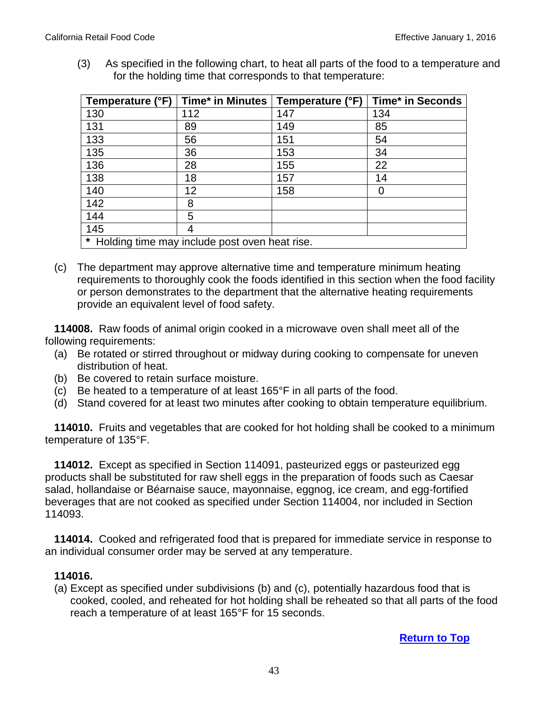(3) As specified in the following chart, to heat all parts of the food to a temperature and for the holding time that corresponds to that temperature:

| Temperature (°F)                                |     | Time* in Minutes   Temperature (°F) | <b>Time* in Seconds</b> |
|-------------------------------------------------|-----|-------------------------------------|-------------------------|
| 130                                             | 112 | 147                                 | 134                     |
| 131                                             | 89  | 149                                 | 85                      |
| 133                                             | 56  | 151                                 | 54                      |
| 135                                             | 36  | 153                                 | 34                      |
| 136                                             | 28  | 155                                 | 22                      |
| 138                                             | 18  | 157                                 | 14                      |
| 140                                             | 12  | 158                                 |                         |
| 142                                             | 8   |                                     |                         |
| 144                                             | 5   |                                     |                         |
| 145                                             | 4   |                                     |                         |
| * Holding time may include post oven heat rise. |     |                                     |                         |

(c) The department may approve alternative time and temperature minimum heating requirements to thoroughly cook the foods identified in this section when the food facility or person demonstrates to the department that the alternative heating requirements provide an equivalent level of food safety.

 **114008.** Raw foods of animal origin cooked in a microwave oven shall meet all of the following requirements:

- (a) Be rotated or stirred throughout or midway during cooking to compensate for uneven distribution of heat.
- (b) Be covered to retain surface moisture.
- (c) Be heated to a temperature of at least 165°F in all parts of the food.
- (d) Stand covered for at least two minutes after cooking to obtain temperature equilibrium.

 **114010.** Fruits and vegetables that are cooked for hot holding shall be cooked to a minimum temperature of 135°F.

 **114012.** Except as specified in Section 114091, pasteurized eggs or pasteurized egg products shall be substituted for raw shell eggs in the preparation of foods such as Caesar salad, hollandaise or Béarnaise sauce, mayonnaise, eggnog, ice cream, and egg-fortified beverages that are not cooked as specified under Section 114004, nor included in Section 114093.

 **114014.** Cooked and refrigerated food that is prepared for immediate service in response to an individual consumer order may be served at any temperature.

#### **114016.**

(a) Except as specified under subdivisions (b) and (c), potentially hazardous food that is cooked, cooled, and reheated for hot holding shall be reheated so that all parts of the food reach a temperature of at least 165°F for 15 seconds.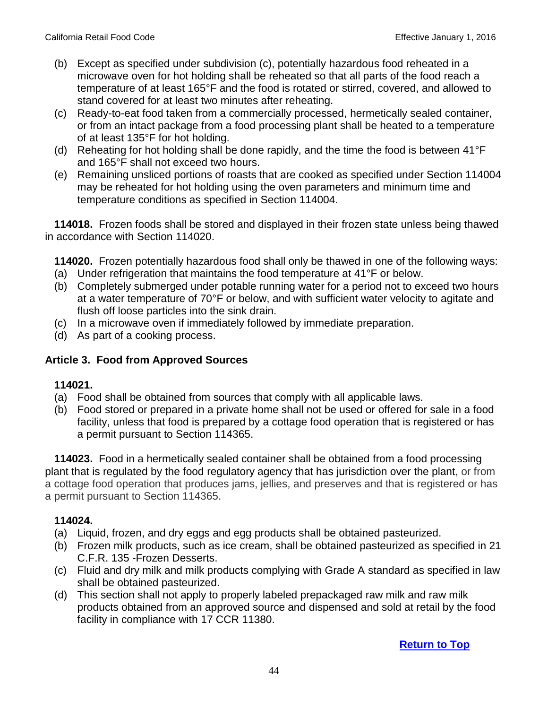- (b) Except as specified under subdivision (c), potentially hazardous food reheated in a microwave oven for hot holding shall be reheated so that all parts of the food reach a temperature of at least 165°F and the food is rotated or stirred, covered, and allowed to stand covered for at least two minutes after reheating.
- (c) Ready-to-eat food taken from a commercially processed, hermetically sealed container, or from an intact package from a food processing plant shall be heated to a temperature of at least 135°F for hot holding.
- (d) Reheating for hot holding shall be done rapidly, and the time the food is between 41°F and 165°F shall not exceed two hours.
- (e) Remaining unsliced portions of roasts that are cooked as specified under Section 114004 may be reheated for hot holding using the oven parameters and minimum time and temperature conditions as specified in Section 114004.

 **114018.** Frozen foods shall be stored and displayed in their frozen state unless being thawed in accordance with Section 114020.

 **114020.** Frozen potentially hazardous food shall only be thawed in one of the following ways:

- (a) Under refrigeration that maintains the food temperature at 41°F or below.
- (b) Completely submerged under potable running water for a period not to exceed two hours at a water temperature of 70°F or below, and with sufficient water velocity to agitate and flush off loose particles into the sink drain.
- (c) In a microwave oven if immediately followed by immediate preparation.
- (d) As part of a cooking process.

## **Article 3. Food from Approved Sources**

### **114021.**

- (a) Food shall be obtained from sources that comply with all applicable laws.
- (b) Food stored or prepared in a private home shall not be used or offered for sale in a food facility, unless that food is prepared by a cottage food operation that is registered or has a permit pursuant to Section 114365.

**114023.** Food in a hermetically sealed container shall be obtained from a food processing plant that is regulated by the food regulatory agency that has jurisdiction over the plant, or from a cottage food operation that produces jams, jellies, and preserves and that is registered or has a permit pursuant to Section 114365.

- (a) Liquid, frozen, and dry eggs and egg products shall be obtained pasteurized.
- (b) Frozen milk products, such as ice cream, shall be obtained pasteurized as specified in 21 C.F.R. 135 -Frozen Desserts.
- (c) Fluid and dry milk and milk products complying with Grade A standard as specified in law shall be obtained pasteurized.
- (d) This section shall not apply to properly labeled prepackaged raw milk and raw milk products obtained from an approved source and dispensed and sold at retail by the food facility in compliance with 17 CCR 11380.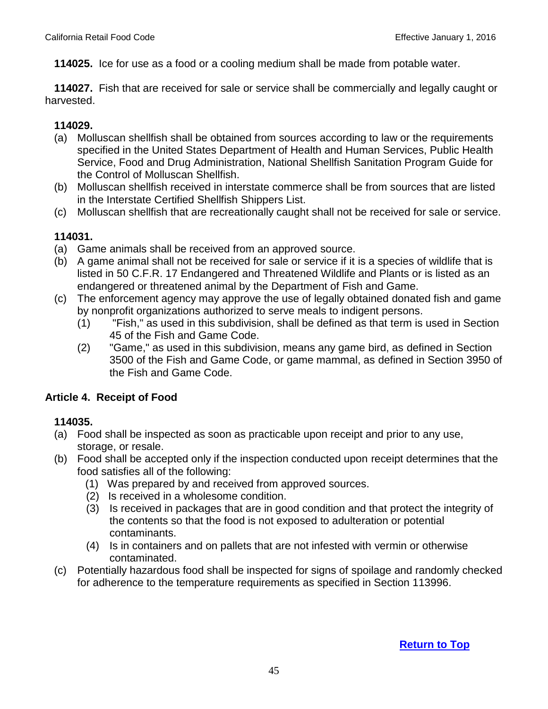**114025.** Ice for use as a food or a cooling medium shall be made from potable water.

 **114027.** Fish that are received for sale or service shall be commercially and legally caught or harvested.

### **114029.**

- (a) Molluscan shellfish shall be obtained from sources according to law or the requirements specified in the United States Department of Health and Human Services, Public Health Service, Food and Drug Administration, National Shellfish Sanitation Program Guide for the Control of Molluscan Shellfish.
- (b) Molluscan shellfish received in interstate commerce shall be from sources that are listed in the Interstate Certified Shellfish Shippers List.
- (c) Molluscan shellfish that are recreationally caught shall not be received for sale or service.

### **114031.**

- (a) Game animals shall be received from an approved source.
- (b) A game animal shall not be received for sale or service if it is a species of wildlife that is listed in 50 C.F.R. 17 Endangered and Threatened Wildlife and Plants or is listed as an endangered or threatened animal by the Department of Fish and Game.
- (c) The enforcement agency may approve the use of legally obtained donated fish and game by nonprofit organizations authorized to serve meals to indigent persons.
	- (1) "Fish," as used in this subdivision, shall be defined as that term is used in Section 45 of the Fish and Game Code.
	- (2) "Game," as used in this subdivision, means any game bird, as defined in Section 3500 of the Fish and Game Code, or game mammal, as defined in Section 3950 of the Fish and Game Code.

### **Article 4. Receipt of Food**

- (a) Food shall be inspected as soon as practicable upon receipt and prior to any use, storage, or resale.
- (b) Food shall be accepted only if the inspection conducted upon receipt determines that the food satisfies all of the following:
	- (1) Was prepared by and received from approved sources.
	- (2) Is received in a wholesome condition.
	- (3) Is received in packages that are in good condition and that protect the integrity of the contents so that the food is not exposed to adulteration or potential contaminants.
	- (4) Is in containers and on pallets that are not infested with vermin or otherwise contaminated.
- (c) Potentially hazardous food shall be inspected for signs of spoilage and randomly checked for adherence to the temperature requirements as specified in Section 113996.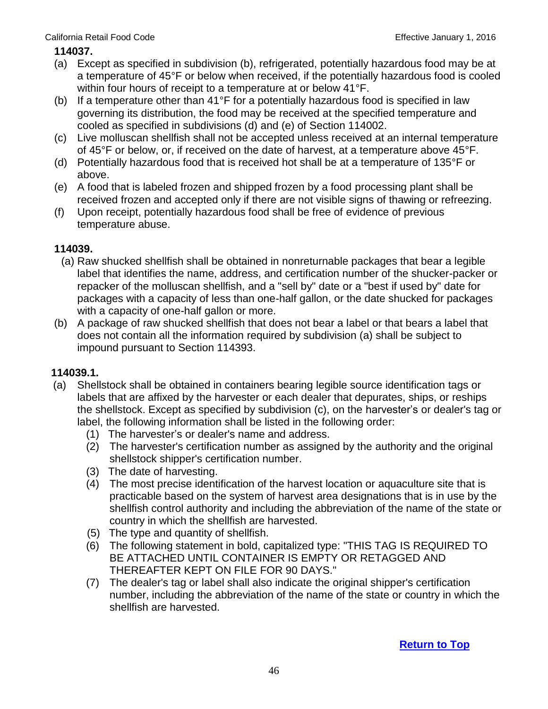#### California Retail Food Code **Effective January 1, 2016**

#### **114037.**

- (a) Except as specified in subdivision (b), refrigerated, potentially hazardous food may be at a temperature of 45°F or below when received, if the potentially hazardous food is cooled within four hours of receipt to a temperature at or below 41°F.
- (b) If a temperature other than 41°F for a potentially hazardous food is specified in law governing its distribution, the food may be received at the specified temperature and cooled as specified in subdivisions (d) and (e) of Section 114002.
- (c) Live molluscan shellfish shall not be accepted unless received at an internal temperature of 45°F or below, or, if received on the date of harvest, at a temperature above 45°F.
- (d) Potentially hazardous food that is received hot shall be at a temperature of 135°F or above.
- (e) A food that is labeled frozen and shipped frozen by a food processing plant shall be received frozen and accepted only if there are not visible signs of thawing or refreezing.
- (f) Upon receipt, potentially hazardous food shall be free of evidence of previous temperature abuse.

#### **114039.**

- (a) Raw shucked shellfish shall be obtained in nonreturnable packages that bear a legible label that identifies the name, address, and certification number of the shucker-packer or repacker of the molluscan shellfish, and a "sell by" date or a "best if used by" date for packages with a capacity of less than one-half gallon, or the date shucked for packages with a capacity of one-half gallon or more.
- (b) A package of raw shucked shellfish that does not bear a label or that bears a label that does not contain all the information required by subdivision (a) shall be subject to impound pursuant to Section 114393.

#### **114039.1.**

- (a) Shellstock shall be obtained in containers bearing legible source identification tags or labels that are affixed by the harvester or each dealer that depurates, ships, or reships the shellstock. Except as specified by subdivision (c), on the harvester's or dealer's tag or label, the following information shall be listed in the following order:
	- (1) The harvester's or dealer's name and address.
	- (2) The harvester's certification number as assigned by the authority and the original shellstock shipper's certification number.
	- (3) The date of harvesting.
	- (4) The most precise identification of the harvest location or aquaculture site that is practicable based on the system of harvest area designations that is in use by the shellfish control authority and including the abbreviation of the name of the state or country in which the shellfish are harvested.
	- (5) The type and quantity of shellfish.
	- (6) The following statement in bold, capitalized type: "THIS TAG IS REQUIRED TO BE ATTACHED UNTIL CONTAINER IS EMPTY OR RETAGGED AND THEREAFTER KEPT ON FILE FOR 90 DAYS."
	- (7) The dealer's tag or label shall also indicate the original shipper's certification number, including the abbreviation of the name of the state or country in which the shellfish are harvested.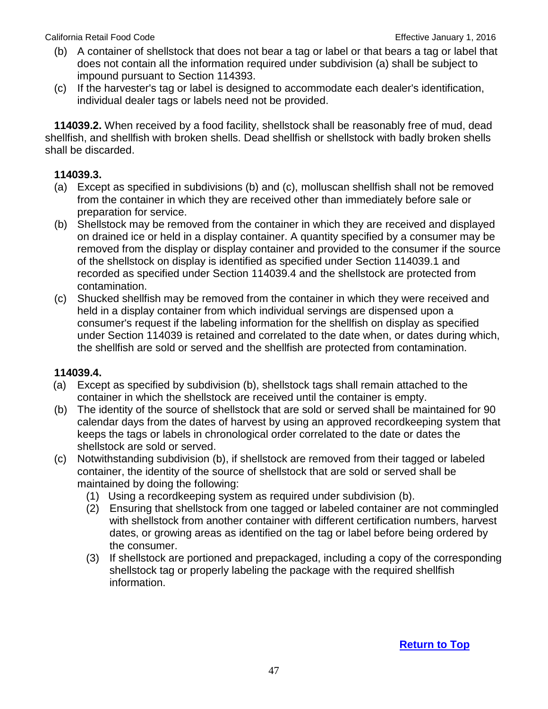- (b) A container of shellstock that does not bear a tag or label or that bears a tag or label that does not contain all the information required under subdivision (a) shall be subject to impound pursuant to Section 114393.
- (c) If the harvester's tag or label is designed to accommodate each dealer's identification, individual dealer tags or labels need not be provided.

 **114039.2.** When received by a food facility, shellstock shall be reasonably free of mud, dead shellfish, and shellfish with broken shells. Dead shellfish or shellstock with badly broken shells shall be discarded.

#### **114039.3.**

- (a) Except as specified in subdivisions (b) and (c), molluscan shellfish shall not be removed from the container in which they are received other than immediately before sale or preparation for service.
- (b) Shellstock may be removed from the container in which they are received and displayed on drained ice or held in a display container. A quantity specified by a consumer may be removed from the display or display container and provided to the consumer if the source of the shellstock on display is identified as specified under Section 114039.1 and recorded as specified under Section 114039.4 and the shellstock are protected from contamination.
- (c) Shucked shellfish may be removed from the container in which they were received and held in a display container from which individual servings are dispensed upon a consumer's request if the labeling information for the shellfish on display as specified under Section 114039 is retained and correlated to the date when, or dates during which, the shellfish are sold or served and the shellfish are protected from contamination.

#### **114039.4.**

- (a) Except as specified by subdivision (b), shellstock tags shall remain attached to the container in which the shellstock are received until the container is empty.
- (b) The identity of the source of shellstock that are sold or served shall be maintained for 90 calendar days from the dates of harvest by using an approved recordkeeping system that keeps the tags or labels in chronological order correlated to the date or dates the shellstock are sold or served.
- (c) Notwithstanding subdivision (b), if shellstock are removed from their tagged or labeled container, the identity of the source of shellstock that are sold or served shall be maintained by doing the following:
	- (1) Using a recordkeeping system as required under subdivision (b).
	- (2) Ensuring that shellstock from one tagged or labeled container are not commingled with shellstock from another container with different certification numbers, harvest dates, or growing areas as identified on the tag or label before being ordered by the consumer.
	- (3) If shellstock are portioned and prepackaged, including a copy of the corresponding shellstock tag or properly labeling the package with the required shellfish information.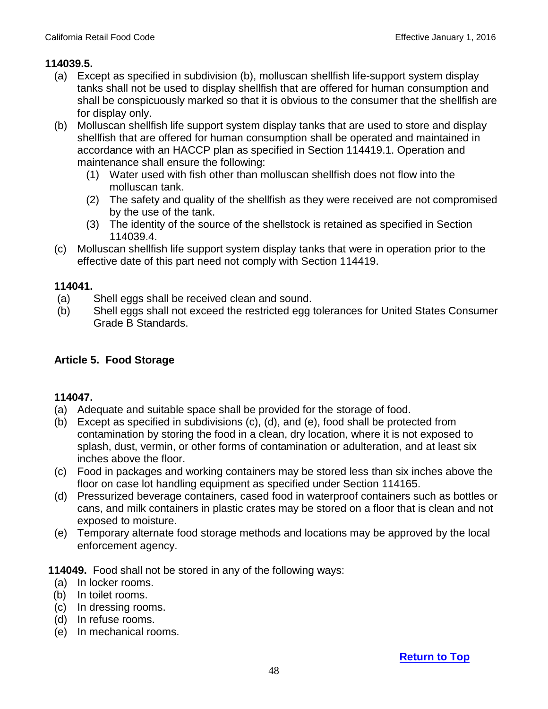### **114039.5.**

- (a) Except as specified in subdivision (b), molluscan shellfish life-support system display tanks shall not be used to display shellfish that are offered for human consumption and shall be conspicuously marked so that it is obvious to the consumer that the shellfish are for display only.
- (b) Molluscan shellfish life support system display tanks that are used to store and display shellfish that are offered for human consumption shall be operated and maintained in accordance with an HACCP plan as specified in Section 114419.1. Operation and maintenance shall ensure the following:
	- (1) Water used with fish other than molluscan shellfish does not flow into the molluscan tank.
	- (2) The safety and quality of the shellfish as they were received are not compromised by the use of the tank.
	- (3) The identity of the source of the shellstock is retained as specified in Section 114039.4.
- (c) Molluscan shellfish life support system display tanks that were in operation prior to the effective date of this part need not comply with Section 114419.

#### **114041.**

- (a) Shell eggs shall be received clean and sound.
- (b) Shell eggs shall not exceed the restricted egg tolerances for United States Consumer Grade B Standards.

## **Article 5. Food Storage**

### **114047.**

- (a) Adequate and suitable space shall be provided for the storage of food.
- (b) Except as specified in subdivisions (c), (d), and (e), food shall be protected from contamination by storing the food in a clean, dry location, where it is not exposed to splash, dust, vermin, or other forms of contamination or adulteration, and at least six inches above the floor.
- (c) Food in packages and working containers may be stored less than six inches above the floor on case lot handling equipment as specified under Section 114165.
- (d) Pressurized beverage containers, cased food in waterproof containers such as bottles or cans, and milk containers in plastic crates may be stored on a floor that is clean and not exposed to moisture.
- (e) Temporary alternate food storage methods and locations may be approved by the local enforcement agency.

**114049.** Food shall not be stored in any of the following ways:

- (a) In locker rooms.
- (b) In toilet rooms.
- (c) In dressing rooms.
- (d) In refuse rooms.
- (e) In mechanical rooms.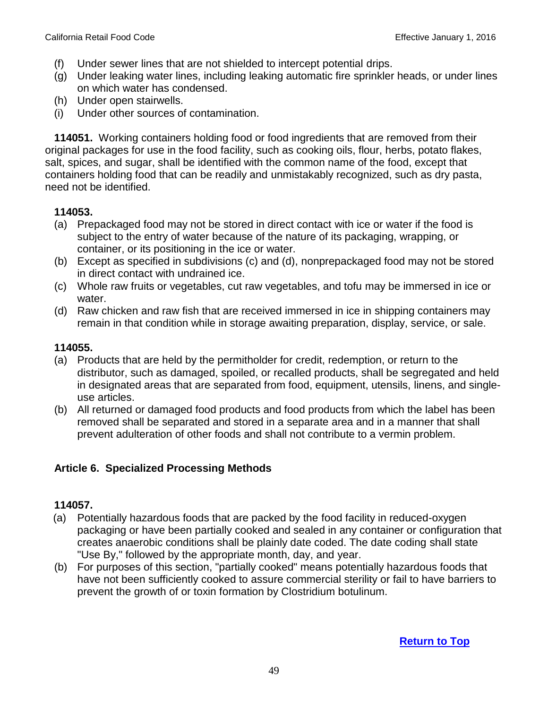- (f) Under sewer lines that are not shielded to intercept potential drips.
- (g) Under leaking water lines, including leaking automatic fire sprinkler heads, or under lines on which water has condensed.
- (h) Under open stairwells.
- (i) Under other sources of contamination.

 **114051.** Working containers holding food or food ingredients that are removed from their original packages for use in the food facility, such as cooking oils, flour, herbs, potato flakes, salt, spices, and sugar, shall be identified with the common name of the food, except that containers holding food that can be readily and unmistakably recognized, such as dry pasta, need not be identified.

## **114053.**

- (a) Prepackaged food may not be stored in direct contact with ice or water if the food is subject to the entry of water because of the nature of its packaging, wrapping, or container, or its positioning in the ice or water.
- (b) Except as specified in subdivisions (c) and (d), nonprepackaged food may not be stored in direct contact with undrained ice.
- (c) Whole raw fruits or vegetables, cut raw vegetables, and tofu may be immersed in ice or water.
- (d) Raw chicken and raw fish that are received immersed in ice in shipping containers may remain in that condition while in storage awaiting preparation, display, service, or sale.

## **114055.**

- (a) Products that are held by the permitholder for credit, redemption, or return to the distributor, such as damaged, spoiled, or recalled products, shall be segregated and held in designated areas that are separated from food, equipment, utensils, linens, and singleuse articles.
- (b) All returned or damaged food products and food products from which the label has been removed shall be separated and stored in a separate area and in a manner that shall prevent adulteration of other foods and shall not contribute to a vermin problem.

### **Article 6. Specialized Processing Methods**

- (a) Potentially hazardous foods that are packed by the food facility in reduced-oxygen packaging or have been partially cooked and sealed in any container or configuration that creates anaerobic conditions shall be plainly date coded. The date coding shall state "Use By," followed by the appropriate month, day, and year.
- (b) For purposes of this section, "partially cooked" means potentially hazardous foods that have not been sufficiently cooked to assure commercial sterility or fail to have barriers to prevent the growth of or toxin formation by Clostridium botulinum.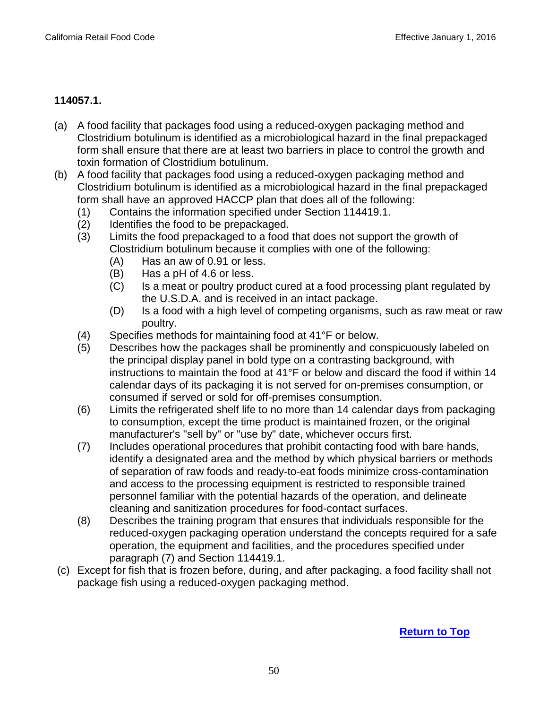## **114057.1.**

- (a) A food facility that packages food using a reduced-oxygen packaging method and Clostridium botulinum is identified as a microbiological hazard in the final prepackaged form shall ensure that there are at least two barriers in place to control the growth and toxin formation of Clostridium botulinum.
- (b) A food facility that packages food using a reduced-oxygen packaging method and Clostridium botulinum is identified as a microbiological hazard in the final prepackaged form shall have an approved HACCP plan that does all of the following:
	- (1) Contains the information specified under Section 114419.1.
	- (2) Identifies the food to be prepackaged.
	- (3) Limits the food prepackaged to a food that does not support the growth of Clostridium botulinum because it complies with one of the following:
		- (A) Has an aw of 0.91 or less.
		- (B) Has a pH of 4.6 or less.
		- (C) Is a meat or poultry product cured at a food processing plant regulated by the U.S.D.A. and is received in an intact package.
		- (D) Is a food with a high level of competing organisms, such as raw meat or raw poultry.
	- (4) Specifies methods for maintaining food at 41°F or below.
	- (5) Describes how the packages shall be prominently and conspicuously labeled on the principal display panel in bold type on a contrasting background, with instructions to maintain the food at 41°F or below and discard the food if within 14 calendar days of its packaging it is not served for on-premises consumption, or consumed if served or sold for off-premises consumption.
	- (6) Limits the refrigerated shelf life to no more than 14 calendar days from packaging to consumption, except the time product is maintained frozen, or the original manufacturer's "sell by" or "use by" date, whichever occurs first.
	- (7) Includes operational procedures that prohibit contacting food with bare hands, identify a designated area and the method by which physical barriers or methods of separation of raw foods and ready-to-eat foods minimize cross-contamination and access to the processing equipment is restricted to responsible trained personnel familiar with the potential hazards of the operation, and delineate cleaning and sanitization procedures for food-contact surfaces.
	- (8) Describes the training program that ensures that individuals responsible for the reduced-oxygen packaging operation understand the concepts required for a safe operation, the equipment and facilities, and the procedures specified under paragraph (7) and Section 114419.1.
- (c) Except for fish that is frozen before, during, and after packaging, a food facility shall not package fish using a reduced-oxygen packaging method.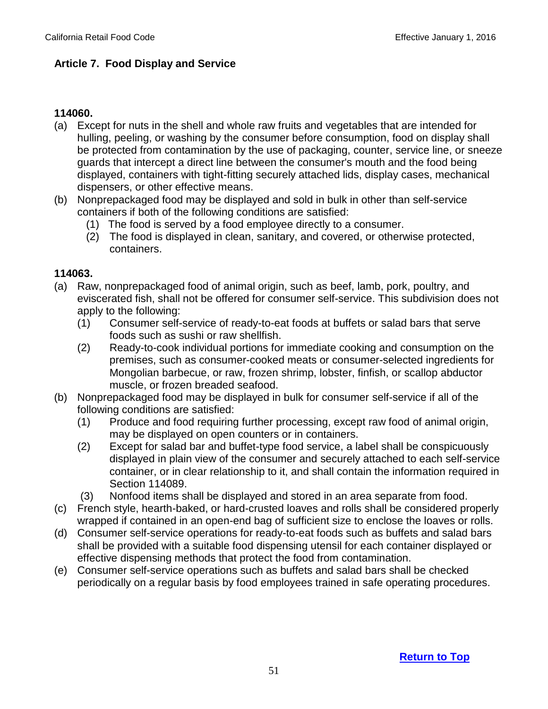### **Article 7. Food Display and Service**

### **114060.**

- (a) Except for nuts in the shell and whole raw fruits and vegetables that are intended for hulling, peeling, or washing by the consumer before consumption, food on display shall be protected from contamination by the use of packaging, counter, service line, or sneeze guards that intercept a direct line between the consumer's mouth and the food being displayed, containers with tight-fitting securely attached lids, display cases, mechanical dispensers, or other effective means.
- (b) Nonprepackaged food may be displayed and sold in bulk in other than self-service containers if both of the following conditions are satisfied:
	- (1) The food is served by a food employee directly to a consumer.
	- (2) The food is displayed in clean, sanitary, and covered, or otherwise protected, containers.

- (a) Raw, nonprepackaged food of animal origin, such as beef, lamb, pork, poultry, and eviscerated fish, shall not be offered for consumer self-service. This subdivision does not apply to the following:
	- (1) Consumer self-service of ready-to-eat foods at buffets or salad bars that serve foods such as sushi or raw shellfish.
	- (2) Ready-to-cook individual portions for immediate cooking and consumption on the premises, such as consumer-cooked meats or consumer-selected ingredients for Mongolian barbecue, or raw, frozen shrimp, lobster, finfish, or scallop abductor muscle, or frozen breaded seafood.
- (b) Nonprepackaged food may be displayed in bulk for consumer self-service if all of the following conditions are satisfied:
	- (1) Produce and food requiring further processing, except raw food of animal origin, may be displayed on open counters or in containers.
	- (2) Except for salad bar and buffet-type food service, a label shall be conspicuously displayed in plain view of the consumer and securely attached to each self-service container, or in clear relationship to it, and shall contain the information required in Section 114089.
	- (3) Nonfood items shall be displayed and stored in an area separate from food.
- (c) French style, hearth-baked, or hard-crusted loaves and rolls shall be considered properly wrapped if contained in an open-end bag of sufficient size to enclose the loaves or rolls.
- (d) Consumer self-service operations for ready-to-eat foods such as buffets and salad bars shall be provided with a suitable food dispensing utensil for each container displayed or effective dispensing methods that protect the food from contamination.
- (e) Consumer self-service operations such as buffets and salad bars shall be checked periodically on a regular basis by food employees trained in safe operating procedures.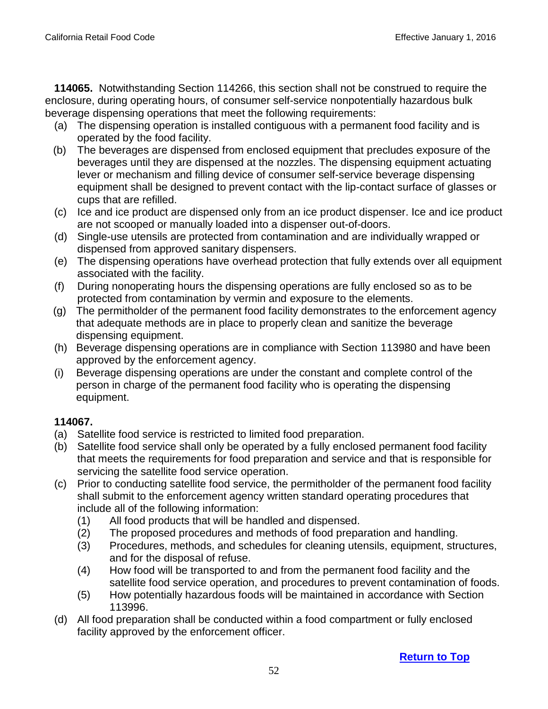**114065.** Notwithstanding Section 114266, this section shall not be construed to require the enclosure, during operating hours, of consumer self-service nonpotentially hazardous bulk beverage dispensing operations that meet the following requirements:

- (a) The dispensing operation is installed contiguous with a permanent food facility and is operated by the food facility.
- (b) The beverages are dispensed from enclosed equipment that precludes exposure of the beverages until they are dispensed at the nozzles. The dispensing equipment actuating lever or mechanism and filling device of consumer self-service beverage dispensing equipment shall be designed to prevent contact with the lip-contact surface of glasses or cups that are refilled.
- (c) Ice and ice product are dispensed only from an ice product dispenser. Ice and ice product are not scooped or manually loaded into a dispenser out-of-doors.
- (d) Single-use utensils are protected from contamination and are individually wrapped or dispensed from approved sanitary dispensers.
- (e) The dispensing operations have overhead protection that fully extends over all equipment associated with the facility.
- (f) During nonoperating hours the dispensing operations are fully enclosed so as to be protected from contamination by vermin and exposure to the elements.
- (g) The permitholder of the permanent food facility demonstrates to the enforcement agency that adequate methods are in place to properly clean and sanitize the beverage dispensing equipment.
- (h) Beverage dispensing operations are in compliance with Section 113980 and have been approved by the enforcement agency.
- (i) Beverage dispensing operations are under the constant and complete control of the person in charge of the permanent food facility who is operating the dispensing equipment.

- (a) Satellite food service is restricted to limited food preparation.
- (b) Satellite food service shall only be operated by a fully enclosed permanent food facility that meets the requirements for food preparation and service and that is responsible for servicing the satellite food service operation.
- (c) Prior to conducting satellite food service, the permitholder of the permanent food facility shall submit to the enforcement agency written standard operating procedures that include all of the following information:
	- (1) All food products that will be handled and dispensed.
	- (2) The proposed procedures and methods of food preparation and handling.
	- (3) Procedures, methods, and schedules for cleaning utensils, equipment, structures, and for the disposal of refuse.
	- (4) How food will be transported to and from the permanent food facility and the satellite food service operation, and procedures to prevent contamination of foods.
	- (5) How potentially hazardous foods will be maintained in accordance with Section 113996.
- (d) All food preparation shall be conducted within a food compartment or fully enclosed facility approved by the enforcement officer.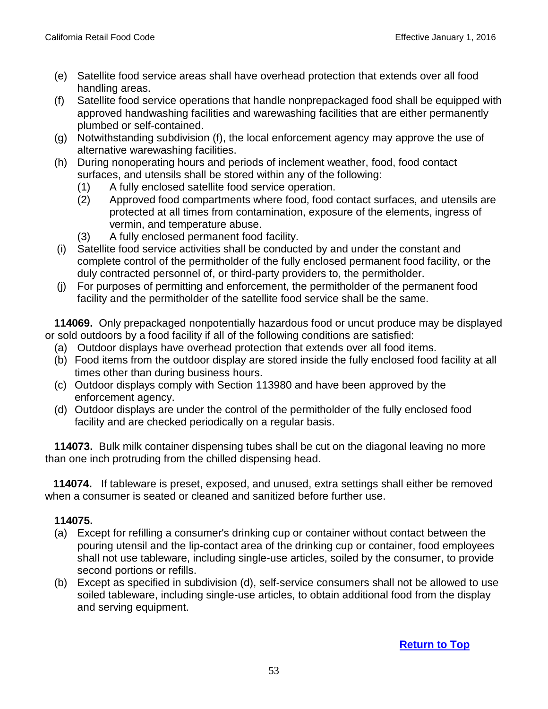- (e) Satellite food service areas shall have overhead protection that extends over all food handling areas.
- (f) Satellite food service operations that handle nonprepackaged food shall be equipped with approved handwashing facilities and warewashing facilities that are either permanently plumbed or self-contained.
- (g) Notwithstanding subdivision (f), the local enforcement agency may approve the use of alternative warewashing facilities.
- (h) During nonoperating hours and periods of inclement weather, food, food contact surfaces, and utensils shall be stored within any of the following:
	- (1) A fully enclosed satellite food service operation.
	- (2) Approved food compartments where food, food contact surfaces, and utensils are protected at all times from contamination, exposure of the elements, ingress of vermin, and temperature abuse.
	- (3) A fully enclosed permanent food facility.
- (i) Satellite food service activities shall be conducted by and under the constant and complete control of the permitholder of the fully enclosed permanent food facility, or the duly contracted personnel of, or third-party providers to, the permitholder.
- (j) For purposes of permitting and enforcement, the permitholder of the permanent food facility and the permitholder of the satellite food service shall be the same.

 **114069.** Only prepackaged nonpotentially hazardous food or uncut produce may be displayed or sold outdoors by a food facility if all of the following conditions are satisfied:

- (a) Outdoor displays have overhead protection that extends over all food items.
- (b) Food items from the outdoor display are stored inside the fully enclosed food facility at all times other than during business hours.
- (c) Outdoor displays comply with Section 113980 and have been approved by the enforcement agency.
- (d) Outdoor displays are under the control of the permitholder of the fully enclosed food facility and are checked periodically on a regular basis.

 **114073.** Bulk milk container dispensing tubes shall be cut on the diagonal leaving no more than one inch protruding from the chilled dispensing head.

 **114074.** If tableware is preset, exposed, and unused, extra settings shall either be removed when a consumer is seated or cleaned and sanitized before further use.

- (a) Except for refilling a consumer's drinking cup or container without contact between the pouring utensil and the lip-contact area of the drinking cup or container, food employees shall not use tableware, including single-use articles, soiled by the consumer, to provide second portions or refills.
- (b) Except as specified in subdivision (d), self-service consumers shall not be allowed to use soiled tableware, including single-use articles, to obtain additional food from the display and serving equipment.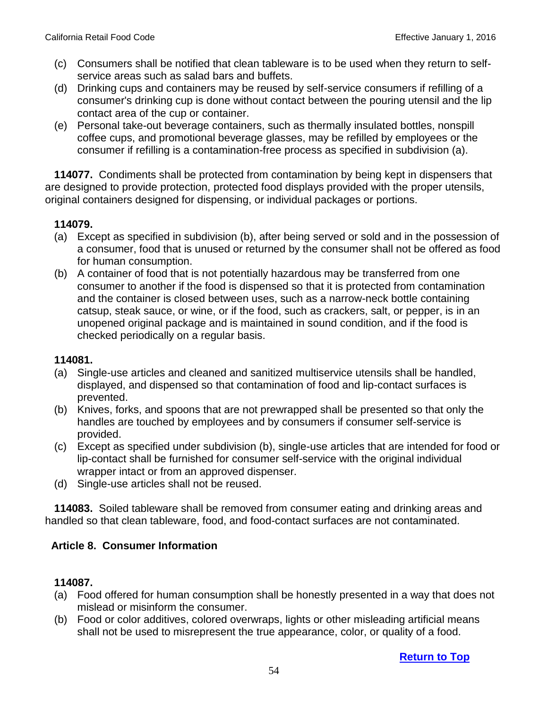- (c) Consumers shall be notified that clean tableware is to be used when they return to selfservice areas such as salad bars and buffets.
- (d) Drinking cups and containers may be reused by self-service consumers if refilling of a consumer's drinking cup is done without contact between the pouring utensil and the lip contact area of the cup or container.
- (e) Personal take-out beverage containers, such as thermally insulated bottles, nonspill coffee cups, and promotional beverage glasses, may be refilled by employees or the consumer if refilling is a contamination-free process as specified in subdivision (a).

 **114077.** Condiments shall be protected from contamination by being kept in dispensers that are designed to provide protection, protected food displays provided with the proper utensils, original containers designed for dispensing, or individual packages or portions.

### **114079.**

- (a) Except as specified in subdivision (b), after being served or sold and in the possession of a consumer, food that is unused or returned by the consumer shall not be offered as food for human consumption.
- (b) A container of food that is not potentially hazardous may be transferred from one consumer to another if the food is dispensed so that it is protected from contamination and the container is closed between uses, such as a narrow-neck bottle containing catsup, steak sauce, or wine, or if the food, such as crackers, salt, or pepper, is in an unopened original package and is maintained in sound condition, and if the food is checked periodically on a regular basis.

#### **114081.**

- (a) Single-use articles and cleaned and sanitized multiservice utensils shall be handled, displayed, and dispensed so that contamination of food and lip-contact surfaces is prevented.
- (b) Knives, forks, and spoons that are not prewrapped shall be presented so that only the handles are touched by employees and by consumers if consumer self-service is provided.
- (c) Except as specified under subdivision (b), single-use articles that are intended for food or lip-contact shall be furnished for consumer self-service with the original individual wrapper intact or from an approved dispenser.
- (d) Single-use articles shall not be reused.

 **114083.** Soiled tableware shall be removed from consumer eating and drinking areas and handled so that clean tableware, food, and food-contact surfaces are not contaminated.

### **Article 8. Consumer Information**

- (a) Food offered for human consumption shall be honestly presented in a way that does not mislead or misinform the consumer.
- (b) Food or color additives, colored overwraps, lights or other misleading artificial means shall not be used to misrepresent the true appearance, color, or quality of a food.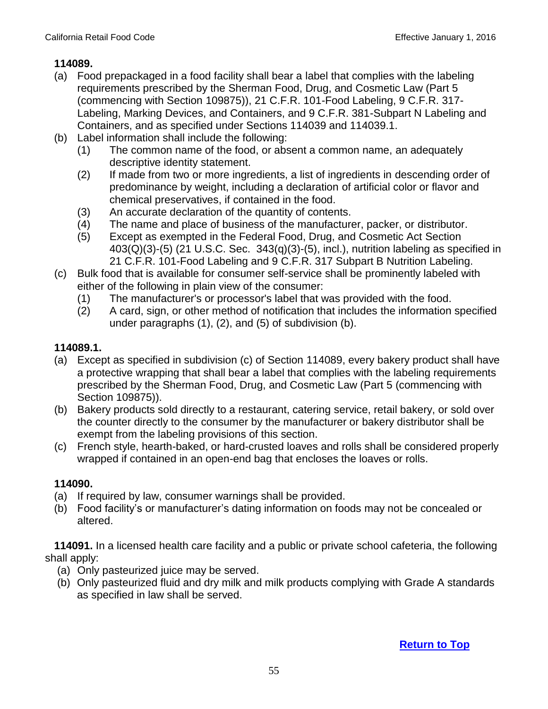- (a) Food prepackaged in a food facility shall bear a label that complies with the labeling requirements prescribed by the Sherman Food, Drug, and Cosmetic Law (Part 5 (commencing with Section 109875)), 21 C.F.R. 101-Food Labeling, 9 C.F.R. 317- Labeling, Marking Devices, and Containers, and 9 C.F.R. 381-Subpart N Labeling and Containers, and as specified under Sections 114039 and 114039.1.
- (b) Label information shall include the following:
	- (1) The common name of the food, or absent a common name, an adequately descriptive identity statement.
	- (2) If made from two or more ingredients, a list of ingredients in descending order of predominance by weight, including a declaration of artificial color or flavor and chemical preservatives, if contained in the food.
	- (3) An accurate declaration of the quantity of contents.
	- (4) The name and place of business of the manufacturer, packer, or distributor.
	- (5) Except as exempted in the Federal Food, Drug, and Cosmetic Act Section  $403(Q)(3)-(5)$  (21 U.S.C. Sec.  $343(q)(3)-(5)$ , incl.), nutrition labeling as specified in 21 C.F.R. 101-Food Labeling and 9 C.F.R. 317 Subpart B Nutrition Labeling.
- (c) Bulk food that is available for consumer self-service shall be prominently labeled with either of the following in plain view of the consumer:
	- (1) The manufacturer's or processor's label that was provided with the food.
	- (2) A card, sign, or other method of notification that includes the information specified under paragraphs (1), (2), and (5) of subdivision (b).

## **114089.1.**

- (a) Except as specified in subdivision (c) of Section 114089, every bakery product shall have a protective wrapping that shall bear a label that complies with the labeling requirements prescribed by the Sherman Food, Drug, and Cosmetic Law (Part 5 (commencing with Section 109875)).
- (b) Bakery products sold directly to a restaurant, catering service, retail bakery, or sold over the counter directly to the consumer by the manufacturer or bakery distributor shall be exempt from the labeling provisions of this section.
- (c) French style, hearth-baked, or hard-crusted loaves and rolls shall be considered properly wrapped if contained in an open-end bag that encloses the loaves or rolls.

## **114090.**

- (a) If required by law, consumer warnings shall be provided.
- (b) Food facility's or manufacturer's dating information on foods may not be concealed or altered.

 **114091.** In a licensed health care facility and a public or private school cafeteria, the following shall apply:

- (a) Only pasteurized juice may be served.
- (b) Only pasteurized fluid and dry milk and milk products complying with Grade A standards as specified in law shall be served.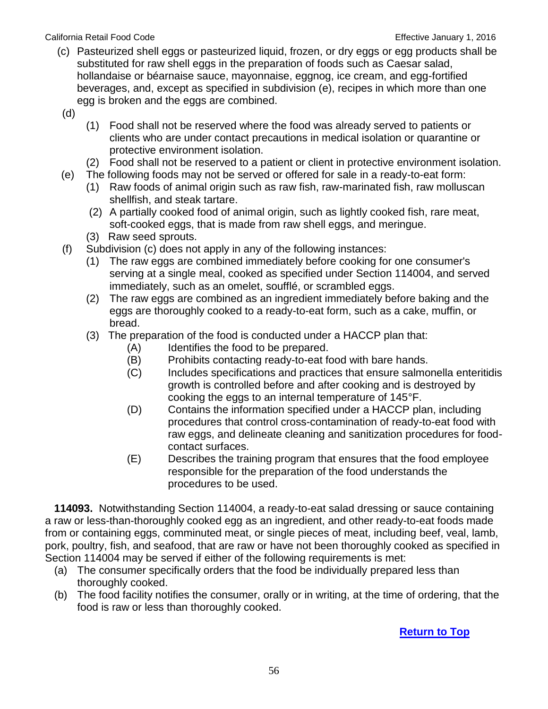#### California Retail Food Code **Effective January 1, 2016**

- (c) Pasteurized shell eggs or pasteurized liquid, frozen, or dry eggs or egg products shall be substituted for raw shell eggs in the preparation of foods such as Caesar salad, hollandaise or béarnaise sauce, mayonnaise, eggnog, ice cream, and egg-fortified beverages, and, except as specified in subdivision (e), recipes in which more than one egg is broken and the eggs are combined.
- (d)
- (1) Food shall not be reserved where the food was already served to patients or clients who are under contact precautions in medical isolation or quarantine or protective environment isolation.
- (2) Food shall not be reserved to a patient or client in protective environment isolation.
- (e) The following foods may not be served or offered for sale in a ready-to-eat form:
	- (1) Raw foods of animal origin such as raw fish, raw-marinated fish, raw molluscan shellfish, and steak tartare.
	- (2) A partially cooked food of animal origin, such as lightly cooked fish, rare meat, soft-cooked eggs, that is made from raw shell eggs, and meringue.
	- (3) Raw seed sprouts.
- (f) Subdivision (c) does not apply in any of the following instances:
	- (1) The raw eggs are combined immediately before cooking for one consumer's serving at a single meal, cooked as specified under Section 114004, and served immediately, such as an omelet, soufflé, or scrambled eggs.
	- (2) The raw eggs are combined as an ingredient immediately before baking and the eggs are thoroughly cooked to a ready-to-eat form, such as a cake, muffin, or bread.
	- (3) The preparation of the food is conducted under a HACCP plan that:
		- (A) Identifies the food to be prepared.
		- (B) Prohibits contacting ready-to-eat food with bare hands.
		- (C) Includes specifications and practices that ensure salmonella enteritidis growth is controlled before and after cooking and is destroyed by cooking the eggs to an internal temperature of 145°F.
		- (D) Contains the information specified under a HACCP plan, including procedures that control cross-contamination of ready-to-eat food with raw eggs, and delineate cleaning and sanitization procedures for foodcontact surfaces.
		- (E) Describes the training program that ensures that the food employee responsible for the preparation of the food understands the procedures to be used.

 **114093.** Notwithstanding Section 114004, a ready-to-eat salad dressing or sauce containing a raw or less-than-thoroughly cooked egg as an ingredient, and other ready-to-eat foods made from or containing eggs, comminuted meat, or single pieces of meat, including beef, veal, lamb, pork, poultry, fish, and seafood, that are raw or have not been thoroughly cooked as specified in Section 114004 may be served if either of the following requirements is met:

- (a) The consumer specifically orders that the food be individually prepared less than thoroughly cooked.
- (b) The food facility notifies the consumer, orally or in writing, at the time of ordering, that the food is raw or less than thoroughly cooked.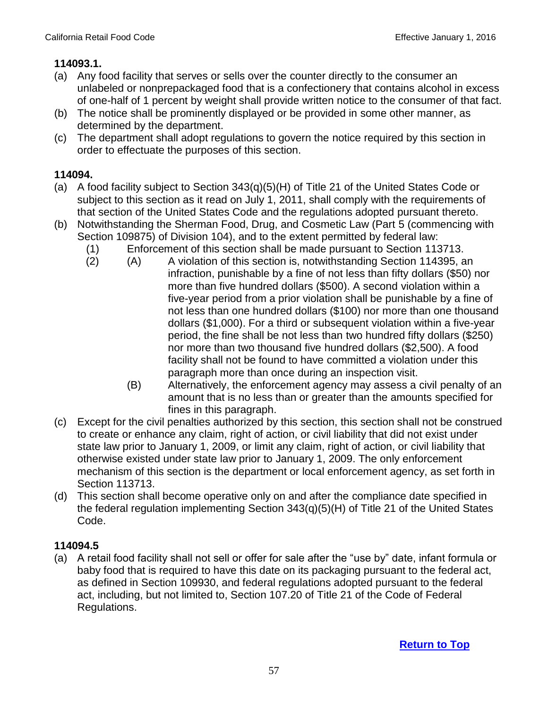## **114093.1.**

- (a) Any food facility that serves or sells over the counter directly to the consumer an unlabeled or nonprepackaged food that is a confectionery that contains alcohol in excess of one-half of 1 percent by weight shall provide written notice to the consumer of that fact.
- (b) The notice shall be prominently displayed or be provided in some other manner, as determined by the department.
- (c) The department shall adopt regulations to govern the notice required by this section in order to effectuate the purposes of this section.

## **114094.**

- (a) A food facility subject to Section 343(q)(5)(H) of Title 21 of the United States Code or subject to this section as it read on July 1, 2011, shall comply with the requirements of that section of the United States Code and the regulations adopted pursuant thereto.
- (b) Notwithstanding the Sherman Food, Drug, and Cosmetic Law (Part 5 (commencing with Section 109875) of Division 104), and to the extent permitted by federal law:
	- (1) Enforcement of this section shall be made pursuant to Section 113713.
	- (2) (A) A violation of this section is, notwithstanding Section 114395, an infraction, punishable by a fine of not less than fifty dollars (\$50) nor more than five hundred dollars (\$500). A second violation within a five-year period from a prior violation shall be punishable by a fine of not less than one hundred dollars (\$100) nor more than one thousand dollars (\$1,000). For a third or subsequent violation within a five-year period, the fine shall be not less than two hundred fifty dollars (\$250) nor more than two thousand five hundred dollars (\$2,500). A food facility shall not be found to have committed a violation under this paragraph more than once during an inspection visit.
		- (B) Alternatively, the enforcement agency may assess a civil penalty of an amount that is no less than or greater than the amounts specified for fines in this paragraph.
- (c) Except for the civil penalties authorized by this section, this section shall not be construed to create or enhance any claim, right of action, or civil liability that did not exist under state law prior to January 1, 2009, or limit any claim, right of action, or civil liability that otherwise existed under state law prior to January 1, 2009. The only enforcement mechanism of this section is the department or local enforcement agency, as set forth in Section 113713.
- (d) This section shall become operative only on and after the compliance date specified in the federal regulation implementing Section 343(q)(5)(H) of Title 21 of the United States Code.

## **114094.5**

 (a) A retail food facility shall not sell or offer for sale after the "use by" date, infant formula or baby food that is required to have this date on its packaging pursuant to the federal act, as defined in Section 109930, and federal regulations adopted pursuant to the federal act, including, but not limited to, Section 107.20 of Title 21 of the Code of Federal Regulations.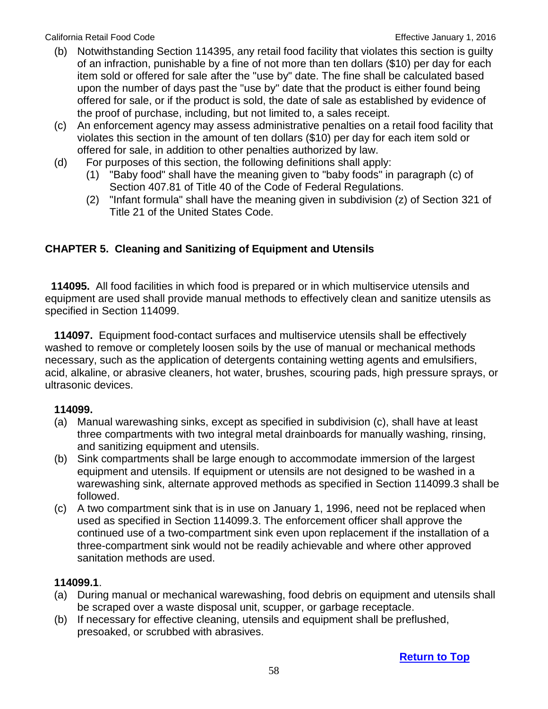- (b) Notwithstanding Section 114395, any retail food facility that violates this section is guilty of an infraction, punishable by a fine of not more than ten dollars (\$10) per day for each item sold or offered for sale after the "use by" date. The fine shall be calculated based upon the number of days past the "use by" date that the product is either found being offered for sale, or if the product is sold, the date of sale as established by evidence of the proof of purchase, including, but not limited to, a sales receipt.
- (c) An enforcement agency may assess administrative penalties on a retail food facility that violates this section in the amount of ten dollars (\$10) per day for each item sold or offered for sale, in addition to other penalties authorized by law.
- (d) For purposes of this section, the following definitions shall apply:
	- (1) "Baby food" shall have the meaning given to "baby foods" in paragraph (c) of Section 407.81 of Title 40 of the Code of Federal Regulations.
	- (2) "Infant formula" shall have the meaning given in subdivision (z) of Section 321 of Title 21 of the United States Code.

# **CHAPTER 5. Cleaning and Sanitizing of Equipment and Utensils**

**114095.** All food facilities in which food is prepared or in which multiservice utensils and equipment are used shall provide manual methods to effectively clean and sanitize utensils as specified in Section 114099.

 **114097.** Equipment food-contact surfaces and multiservice utensils shall be effectively washed to remove or completely loosen soils by the use of manual or mechanical methods necessary, such as the application of detergents containing wetting agents and emulsifiers, acid, alkaline, or abrasive cleaners, hot water, brushes, scouring pads, high pressure sprays, or ultrasonic devices.

## **114099.**

- (a) Manual warewashing sinks, except as specified in subdivision (c), shall have at least three compartments with two integral metal drainboards for manually washing, rinsing, and sanitizing equipment and utensils.
- (b) Sink compartments shall be large enough to accommodate immersion of the largest equipment and utensils. If equipment or utensils are not designed to be washed in a warewashing sink, alternate approved methods as specified in Section 114099.3 shall be followed.
- (c) A two compartment sink that is in use on January 1, 1996, need not be replaced when used as specified in Section 114099.3. The enforcement officer shall approve the continued use of a two-compartment sink even upon replacement if the installation of a three-compartment sink would not be readily achievable and where other approved sanitation methods are used.

## **114099.1**.

- (a) During manual or mechanical warewashing, food debris on equipment and utensils shall be scraped over a waste disposal unit, scupper, or garbage receptacle.
- (b) If necessary for effective cleaning, utensils and equipment shall be preflushed, presoaked, or scrubbed with abrasives.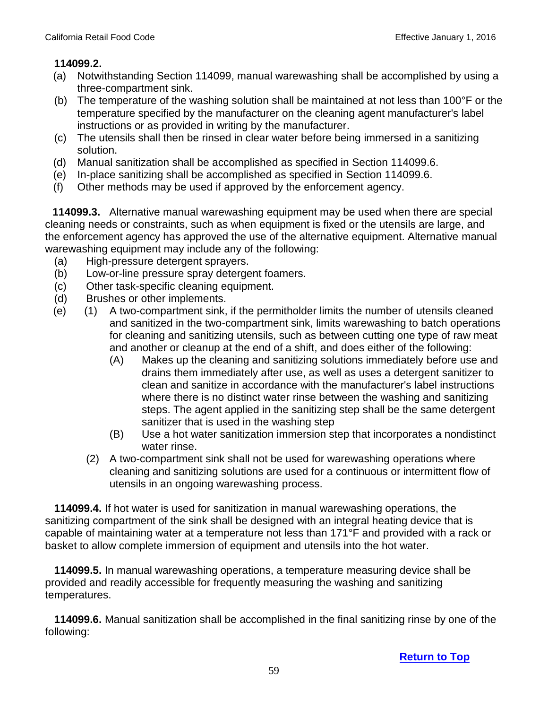#### **114099.2.**

- (a) Notwithstanding Section 114099, manual warewashing shall be accomplished by using a three-compartment sink.
- (b) The temperature of the washing solution shall be maintained at not less than 100°F or the temperature specified by the manufacturer on the cleaning agent manufacturer's label instructions or as provided in writing by the manufacturer.
- (c) The utensils shall then be rinsed in clear water before being immersed in a sanitizing solution.
- (d) Manual sanitization shall be accomplished as specified in Section 114099.6.
- (e) In-place sanitizing shall be accomplished as specified in Section 114099.6.
- (f) Other methods may be used if approved by the enforcement agency.

 **114099.3.** Alternative manual warewashing equipment may be used when there are special cleaning needs or constraints, such as when equipment is fixed or the utensils are large, and the enforcement agency has approved the use of the alternative equipment. Alternative manual warewashing equipment may include any of the following:

- (a) High-pressure detergent sprayers.
- (b) Low-or-line pressure spray detergent foamers.
- (c) Other task-specific cleaning equipment.
- (d) Brushes or other implements.
- (e) (1) A two-compartment sink, if the permitholder limits the number of utensils cleaned and sanitized in the two-compartment sink, limits warewashing to batch operations for cleaning and sanitizing utensils, such as between cutting one type of raw meat and another or cleanup at the end of a shift, and does either of the following:
	- (A) Makes up the cleaning and sanitizing solutions immediately before use and drains them immediately after use, as well as uses a detergent sanitizer to clean and sanitize in accordance with the manufacturer's label instructions where there is no distinct water rinse between the washing and sanitizing steps. The agent applied in the sanitizing step shall be the same detergent sanitizer that is used in the washing step
	- (B) Use a hot water sanitization immersion step that incorporates a nondistinct water rinse.
	- (2) A two-compartment sink shall not be used for warewashing operations where cleaning and sanitizing solutions are used for a continuous or intermittent flow of utensils in an ongoing warewashing process.

 **114099.4.** If hot water is used for sanitization in manual warewashing operations, the sanitizing compartment of the sink shall be designed with an integral heating device that is capable of maintaining water at a temperature not less than 171°F and provided with a rack or basket to allow complete immersion of equipment and utensils into the hot water.

 **114099.5.** In manual warewashing operations, a temperature measuring device shall be provided and readily accessible for frequently measuring the washing and sanitizing temperatures.

 **114099.6.** Manual sanitization shall be accomplished in the final sanitizing rinse by one of the following: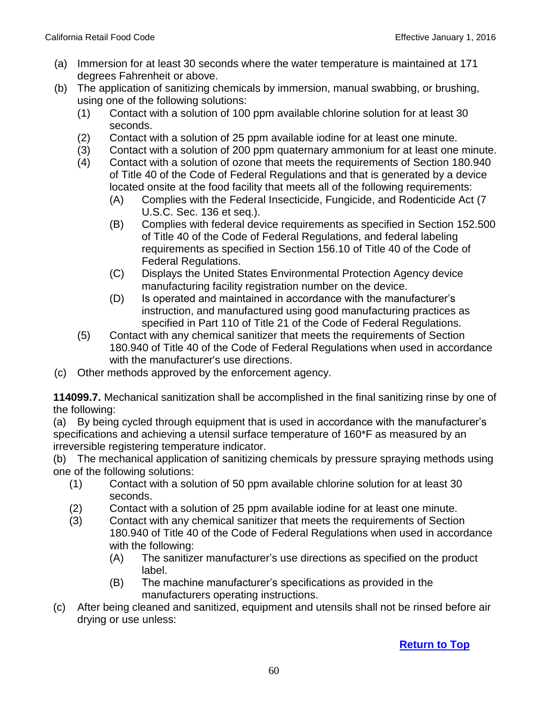- (a) Immersion for at least 30 seconds where the water temperature is maintained at 171 degrees Fahrenheit or above.
- (b) The application of sanitizing chemicals by immersion, manual swabbing, or brushing, using one of the following solutions:
	- (1) Contact with a solution of 100 ppm available chlorine solution for at least 30 seconds.
	- (2) Contact with a solution of 25 ppm available iodine for at least one minute.
	- (3) Contact with a solution of 200 ppm quaternary ammonium for at least one minute.
	- (4) Contact with a solution of ozone that meets the requirements of Section 180.940 of Title 40 of the Code of Federal Regulations and that is generated by a device located onsite at the food facility that meets all of the following requirements:
		- (A) Complies with the Federal Insecticide, Fungicide, and Rodenticide Act (7 U.S.C. Sec. 136 et seq.).
		- (B) Complies with federal device requirements as specified in Section 152.500 of Title 40 of the Code of Federal Regulations, and federal labeling requirements as specified in Section 156.10 of Title 40 of the Code of Federal Regulations.
		- (C) Displays the United States Environmental Protection Agency device manufacturing facility registration number on the device.
		- (D) Is operated and maintained in accordance with the manufacturer's instruction, and manufactured using good manufacturing practices as specified in Part 110 of Title 21 of the Code of Federal Regulations.
	- (5) Contact with any chemical sanitizer that meets the requirements of Section 180.940 of Title 40 of the Code of Federal Regulations when used in accordance with the manufacturer's use directions.
- (c) Other methods approved by the enforcement agency.

**114099.7.** Mechanical sanitization shall be accomplished in the final sanitizing rinse by one of the following:

(a) By being cycled through equipment that is used in accordance with the manufacturer's specifications and achieving a utensil surface temperature of 160\*F as measured by an irreversible registering temperature indicator.

(b) The mechanical application of sanitizing chemicals by pressure spraying methods using one of the following solutions:

- (1) Contact with a solution of 50 ppm available chlorine solution for at least 30 seconds.
- (2) Contact with a solution of 25 ppm available iodine for at least one minute.
- (3) Contact with any chemical sanitizer that meets the requirements of Section 180.940 of Title 40 of the Code of Federal Regulations when used in accordance with the following:
	- (A) The sanitizer manufacturer's use directions as specified on the product label.
	- (B) The machine manufacturer's specifications as provided in the manufacturers operating instructions.
- (c) After being cleaned and sanitized, equipment and utensils shall not be rinsed before air drying or use unless: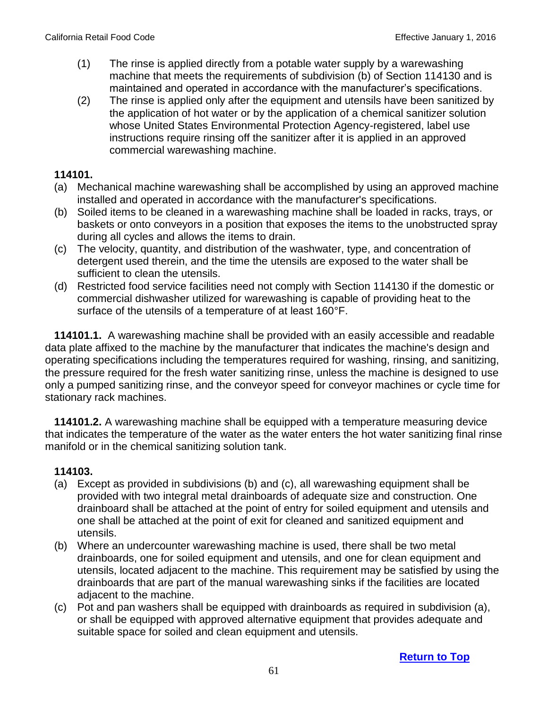- (1) The rinse is applied directly from a potable water supply by a warewashing machine that meets the requirements of subdivision (b) of Section 114130 and is maintained and operated in accordance with the manufacturer's specifications.
- (2) The rinse is applied only after the equipment and utensils have been sanitized by the application of hot water or by the application of a chemical sanitizer solution whose United States Environmental Protection Agency-registered, label use instructions require rinsing off the sanitizer after it is applied in an approved commercial warewashing machine.

- (a) Mechanical machine warewashing shall be accomplished by using an approved machine installed and operated in accordance with the manufacturer's specifications.
- (b) Soiled items to be cleaned in a warewashing machine shall be loaded in racks, trays, or baskets or onto conveyors in a position that exposes the items to the unobstructed spray during all cycles and allows the items to drain.
- (c) The velocity, quantity, and distribution of the washwater, type, and concentration of detergent used therein, and the time the utensils are exposed to the water shall be sufficient to clean the utensils.
- (d) Restricted food service facilities need not comply with Section 114130 if the domestic or commercial dishwasher utilized for warewashing is capable of providing heat to the surface of the utensils of a temperature of at least 160°F.

 **114101.1.** A warewashing machine shall be provided with an easily accessible and readable data plate affixed to the machine by the manufacturer that indicates the machine's design and operating specifications including the temperatures required for washing, rinsing, and sanitizing, the pressure required for the fresh water sanitizing rinse, unless the machine is designed to use only a pumped sanitizing rinse, and the conveyor speed for conveyor machines or cycle time for stationary rack machines.

 **114101.2.** A warewashing machine shall be equipped with a temperature measuring device that indicates the temperature of the water as the water enters the hot water sanitizing final rinse manifold or in the chemical sanitizing solution tank.

- (a) Except as provided in subdivisions (b) and (c), all warewashing equipment shall be provided with two integral metal drainboards of adequate size and construction. One drainboard shall be attached at the point of entry for soiled equipment and utensils and one shall be attached at the point of exit for cleaned and sanitized equipment and utensils.
- (b) Where an undercounter warewashing machine is used, there shall be two metal drainboards, one for soiled equipment and utensils, and one for clean equipment and utensils, located adjacent to the machine. This requirement may be satisfied by using the drainboards that are part of the manual warewashing sinks if the facilities are located adjacent to the machine.
- (c) Pot and pan washers shall be equipped with drainboards as required in subdivision (a), or shall be equipped with approved alternative equipment that provides adequate and suitable space for soiled and clean equipment and utensils.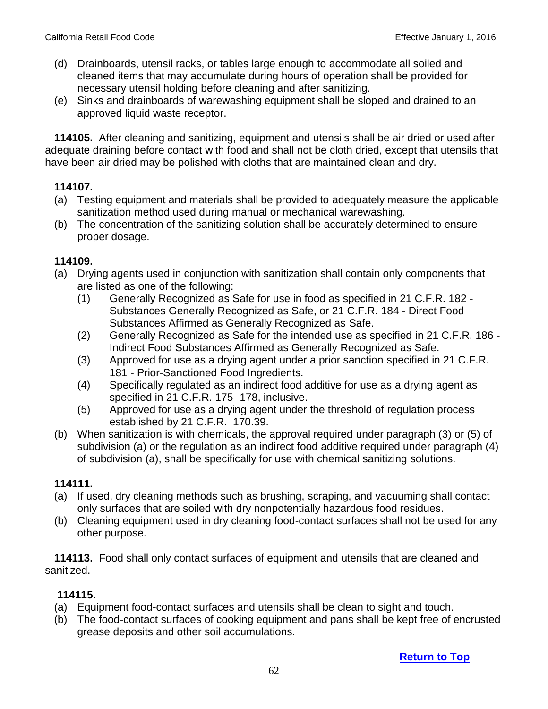- (d) Drainboards, utensil racks, or tables large enough to accommodate all soiled and cleaned items that may accumulate during hours of operation shall be provided for necessary utensil holding before cleaning and after sanitizing.
- (e) Sinks and drainboards of warewashing equipment shall be sloped and drained to an approved liquid waste receptor.

**114105.** After cleaning and sanitizing, equipment and utensils shall be air dried or used after adequate draining before contact with food and shall not be cloth dried, except that utensils that have been air dried may be polished with cloths that are maintained clean and dry.

## **114107.**

- (a) Testing equipment and materials shall be provided to adequately measure the applicable sanitization method used during manual or mechanical warewashing.
- (b) The concentration of the sanitizing solution shall be accurately determined to ensure proper dosage.

## **114109.**

- (a) Drying agents used in conjunction with sanitization shall contain only components that are listed as one of the following:
	- (1) Generally Recognized as Safe for use in food as specified in 21 C.F.R. 182 Substances Generally Recognized as Safe, or 21 C.F.R. 184 - Direct Food Substances Affirmed as Generally Recognized as Safe.
	- (2) Generally Recognized as Safe for the intended use as specified in 21 C.F.R. 186 Indirect Food Substances Affirmed as Generally Recognized as Safe.
	- (3) Approved for use as a drying agent under a prior sanction specified in 21 C.F.R. 181 - Prior-Sanctioned Food Ingredients.
	- (4) Specifically regulated as an indirect food additive for use as a drying agent as specified in 21 C.F.R. 175 -178, inclusive.
	- (5) Approved for use as a drying agent under the threshold of regulation process established by 21 C.F.R. 170.39.
- (b) When sanitization is with chemicals, the approval required under paragraph (3) or (5) of subdivision (a) or the regulation as an indirect food additive required under paragraph (4) of subdivision (a), shall be specifically for use with chemical sanitizing solutions.

## **114111.**

- (a) If used, dry cleaning methods such as brushing, scraping, and vacuuming shall contact only surfaces that are soiled with dry nonpotentially hazardous food residues.
- (b) Cleaning equipment used in dry cleaning food-contact surfaces shall not be used for any other purpose.

 **114113.** Food shall only contact surfaces of equipment and utensils that are cleaned and sanitized.

- (a) Equipment food-contact surfaces and utensils shall be clean to sight and touch.
- (b) The food-contact surfaces of cooking equipment and pans shall be kept free of encrusted grease deposits and other soil accumulations.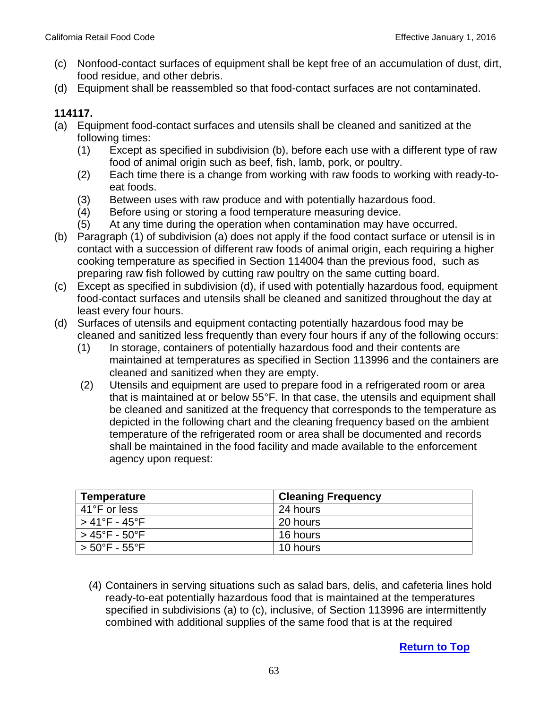- (c) Nonfood-contact surfaces of equipment shall be kept free of an accumulation of dust, dirt, food residue, and other debris.
- (d) Equipment shall be reassembled so that food-contact surfaces are not contaminated.

- (a) Equipment food-contact surfaces and utensils shall be cleaned and sanitized at the following times:
	- (1) Except as specified in subdivision (b), before each use with a different type of raw food of animal origin such as beef, fish, lamb, pork, or poultry.
	- (2) Each time there is a change from working with raw foods to working with ready-toeat foods.
	- (3) Between uses with raw produce and with potentially hazardous food.
	- (4) Before using or storing a food temperature measuring device.
	- (5) At any time during the operation when contamination may have occurred.
- (b) Paragraph (1) of subdivision (a) does not apply if the food contact surface or utensil is in contact with a succession of different raw foods of animal origin, each requiring a higher cooking temperature as specified in Section 114004 than the previous food, such as preparing raw fish followed by cutting raw poultry on the same cutting board.
- (c) Except as specified in subdivision (d), if used with potentially hazardous food, equipment food-contact surfaces and utensils shall be cleaned and sanitized throughout the day at least every four hours.
- (d) Surfaces of utensils and equipment contacting potentially hazardous food may be cleaned and sanitized less frequently than every four hours if any of the following occurs:
	- (1) In storage, containers of potentially hazardous food and their contents are maintained at temperatures as specified in Section 113996 and the containers are cleaned and sanitized when they are empty.
	- (2) Utensils and equipment are used to prepare food in a refrigerated room or area that is maintained at or below 55°F. In that case, the utensils and equipment shall be cleaned and sanitized at the frequency that corresponds to the temperature as depicted in the following chart and the cleaning frequency based on the ambient temperature of the refrigerated room or area shall be documented and records shall be maintained in the food facility and made available to the enforcement agency upon request:

| <b>Temperature</b>                 | <b>Cleaning Frequency</b> |
|------------------------------------|---------------------------|
| 41°F or less                       | 24 hours                  |
| $>41^{\circ}$ F - $45^{\circ}$ F   | 20 hours                  |
| $>45^{\circ}$ F - $50^{\circ}$ F   | 16 hours                  |
| $> 50^{\circ}$ F - 55 $^{\circ}$ F | 10 hours                  |

(4) Containers in serving situations such as salad bars, delis, and cafeteria lines hold ready-to-eat potentially hazardous food that is maintained at the temperatures specified in subdivisions (a) to (c), inclusive, of Section 113996 are intermittently combined with additional supplies of the same food that is at the required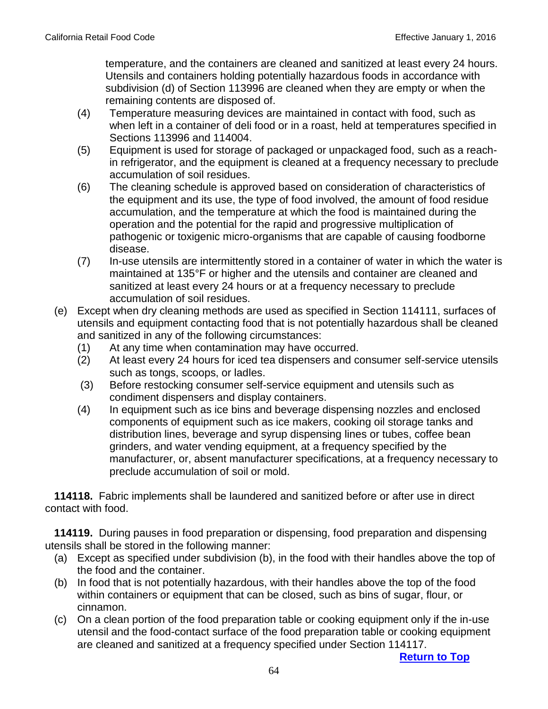temperature, and the containers are cleaned and sanitized at least every 24 hours. Utensils and containers holding potentially hazardous foods in accordance with subdivision (d) of Section 113996 are cleaned when they are empty or when the remaining contents are disposed of.

- (4) Temperature measuring devices are maintained in contact with food, such as when left in a container of deli food or in a roast, held at temperatures specified in Sections 113996 and 114004.
- (5) Equipment is used for storage of packaged or unpackaged food, such as a reachin refrigerator, and the equipment is cleaned at a frequency necessary to preclude accumulation of soil residues.
- (6) The cleaning schedule is approved based on consideration of characteristics of the equipment and its use, the type of food involved, the amount of food residue accumulation, and the temperature at which the food is maintained during the operation and the potential for the rapid and progressive multiplication of pathogenic or toxigenic micro-organisms that are capable of causing foodborne disease.
- (7) In-use utensils are intermittently stored in a container of water in which the water is maintained at 135°F or higher and the utensils and container are cleaned and sanitized at least every 24 hours or at a frequency necessary to preclude accumulation of soil residues.
- (e) Except when dry cleaning methods are used as specified in Section 114111, surfaces of utensils and equipment contacting food that is not potentially hazardous shall be cleaned and sanitized in any of the following circumstances:
	- (1) At any time when contamination may have occurred.
	- (2) At least every 24 hours for iced tea dispensers and consumer self-service utensils such as tongs, scoops, or ladles.
	- (3) Before restocking consumer self-service equipment and utensils such as condiment dispensers and display containers.
	- (4) In equipment such as ice bins and beverage dispensing nozzles and enclosed components of equipment such as ice makers, cooking oil storage tanks and distribution lines, beverage and syrup dispensing lines or tubes, coffee bean grinders, and water vending equipment, at a frequency specified by the manufacturer, or, absent manufacturer specifications, at a frequency necessary to preclude accumulation of soil or mold.

**114118.** Fabric implements shall be laundered and sanitized before or after use in direct contact with food.

 **114119.** During pauses in food preparation or dispensing, food preparation and dispensing utensils shall be stored in the following manner:

- (a) Except as specified under subdivision (b), in the food with their handles above the top of the food and the container.
- (b) In food that is not potentially hazardous, with their handles above the top of the food within containers or equipment that can be closed, such as bins of sugar, flour, or cinnamon.
- (c) On a clean portion of the food preparation table or cooking equipment only if the in-use utensil and the food-contact surface of the food preparation table or cooking equipment are cleaned and sanitized at a frequency specified under Section 114117.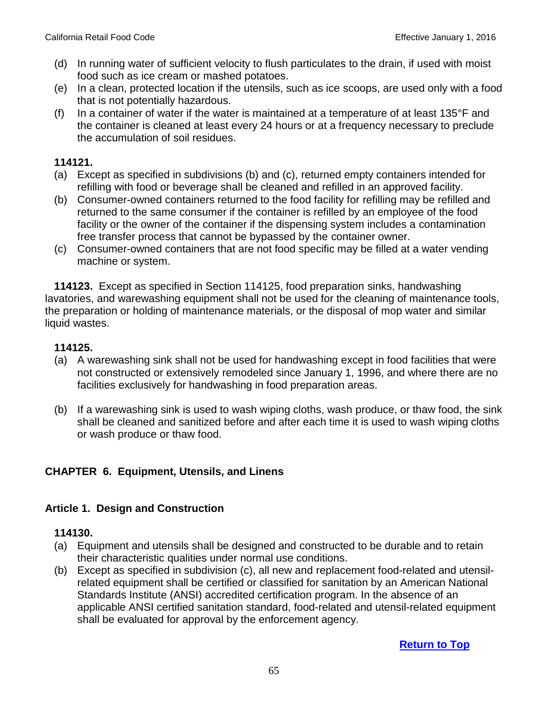- (d) In running water of sufficient velocity to flush particulates to the drain, if used with moist food such as ice cream or mashed potatoes.
- (e) In a clean, protected location if the utensils, such as ice scoops, are used only with a food that is not potentially hazardous.
- (f) In a container of water if the water is maintained at a temperature of at least  $135^{\circ}$ F and the container is cleaned at least every 24 hours or at a frequency necessary to preclude the accumulation of soil residues.

- (a) Except as specified in subdivisions (b) and (c), returned empty containers intended for refilling with food or beverage shall be cleaned and refilled in an approved facility.
- (b) Consumer-owned containers returned to the food facility for refilling may be refilled and returned to the same consumer if the container is refilled by an employee of the food facility or the owner of the container if the dispensing system includes a contamination free transfer process that cannot be bypassed by the container owner.
- (c) Consumer-owned containers that are not food specific may be filled at a water vending machine or system.

 **114123.** Except as specified in Section 114125, food preparation sinks, handwashing lavatories, and warewashing equipment shall not be used for the cleaning of maintenance tools, the preparation or holding of maintenance materials, or the disposal of mop water and similar liquid wastes.

### **114125.**

- (a) A warewashing sink shall not be used for handwashing except in food facilities that were not constructed or extensively remodeled since January 1, 1996, and where there are no facilities exclusively for handwashing in food preparation areas.
- (b) If a warewashing sink is used to wash wiping cloths, wash produce, or thaw food, the sink shall be cleaned and sanitized before and after each time it is used to wash wiping cloths or wash produce or thaw food.

### **CHAPTER 6. Equipment, Utensils, and Linens**

### **Article 1. Design and Construction**

#### **114130.**

- (a) Equipment and utensils shall be designed and constructed to be durable and to retain their characteristic qualities under normal use conditions.
- (b) Except as specified in subdivision (c), all new and replacement food-related and utensilrelated equipment shall be certified or classified for sanitation by an American National Standards Institute (ANSI) accredited certification program. In the absence of an applicable ANSI certified sanitation standard, food-related and utensil-related equipment shall be evaluated for approval by the enforcement agency.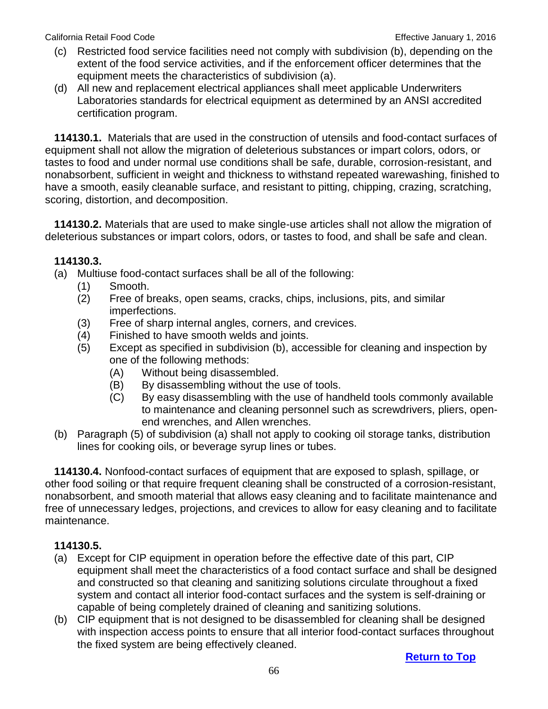California Retail Food Code **Effective Inc.** California Retail Food Code **Effective January 1, 2016** 

- (c) Restricted food service facilities need not comply with subdivision (b), depending on the extent of the food service activities, and if the enforcement officer determines that the equipment meets the characteristics of subdivision (a).
- (d) All new and replacement electrical appliances shall meet applicable Underwriters Laboratories standards for electrical equipment as determined by an ANSI accredited certification program.

 **114130.1.** Materials that are used in the construction of utensils and food-contact surfaces of equipment shall not allow the migration of deleterious substances or impart colors, odors, or tastes to food and under normal use conditions shall be safe, durable, corrosion-resistant, and nonabsorbent, sufficient in weight and thickness to withstand repeated warewashing, finished to have a smooth, easily cleanable surface, and resistant to pitting, chipping, crazing, scratching, scoring, distortion, and decomposition.

 **114130.2.** Materials that are used to make single-use articles shall not allow the migration of deleterious substances or impart colors, odors, or tastes to food, and shall be safe and clean.

## **114130.3.**

- (a) Multiuse food-contact surfaces shall be all of the following:
	- (1) Smooth.
	- (2) Free of breaks, open seams, cracks, chips, inclusions, pits, and similar imperfections.
	- (3) Free of sharp internal angles, corners, and crevices.
	- (4) Finished to have smooth welds and joints.
	- (5) Except as specified in subdivision (b), accessible for cleaning and inspection by one of the following methods:
		- (A) Without being disassembled.
		- (B) By disassembling without the use of tools.
		- (C) By easy disassembling with the use of handheld tools commonly available to maintenance and cleaning personnel such as screwdrivers, pliers, openend wrenches, and Allen wrenches.
- (b) Paragraph (5) of subdivision (a) shall not apply to cooking oil storage tanks, distribution lines for cooking oils, or beverage syrup lines or tubes.

 **114130.4.** Nonfood-contact surfaces of equipment that are exposed to splash, spillage, or other food soiling or that require frequent cleaning shall be constructed of a corrosion-resistant, nonabsorbent, and smooth material that allows easy cleaning and to facilitate maintenance and free of unnecessary ledges, projections, and crevices to allow for easy cleaning and to facilitate maintenance.

## **114130.5.**

- (a) Except for CIP equipment in operation before the effective date of this part, CIP equipment shall meet the characteristics of a food contact surface and shall be designed and constructed so that cleaning and sanitizing solutions circulate throughout a fixed system and contact all interior food-contact surfaces and the system is self-draining or capable of being completely drained of cleaning and sanitizing solutions.
- (b) CIP equipment that is not designed to be disassembled for cleaning shall be designed with inspection access points to ensure that all interior food-contact surfaces throughout the fixed system are being effectively cleaned.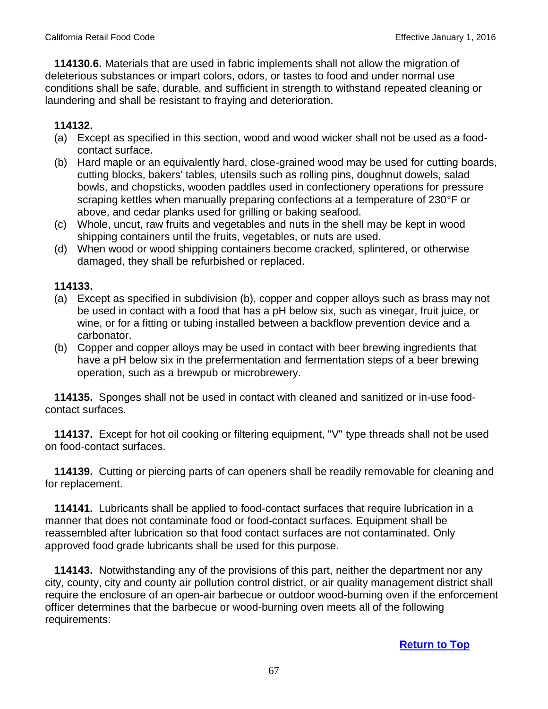**114130.6.** Materials that are used in fabric implements shall not allow the migration of deleterious substances or impart colors, odors, or tastes to food and under normal use conditions shall be safe, durable, and sufficient in strength to withstand repeated cleaning or laundering and shall be resistant to fraying and deterioration.

## **114132.**

- (a) Except as specified in this section, wood and wood wicker shall not be used as a foodcontact surface.
- (b) Hard maple or an equivalently hard, close-grained wood may be used for cutting boards, cutting blocks, bakers' tables, utensils such as rolling pins, doughnut dowels, salad bowls, and chopsticks, wooden paddles used in confectionery operations for pressure scraping kettles when manually preparing confections at a temperature of 230°F or above, and cedar planks used for grilling or baking seafood.
- (c) Whole, uncut, raw fruits and vegetables and nuts in the shell may be kept in wood shipping containers until the fruits, vegetables, or nuts are used.
- (d) When wood or wood shipping containers become cracked, splintered, or otherwise damaged, they shall be refurbished or replaced.

### **114133.**

- (a) Except as specified in subdivision (b), copper and copper alloys such as brass may not be used in contact with a food that has a pH below six, such as vinegar, fruit juice, or wine, or for a fitting or tubing installed between a backflow prevention device and a carbonator.
- (b) Copper and copper alloys may be used in contact with beer brewing ingredients that have a pH below six in the prefermentation and fermentation steps of a beer brewing operation, such as a brewpub or microbrewery.

 **114135.** Sponges shall not be used in contact with cleaned and sanitized or in-use foodcontact surfaces.

 **114137.** Except for hot oil cooking or filtering equipment, "V" type threads shall not be used on food-contact surfaces.

 **114139.** Cutting or piercing parts of can openers shall be readily removable for cleaning and for replacement.

**114141.** Lubricants shall be applied to food-contact surfaces that require lubrication in a manner that does not contaminate food or food-contact surfaces. Equipment shall be reassembled after lubrication so that food contact surfaces are not contaminated. Only approved food grade lubricants shall be used for this purpose.

 **114143.** Notwithstanding any of the provisions of this part, neither the department nor any city, county, city and county air pollution control district, or air quality management district shall require the enclosure of an open-air barbecue or outdoor wood-burning oven if the enforcement officer determines that the barbecue or wood-burning oven meets all of the following requirements: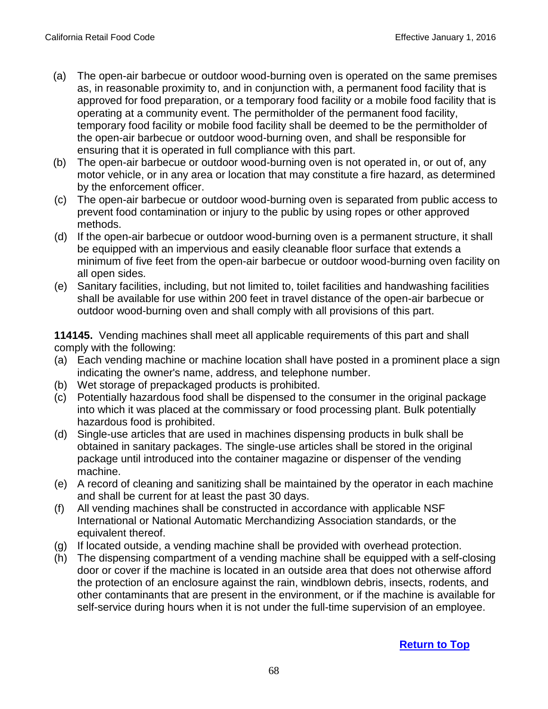- (a) The open-air barbecue or outdoor wood-burning oven is operated on the same premises as, in reasonable proximity to, and in conjunction with, a permanent food facility that is approved for food preparation, or a temporary food facility or a mobile food facility that is operating at a community event. The permitholder of the permanent food facility, temporary food facility or mobile food facility shall be deemed to be the permitholder of the open-air barbecue or outdoor wood-burning oven, and shall be responsible for ensuring that it is operated in full compliance with this part.
- (b) The open-air barbecue or outdoor wood-burning oven is not operated in, or out of, any motor vehicle, or in any area or location that may constitute a fire hazard, as determined by the enforcement officer.
- (c) The open-air barbecue or outdoor wood-burning oven is separated from public access to prevent food contamination or injury to the public by using ropes or other approved methods.
- (d) If the open-air barbecue or outdoor wood-burning oven is a permanent structure, it shall be equipped with an impervious and easily cleanable floor surface that extends a minimum of five feet from the open-air barbecue or outdoor wood-burning oven facility on all open sides.
- (e) Sanitary facilities, including, but not limited to, toilet facilities and handwashing facilities shall be available for use within 200 feet in travel distance of the open-air barbecue or outdoor wood-burning oven and shall comply with all provisions of this part.

 **114145.** Vending machines shall meet all applicable requirements of this part and shall comply with the following:

- (a) Each vending machine or machine location shall have posted in a prominent place a sign indicating the owner's name, address, and telephone number.
- (b) Wet storage of prepackaged products is prohibited.
- (c) Potentially hazardous food shall be dispensed to the consumer in the original package into which it was placed at the commissary or food processing plant. Bulk potentially hazardous food is prohibited.
- (d) Single-use articles that are used in machines dispensing products in bulk shall be obtained in sanitary packages. The single-use articles shall be stored in the original package until introduced into the container magazine or dispenser of the vending machine.
- (e) A record of cleaning and sanitizing shall be maintained by the operator in each machine and shall be current for at least the past 30 days.
- (f) All vending machines shall be constructed in accordance with applicable NSF International or National Automatic Merchandizing Association standards, or the equivalent thereof.
- (g) If located outside, a vending machine shall be provided with overhead protection.
- (h) The dispensing compartment of a vending machine shall be equipped with a self-closing door or cover if the machine is located in an outside area that does not otherwise afford the protection of an enclosure against the rain, windblown debris, insects, rodents, and other contaminants that are present in the environment, or if the machine is available for self-service during hours when it is not under the full-time supervision of an employee.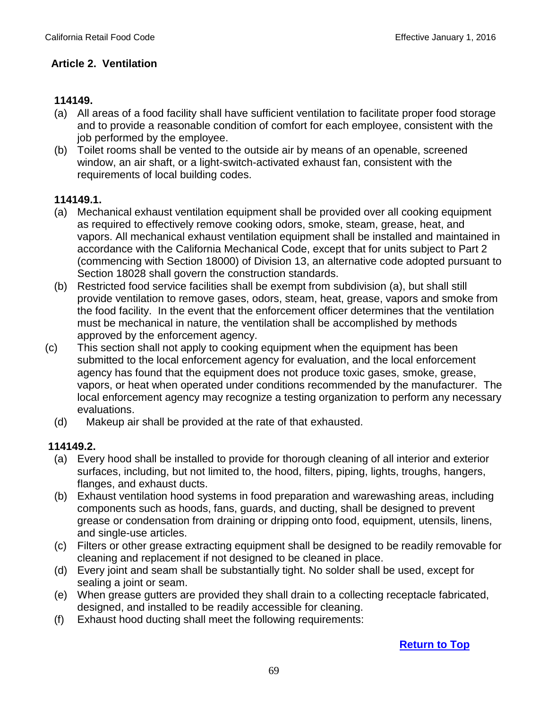## **Article 2. Ventilation**

## **114149.**

- (a) All areas of a food facility shall have sufficient ventilation to facilitate proper food storage and to provide a reasonable condition of comfort for each employee, consistent with the job performed by the employee.
- (b) Toilet rooms shall be vented to the outside air by means of an openable, screened window, an air shaft, or a light-switch-activated exhaust fan, consistent with the requirements of local building codes.

### **114149.1.**

- (a) Mechanical exhaust ventilation equipment shall be provided over all cooking equipment as required to effectively remove cooking odors, smoke, steam, grease, heat, and vapors. All mechanical exhaust ventilation equipment shall be installed and maintained in accordance with the California Mechanical Code, except that for units subject to Part 2 (commencing with Section 18000) of Division 13, an alternative code adopted pursuant to Section 18028 shall govern the construction standards.
- (b) Restricted food service facilities shall be exempt from subdivision (a), but shall still provide ventilation to remove gases, odors, steam, heat, grease, vapors and smoke from the food facility. In the event that the enforcement officer determines that the ventilation must be mechanical in nature, the ventilation shall be accomplished by methods approved by the enforcement agency.
- (c) This section shall not apply to cooking equipment when the equipment has been submitted to the local enforcement agency for evaluation, and the local enforcement agency has found that the equipment does not produce toxic gases, smoke, grease, vapors, or heat when operated under conditions recommended by the manufacturer. The local enforcement agency may recognize a testing organization to perform any necessary evaluations.
	- (d) Makeup air shall be provided at the rate of that exhausted.

### **114149.2.**

- (a) Every hood shall be installed to provide for thorough cleaning of all interior and exterior surfaces, including, but not limited to, the hood, filters, piping, lights, troughs, hangers, flanges, and exhaust ducts.
- (b) Exhaust ventilation hood systems in food preparation and warewashing areas, including components such as hoods, fans, guards, and ducting, shall be designed to prevent grease or condensation from draining or dripping onto food, equipment, utensils, linens, and single-use articles.
- (c) Filters or other grease extracting equipment shall be designed to be readily removable for cleaning and replacement if not designed to be cleaned in place.
- (d) Every joint and seam shall be substantially tight. No solder shall be used, except for sealing a joint or seam.
- (e) When grease gutters are provided they shall drain to a collecting receptacle fabricated, designed, and installed to be readily accessible for cleaning.
- (f) Exhaust hood ducting shall meet the following requirements: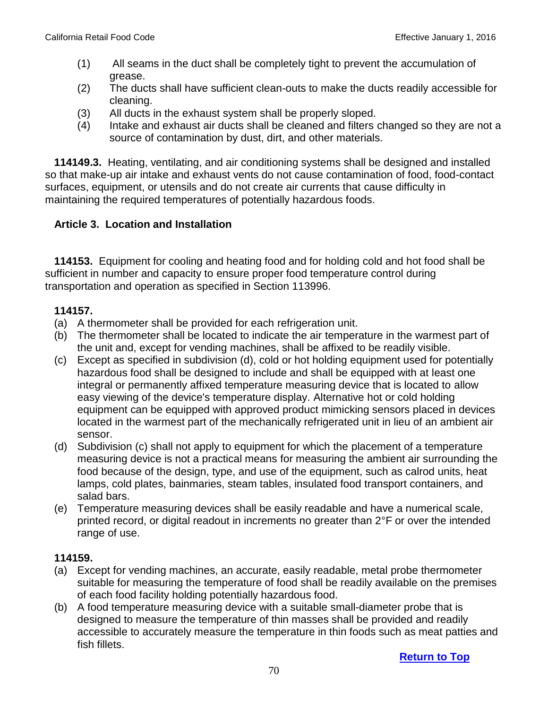- (1) All seams in the duct shall be completely tight to prevent the accumulation of grease.
- (2) The ducts shall have sufficient clean-outs to make the ducts readily accessible for cleaning.
- (3) All ducts in the exhaust system shall be properly sloped.
- (4) Intake and exhaust air ducts shall be cleaned and filters changed so they are not a source of contamination by dust, dirt, and other materials.

 **114149.3.** Heating, ventilating, and air conditioning systems shall be designed and installed so that make-up air intake and exhaust vents do not cause contamination of food, food-contact surfaces, equipment, or utensils and do not create air currents that cause difficulty in maintaining the required temperatures of potentially hazardous foods.

## **Article 3. Location and Installation**

 **114153.** Equipment for cooling and heating food and for holding cold and hot food shall be sufficient in number and capacity to ensure proper food temperature control during transportation and operation as specified in Section 113996.

### **114157.**

- (a) A thermometer shall be provided for each refrigeration unit.
- (b) The thermometer shall be located to indicate the air temperature in the warmest part of the unit and, except for vending machines, shall be affixed to be readily visible.
- (c) Except as specified in subdivision (d), cold or hot holding equipment used for potentially hazardous food shall be designed to include and shall be equipped with at least one integral or permanently affixed temperature measuring device that is located to allow easy viewing of the device's temperature display. Alternative hot or cold holding equipment can be equipped with approved product mimicking sensors placed in devices located in the warmest part of the mechanically refrigerated unit in lieu of an ambient air sensor.
- (d) Subdivision (c) shall not apply to equipment for which the placement of a temperature measuring device is not a practical means for measuring the ambient air surrounding the food because of the design, type, and use of the equipment, such as calrod units, heat lamps, cold plates, bainmaries, steam tables, insulated food transport containers, and salad bars.
- (e) Temperature measuring devices shall be easily readable and have a numerical scale, printed record, or digital readout in increments no greater than 2°F or over the intended range of use.

- (a) Except for vending machines, an accurate, easily readable, metal probe thermometer suitable for measuring the temperature of food shall be readily available on the premises of each food facility holding potentially hazardous food.
- (b) A food temperature measuring device with a suitable small-diameter probe that is designed to measure the temperature of thin masses shall be provided and readily accessible to accurately measure the temperature in thin foods such as meat patties and fish fillets.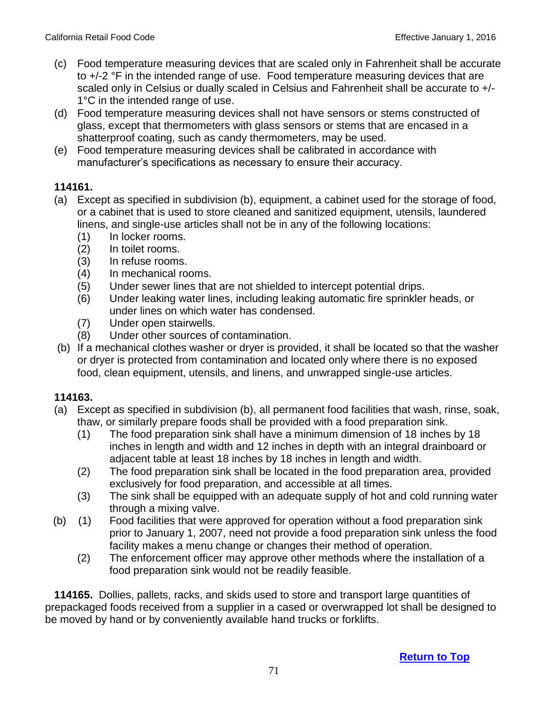- (c) Food temperature measuring devices that are scaled only in Fahrenheit shall be accurate to +/-2 °F in the intended range of use. Food temperature measuring devices that are scaled only in Celsius or dually scaled in Celsius and Fahrenheit shall be accurate to +/- 1°C in the intended range of use.
- (d) Food temperature measuring devices shall not have sensors or stems constructed of glass, except that thermometers with glass sensors or stems that are encased in a shatterproof coating, such as candy thermometers, may be used.
- (e) Food temperature measuring devices shall be calibrated in accordance with manufacturer's specifications as necessary to ensure their accuracy.

- (a) Except as specified in subdivision (b), equipment, a cabinet used for the storage of food, or a cabinet that is used to store cleaned and sanitized equipment, utensils, laundered linens, and single-use articles shall not be in any of the following locations:
	- (1) In locker rooms.
	- (2) In toilet rooms.
	- (3) In refuse rooms.
	- (4) In mechanical rooms.
	- (5) Under sewer lines that are not shielded to intercept potential drips.
	- (6) Under leaking water lines, including leaking automatic fire sprinkler heads, or under lines on which water has condensed.
	- (7) Under open stairwells.
	- (8) Under other sources of contamination.
- (b) If a mechanical clothes washer or dryer is provided, it shall be located so that the washer or dryer is protected from contamination and located only where there is no exposed food, clean equipment, utensils, and linens, and unwrapped single-use articles.

## **114163.**

- (a) Except as specified in subdivision (b), all permanent food facilities that wash, rinse, soak, thaw, or similarly prepare foods shall be provided with a food preparation sink.
	- (1) The food preparation sink shall have a minimum dimension of 18 inches by 18 inches in length and width and 12 inches in depth with an integral drainboard or adjacent table at least 18 inches by 18 inches in length and width.
	- (2) The food preparation sink shall be located in the food preparation area, provided exclusively for food preparation, and accessible at all times.
	- (3) The sink shall be equipped with an adequate supply of hot and cold running water through a mixing valve.
- (b) (1) Food facilities that were approved for operation without a food preparation sink prior to January 1, 2007, need not provide a food preparation sink unless the food facility makes a menu change or changes their method of operation.
	- (2) The enforcement officer may approve other methods where the installation of a food preparation sink would not be readily feasible.

 **114165.** Dollies, pallets, racks, and skids used to store and transport large quantities of prepackaged foods received from a supplier in a cased or overwrapped lot shall be designed to be moved by hand or by conveniently available hand trucks or forklifts.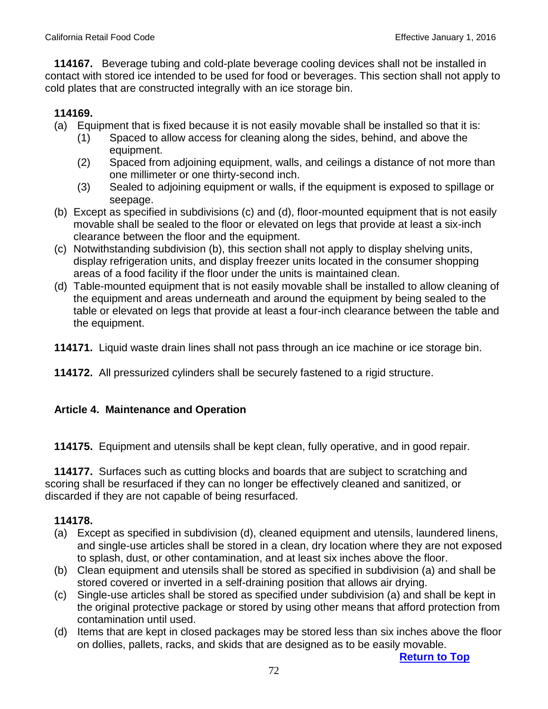**114167.** Beverage tubing and cold-plate beverage cooling devices shall not be installed in contact with stored ice intended to be used for food or beverages. This section shall not apply to cold plates that are constructed integrally with an ice storage bin.

# **114169.**

- (a) Equipment that is fixed because it is not easily movable shall be installed so that it is:
	- (1) Spaced to allow access for cleaning along the sides, behind, and above the equipment.
	- (2) Spaced from adjoining equipment, walls, and ceilings a distance of not more than one millimeter or one thirty-second inch.
	- (3) Sealed to adjoining equipment or walls, if the equipment is exposed to spillage or seepage.
- (b) Except as specified in subdivisions (c) and (d), floor-mounted equipment that is not easily movable shall be sealed to the floor or elevated on legs that provide at least a six-inch clearance between the floor and the equipment.
- (c) Notwithstanding subdivision (b), this section shall not apply to display shelving units, display refrigeration units, and display freezer units located in the consumer shopping areas of a food facility if the floor under the units is maintained clean.
- (d) Table-mounted equipment that is not easily movable shall be installed to allow cleaning of the equipment and areas underneath and around the equipment by being sealed to the table or elevated on legs that provide at least a four-inch clearance between the table and the equipment.
- **114171.** Liquid waste drain lines shall not pass through an ice machine or ice storage bin.
- **114172.** All pressurized cylinders shall be securely fastened to a rigid structure.

## **Article 4. Maintenance and Operation**

 **114175.** Equipment and utensils shall be kept clean, fully operative, and in good repair.

 **114177.** Surfaces such as cutting blocks and boards that are subject to scratching and scoring shall be resurfaced if they can no longer be effectively cleaned and sanitized, or discarded if they are not capable of being resurfaced.

## **114178.**

- (a) Except as specified in subdivision (d), cleaned equipment and utensils, laundered linens, and single-use articles shall be stored in a clean, dry location where they are not exposed to splash, dust, or other contamination, and at least six inches above the floor.
- (b) Clean equipment and utensils shall be stored as specified in subdivision (a) and shall be stored covered or inverted in a self-draining position that allows air drying.
- (c) Single-use articles shall be stored as specified under subdivision (a) and shall be kept in the original protective package or stored by using other means that afford protection from contamination until used.
- (d) Items that are kept in closed packages may be stored less than six inches above the floor on dollies, pallets, racks, and skids that are designed as to be easily movable.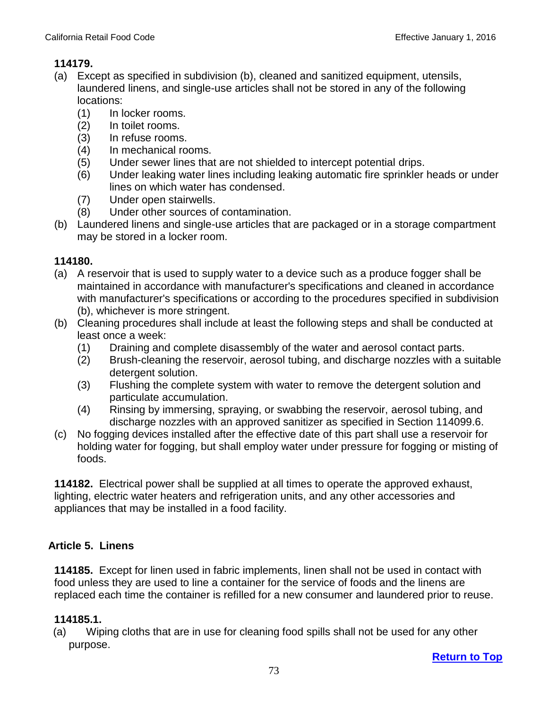- (a) Except as specified in subdivision (b), cleaned and sanitized equipment, utensils, laundered linens, and single-use articles shall not be stored in any of the following locations:
	- (1) In locker rooms.
	- (2) In toilet rooms.
	- (3) In refuse rooms.
	- (4) In mechanical rooms.
	- (5) Under sewer lines that are not shielded to intercept potential drips.
	- (6) Under leaking water lines including leaking automatic fire sprinkler heads or under lines on which water has condensed.
	- (7) Under open stairwells.
	- (8) Under other sources of contamination.
- (b) Laundered linens and single-use articles that are packaged or in a storage compartment may be stored in a locker room.

# **114180.**

- (a) A reservoir that is used to supply water to a device such as a produce fogger shall be maintained in accordance with manufacturer's specifications and cleaned in accordance with manufacturer's specifications or according to the procedures specified in subdivision (b), whichever is more stringent.
- (b) Cleaning procedures shall include at least the following steps and shall be conducted at least once a week:
	- (1) Draining and complete disassembly of the water and aerosol contact parts.
	- (2) Brush-cleaning the reservoir, aerosol tubing, and discharge nozzles with a suitable detergent solution.
	- (3) Flushing the complete system with water to remove the detergent solution and particulate accumulation.
	- (4) Rinsing by immersing, spraying, or swabbing the reservoir, aerosol tubing, and discharge nozzles with an approved sanitizer as specified in Section 114099.6.
- (c) No fogging devices installed after the effective date of this part shall use a reservoir for holding water for fogging, but shall employ water under pressure for fogging or misting of foods.

**114182.** Electrical power shall be supplied at all times to operate the approved exhaust, lighting, electric water heaters and refrigeration units, and any other accessories and appliances that may be installed in a food facility.

# **Article 5. Linens**

**114185.** Except for linen used in fabric implements, linen shall not be used in contact with food unless they are used to line a container for the service of foods and the linens are replaced each time the container is refilled for a new consumer and laundered prior to reuse.

# **114185.1.**

(a) Wiping cloths that are in use for cleaning food spills shall not be used for any other purpose.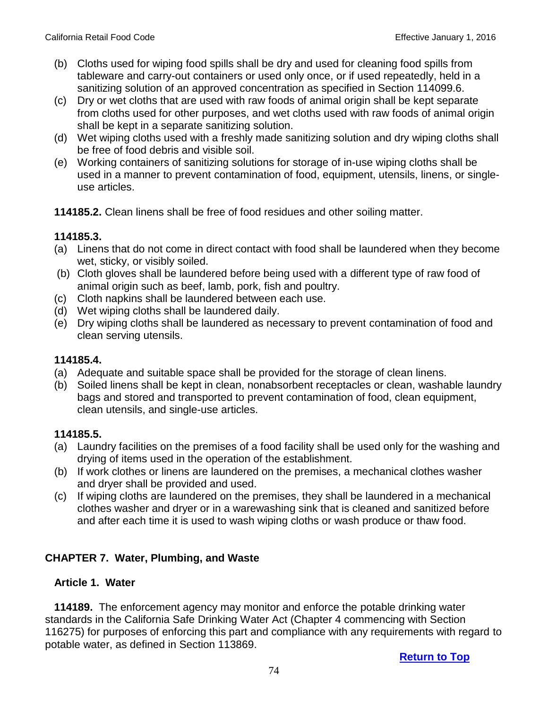- (b) Cloths used for wiping food spills shall be dry and used for cleaning food spills from tableware and carry-out containers or used only once, or if used repeatedly, held in a sanitizing solution of an approved concentration as specified in Section 114099.6.
- (c) Dry or wet cloths that are used with raw foods of animal origin shall be kept separate from cloths used for other purposes, and wet cloths used with raw foods of animal origin shall be kept in a separate sanitizing solution.
- (d) Wet wiping cloths used with a freshly made sanitizing solution and dry wiping cloths shall be free of food debris and visible soil.
- (e) Working containers of sanitizing solutions for storage of in-use wiping cloths shall be used in a manner to prevent contamination of food, equipment, utensils, linens, or singleuse articles.
- **114185.2.** Clean linens shall be free of food residues and other soiling matter.

#### **114185.3.**

- (a) Linens that do not come in direct contact with food shall be laundered when they become wet, sticky, or visibly soiled.
- (b) Cloth gloves shall be laundered before being used with a different type of raw food of animal origin such as beef, lamb, pork, fish and poultry.
- (c) Cloth napkins shall be laundered between each use.
- (d) Wet wiping cloths shall be laundered daily.
- (e) Dry wiping cloths shall be laundered as necessary to prevent contamination of food and clean serving utensils.

#### **114185.4.**

- (a) Adequate and suitable space shall be provided for the storage of clean linens.
- (b) Soiled linens shall be kept in clean, nonabsorbent receptacles or clean, washable laundry bags and stored and transported to prevent contamination of food, clean equipment, clean utensils, and single-use articles.

### **114185.5.**

- (a) Laundry facilities on the premises of a food facility shall be used only for the washing and drying of items used in the operation of the establishment.
- (b) If work clothes or linens are laundered on the premises, a mechanical clothes washer and dryer shall be provided and used.
- (c) If wiping cloths are laundered on the premises, they shall be laundered in a mechanical clothes washer and dryer or in a warewashing sink that is cleaned and sanitized before and after each time it is used to wash wiping cloths or wash produce or thaw food.

### **CHAPTER 7. Water, Plumbing, and Waste**

#### **Article 1. Water**

 **114189.** The enforcement agency may monitor and enforce the potable drinking water standards in the California Safe Drinking Water Act (Chapter 4 commencing with Section 116275) for purposes of enforcing this part and compliance with any requirements with regard to potable water, as defined in Section 113869.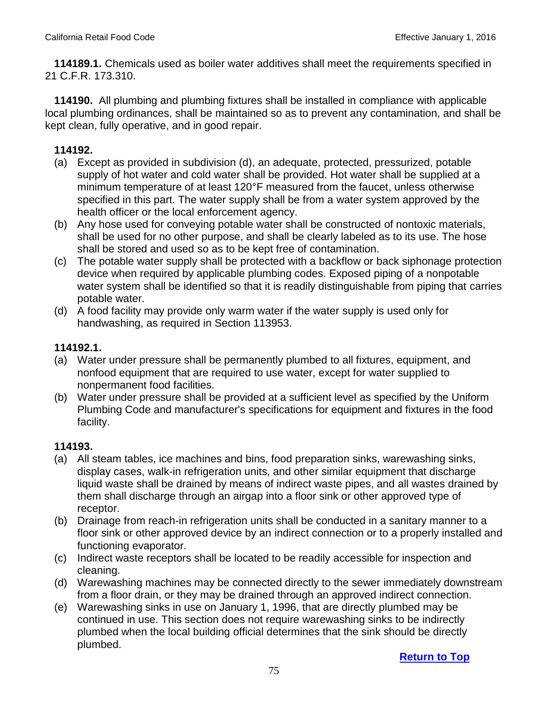**114189.1.** Chemicals used as boiler water additives shall meet the requirements specified in 21 C.F.R. 173.310.

 **114190.** All plumbing and plumbing fixtures shall be installed in compliance with applicable local plumbing ordinances, shall be maintained so as to prevent any contamination, and shall be kept clean, fully operative, and in good repair.

## **114192.**

- (a) Except as provided in subdivision (d), an adequate, protected, pressurized, potable supply of hot water and cold water shall be provided. Hot water shall be supplied at a minimum temperature of at least 120°F measured from the faucet, unless otherwise specified in this part. The water supply shall be from a water system approved by the health officer or the local enforcement agency.
- (b) Any hose used for conveying potable water shall be constructed of nontoxic materials, shall be used for no other purpose, and shall be clearly labeled as to its use. The hose shall be stored and used so as to be kept free of contamination.
- (c) The potable water supply shall be protected with a backflow or back siphonage protection device when required by applicable plumbing codes. Exposed piping of a nonpotable water system shall be identified so that it is readily distinguishable from piping that carries potable water.
- (d) A food facility may provide only warm water if the water supply is used only for handwashing, as required in Section 113953.

## **114192.1.**

- (a) Water under pressure shall be permanently plumbed to all fixtures, equipment, and nonfood equipment that are required to use water, except for water supplied to nonpermanent food facilities.
- (b) Water under pressure shall be provided at a sufficient level as specified by the Uniform Plumbing Code and manufacturer's specifications for equipment and fixtures in the food facility.

- (a) All steam tables, ice machines and bins, food preparation sinks, warewashing sinks, display cases, walk-in refrigeration units, and other similar equipment that discharge liquid waste shall be drained by means of indirect waste pipes, and all wastes drained by them shall discharge through an airgap into a floor sink or other approved type of receptor.
- (b) Drainage from reach-in refrigeration units shall be conducted in a sanitary manner to a floor sink or other approved device by an indirect connection or to a properly installed and functioning evaporator.
- (c) Indirect waste receptors shall be located to be readily accessible for inspection and cleaning.
- (d) Warewashing machines may be connected directly to the sewer immediately downstream from a floor drain, or they may be drained through an approved indirect connection.
- (e) Warewashing sinks in use on January 1, 1996, that are directly plumbed may be continued in use. This section does not require warewashing sinks to be indirectly plumbed when the local building official determines that the sink should be directly plumbed.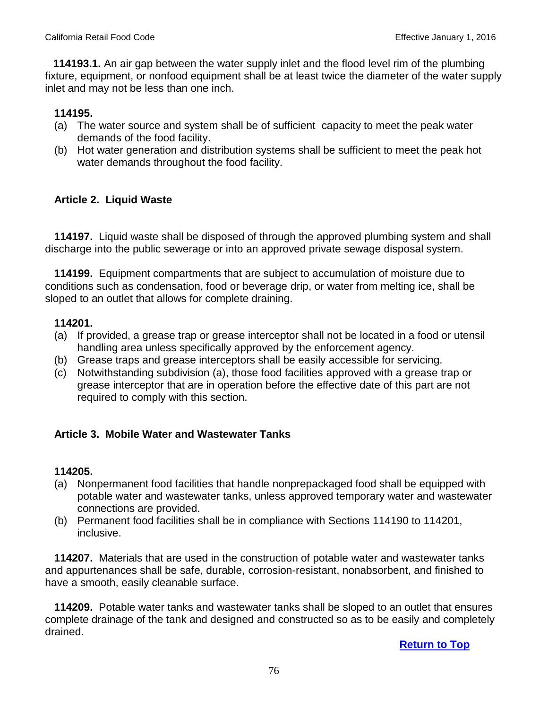**114193.1.** An air gap between the water supply inlet and the flood level rim of the plumbing fixture, equipment, or nonfood equipment shall be at least twice the diameter of the water supply inlet and may not be less than one inch.

## **114195.**

- (a) The water source and system shall be of sufficient capacity to meet the peak water demands of the food facility.
- (b) Hot water generation and distribution systems shall be sufficient to meet the peak hot water demands throughout the food facility.

## **Article 2. Liquid Waste**

 **114197.** Liquid waste shall be disposed of through the approved plumbing system and shall discharge into the public sewerage or into an approved private sewage disposal system.

 **114199.** Equipment compartments that are subject to accumulation of moisture due to conditions such as condensation, food or beverage drip, or water from melting ice, shall be sloped to an outlet that allows for complete draining.

#### **114201.**

- (a) If provided, a grease trap or grease interceptor shall not be located in a food or utensil handling area unless specifically approved by the enforcement agency.
- (b) Grease traps and grease interceptors shall be easily accessible for servicing.
- (c) Notwithstanding subdivision (a), those food facilities approved with a grease trap or grease interceptor that are in operation before the effective date of this part are not required to comply with this section.

### **Article 3. Mobile Water and Wastewater Tanks**

### **114205.**

- (a) Nonpermanent food facilities that handle nonprepackaged food shall be equipped with potable water and wastewater tanks, unless approved temporary water and wastewater connections are provided.
- (b) Permanent food facilities shall be in compliance with Sections 114190 to 114201, inclusive.

 **114207.** Materials that are used in the construction of potable water and wastewater tanks and appurtenances shall be safe, durable, corrosion-resistant, nonabsorbent, and finished to have a smooth, easily cleanable surface.

 **114209.** Potable water tanks and wastewater tanks shall be sloped to an outlet that ensures complete drainage of the tank and designed and constructed so as to be easily and completely drained.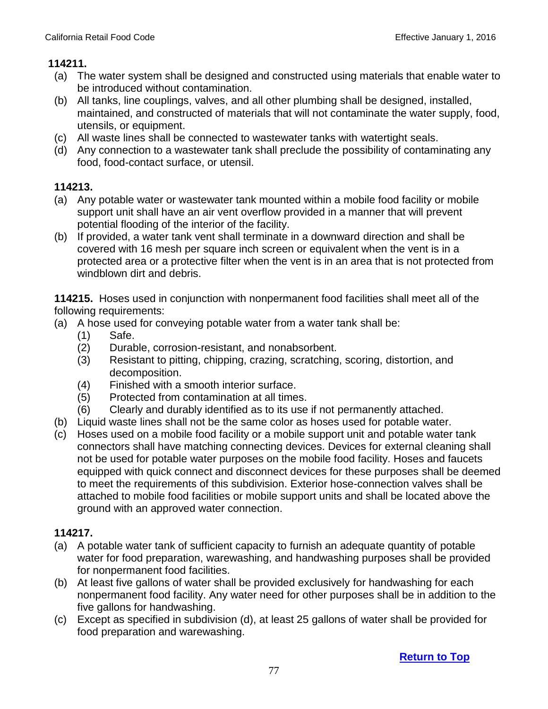- (a) The water system shall be designed and constructed using materials that enable water to be introduced without contamination.
- (b) All tanks, line couplings, valves, and all other plumbing shall be designed, installed, maintained, and constructed of materials that will not contaminate the water supply, food, utensils, or equipment.
- (c) All waste lines shall be connected to wastewater tanks with watertight seals.
- (d) Any connection to a wastewater tank shall preclude the possibility of contaminating any food, food-contact surface, or utensil.

# **114213.**

- (a) Any potable water or wastewater tank mounted within a mobile food facility or mobile support unit shall have an air vent overflow provided in a manner that will prevent potential flooding of the interior of the facility.
- (b) If provided, a water tank vent shall terminate in a downward direction and shall be covered with 16 mesh per square inch screen or equivalent when the vent is in a protected area or a protective filter when the vent is in an area that is not protected from windblown dirt and debris.

**114215.** Hoses used in conjunction with nonpermanent food facilities shall meet all of the following requirements:

- (a) A hose used for conveying potable water from a water tank shall be:
	- (1) Safe.
	- (2) Durable, corrosion-resistant, and nonabsorbent.
	- (3) Resistant to pitting, chipping, crazing, scratching, scoring, distortion, and decomposition.
	- (4) Finished with a smooth interior surface.
	- (5) Protected from contamination at all times.
	- (6) Clearly and durably identified as to its use if not permanently attached.
- (b) Liquid waste lines shall not be the same color as hoses used for potable water.
- (c) Hoses used on a mobile food facility or a mobile support unit and potable water tank connectors shall have matching connecting devices. Devices for external cleaning shall not be used for potable water purposes on the mobile food facility. Hoses and faucets equipped with quick connect and disconnect devices for these purposes shall be deemed to meet the requirements of this subdivision. Exterior hose-connection valves shall be attached to mobile food facilities or mobile support units and shall be located above the ground with an approved water connection.

- (a) A potable water tank of sufficient capacity to furnish an adequate quantity of potable water for food preparation, warewashing, and handwashing purposes shall be provided for nonpermanent food facilities.
- (b) At least five gallons of water shall be provided exclusively for handwashing for each nonpermanent food facility. Any water need for other purposes shall be in addition to the five gallons for handwashing.
- (c) Except as specified in subdivision (d), at least 25 gallons of water shall be provided for food preparation and warewashing.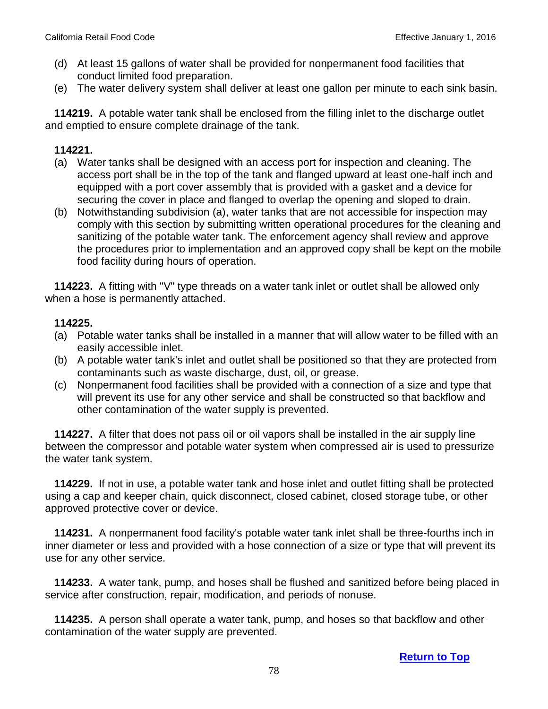- (d) At least 15 gallons of water shall be provided for nonpermanent food facilities that conduct limited food preparation.
- (e) The water delivery system shall deliver at least one gallon per minute to each sink basin.

 **114219.** A potable water tank shall be enclosed from the filling inlet to the discharge outlet and emptied to ensure complete drainage of the tank.

#### **114221.**

- (a) Water tanks shall be designed with an access port for inspection and cleaning. The access port shall be in the top of the tank and flanged upward at least one-half inch and equipped with a port cover assembly that is provided with a gasket and a device for securing the cover in place and flanged to overlap the opening and sloped to drain.
- (b) Notwithstanding subdivision (a), water tanks that are not accessible for inspection may comply with this section by submitting written operational procedures for the cleaning and sanitizing of the potable water tank. The enforcement agency shall review and approve the procedures prior to implementation and an approved copy shall be kept on the mobile food facility during hours of operation.

 **114223.** A fitting with "V" type threads on a water tank inlet or outlet shall be allowed only when a hose is permanently attached.

#### **114225.**

- (a) Potable water tanks shall be installed in a manner that will allow water to be filled with an easily accessible inlet.
- (b) A potable water tank's inlet and outlet shall be positioned so that they are protected from contaminants such as waste discharge, dust, oil, or grease.
- (c) Nonpermanent food facilities shall be provided with a connection of a size and type that will prevent its use for any other service and shall be constructed so that backflow and other contamination of the water supply is prevented.

 **114227.** A filter that does not pass oil or oil vapors shall be installed in the air supply line between the compressor and potable water system when compressed air is used to pressurize the water tank system.

 **114229.** If not in use, a potable water tank and hose inlet and outlet fitting shall be protected using a cap and keeper chain, quick disconnect, closed cabinet, closed storage tube, or other approved protective cover or device.

 **114231.** A nonpermanent food facility's potable water tank inlet shall be three-fourths inch in inner diameter or less and provided with a hose connection of a size or type that will prevent its use for any other service.

 **114233.** A water tank, pump, and hoses shall be flushed and sanitized before being placed in service after construction, repair, modification, and periods of nonuse.

 **114235.** A person shall operate a water tank, pump, and hoses so that backflow and other contamination of the water supply are prevented.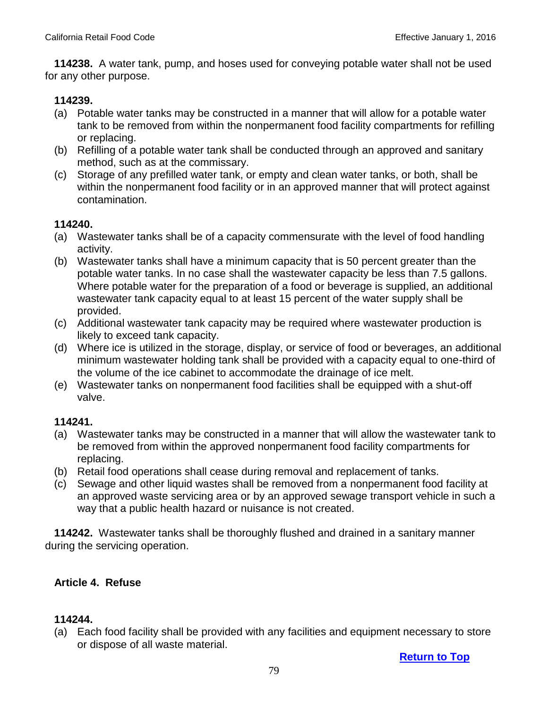**114238.** A water tank, pump, and hoses used for conveying potable water shall not be used for any other purpose.

#### **114239.**

- (a) Potable water tanks may be constructed in a manner that will allow for a potable water tank to be removed from within the nonpermanent food facility compartments for refilling or replacing.
- (b) Refilling of a potable water tank shall be conducted through an approved and sanitary method, such as at the commissary.
- (c) Storage of any prefilled water tank, or empty and clean water tanks, or both, shall be within the nonpermanent food facility or in an approved manner that will protect against contamination.

#### **114240.**

- (a) Wastewater tanks shall be of a capacity commensurate with the level of food handling activity.
- (b) Wastewater tanks shall have a minimum capacity that is 50 percent greater than the potable water tanks. In no case shall the wastewater capacity be less than 7.5 gallons. Where potable water for the preparation of a food or beverage is supplied, an additional wastewater tank capacity equal to at least 15 percent of the water supply shall be provided.
- (c) Additional wastewater tank capacity may be required where wastewater production is likely to exceed tank capacity.
- (d) Where ice is utilized in the storage, display, or service of food or beverages, an additional minimum wastewater holding tank shall be provided with a capacity equal to one-third of the volume of the ice cabinet to accommodate the drainage of ice melt.
- (e) Wastewater tanks on nonpermanent food facilities shall be equipped with a shut-off valve.

#### **114241.**

- (a) Wastewater tanks may be constructed in a manner that will allow the wastewater tank to be removed from within the approved nonpermanent food facility compartments for replacing.
- (b) Retail food operations shall cease during removal and replacement of tanks.
- (c) Sewage and other liquid wastes shall be removed from a nonpermanent food facility at an approved waste servicing area or by an approved sewage transport vehicle in such a way that a public health hazard or nuisance is not created.

 **114242.** Wastewater tanks shall be thoroughly flushed and drained in a sanitary manner during the servicing operation.

### **Article 4. Refuse**

#### **114244.**

 (a) Each food facility shall be provided with any facilities and equipment necessary to store or dispose of all waste material.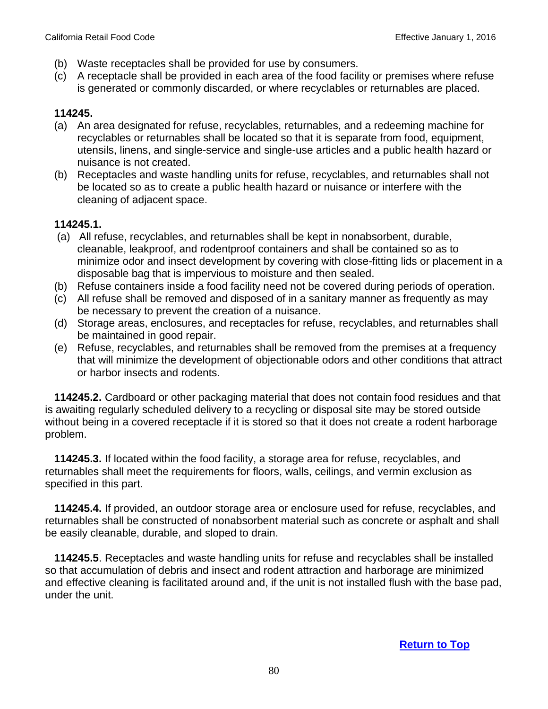- (b) Waste receptacles shall be provided for use by consumers.
- (c) A receptacle shall be provided in each area of the food facility or premises where refuse is generated or commonly discarded, or where recyclables or returnables are placed.

- (a) An area designated for refuse, recyclables, returnables, and a redeeming machine for recyclables or returnables shall be located so that it is separate from food, equipment, utensils, linens, and single-service and single-use articles and a public health hazard or nuisance is not created.
- (b) Receptacles and waste handling units for refuse, recyclables, and returnables shall not be located so as to create a public health hazard or nuisance or interfere with the cleaning of adjacent space.

#### **114245.1.**

- (a) All refuse, recyclables, and returnables shall be kept in nonabsorbent, durable, cleanable, leakproof, and rodentproof containers and shall be contained so as to minimize odor and insect development by covering with close-fitting lids or placement in a disposable bag that is impervious to moisture and then sealed.
- (b) Refuse containers inside a food facility need not be covered during periods of operation.
- (c) All refuse shall be removed and disposed of in a sanitary manner as frequently as may be necessary to prevent the creation of a nuisance.
- (d) Storage areas, enclosures, and receptacles for refuse, recyclables, and returnables shall be maintained in good repair.
- (e) Refuse, recyclables, and returnables shall be removed from the premises at a frequency that will minimize the development of objectionable odors and other conditions that attract or harbor insects and rodents.

 **114245.2.** Cardboard or other packaging material that does not contain food residues and that is awaiting regularly scheduled delivery to a recycling or disposal site may be stored outside without being in a covered receptacle if it is stored so that it does not create a rodent harborage problem.

 **114245.3.** If located within the food facility, a storage area for refuse, recyclables, and returnables shall meet the requirements for floors, walls, ceilings, and vermin exclusion as specified in this part.

 **114245.4.** If provided, an outdoor storage area or enclosure used for refuse, recyclables, and returnables shall be constructed of nonabsorbent material such as concrete or asphalt and shall be easily cleanable, durable, and sloped to drain.

 **114245.5**. Receptacles and waste handling units for refuse and recyclables shall be installed so that accumulation of debris and insect and rodent attraction and harborage are minimized and effective cleaning is facilitated around and, if the unit is not installed flush with the base pad, under the unit.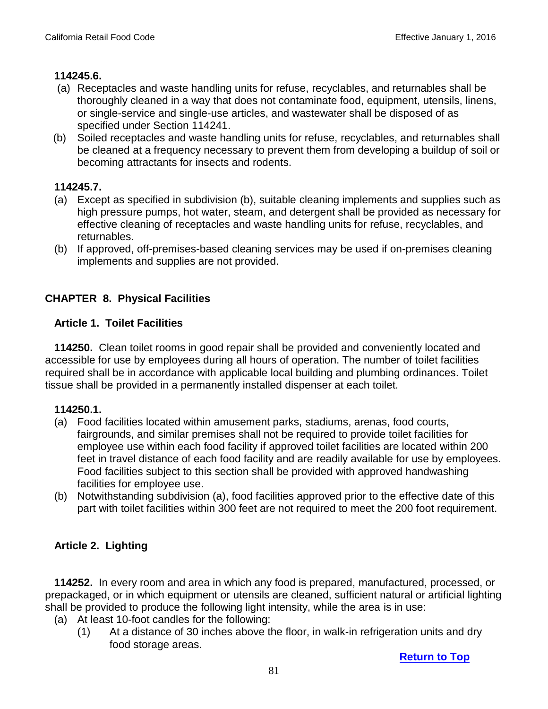### **114245.6.**

- (a) Receptacles and waste handling units for refuse, recyclables, and returnables shall be thoroughly cleaned in a way that does not contaminate food, equipment, utensils, linens, or single-service and single-use articles, and wastewater shall be disposed of as specified under Section 114241.
- (b) Soiled receptacles and waste handling units for refuse, recyclables, and returnables shall be cleaned at a frequency necessary to prevent them from developing a buildup of soil or becoming attractants for insects and rodents.

## **114245.7.**

- (a) Except as specified in subdivision (b), suitable cleaning implements and supplies such as high pressure pumps, hot water, steam, and detergent shall be provided as necessary for effective cleaning of receptacles and waste handling units for refuse, recyclables, and returnables.
- (b) If approved, off-premises-based cleaning services may be used if on-premises cleaning implements and supplies are not provided.

## **CHAPTER 8. Physical Facilities**

### **Article 1. Toilet Facilities**

 **114250.** Clean toilet rooms in good repair shall be provided and conveniently located and accessible for use by employees during all hours of operation. The number of toilet facilities required shall be in accordance with applicable local building and plumbing ordinances. Toilet tissue shall be provided in a permanently installed dispenser at each toilet.

### **114250.1.**

- (a) Food facilities located within amusement parks, stadiums, arenas, food courts, fairgrounds, and similar premises shall not be required to provide toilet facilities for employee use within each food facility if approved toilet facilities are located within 200 feet in travel distance of each food facility and are readily available for use by employees. Food facilities subject to this section shall be provided with approved handwashing facilities for employee use.
- (b) Notwithstanding subdivision (a), food facilities approved prior to the effective date of this part with toilet facilities within 300 feet are not required to meet the 200 foot requirement.

## **Article 2. Lighting**

 **114252.** In every room and area in which any food is prepared, manufactured, processed, or prepackaged, or in which equipment or utensils are cleaned, sufficient natural or artificial lighting shall be provided to produce the following light intensity, while the area is in use:

- (a) At least 10-foot candles for the following:
	- (1) At a distance of 30 inches above the floor, in walk-in refrigeration units and dry food storage areas.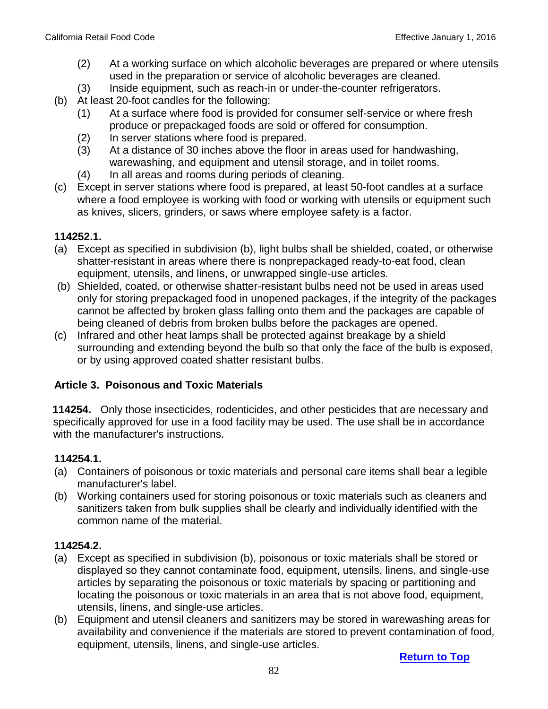- (2) At a working surface on which alcoholic beverages are prepared or where utensils used in the preparation or service of alcoholic beverages are cleaned.
- (3) Inside equipment, such as reach-in or under-the-counter refrigerators.
- (b) At least 20-foot candles for the following:
	- (1) At a surface where food is provided for consumer self-service or where fresh produce or prepackaged foods are sold or offered for consumption.
	- (2) In server stations where food is prepared.
	- (3) At a distance of 30 inches above the floor in areas used for handwashing, warewashing, and equipment and utensil storage, and in toilet rooms.
	- (4) In all areas and rooms during periods of cleaning.
- (c) Except in server stations where food is prepared, at least 50-foot candles at a surface where a food employee is working with food or working with utensils or equipment such as knives, slicers, grinders, or saws where employee safety is a factor.

#### **114252.1.**

- (a) Except as specified in subdivision (b), light bulbs shall be shielded, coated, or otherwise shatter-resistant in areas where there is nonprepackaged ready-to-eat food, clean equipment, utensils, and linens, or unwrapped single-use articles.
- (b) Shielded, coated, or otherwise shatter-resistant bulbs need not be used in areas used only for storing prepackaged food in unopened packages, if the integrity of the packages cannot be affected by broken glass falling onto them and the packages are capable of being cleaned of debris from broken bulbs before the packages are opened.
- (c) Infrared and other heat lamps shall be protected against breakage by a shield surrounding and extending beyond the bulb so that only the face of the bulb is exposed, or by using approved coated shatter resistant bulbs.

### **Article 3. Poisonous and Toxic Materials**

 **114254.** Only those insecticides, rodenticides, and other pesticides that are necessary and specifically approved for use in a food facility may be used. The use shall be in accordance with the manufacturer's instructions.

### **114254.1.**

- (a) Containers of poisonous or toxic materials and personal care items shall bear a legible manufacturer's label.
- (b) Working containers used for storing poisonous or toxic materials such as cleaners and sanitizers taken from bulk supplies shall be clearly and individually identified with the common name of the material.

### **114254.2.**

- (a) Except as specified in subdivision (b), poisonous or toxic materials shall be stored or displayed so they cannot contaminate food, equipment, utensils, linens, and single-use articles by separating the poisonous or toxic materials by spacing or partitioning and locating the poisonous or toxic materials in an area that is not above food, equipment, utensils, linens, and single-use articles.
- (b) Equipment and utensil cleaners and sanitizers may be stored in warewashing areas for availability and convenience if the materials are stored to prevent contamination of food, equipment, utensils, linens, and single-use articles.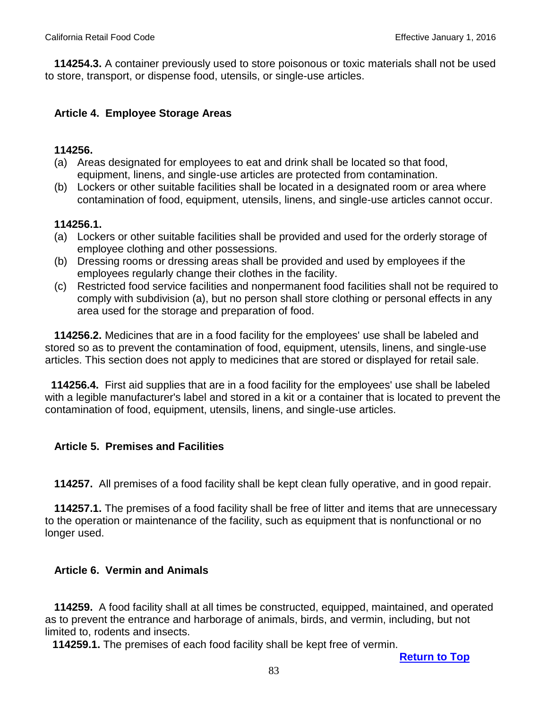**114254.3.** A container previously used to store poisonous or toxic materials shall not be used to store, transport, or dispense food, utensils, or single-use articles.

#### **Article 4. Employee Storage Areas**

#### **114256.**

- (a) Areas designated for employees to eat and drink shall be located so that food, equipment, linens, and single-use articles are protected from contamination.
- (b) Lockers or other suitable facilities shall be located in a designated room or area where contamination of food, equipment, utensils, linens, and single-use articles cannot occur.

#### **114256.1.**

- (a) Lockers or other suitable facilities shall be provided and used for the orderly storage of employee clothing and other possessions.
- (b) Dressing rooms or dressing areas shall be provided and used by employees if the employees regularly change their clothes in the facility.
- (c) Restricted food service facilities and nonpermanent food facilities shall not be required to comply with subdivision (a), but no person shall store clothing or personal effects in any area used for the storage and preparation of food.

 **114256.2.** Medicines that are in a food facility for the employees' use shall be labeled and stored so as to prevent the contamination of food, equipment, utensils, linens, and single-use articles. This section does not apply to medicines that are stored or displayed for retail sale.

**114256.4.** First aid supplies that are in a food facility for the employees' use shall be labeled with a legible manufacturer's label and stored in a kit or a container that is located to prevent the contamination of food, equipment, utensils, linens, and single-use articles.

### **Article 5. Premises and Facilities**

 **114257.** All premises of a food facility shall be kept clean fully operative, and in good repair.

 **114257.1.** The premises of a food facility shall be free of litter and items that are unnecessary to the operation or maintenance of the facility, such as equipment that is nonfunctional or no longer used.

### **Article 6. Vermin and Animals**

 **114259.** A food facility shall at all times be constructed, equipped, maintained, and operated as to prevent the entrance and harborage of animals, birds, and vermin, including, but not limited to, rodents and insects.

 **114259.1.** The premises of each food facility shall be kept free of vermin.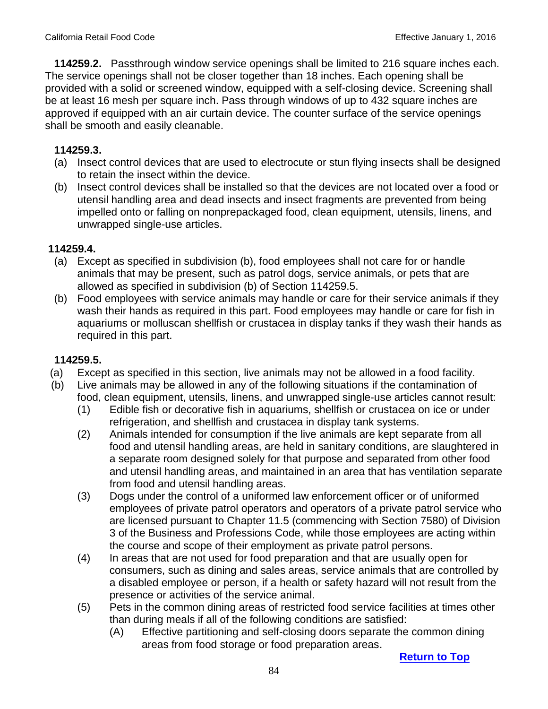**114259.2.** Passthrough window service openings shall be limited to 216 square inches each. The service openings shall not be closer together than 18 inches. Each opening shall be provided with a solid or screened window, equipped with a self-closing device. Screening shall be at least 16 mesh per square inch. Pass through windows of up to 432 square inches are approved if equipped with an air curtain device. The counter surface of the service openings shall be smooth and easily cleanable.

## **114259.3.**

- (a) Insect control devices that are used to electrocute or stun flying insects shall be designed to retain the insect within the device.
- (b) Insect control devices shall be installed so that the devices are not located over a food or utensil handling area and dead insects and insect fragments are prevented from being impelled onto or falling on nonprepackaged food, clean equipment, utensils, linens, and unwrapped single-use articles.

### **114259.4.**

- (a) Except as specified in subdivision (b), food employees shall not care for or handle animals that may be present, such as patrol dogs, service animals, or pets that are allowed as specified in subdivision (b) of Section 114259.5.
- (b) Food employees with service animals may handle or care for their service animals if they wash their hands as required in this part. Food employees may handle or care for fish in aquariums or molluscan shellfish or crustacea in display tanks if they wash their hands as required in this part.

## **114259.5.**

- (a) Except as specified in this section, live animals may not be allowed in a food facility.
- (b) Live animals may be allowed in any of the following situations if the contamination of food, clean equipment, utensils, linens, and unwrapped single-use articles cannot result:
	- (1) Edible fish or decorative fish in aquariums, shellfish or crustacea on ice or under refrigeration, and shellfish and crustacea in display tank systems.
	- (2) Animals intended for consumption if the live animals are kept separate from all food and utensil handling areas, are held in sanitary conditions, are slaughtered in a separate room designed solely for that purpose and separated from other food and utensil handling areas, and maintained in an area that has ventilation separate from food and utensil handling areas.
	- (3) Dogs under the control of a uniformed law enforcement officer or of uniformed employees of private patrol operators and operators of a private patrol service who are licensed pursuant to Chapter 11.5 (commencing with Section 7580) of Division 3 of the Business and Professions Code, while those employees are acting within the course and scope of their employment as private patrol persons.
	- (4) In areas that are not used for food preparation and that are usually open for consumers, such as dining and sales areas, service animals that are controlled by a disabled employee or person, if a health or safety hazard will not result from the presence or activities of the service animal.
	- (5) Pets in the common dining areas of restricted food service facilities at times other than during meals if all of the following conditions are satisfied:
		- (A) Effective partitioning and self-closing doors separate the common dining areas from food storage or food preparation areas.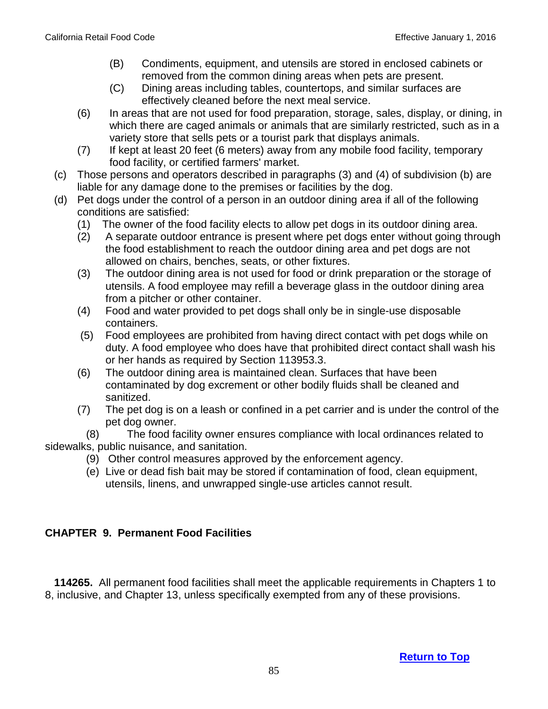- (B) Condiments, equipment, and utensils are stored in enclosed cabinets or removed from the common dining areas when pets are present.
- (C) Dining areas including tables, countertops, and similar surfaces are effectively cleaned before the next meal service.
- (6) In areas that are not used for food preparation, storage, sales, display, or dining, in which there are caged animals or animals that are similarly restricted, such as in a variety store that sells pets or a tourist park that displays animals.
- (7) If kept at least 20 feet (6 meters) away from any mobile food facility, temporary food facility, or certified farmers' market.
- (c) Those persons and operators described in paragraphs (3) and (4) of subdivision (b) are liable for any damage done to the premises or facilities by the dog.
- (d) Pet dogs under the control of a person in an outdoor dining area if all of the following conditions are satisfied:
	- (1) The owner of the food facility elects to allow pet dogs in its outdoor dining area.
	- (2) A separate outdoor entrance is present where pet dogs enter without going through the food establishment to reach the outdoor dining area and pet dogs are not allowed on chairs, benches, seats, or other fixtures.
	- (3) The outdoor dining area is not used for food or drink preparation or the storage of utensils. A food employee may refill a beverage glass in the outdoor dining area from a pitcher or other container.
	- (4) Food and water provided to pet dogs shall only be in single-use disposable containers.
	- (5) Food employees are prohibited from having direct contact with pet dogs while on duty. A food employee who does have that prohibited direct contact shall wash his or her hands as required by Section 113953.3.
	- (6) The outdoor dining area is maintained clean. Surfaces that have been contaminated by dog excrement or other bodily fluids shall be cleaned and sanitized.
	- (7) The pet dog is on a leash or confined in a pet carrier and is under the control of the pet dog owner.

(8) The food facility owner ensures compliance with local ordinances related to sidewalks, public nuisance, and sanitation.

- (9) Other control measures approved by the enforcement agency.
- (e) Live or dead fish bait may be stored if contamination of food, clean equipment, utensils, linens, and unwrapped single-use articles cannot result.

# **CHAPTER 9. Permanent Food Facilities**

 **114265.** All permanent food facilities shall meet the applicable requirements in Chapters 1 to 8, inclusive, and Chapter 13, unless specifically exempted from any of these provisions.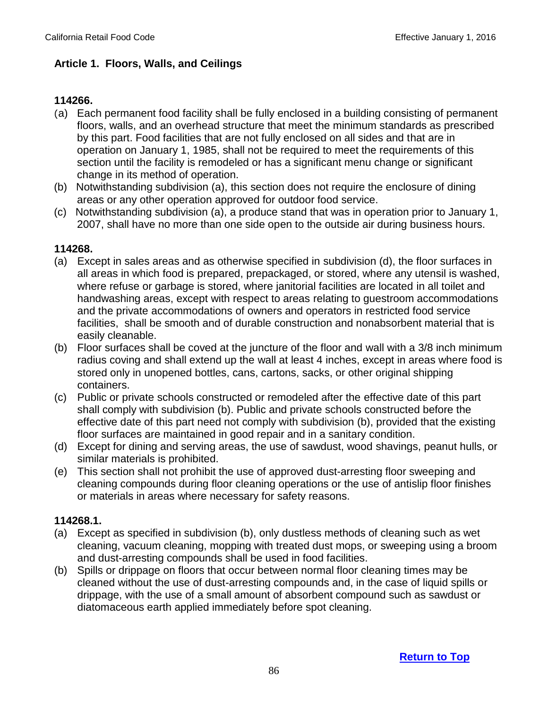## **Article 1. Floors, Walls, and Ceilings**

### **114266.**

- (a) Each permanent food facility shall be fully enclosed in a building consisting of permanent floors, walls, and an overhead structure that meet the minimum standards as prescribed by this part. Food facilities that are not fully enclosed on all sides and that are in operation on January 1, 1985, shall not be required to meet the requirements of this section until the facility is remodeled or has a significant menu change or significant change in its method of operation.
- (b) Notwithstanding subdivision (a), this section does not require the enclosure of dining areas or any other operation approved for outdoor food service.
- (c) Notwithstanding subdivision (a), a produce stand that was in operation prior to January 1, 2007, shall have no more than one side open to the outside air during business hours.

#### **114268.**

- (a) Except in sales areas and as otherwise specified in subdivision (d), the floor surfaces in all areas in which food is prepared, prepackaged, or stored, where any utensil is washed, where refuse or garbage is stored, where janitorial facilities are located in all toilet and handwashing areas, except with respect to areas relating to guestroom accommodations and the private accommodations of owners and operators in restricted food service facilities, shall be smooth and of durable construction and nonabsorbent material that is easily cleanable.
- (b) Floor surfaces shall be coved at the juncture of the floor and wall with a 3/8 inch minimum radius coving and shall extend up the wall at least 4 inches, except in areas where food is stored only in unopened bottles, cans, cartons, sacks, or other original shipping containers.
- (c) Public or private schools constructed or remodeled after the effective date of this part shall comply with subdivision (b). Public and private schools constructed before the effective date of this part need not comply with subdivision (b), provided that the existing floor surfaces are maintained in good repair and in a sanitary condition.
- (d) Except for dining and serving areas, the use of sawdust, wood shavings, peanut hulls, or similar materials is prohibited.
- (e) This section shall not prohibit the use of approved dust-arresting floor sweeping and cleaning compounds during floor cleaning operations or the use of antislip floor finishes or materials in areas where necessary for safety reasons.

### **114268.1.**

- (a) Except as specified in subdivision (b), only dustless methods of cleaning such as wet cleaning, vacuum cleaning, mopping with treated dust mops, or sweeping using a broom and dust-arresting compounds shall be used in food facilities.
- (b) Spills or drippage on floors that occur between normal floor cleaning times may be cleaned without the use of dust-arresting compounds and, in the case of liquid spills or drippage, with the use of a small amount of absorbent compound such as sawdust or diatomaceous earth applied immediately before spot cleaning.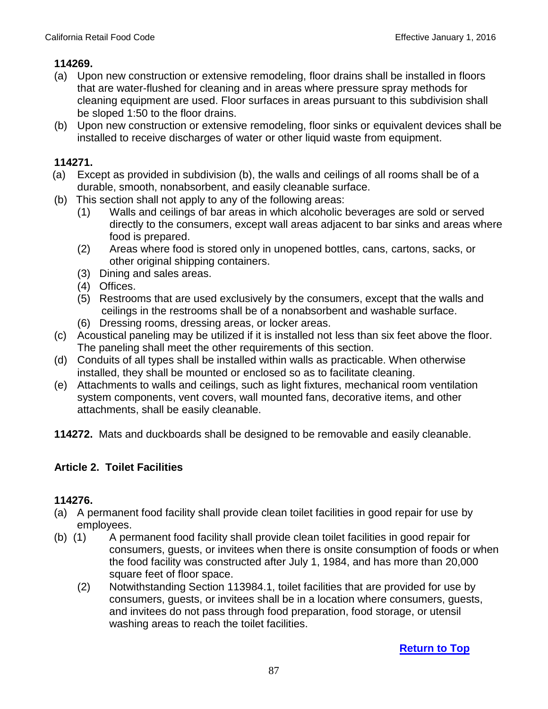- (a) Upon new construction or extensive remodeling, floor drains shall be installed in floors that are water-flushed for cleaning and in areas where pressure spray methods for cleaning equipment are used. Floor surfaces in areas pursuant to this subdivision shall be sloped 1:50 to the floor drains.
- (b) Upon new construction or extensive remodeling, floor sinks or equivalent devices shall be installed to receive discharges of water or other liquid waste from equipment.

## **114271.**

- (a) Except as provided in subdivision (b), the walls and ceilings of all rooms shall be of a durable, smooth, nonabsorbent, and easily cleanable surface.
- (b) This section shall not apply to any of the following areas:
	- (1) Walls and ceilings of bar areas in which alcoholic beverages are sold or served directly to the consumers, except wall areas adjacent to bar sinks and areas where food is prepared.
	- (2) Areas where food is stored only in unopened bottles, cans, cartons, sacks, or other original shipping containers.
	- (3) Dining and sales areas.
	- (4) Offices.
	- (5) Restrooms that are used exclusively by the consumers, except that the walls and ceilings in the restrooms shall be of a nonabsorbent and washable surface.
	- (6) Dressing rooms, dressing areas, or locker areas.
- (c) Acoustical paneling may be utilized if it is installed not less than six feet above the floor. The paneling shall meet the other requirements of this section.
- (d) Conduits of all types shall be installed within walls as practicable. When otherwise installed, they shall be mounted or enclosed so as to facilitate cleaning.
- (e) Attachments to walls and ceilings, such as light fixtures, mechanical room ventilation system components, vent covers, wall mounted fans, decorative items, and other attachments, shall be easily cleanable.
- **114272.** Mats and duckboards shall be designed to be removable and easily cleanable.

## **Article 2. Toilet Facilities**

- (a) A permanent food facility shall provide clean toilet facilities in good repair for use by employees.
- (b) (1) A permanent food facility shall provide clean toilet facilities in good repair for consumers, guests, or invitees when there is onsite consumption of foods or when the food facility was constructed after July 1, 1984, and has more than 20,000 square feet of floor space.
	- (2) Notwithstanding Section 113984.1, toilet facilities that are provided for use by consumers, guests, or invitees shall be in a location where consumers, guests, and invitees do not pass through food preparation, food storage, or utensil washing areas to reach the toilet facilities.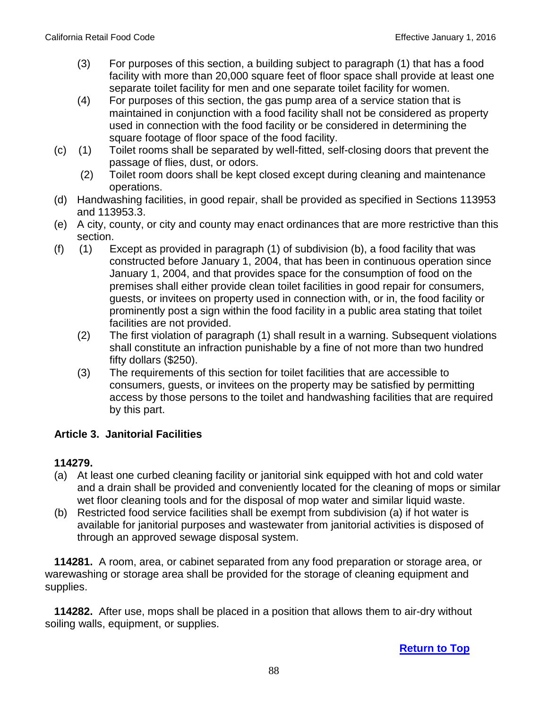- (3) For purposes of this section, a building subject to paragraph (1) that has a food facility with more than 20,000 square feet of floor space shall provide at least one separate toilet facility for men and one separate toilet facility for women.
- (4) For purposes of this section, the gas pump area of a service station that is maintained in conjunction with a food facility shall not be considered as property used in connection with the food facility or be considered in determining the square footage of floor space of the food facility.
- (c) (1) Toilet rooms shall be separated by well-fitted, self-closing doors that prevent the passage of flies, dust, or odors.
	- (2) Toilet room doors shall be kept closed except during cleaning and maintenance operations.
- (d) Handwashing facilities, in good repair, shall be provided as specified in Sections 113953 and 113953.3.
- (e) A city, county, or city and county may enact ordinances that are more restrictive than this section.
- (f) (1) Except as provided in paragraph (1) of subdivision (b), a food facility that was constructed before January 1, 2004, that has been in continuous operation since January 1, 2004, and that provides space for the consumption of food on the premises shall either provide clean toilet facilities in good repair for consumers, guests, or invitees on property used in connection with, or in, the food facility or prominently post a sign within the food facility in a public area stating that toilet facilities are not provided.
	- (2) The first violation of paragraph (1) shall result in a warning. Subsequent violations shall constitute an infraction punishable by a fine of not more than two hundred fifty dollars (\$250).
	- (3) The requirements of this section for toilet facilities that are accessible to consumers, guests, or invitees on the property may be satisfied by permitting access by those persons to the toilet and handwashing facilities that are required by this part.

## **Article 3. Janitorial Facilities**

## **114279.**

- (a) At least one curbed cleaning facility or janitorial sink equipped with hot and cold water and a drain shall be provided and conveniently located for the cleaning of mops or similar wet floor cleaning tools and for the disposal of mop water and similar liquid waste.
- (b) Restricted food service facilities shall be exempt from subdivision (a) if hot water is available for janitorial purposes and wastewater from janitorial activities is disposed of through an approved sewage disposal system.

 **114281.** A room, area, or cabinet separated from any food preparation or storage area, or warewashing or storage area shall be provided for the storage of cleaning equipment and supplies.

 **114282.** After use, mops shall be placed in a position that allows them to air-dry without soiling walls, equipment, or supplies.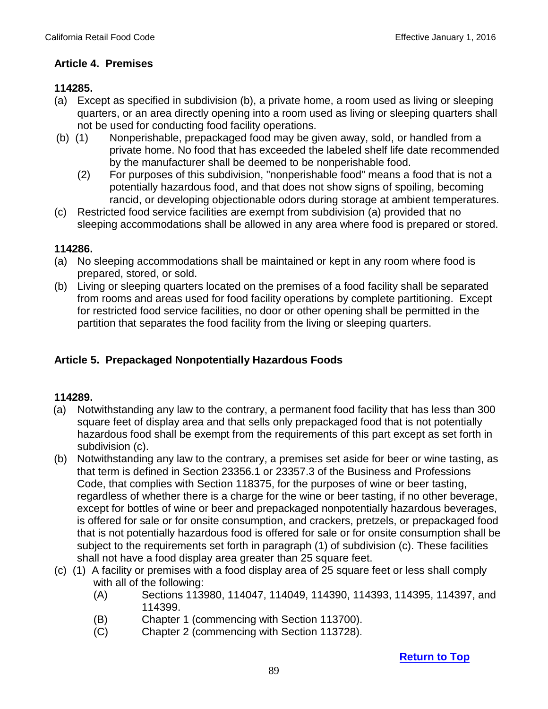## **Article 4. Premises**

## **114285.**

- (a) Except as specified in subdivision (b), a private home, a room used as living or sleeping quarters, or an area directly opening into a room used as living or sleeping quarters shall not be used for conducting food facility operations.
- (b) (1) Nonperishable, prepackaged food may be given away, sold, or handled from a private home. No food that has exceeded the labeled shelf life date recommended by the manufacturer shall be deemed to be nonperishable food.
	- (2) For purposes of this subdivision, "nonperishable food" means a food that is not a potentially hazardous food, and that does not show signs of spoiling, becoming rancid, or developing objectionable odors during storage at ambient temperatures.
- (c) Restricted food service facilities are exempt from subdivision (a) provided that no sleeping accommodations shall be allowed in any area where food is prepared or stored.

## **114286.**

- (a) No sleeping accommodations shall be maintained or kept in any room where food is prepared, stored, or sold.
- (b) Living or sleeping quarters located on the premises of a food facility shall be separated from rooms and areas used for food facility operations by complete partitioning. Except for restricted food service facilities, no door or other opening shall be permitted in the partition that separates the food facility from the living or sleeping quarters.

## **Article 5. Prepackaged Nonpotentially Hazardous Foods**

- (a) Notwithstanding any law to the contrary, a permanent food facility that has less than 300 square feet of display area and that sells only prepackaged food that is not potentially hazardous food shall be exempt from the requirements of this part except as set forth in subdivision (c).
- (b) Notwithstanding any law to the contrary, a premises set aside for beer or wine tasting, as that term is defined in Section 23356.1 or 23357.3 of the Business and Professions Code, that complies with Section 118375, for the purposes of wine or beer tasting, regardless of whether there is a charge for the wine or beer tasting, if no other beverage, except for bottles of wine or beer and prepackaged nonpotentially hazardous beverages, is offered for sale or for onsite consumption, and crackers, pretzels, or prepackaged food that is not potentially hazardous food is offered for sale or for onsite consumption shall be subject to the requirements set forth in paragraph (1) of subdivision (c). These facilities shall not have a food display area greater than 25 square feet.
- (c) (1) A facility or premises with a food display area of 25 square feet or less shall comply with all of the following:
	- (A) Sections 113980, 114047, 114049, 114390, 114393, 114395, 114397, and 114399.
	- (B) Chapter 1 (commencing with Section 113700).
	- (C) Chapter 2 (commencing with Section 113728).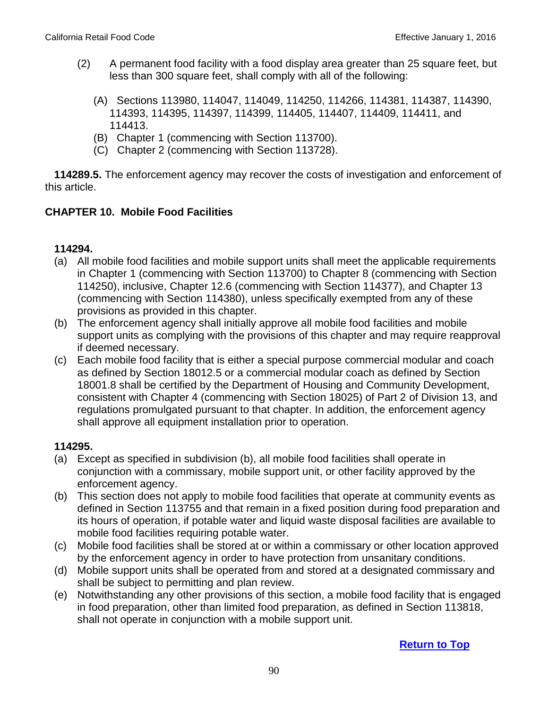- (2) A permanent food facility with a food display area greater than 25 square feet, but less than 300 square feet, shall comply with all of the following:
	- (A) Sections 113980, 114047, 114049, 114250, 114266, 114381, 114387, 114390, 114393, 114395, 114397, 114399, 114405, 114407, 114409, 114411, and 114413.
	- (B) Chapter 1 (commencing with Section 113700).
	- (C) Chapter 2 (commencing with Section 113728).

 **114289.5.** The enforcement agency may recover the costs of investigation and enforcement of this article.

## **CHAPTER 10. Mobile Food Facilities**

#### **114294.**

- (a) All mobile food facilities and mobile support units shall meet the applicable requirements in Chapter 1 (commencing with Section 113700) to Chapter 8 (commencing with Section 114250), inclusive, Chapter 12.6 (commencing with Section 114377), and Chapter 13 (commencing with Section 114380), unless specifically exempted from any of these provisions as provided in this chapter.
- (b) The enforcement agency shall initially approve all mobile food facilities and mobile support units as complying with the provisions of this chapter and may require reapproval if deemed necessary.
- (c) Each mobile food facility that is either a special purpose commercial modular and coach as defined by Section 18012.5 or a commercial modular coach as defined by Section 18001.8 shall be certified by the Department of Housing and Community Development, consistent with Chapter 4 (commencing with Section 18025) of Part 2 of Division 13, and regulations promulgated pursuant to that chapter. In addition, the enforcement agency shall approve all equipment installation prior to operation.

### **114295.**

- (a) Except as specified in subdivision (b), all mobile food facilities shall operate in conjunction with a commissary, mobile support unit, or other facility approved by the enforcement agency.
- (b) This section does not apply to mobile food facilities that operate at community events as defined in Section 113755 and that remain in a fixed position during food preparation and its hours of operation, if potable water and liquid waste disposal facilities are available to mobile food facilities requiring potable water.
- (c) Mobile food facilities shall be stored at or within a commissary or other location approved by the enforcement agency in order to have protection from unsanitary conditions.
- (d) Mobile support units shall be operated from and stored at a designated commissary and shall be subject to permitting and plan review.
- (e) Notwithstanding any other provisions of this section, a mobile food facility that is engaged in food preparation, other than limited food preparation, as defined in Section 113818, shall not operate in conjunction with a mobile support unit.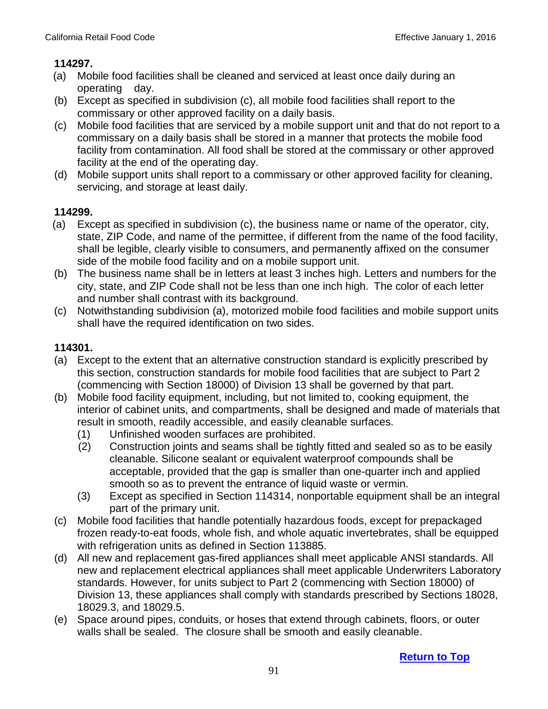- (a) Mobile food facilities shall be cleaned and serviced at least once daily during an operating day.
- (b) Except as specified in subdivision (c), all mobile food facilities shall report to the commissary or other approved facility on a daily basis.
- (c) Mobile food facilities that are serviced by a mobile support unit and that do not report to a commissary on a daily basis shall be stored in a manner that protects the mobile food facility from contamination. All food shall be stored at the commissary or other approved facility at the end of the operating day.
- (d) Mobile support units shall report to a commissary or other approved facility for cleaning, servicing, and storage at least daily.

# **114299.**

- (a) Except as specified in subdivision (c), the business name or name of the operator, city, state, ZIP Code, and name of the permittee, if different from the name of the food facility, shall be legible, clearly visible to consumers, and permanently affixed on the consumer side of the mobile food facility and on a mobile support unit.
- (b) The business name shall be in letters at least 3 inches high. Letters and numbers for the city, state, and ZIP Code shall not be less than one inch high. The color of each letter and number shall contrast with its background.
- (c) Notwithstanding subdivision (a), motorized mobile food facilities and mobile support units shall have the required identification on two sides.

- (a) Except to the extent that an alternative construction standard is explicitly prescribed by this section, construction standards for mobile food facilities that are subject to Part 2 (commencing with Section 18000) of Division 13 shall be governed by that part.
- (b) Mobile food facility equipment, including, but not limited to, cooking equipment, the interior of cabinet units, and compartments, shall be designed and made of materials that result in smooth, readily accessible, and easily cleanable surfaces.
	- (1) Unfinished wooden surfaces are prohibited.
	- (2) Construction joints and seams shall be tightly fitted and sealed so as to be easily cleanable. Silicone sealant or equivalent waterproof compounds shall be acceptable, provided that the gap is smaller than one-quarter inch and applied smooth so as to prevent the entrance of liquid waste or vermin.
	- (3) Except as specified in Section 114314, nonportable equipment shall be an integral part of the primary unit.
- (c) Mobile food facilities that handle potentially hazardous foods, except for prepackaged frozen ready-to-eat foods, whole fish, and whole aquatic invertebrates, shall be equipped with refrigeration units as defined in Section 113885.
- (d) All new and replacement gas-fired appliances shall meet applicable ANSI standards. All new and replacement electrical appliances shall meet applicable Underwriters Laboratory standards. However, for units subject to Part 2 (commencing with Section 18000) of Division 13, these appliances shall comply with standards prescribed by Sections 18028, 18029.3, and 18029.5.
- (e) Space around pipes, conduits, or hoses that extend through cabinets, floors, or outer walls shall be sealed. The closure shall be smooth and easily cleanable.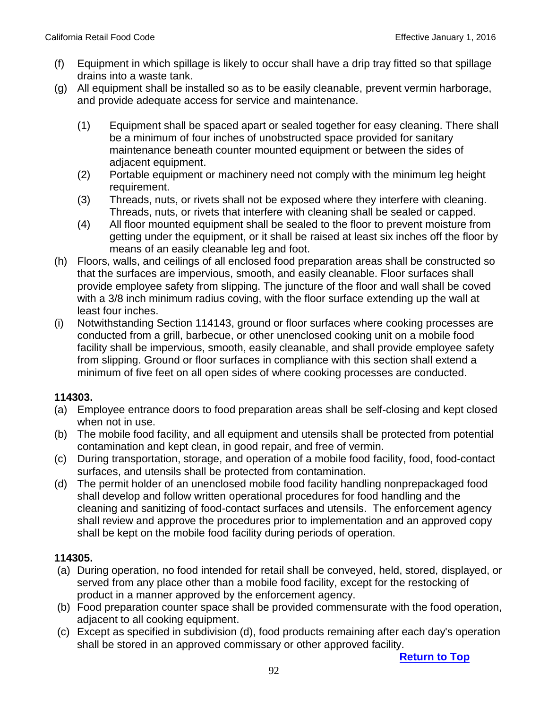- (f) Equipment in which spillage is likely to occur shall have a drip tray fitted so that spillage drains into a waste tank.
- (g) All equipment shall be installed so as to be easily cleanable, prevent vermin harborage, and provide adequate access for service and maintenance.
	- (1) Equipment shall be spaced apart or sealed together for easy cleaning. There shall be a minimum of four inches of unobstructed space provided for sanitary maintenance beneath counter mounted equipment or between the sides of adjacent equipment.
	- (2) Portable equipment or machinery need not comply with the minimum leg height requirement.
	- (3) Threads, nuts, or rivets shall not be exposed where they interfere with cleaning. Threads, nuts, or rivets that interfere with cleaning shall be sealed or capped.
	- (4) All floor mounted equipment shall be sealed to the floor to prevent moisture from getting under the equipment, or it shall be raised at least six inches off the floor by means of an easily cleanable leg and foot.
- (h) Floors, walls, and ceilings of all enclosed food preparation areas shall be constructed so that the surfaces are impervious, smooth, and easily cleanable. Floor surfaces shall provide employee safety from slipping. The juncture of the floor and wall shall be coved with a 3/8 inch minimum radius coving, with the floor surface extending up the wall at least four inches.
- (i) Notwithstanding Section 114143, ground or floor surfaces where cooking processes are conducted from a grill, barbecue, or other unenclosed cooking unit on a mobile food facility shall be impervious, smooth, easily cleanable, and shall provide employee safety from slipping. Ground or floor surfaces in compliance with this section shall extend a minimum of five feet on all open sides of where cooking processes are conducted.

- (a) Employee entrance doors to food preparation areas shall be self-closing and kept closed when not in use.
- (b) The mobile food facility, and all equipment and utensils shall be protected from potential contamination and kept clean, in good repair, and free of vermin.
- (c) During transportation, storage, and operation of a mobile food facility, food, food-contact surfaces, and utensils shall be protected from contamination.
- (d) The permit holder of an unenclosed mobile food facility handling nonprepackaged food shall develop and follow written operational procedures for food handling and the cleaning and sanitizing of food-contact surfaces and utensils. The enforcement agency shall review and approve the procedures prior to implementation and an approved copy shall be kept on the mobile food facility during periods of operation.

## **114305.**

- (a) During operation, no food intended for retail shall be conveyed, held, stored, displayed, or served from any place other than a mobile food facility, except for the restocking of product in a manner approved by the enforcement agency.
- (b) Food preparation counter space shall be provided commensurate with the food operation, adjacent to all cooking equipment.
- (c) Except as specified in subdivision (d), food products remaining after each day's operation shall be stored in an approved commissary or other approved facility.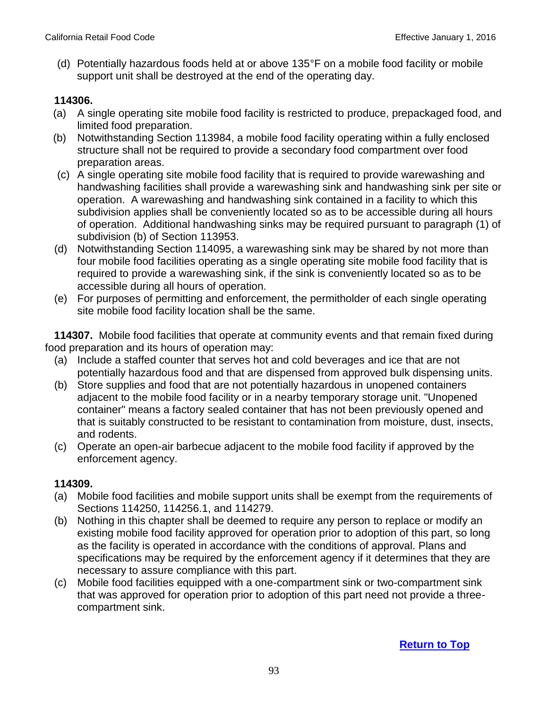(d) Potentially hazardous foods held at or above 135°F on a mobile food facility or mobile support unit shall be destroyed at the end of the operating day.

## **114306.**

- (a) A single operating site mobile food facility is restricted to produce, prepackaged food, and limited food preparation.
- (b) Notwithstanding Section 113984, a mobile food facility operating within a fully enclosed structure shall not be required to provide a secondary food compartment over food preparation areas.
- (c) A single operating site mobile food facility that is required to provide warewashing and handwashing facilities shall provide a warewashing sink and handwashing sink per site or operation. A warewashing and handwashing sink contained in a facility to which this subdivision applies shall be conveniently located so as to be accessible during all hours of operation. Additional handwashing sinks may be required pursuant to paragraph (1) of subdivision (b) of Section 113953.
- (d) Notwithstanding Section 114095, a warewashing sink may be shared by not more than four mobile food facilities operating as a single operating site mobile food facility that is required to provide a warewashing sink, if the sink is conveniently located so as to be accessible during all hours of operation.
- (e) For purposes of permitting and enforcement, the permitholder of each single operating site mobile food facility location shall be the same.

 **114307.** Mobile food facilities that operate at community events and that remain fixed during food preparation and its hours of operation may:

- (a) Include a staffed counter that serves hot and cold beverages and ice that are not potentially hazardous food and that are dispensed from approved bulk dispensing units.
- (b) Store supplies and food that are not potentially hazardous in unopened containers adjacent to the mobile food facility or in a nearby temporary storage unit. "Unopened container" means a factory sealed container that has not been previously opened and that is suitably constructed to be resistant to contamination from moisture, dust, insects, and rodents.
- (c) Operate an open-air barbecue adjacent to the mobile food facility if approved by the enforcement agency.

- (a) Mobile food facilities and mobile support units shall be exempt from the requirements of Sections 114250, 114256.1, and 114279.
- (b) Nothing in this chapter shall be deemed to require any person to replace or modify an existing mobile food facility approved for operation prior to adoption of this part, so long as the facility is operated in accordance with the conditions of approval. Plans and specifications may be required by the enforcement agency if it determines that they are necessary to assure compliance with this part.
- (c) Mobile food facilities equipped with a one-compartment sink or two-compartment sink that was approved for operation prior to adoption of this part need not provide a threecompartment sink.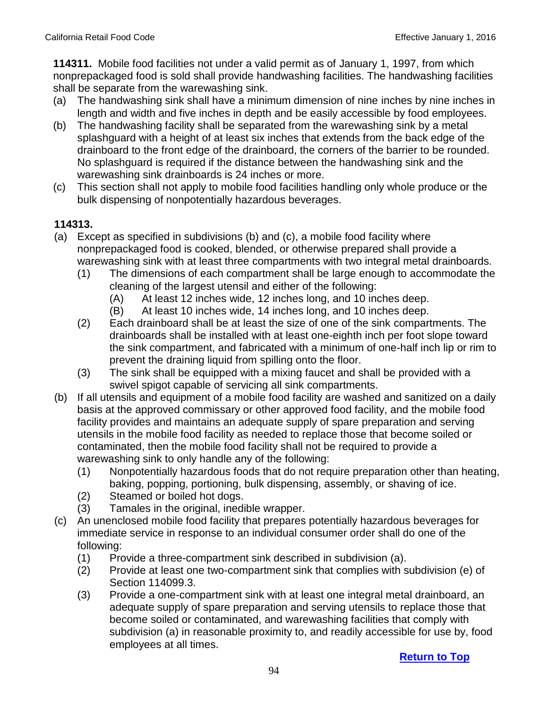**114311.** Mobile food facilities not under a valid permit as of January 1, 1997, from which nonprepackaged food is sold shall provide handwashing facilities. The handwashing facilities shall be separate from the warewashing sink.

- (a) The handwashing sink shall have a minimum dimension of nine inches by nine inches in length and width and five inches in depth and be easily accessible by food employees.
- (b) The handwashing facility shall be separated from the warewashing sink by a metal splashguard with a height of at least six inches that extends from the back edge of the drainboard to the front edge of the drainboard, the corners of the barrier to be rounded. No splashguard is required if the distance between the handwashing sink and the warewashing sink drainboards is 24 inches or more.
- (c) This section shall not apply to mobile food facilities handling only whole produce or the bulk dispensing of nonpotentially hazardous beverages.

- (a) Except as specified in subdivisions (b) and (c), a mobile food facility where nonprepackaged food is cooked, blended, or otherwise prepared shall provide a warewashing sink with at least three compartments with two integral metal drainboards.
	- (1) The dimensions of each compartment shall be large enough to accommodate the cleaning of the largest utensil and either of the following:
		- (A) At least 12 inches wide, 12 inches long, and 10 inches deep.
		- (B) At least 10 inches wide, 14 inches long, and 10 inches deep.
	- (2) Each drainboard shall be at least the size of one of the sink compartments. The drainboards shall be installed with at least one-eighth inch per foot slope toward the sink compartment, and fabricated with a minimum of one-half inch lip or rim to prevent the draining liquid from spilling onto the floor.
	- (3) The sink shall be equipped with a mixing faucet and shall be provided with a swivel spigot capable of servicing all sink compartments.
- (b) If all utensils and equipment of a mobile food facility are washed and sanitized on a daily basis at the approved commissary or other approved food facility, and the mobile food facility provides and maintains an adequate supply of spare preparation and serving utensils in the mobile food facility as needed to replace those that become soiled or contaminated, then the mobile food facility shall not be required to provide a warewashing sink to only handle any of the following:
	- (1) Nonpotentially hazardous foods that do not require preparation other than heating, baking, popping, portioning, bulk dispensing, assembly, or shaving of ice.
	- (2) Steamed or boiled hot dogs.
	- (3) Tamales in the original, inedible wrapper.
- (c) An unenclosed mobile food facility that prepares potentially hazardous beverages for immediate service in response to an individual consumer order shall do one of the following:
	- (1) Provide a three-compartment sink described in subdivision (a).
	- (2) Provide at least one two-compartment sink that complies with subdivision (e) of Section 114099.3.
	- (3) Provide a one-compartment sink with at least one integral metal drainboard, an adequate supply of spare preparation and serving utensils to replace those that become soiled or contaminated, and warewashing facilities that comply with subdivision (a) in reasonable proximity to, and readily accessible for use by, food employees at all times.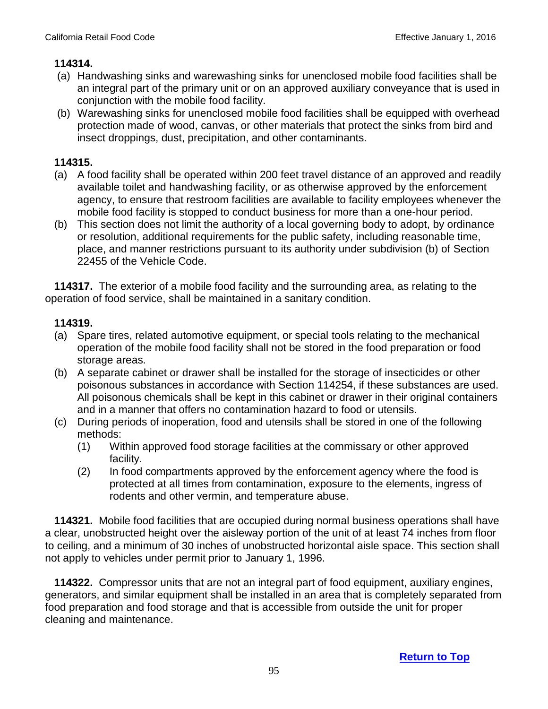- (a) Handwashing sinks and warewashing sinks for unenclosed mobile food facilities shall be an integral part of the primary unit or on an approved auxiliary conveyance that is used in conjunction with the mobile food facility.
- (b) Warewashing sinks for unenclosed mobile food facilities shall be equipped with overhead protection made of wood, canvas, or other materials that protect the sinks from bird and insect droppings, dust, precipitation, and other contaminants.

## **114315.**

- (a) A food facility shall be operated within 200 feet travel distance of an approved and readily available toilet and handwashing facility, or as otherwise approved by the enforcement agency, to ensure that restroom facilities are available to facility employees whenever the mobile food facility is stopped to conduct business for more than a one-hour period.
- (b) This section does not limit the authority of a local governing body to adopt, by ordinance or resolution, additional requirements for the public safety, including reasonable time, place, and manner restrictions pursuant to its authority under subdivision (b) of Section 22455 of the Vehicle Code.

**114317.** The exterior of a mobile food facility and the surrounding area, as relating to the operation of food service, shall be maintained in a sanitary condition.

## **114319.**

- (a) Spare tires, related automotive equipment, or special tools relating to the mechanical operation of the mobile food facility shall not be stored in the food preparation or food storage areas.
- (b) A separate cabinet or drawer shall be installed for the storage of insecticides or other poisonous substances in accordance with Section 114254, if these substances are used. All poisonous chemicals shall be kept in this cabinet or drawer in their original containers and in a manner that offers no contamination hazard to food or utensils.
- (c) During periods of inoperation, food and utensils shall be stored in one of the following methods:
	- (1) Within approved food storage facilities at the commissary or other approved facility.
	- (2) In food compartments approved by the enforcement agency where the food is protected at all times from contamination, exposure to the elements, ingress of rodents and other vermin, and temperature abuse.

 **114321.** Mobile food facilities that are occupied during normal business operations shall have a clear, unobstructed height over the aisleway portion of the unit of at least 74 inches from floor to ceiling, and a minimum of 30 inches of unobstructed horizontal aisle space. This section shall not apply to vehicles under permit prior to January 1, 1996.

 **114322.** Compressor units that are not an integral part of food equipment, auxiliary engines, generators, and similar equipment shall be installed in an area that is completely separated from food preparation and food storage and that is accessible from outside the unit for proper cleaning and maintenance.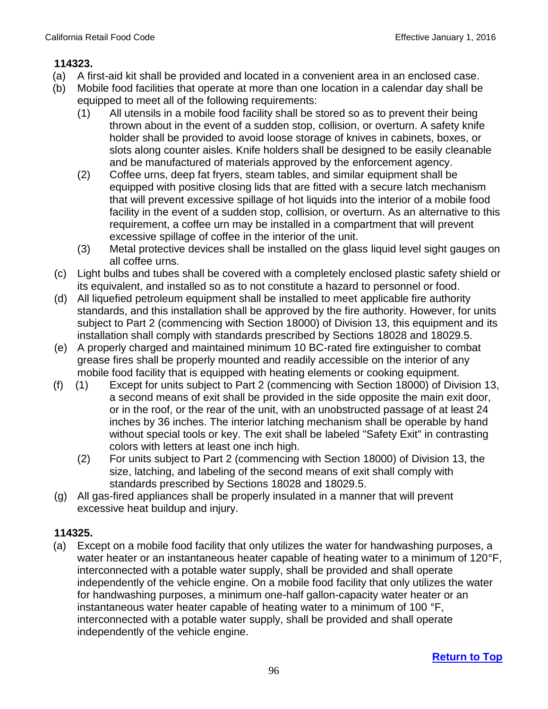- (a) A first-aid kit shall be provided and located in a convenient area in an enclosed case.
- (b) Mobile food facilities that operate at more than one location in a calendar day shall be equipped to meet all of the following requirements:
	- (1) All utensils in a mobile food facility shall be stored so as to prevent their being thrown about in the event of a sudden stop, collision, or overturn. A safety knife holder shall be provided to avoid loose storage of knives in cabinets, boxes, or slots along counter aisles. Knife holders shall be designed to be easily cleanable and be manufactured of materials approved by the enforcement agency.
	- (2) Coffee urns, deep fat fryers, steam tables, and similar equipment shall be equipped with positive closing lids that are fitted with a secure latch mechanism that will prevent excessive spillage of hot liquids into the interior of a mobile food facility in the event of a sudden stop, collision, or overturn. As an alternative to this requirement, a coffee urn may be installed in a compartment that will prevent excessive spillage of coffee in the interior of the unit.
	- (3) Metal protective devices shall be installed on the glass liquid level sight gauges on all coffee urns.
- (c) Light bulbs and tubes shall be covered with a completely enclosed plastic safety shield or its equivalent, and installed so as to not constitute a hazard to personnel or food.
- (d) All liquefied petroleum equipment shall be installed to meet applicable fire authority standards, and this installation shall be approved by the fire authority. However, for units subject to Part 2 (commencing with Section 18000) of Division 13, this equipment and its installation shall comply with standards prescribed by Sections 18028 and 18029.5.
- (e) A properly charged and maintained minimum 10 BC-rated fire extinguisher to combat grease fires shall be properly mounted and readily accessible on the interior of any mobile food facility that is equipped with heating elements or cooking equipment.
- (f) (1) Except for units subject to Part 2 (commencing with Section 18000) of Division 13, a second means of exit shall be provided in the side opposite the main exit door, or in the roof, or the rear of the unit, with an unobstructed passage of at least 24 inches by 36 inches. The interior latching mechanism shall be operable by hand without special tools or key. The exit shall be labeled "Safety Exit" in contrasting colors with letters at least one inch high.
	- (2) For units subject to Part 2 (commencing with Section 18000) of Division 13, the size, latching, and labeling of the second means of exit shall comply with standards prescribed by Sections 18028 and 18029.5.
- (g) All gas-fired appliances shall be properly insulated in a manner that will prevent excessive heat buildup and injury.

## **114325.**

(a) Except on a mobile food facility that only utilizes the water for handwashing purposes, a water heater or an instantaneous heater capable of heating water to a minimum of 120°F, interconnected with a potable water supply, shall be provided and shall operate independently of the vehicle engine. On a mobile food facility that only utilizes the water for handwashing purposes, a minimum one-half gallon-capacity water heater or an instantaneous water heater capable of heating water to a minimum of 100 °F, interconnected with a potable water supply, shall be provided and shall operate independently of the vehicle engine.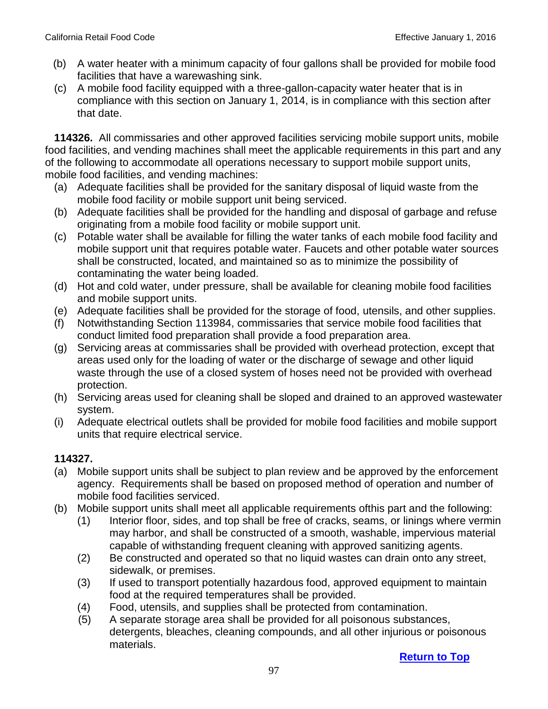- (b) A water heater with a minimum capacity of four gallons shall be provided for mobile food facilities that have a warewashing sink.
- (c) A mobile food facility equipped with a three-gallon-capacity water heater that is in compliance with this section on January 1, 2014, is in compliance with this section after that date.

 **114326.** All commissaries and other approved facilities servicing mobile support units, mobile food facilities, and vending machines shall meet the applicable requirements in this part and any of the following to accommodate all operations necessary to support mobile support units, mobile food facilities, and vending machines:

- (a) Adequate facilities shall be provided for the sanitary disposal of liquid waste from the mobile food facility or mobile support unit being serviced.
- (b) Adequate facilities shall be provided for the handling and disposal of garbage and refuse originating from a mobile food facility or mobile support unit.
- (c) Potable water shall be available for filling the water tanks of each mobile food facility and mobile support unit that requires potable water. Faucets and other potable water sources shall be constructed, located, and maintained so as to minimize the possibility of contaminating the water being loaded.
- (d) Hot and cold water, under pressure, shall be available for cleaning mobile food facilities and mobile support units.
- (e) Adequate facilities shall be provided for the storage of food, utensils, and other supplies.
- (f) Notwithstanding Section 113984, commissaries that service mobile food facilities that conduct limited food preparation shall provide a food preparation area.
- (g) Servicing areas at commissaries shall be provided with overhead protection, except that areas used only for the loading of water or the discharge of sewage and other liquid waste through the use of a closed system of hoses need not be provided with overhead protection.
- (h) Servicing areas used for cleaning shall be sloped and drained to an approved wastewater system.
- (i) Adequate electrical outlets shall be provided for mobile food facilities and mobile support units that require electrical service.

- (a) Mobile support units shall be subject to plan review and be approved by the enforcement agency. Requirements shall be based on proposed method of operation and number of mobile food facilities serviced.
- (b) Mobile support units shall meet all applicable requirements ofthis part and the following:
	- (1) Interior floor, sides, and top shall be free of cracks, seams, or linings where vermin may harbor, and shall be constructed of a smooth, washable, impervious material capable of withstanding frequent cleaning with approved sanitizing agents.
	- (2) Be constructed and operated so that no liquid wastes can drain onto any street, sidewalk, or premises.
	- (3) If used to transport potentially hazardous food, approved equipment to maintain food at the required temperatures shall be provided.
	- (4) Food, utensils, and supplies shall be protected from contamination.
	- (5) A separate storage area shall be provided for all poisonous substances, detergents, bleaches, cleaning compounds, and all other injurious or poisonous materials.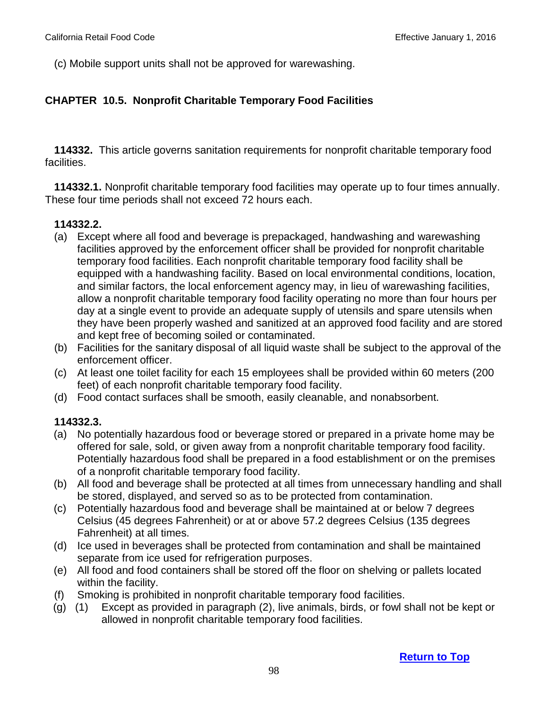(c) Mobile support units shall not be approved for warewashing.

## **CHAPTER 10.5. Nonprofit Charitable Temporary Food Facilities**

 **114332.** This article governs sanitation requirements for nonprofit charitable temporary food facilities.

 **114332.1.** Nonprofit charitable temporary food facilities may operate up to four times annually. These four time periods shall not exceed 72 hours each.

#### **114332.2.**

- (a) Except where all food and beverage is prepackaged, handwashing and warewashing facilities approved by the enforcement officer shall be provided for nonprofit charitable temporary food facilities. Each nonprofit charitable temporary food facility shall be equipped with a handwashing facility. Based on local environmental conditions, location, and similar factors, the local enforcement agency may, in lieu of warewashing facilities, allow a nonprofit charitable temporary food facility operating no more than four hours per day at a single event to provide an adequate supply of utensils and spare utensils when they have been properly washed and sanitized at an approved food facility and are stored and kept free of becoming soiled or contaminated.
- (b) Facilities for the sanitary disposal of all liquid waste shall be subject to the approval of the enforcement officer.
- (c) At least one toilet facility for each 15 employees shall be provided within 60 meters (200 feet) of each nonprofit charitable temporary food facility.
- (d) Food contact surfaces shall be smooth, easily cleanable, and nonabsorbent.

#### **114332.3.**

- (a) No potentially hazardous food or beverage stored or prepared in a private home may be offered for sale, sold, or given away from a nonprofit charitable temporary food facility. Potentially hazardous food shall be prepared in a food establishment or on the premises of a nonprofit charitable temporary food facility.
- (b) All food and beverage shall be protected at all times from unnecessary handling and shall be stored, displayed, and served so as to be protected from contamination.
- (c) Potentially hazardous food and beverage shall be maintained at or below 7 degrees Celsius (45 degrees Fahrenheit) or at or above 57.2 degrees Celsius (135 degrees Fahrenheit) at all times.
- (d) Ice used in beverages shall be protected from contamination and shall be maintained separate from ice used for refrigeration purposes.
- (e) All food and food containers shall be stored off the floor on shelving or pallets located within the facility.
- (f) Smoking is prohibited in nonprofit charitable temporary food facilities.
- (g) (1) Except as provided in paragraph (2), live animals, birds, or fowl shall not be kept or allowed in nonprofit charitable temporary food facilities.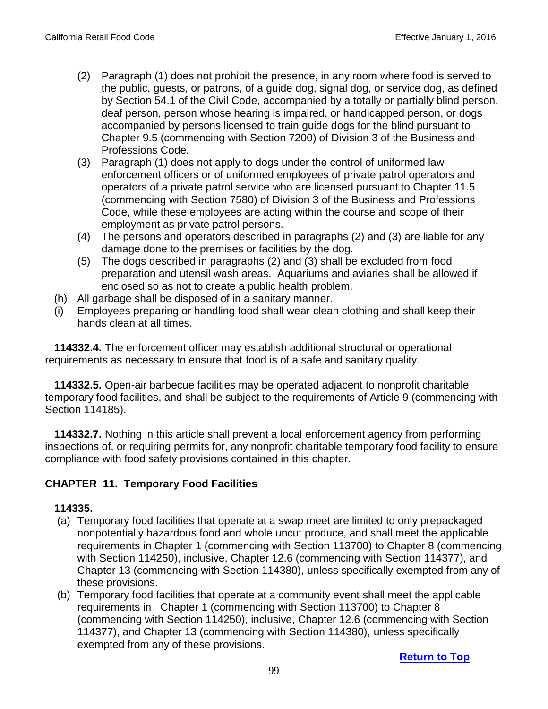- (2) Paragraph (1) does not prohibit the presence, in any room where food is served to the public, guests, or patrons, of a guide dog, signal dog, or service dog, as defined by Section 54.1 of the Civil Code, accompanied by a totally or partially blind person, deaf person, person whose hearing is impaired, or handicapped person, or dogs accompanied by persons licensed to train guide dogs for the blind pursuant to Chapter 9.5 (commencing with Section 7200) of Division 3 of the Business and Professions Code.
- (3) Paragraph (1) does not apply to dogs under the control of uniformed law enforcement officers or of uniformed employees of private patrol operators and operators of a private patrol service who are licensed pursuant to Chapter 11.5 (commencing with Section 7580) of Division 3 of the Business and Professions Code, while these employees are acting within the course and scope of their employment as private patrol persons.
- (4) The persons and operators described in paragraphs (2) and (3) are liable for any damage done to the premises or facilities by the dog.
- (5) The dogs described in paragraphs (2) and (3) shall be excluded from food preparation and utensil wash areas. Aquariums and aviaries shall be allowed if enclosed so as not to create a public health problem.
- (h) All garbage shall be disposed of in a sanitary manner.
- (i) Employees preparing or handling food shall wear clean clothing and shall keep their hands clean at all times.

**114332.4.** The enforcement officer may establish additional structural or operational requirements as necessary to ensure that food is of a safe and sanitary quality.

 **114332.5.** Open-air barbecue facilities may be operated adjacent to nonprofit charitable temporary food facilities, and shall be subject to the requirements of Article 9 (commencing with Section 114185).

 **114332.7.** Nothing in this article shall prevent a local enforcement agency from performing inspections of, or requiring permits for, any nonprofit charitable temporary food facility to ensure compliance with food safety provisions contained in this chapter.

## **CHAPTER 11. Temporary Food Facilities**

### **114335.**

- (a) Temporary food facilities that operate at a swap meet are limited to only prepackaged nonpotentially hazardous food and whole uncut produce, and shall meet the applicable requirements in Chapter 1 (commencing with Section 113700) to Chapter 8 (commencing with Section 114250), inclusive, Chapter 12.6 (commencing with Section 114377), and Chapter 13 (commencing with Section 114380), unless specifically exempted from any of these provisions.
- (b) Temporary food facilities that operate at a community event shall meet the applicable requirements in Chapter 1 (commencing with Section 113700) to Chapter 8 (commencing with Section 114250), inclusive, Chapter 12.6 (commencing with Section 114377), and Chapter 13 (commencing with Section 114380), unless specifically exempted from any of these provisions.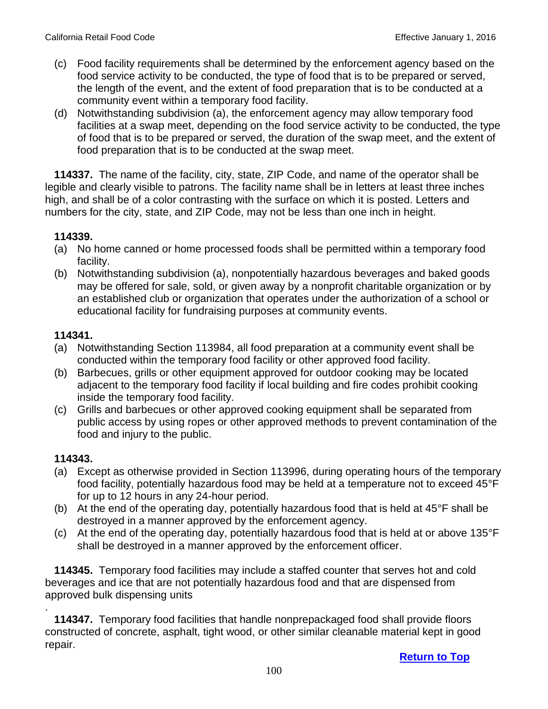- (c) Food facility requirements shall be determined by the enforcement agency based on the food service activity to be conducted, the type of food that is to be prepared or served, the length of the event, and the extent of food preparation that is to be conducted at a community event within a temporary food facility.
- (d) Notwithstanding subdivision (a), the enforcement agency may allow temporary food facilities at a swap meet, depending on the food service activity to be conducted, the type of food that is to be prepared or served, the duration of the swap meet, and the extent of food preparation that is to be conducted at the swap meet.

 **114337.** The name of the facility, city, state, ZIP Code, and name of the operator shall be legible and clearly visible to patrons. The facility name shall be in letters at least three inches high, and shall be of a color contrasting with the surface on which it is posted. Letters and numbers for the city, state, and ZIP Code, may not be less than one inch in height.

### **114339.**

- (a) No home canned or home processed foods shall be permitted within a temporary food facility.
- (b) Notwithstanding subdivision (a), nonpotentially hazardous beverages and baked goods may be offered for sale, sold, or given away by a nonprofit charitable organization or by an established club or organization that operates under the authorization of a school or educational facility for fundraising purposes at community events.

## **114341.**

- (a) Notwithstanding Section 113984, all food preparation at a community event shall be conducted within the temporary food facility or other approved food facility.
- (b) Barbecues, grills or other equipment approved for outdoor cooking may be located adjacent to the temporary food facility if local building and fire codes prohibit cooking inside the temporary food facility.
- (c) Grills and barbecues or other approved cooking equipment shall be separated from public access by using ropes or other approved methods to prevent contamination of the food and injury to the public.

## **114343.**

.

- (a) Except as otherwise provided in Section 113996, during operating hours of the temporary food facility, potentially hazardous food may be held at a temperature not to exceed 45°F for up to 12 hours in any 24-hour period.
- (b) At the end of the operating day, potentially hazardous food that is held at 45°F shall be destroyed in a manner approved by the enforcement agency.
- (c) At the end of the operating day, potentially hazardous food that is held at or above 135°F shall be destroyed in a manner approved by the enforcement officer.

**114345.** Temporary food facilities may include a staffed counter that serves hot and cold beverages and ice that are not potentially hazardous food and that are dispensed from approved bulk dispensing units

 **114347.** Temporary food facilities that handle nonprepackaged food shall provide floors constructed of concrete, asphalt, tight wood, or other similar cleanable material kept in good repair.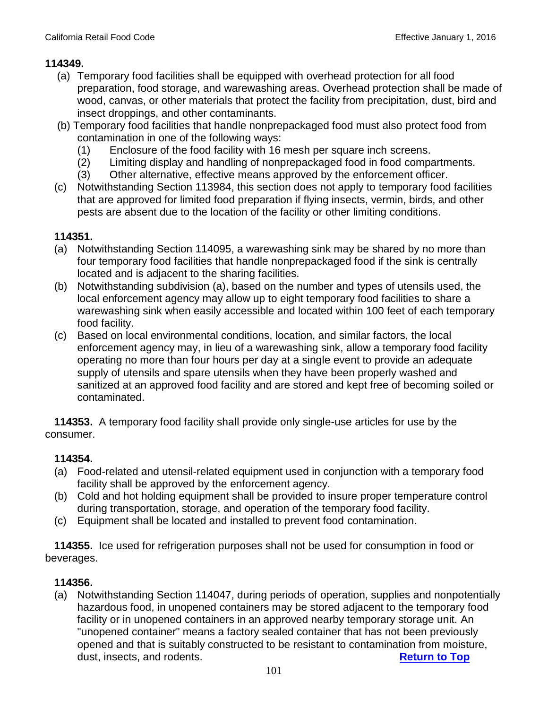- (a) Temporary food facilities shall be equipped with overhead protection for all food preparation, food storage, and warewashing areas. Overhead protection shall be made of wood, canvas, or other materials that protect the facility from precipitation, dust, bird and insect droppings, and other contaminants.
- (b) Temporary food facilities that handle nonprepackaged food must also protect food from contamination in one of the following ways:
	- (1) Enclosure of the food facility with 16 mesh per square inch screens.
	- (2) Limiting display and handling of nonprepackaged food in food compartments.
	- (3) Other alternative, effective means approved by the enforcement officer.
- (c) Notwithstanding Section 113984, this section does not apply to temporary food facilities that are approved for limited food preparation if flying insects, vermin, birds, and other pests are absent due to the location of the facility or other limiting conditions.

### **114351.**

- (a) Notwithstanding Section 114095, a warewashing sink may be shared by no more than four temporary food facilities that handle nonprepackaged food if the sink is centrally located and is adjacent to the sharing facilities.
- (b) Notwithstanding subdivision (a), based on the number and types of utensils used, the local enforcement agency may allow up to eight temporary food facilities to share a warewashing sink when easily accessible and located within 100 feet of each temporary food facility.
- (c) Based on local environmental conditions, location, and similar factors, the local enforcement agency may, in lieu of a warewashing sink, allow a temporary food facility operating no more than four hours per day at a single event to provide an adequate supply of utensils and spare utensils when they have been properly washed and sanitized at an approved food facility and are stored and kept free of becoming soiled or contaminated.

 **114353.** A temporary food facility shall provide only single-use articles for use by the consumer.

## **114354.**

- (a) Food-related and utensil-related equipment used in conjunction with a temporary food facility shall be approved by the enforcement agency.
- (b) Cold and hot holding equipment shall be provided to insure proper temperature control during transportation, storage, and operation of the temporary food facility.
- (c) Equipment shall be located and installed to prevent food contamination.

 **114355.** Ice used for refrigeration purposes shall not be used for consumption in food or beverages.

## **114356.**

 (a) Notwithstanding Section 114047, during periods of operation, supplies and nonpotentially hazardous food, in unopened containers may be stored adjacent to the temporary food facility or in unopened containers in an approved nearby temporary storage unit. An "unopened container" means a factory sealed container that has not been previously opened and that is suitably constructed to be resistant to contamination from moisture, dust, insects, and rodents. **[Return to Top](#page-1-0)**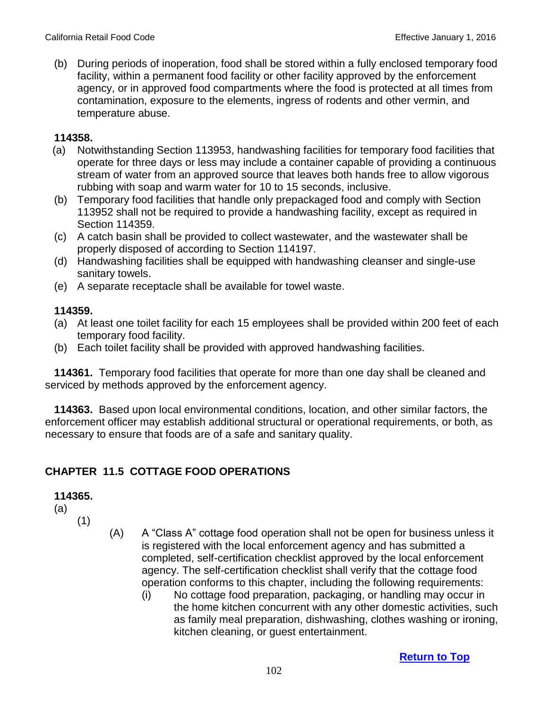(b) During periods of inoperation, food shall be stored within a fully enclosed temporary food facility, within a permanent food facility or other facility approved by the enforcement agency, or in approved food compartments where the food is protected at all times from contamination, exposure to the elements, ingress of rodents and other vermin, and temperature abuse.

#### **114358.**

- (a) Notwithstanding Section 113953, handwashing facilities for temporary food facilities that operate for three days or less may include a container capable of providing a continuous stream of water from an approved source that leaves both hands free to allow vigorous rubbing with soap and warm water for 10 to 15 seconds, inclusive.
- (b) Temporary food facilities that handle only prepackaged food and comply with Section 113952 shall not be required to provide a handwashing facility, except as required in Section 114359.
- (c) A catch basin shall be provided to collect wastewater, and the wastewater shall be properly disposed of according to Section 114197.
- (d) Handwashing facilities shall be equipped with handwashing cleanser and single-use sanitary towels.
- (e) A separate receptacle shall be available for towel waste.

### **114359.**

- (a) At least one toilet facility for each 15 employees shall be provided within 200 feet of each temporary food facility.
- (b) Each toilet facility shall be provided with approved handwashing facilities.

 **114361.** Temporary food facilities that operate for more than one day shall be cleaned and serviced by methods approved by the enforcement agency.

 **114363.** Based upon local environmental conditions, location, and other similar factors, the enforcement officer may establish additional structural or operational requirements, or both, as necessary to ensure that foods are of a safe and sanitary quality.

# **CHAPTER 11.5 COTTAGE FOOD OPERATIONS**

### **114365.**

(a)

- (1)
- (A) A "Class A" cottage food operation shall not be open for business unless it is registered with the local enforcement agency and has submitted a completed, self-certification checklist approved by the local enforcement agency. The self-certification checklist shall verify that the cottage food operation conforms to this chapter, including the following requirements:
	- (i) No cottage food preparation, packaging, or handling may occur in the home kitchen concurrent with any other domestic activities, such as family meal preparation, dishwashing, clothes washing or ironing, kitchen cleaning, or guest entertainment.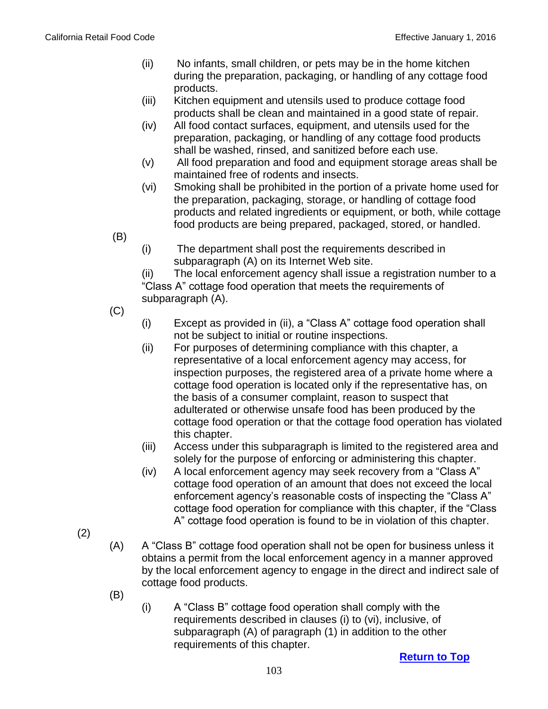- (ii) No infants, small children, or pets may be in the home kitchen during the preparation, packaging, or handling of any cottage food products.
- (iii) Kitchen equipment and utensils used to produce cottage food products shall be clean and maintained in a good state of repair.
- (iv) All food contact surfaces, equipment, and utensils used for the preparation, packaging, or handling of any cottage food products shall be washed, rinsed, and sanitized before each use.
- (v) All food preparation and food and equipment storage areas shall be maintained free of rodents and insects.
- (vi) Smoking shall be prohibited in the portion of a private home used for the preparation, packaging, storage, or handling of cottage food products and related ingredients or equipment, or both, while cottage food products are being prepared, packaged, stored, or handled.
- (B)
- (i) The department shall post the requirements described in subparagraph (A) on its Internet Web site.

(ii) The local enforcement agency shall issue a registration number to a "Class A" cottage food operation that meets the requirements of subparagraph (A).

- (C)
- (i) Except as provided in (ii), a "Class A" cottage food operation shall not be subject to initial or routine inspections.
- (ii) For purposes of determining compliance with this chapter, a representative of a local enforcement agency may access, for inspection purposes, the registered area of a private home where a cottage food operation is located only if the representative has, on the basis of a consumer complaint, reason to suspect that adulterated or otherwise unsafe food has been produced by the cottage food operation or that the cottage food operation has violated this chapter.
- (iii) Access under this subparagraph is limited to the registered area and solely for the purpose of enforcing or administering this chapter.
- (iv) A local enforcement agency may seek recovery from a "Class A" cottage food operation of an amount that does not exceed the local enforcement agency's reasonable costs of inspecting the "Class A" cottage food operation for compliance with this chapter, if the "Class A" cottage food operation is found to be in violation of this chapter.
- (2)
- (A) A "Class B" cottage food operation shall not be open for business unless it obtains a permit from the local enforcement agency in a manner approved by the local enforcement agency to engage in the direct and indirect sale of cottage food products.
- (B)
- (i) A "Class B" cottage food operation shall comply with the requirements described in clauses (i) to (vi), inclusive, of subparagraph (A) of paragraph (1) in addition to the other requirements of this chapter.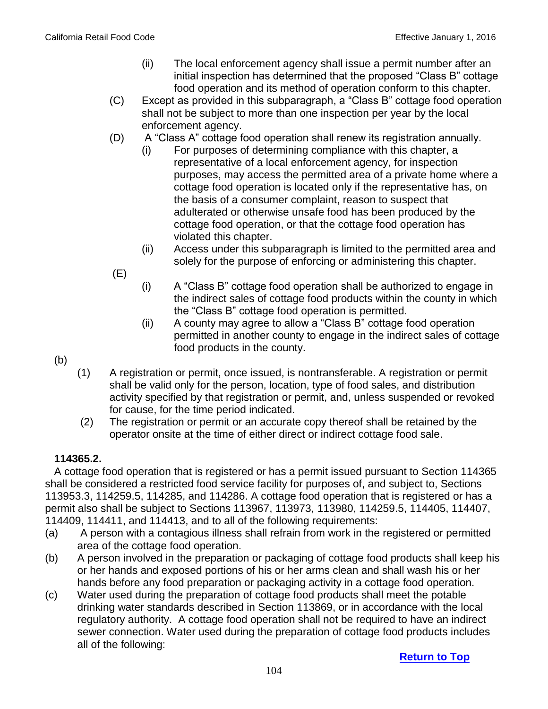- (ii) The local enforcement agency shall issue a permit number after an initial inspection has determined that the proposed "Class B" cottage food operation and its method of operation conform to this chapter.
- (C) Except as provided in this subparagraph, a "Class B" cottage food operation shall not be subject to more than one inspection per year by the local enforcement agency.
- (D) A "Class A" cottage food operation shall renew its registration annually.
	- (i) For purposes of determining compliance with this chapter, a representative of a local enforcement agency, for inspection purposes, may access the permitted area of a private home where a cottage food operation is located only if the representative has, on the basis of a consumer complaint, reason to suspect that adulterated or otherwise unsafe food has been produced by the cottage food operation, or that the cottage food operation has violated this chapter.
	- (ii) Access under this subparagraph is limited to the permitted area and solely for the purpose of enforcing or administering this chapter.
- (E)
- (i) A "Class B" cottage food operation shall be authorized to engage in the indirect sales of cottage food products within the county in which the "Class B" cottage food operation is permitted.
- (ii) A county may agree to allow a "Class B" cottage food operation permitted in another county to engage in the indirect sales of cottage food products in the county.
- (b)
- (1) A registration or permit, once issued, is nontransferable. A registration or permit shall be valid only for the person, location, type of food sales, and distribution activity specified by that registration or permit, and, unless suspended or revoked for cause, for the time period indicated.
- (2) The registration or permit or an accurate copy thereof shall be retained by the operator onsite at the time of either direct or indirect cottage food sale.

#### **114365.2.**

 A cottage food operation that is registered or has a permit issued pursuant to Section 114365 shall be considered a restricted food service facility for purposes of, and subject to, Sections 113953.3, 114259.5, 114285, and 114286. A cottage food operation that is registered or has a permit also shall be subject to Sections 113967, 113973, 113980, 114259.5, 114405, 114407, 114409, 114411, and 114413, and to all of the following requirements:

- (a) A person with a contagious illness shall refrain from work in the registered or permitted area of the cottage food operation.
- (b) A person involved in the preparation or packaging of cottage food products shall keep his or her hands and exposed portions of his or her arms clean and shall wash his or her hands before any food preparation or packaging activity in a cottage food operation.
- (c) Water used during the preparation of cottage food products shall meet the potable drinking water standards described in Section 113869, or in accordance with the local regulatory authority. A cottage food operation shall not be required to have an indirect sewer connection. Water used during the preparation of cottage food products includes all of the following: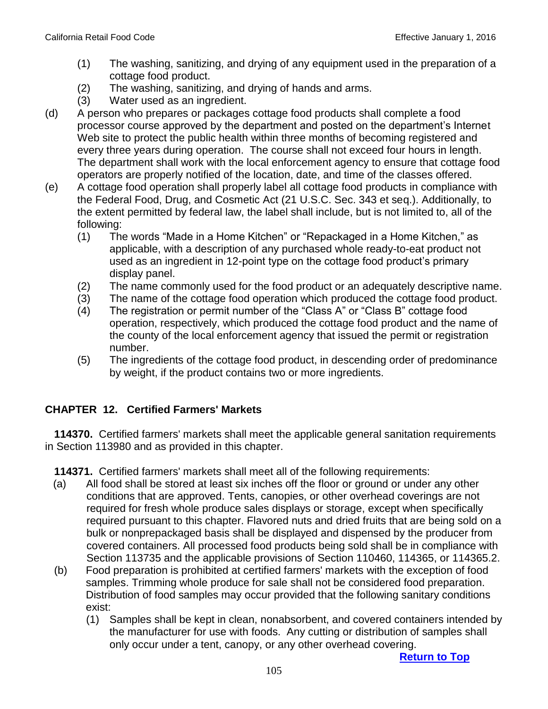- (1) The washing, sanitizing, and drying of any equipment used in the preparation of a cottage food product.
- (2) The washing, sanitizing, and drying of hands and arms.
- (3) Water used as an ingredient.
- (d) A person who prepares or packages cottage food products shall complete a food processor course approved by the department and posted on the department's Internet Web site to protect the public health within three months of becoming registered and every three years during operation. The course shall not exceed four hours in length. The department shall work with the local enforcement agency to ensure that cottage food operators are properly notified of the location, date, and time of the classes offered.
- (e) A cottage food operation shall properly label all cottage food products in compliance with the Federal Food, Drug, and Cosmetic Act (21 U.S.C. Sec. 343 et seq.). Additionally, to the extent permitted by federal law, the label shall include, but is not limited to, all of the following:
	- (1) The words "Made in a Home Kitchen" or "Repackaged in a Home Kitchen," as applicable, with a description of any purchased whole ready-to-eat product not used as an ingredient in 12-point type on the cottage food product's primary display panel.
	- (2) The name commonly used for the food product or an adequately descriptive name.
	- (3) The name of the cottage food operation which produced the cottage food product.
	- (4) The registration or permit number of the "Class A" or "Class B" cottage food operation, respectively, which produced the cottage food product and the name of the county of the local enforcement agency that issued the permit or registration number.
	- (5) The ingredients of the cottage food product, in descending order of predominance by weight, if the product contains two or more ingredients.

## **CHAPTER 12. Certified Farmers' Markets**

 **114370.** Certified farmers' markets shall meet the applicable general sanitation requirements in Section 113980 and as provided in this chapter.

 **114371.** Certified farmers' markets shall meet all of the following requirements:

- (a) All food shall be stored at least six inches off the floor or ground or under any other conditions that are approved. Tents, canopies, or other overhead coverings are not required for fresh whole produce sales displays or storage, except when specifically required pursuant to this chapter. Flavored nuts and dried fruits that are being sold on a bulk or nonprepackaged basis shall be displayed and dispensed by the producer from covered containers. All processed food products being sold shall be in compliance with Section 113735 and the applicable provisions of Section 110460, 114365, or 114365.2.
- (b) Food preparation is prohibited at certified farmers' markets with the exception of food samples. Trimming whole produce for sale shall not be considered food preparation. Distribution of food samples may occur provided that the following sanitary conditions exist:
	- (1) Samples shall be kept in clean, nonabsorbent, and covered containers intended by the manufacturer for use with foods. Any cutting or distribution of samples shall only occur under a tent, canopy, or any other overhead covering.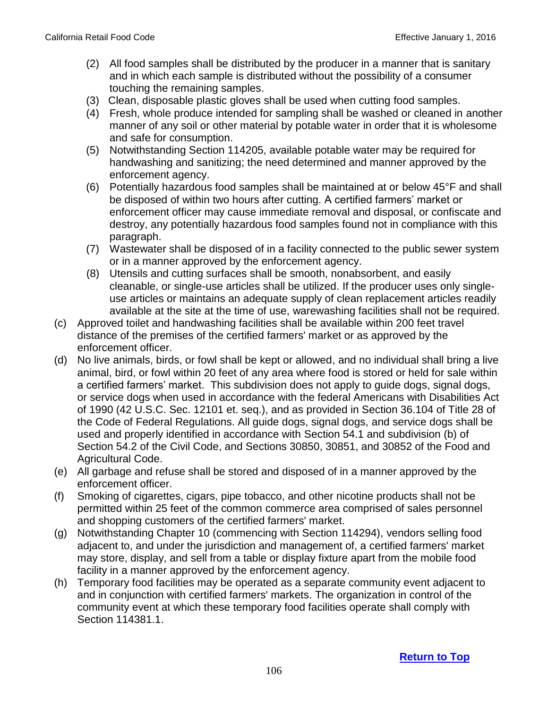- (2) All food samples shall be distributed by the producer in a manner that is sanitary and in which each sample is distributed without the possibility of a consumer touching the remaining samples.
- (3) Clean, disposable plastic gloves shall be used when cutting food samples.
- (4) Fresh, whole produce intended for sampling shall be washed or cleaned in another manner of any soil or other material by potable water in order that it is wholesome and safe for consumption.
- (5) Notwithstanding Section 114205, available potable water may be required for handwashing and sanitizing; the need determined and manner approved by the enforcement agency.
- (6) Potentially hazardous food samples shall be maintained at or below 45°F and shall be disposed of within two hours after cutting. A certified farmers' market or enforcement officer may cause immediate removal and disposal, or confiscate and destroy, any potentially hazardous food samples found not in compliance with this paragraph.
- (7) Wastewater shall be disposed of in a facility connected to the public sewer system or in a manner approved by the enforcement agency.
- (8) Utensils and cutting surfaces shall be smooth, nonabsorbent, and easily cleanable, or single-use articles shall be utilized. If the producer uses only singleuse articles or maintains an adequate supply of clean replacement articles readily available at the site at the time of use, warewashing facilities shall not be required.
- (c) Approved toilet and handwashing facilities shall be available within 200 feet travel distance of the premises of the certified farmers' market or as approved by the enforcement officer.
- (d) No live animals, birds, or fowl shall be kept or allowed, and no individual shall bring a live animal, bird, or fowl within 20 feet of any area where food is stored or held for sale within a certified farmers' market. This subdivision does not apply to guide dogs, signal dogs, or service dogs when used in accordance with the federal Americans with Disabilities Act of 1990 (42 U.S.C. Sec. 12101 et. seq.), and as provided in Section 36.104 of Title 28 of the Code of Federal Regulations. All guide dogs, signal dogs, and service dogs shall be used and properly identified in accordance with Section 54.1 and subdivision (b) of Section 54.2 of the Civil Code, and Sections 30850, 30851, and 30852 of the Food and Agricultural Code.
- (e) All garbage and refuse shall be stored and disposed of in a manner approved by the enforcement officer.
- (f) Smoking of cigarettes, cigars, pipe tobacco, and other nicotine products shall not be permitted within 25 feet of the common commerce area comprised of sales personnel and shopping customers of the certified farmers' market.
- (g) Notwithstanding Chapter 10 (commencing with Section 114294), vendors selling food adjacent to, and under the jurisdiction and management of, a certified farmers' market may store, display, and sell from a table or display fixture apart from the mobile food facility in a manner approved by the enforcement agency.
- (h) Temporary food facilities may be operated as a separate community event adjacent to and in conjunction with certified farmers' markets. The organization in control of the community event at which these temporary food facilities operate shall comply with Section 114381.1.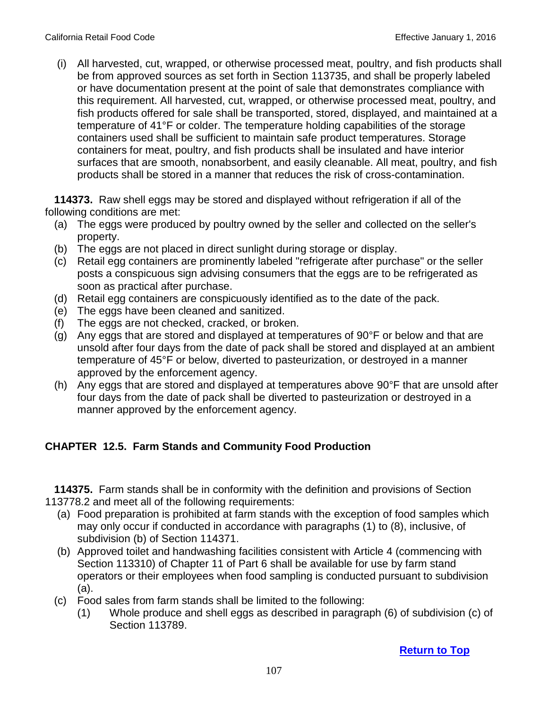(i) All harvested, cut, wrapped, or otherwise processed meat, poultry, and fish products shall be from approved sources as set forth in Section 113735, and shall be properly labeled or have documentation present at the point of sale that demonstrates compliance with this requirement. All harvested, cut, wrapped, or otherwise processed meat, poultry, and fish products offered for sale shall be transported, stored, displayed, and maintained at a temperature of 41°F or colder. The temperature holding capabilities of the storage containers used shall be sufficient to maintain safe product temperatures. Storage containers for meat, poultry, and fish products shall be insulated and have interior surfaces that are smooth, nonabsorbent, and easily cleanable. All meat, poultry, and fish products shall be stored in a manner that reduces the risk of cross-contamination.

 **114373.** Raw shell eggs may be stored and displayed without refrigeration if all of the following conditions are met:

- (a) The eggs were produced by poultry owned by the seller and collected on the seller's property.
- (b) The eggs are not placed in direct sunlight during storage or display.
- (c) Retail egg containers are prominently labeled "refrigerate after purchase" or the seller posts a conspicuous sign advising consumers that the eggs are to be refrigerated as soon as practical after purchase.
- (d) Retail egg containers are conspicuously identified as to the date of the pack.
- (e) The eggs have been cleaned and sanitized.
- (f) The eggs are not checked, cracked, or broken.
- (g) Any eggs that are stored and displayed at temperatures of 90°F or below and that are unsold after four days from the date of pack shall be stored and displayed at an ambient temperature of 45°F or below, diverted to pasteurization, or destroyed in a manner approved by the enforcement agency.
- (h) Any eggs that are stored and displayed at temperatures above 90°F that are unsold after four days from the date of pack shall be diverted to pasteurization or destroyed in a manner approved by the enforcement agency.

# **CHAPTER 12.5. Farm Stands and Community Food Production**

 **114375.** Farm stands shall be in conformity with the definition and provisions of Section 113778.2 and meet all of the following requirements:

- (a) Food preparation is prohibited at farm stands with the exception of food samples which may only occur if conducted in accordance with paragraphs (1) to (8), inclusive, of subdivision (b) of Section 114371.
- (b) Approved toilet and handwashing facilities consistent with Article 4 (commencing with Section 113310) of Chapter 11 of Part 6 shall be available for use by farm stand operators or their employees when food sampling is conducted pursuant to subdivision (a).
- (c) Food sales from farm stands shall be limited to the following:
	- (1) Whole produce and shell eggs as described in paragraph (6) of subdivision (c) of Section 113789.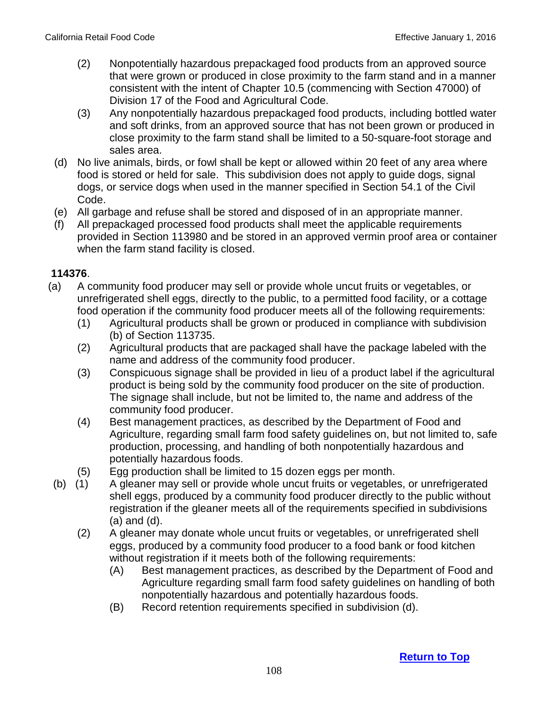- (2) Nonpotentially hazardous prepackaged food products from an approved source that were grown or produced in close proximity to the farm stand and in a manner consistent with the intent of Chapter 10.5 (commencing with Section 47000) of Division 17 of the Food and Agricultural Code.
- (3) Any nonpotentially hazardous prepackaged food products, including bottled water and soft drinks, from an approved source that has not been grown or produced in close proximity to the farm stand shall be limited to a 50-square-foot storage and sales area.
- (d) No live animals, birds, or fowl shall be kept or allowed within 20 feet of any area where food is stored or held for sale. This subdivision does not apply to guide dogs, signal dogs, or service dogs when used in the manner specified in Section 54.1 of the Civil Code.
- (e) All garbage and refuse shall be stored and disposed of in an appropriate manner.
- (f) All prepackaged processed food products shall meet the applicable requirements provided in Section 113980 and be stored in an approved vermin proof area or container when the farm stand facility is closed.

- (a) A community food producer may sell or provide whole uncut fruits or vegetables, or unrefrigerated shell eggs, directly to the public, to a permitted food facility, or a cottage food operation if the community food producer meets all of the following requirements:
	- (1) Agricultural products shall be grown or produced in compliance with subdivision (b) of Section 113735.
	- (2) Agricultural products that are packaged shall have the package labeled with the name and address of the community food producer.
	- (3) Conspicuous signage shall be provided in lieu of a product label if the agricultural product is being sold by the community food producer on the site of production. The signage shall include, but not be limited to, the name and address of the community food producer.
	- (4) Best management practices, as described by the Department of Food and Agriculture, regarding small farm food safety guidelines on, but not limited to, safe production, processing, and handling of both nonpotentially hazardous and potentially hazardous foods.
	- (5) Egg production shall be limited to 15 dozen eggs per month.
- (b) (1) A gleaner may sell or provide whole uncut fruits or vegetables, or unrefrigerated shell eggs, produced by a community food producer directly to the public without registration if the gleaner meets all of the requirements specified in subdivisions (a) and (d).
	- (2) A gleaner may donate whole uncut fruits or vegetables, or unrefrigerated shell eggs, produced by a community food producer to a food bank or food kitchen without registration if it meets both of the following requirements:
		- (A) Best management practices, as described by the Department of Food and Agriculture regarding small farm food safety guidelines on handling of both nonpotentially hazardous and potentially hazardous foods.
		- (B) Record retention requirements specified in subdivision (d).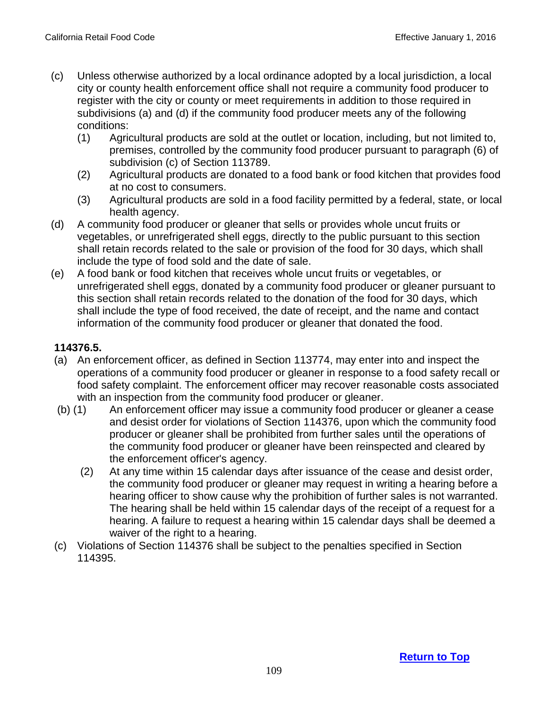- (c) Unless otherwise authorized by a local ordinance adopted by a local jurisdiction, a local city or county health enforcement office shall not require a community food producer to register with the city or county or meet requirements in addition to those required in subdivisions (a) and (d) if the community food producer meets any of the following conditions:
	- (1) Agricultural products are sold at the outlet or location, including, but not limited to, premises, controlled by the community food producer pursuant to paragraph (6) of subdivision (c) of Section 113789.
	- (2) Agricultural products are donated to a food bank or food kitchen that provides food at no cost to consumers.
	- (3) Agricultural products are sold in a food facility permitted by a federal, state, or local health agency.
- (d) A community food producer or gleaner that sells or provides whole uncut fruits or vegetables, or unrefrigerated shell eggs, directly to the public pursuant to this section shall retain records related to the sale or provision of the food for 30 days, which shall include the type of food sold and the date of sale.
- (e) A food bank or food kitchen that receives whole uncut fruits or vegetables, or unrefrigerated shell eggs, donated by a community food producer or gleaner pursuant to this section shall retain records related to the donation of the food for 30 days, which shall include the type of food received, the date of receipt, and the name and contact information of the community food producer or gleaner that donated the food.

### **114376.5.**

- (a) An enforcement officer, as defined in Section 113774, may enter into and inspect the operations of a community food producer or gleaner in response to a food safety recall or food safety complaint. The enforcement officer may recover reasonable costs associated with an inspection from the community food producer or gleaner.
- (b) (1) An enforcement officer may issue a community food producer or gleaner a cease and desist order for violations of Section 114376, upon which the community food producer or gleaner shall be prohibited from further sales until the operations of the community food producer or gleaner have been reinspected and cleared by the enforcement officer's agency.
	- (2) At any time within 15 calendar days after issuance of the cease and desist order, the community food producer or gleaner may request in writing a hearing before a hearing officer to show cause why the prohibition of further sales is not warranted. The hearing shall be held within 15 calendar days of the receipt of a request for a hearing. A failure to request a hearing within 15 calendar days shall be deemed a waiver of the right to a hearing.
- (c) Violations of Section 114376 shall be subject to the penalties specified in Section 114395.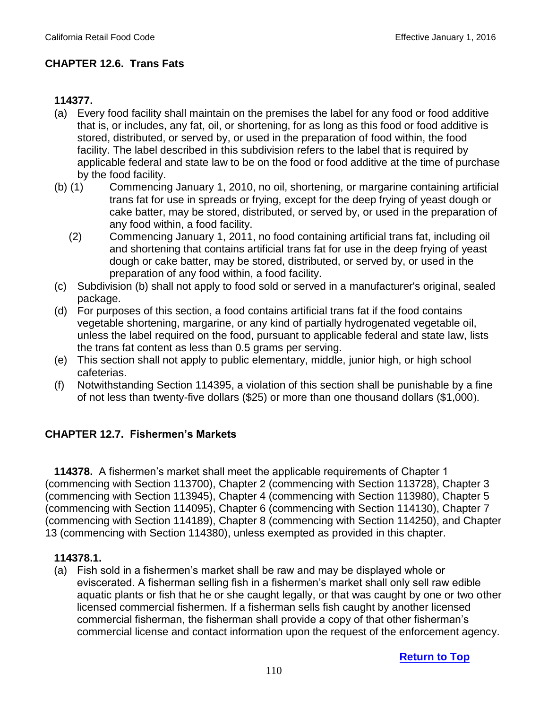# **CHAPTER 12.6. Trans Fats**

### **114377.**

- (a) Every food facility shall maintain on the premises the label for any food or food additive that is, or includes, any fat, oil, or shortening, for as long as this food or food additive is stored, distributed, or served by, or used in the preparation of food within, the food facility. The label described in this subdivision refers to the label that is required by applicable federal and state law to be on the food or food additive at the time of purchase by the food facility.
- (b) (1) Commencing January 1, 2010, no oil, shortening, or margarine containing artificial trans fat for use in spreads or frying, except for the deep frying of yeast dough or cake batter, may be stored, distributed, or served by, or used in the preparation of any food within, a food facility.
	- (2) Commencing January 1, 2011, no food containing artificial trans fat, including oil and shortening that contains artificial trans fat for use in the deep frying of yeast dough or cake batter, may be stored, distributed, or served by, or used in the preparation of any food within, a food facility.
- (c) Subdivision (b) shall not apply to food sold or served in a manufacturer's original, sealed package.
- (d) For purposes of this section, a food contains artificial trans fat if the food contains vegetable shortening, margarine, or any kind of partially hydrogenated vegetable oil, unless the label required on the food, pursuant to applicable federal and state law, lists the trans fat content as less than 0.5 grams per serving.
- (e) This section shall not apply to public elementary, middle, junior high, or high school cafeterias.
- (f) Notwithstanding Section 114395, a violation of this section shall be punishable by a fine of not less than twenty-five dollars (\$25) or more than one thousand dollars (\$1,000).

### **CHAPTER 12.7. Fishermen's Markets**

**114378.** A fishermen's market shall meet the applicable requirements of Chapter 1 (commencing with Section 113700), Chapter 2 (commencing with Section 113728), Chapter 3 (commencing with Section 113945), Chapter 4 (commencing with Section 113980), Chapter 5 (commencing with Section 114095), Chapter 6 (commencing with Section 114130), Chapter 7 (commencing with Section 114189), Chapter 8 (commencing with Section 114250), and Chapter 13 (commencing with Section 114380), unless exempted as provided in this chapter.

### **114378.1.**

(a) Fish sold in a fishermen's market shall be raw and may be displayed whole or eviscerated. A fisherman selling fish in a fishermen's market shall only sell raw edible aquatic plants or fish that he or she caught legally, or that was caught by one or two other licensed commercial fishermen. If a fisherman sells fish caught by another licensed commercial fisherman, the fisherman shall provide a copy of that other fisherman's commercial license and contact information upon the request of the enforcement agency.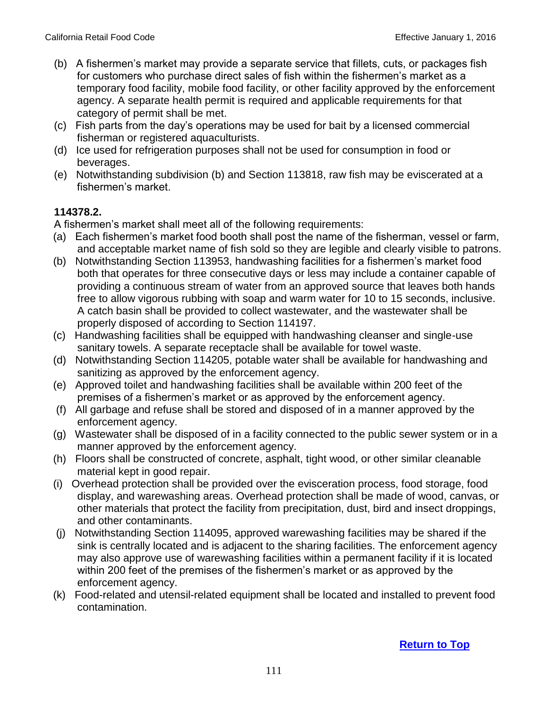- (b) A fishermen's market may provide a separate service that fillets, cuts, or packages fish for customers who purchase direct sales of fish within the fishermen's market as a temporary food facility, mobile food facility, or other facility approved by the enforcement agency. A separate health permit is required and applicable requirements for that category of permit shall be met.
- (c) Fish parts from the day's operations may be used for bait by a licensed commercial fisherman or registered aquaculturists.
- (d) Ice used for refrigeration purposes shall not be used for consumption in food or beverages.
- (e) Notwithstanding subdivision (b) and Section 113818, raw fish may be eviscerated at a fishermen's market.

### **114378.2.**

A fishermen's market shall meet all of the following requirements:

- (a) Each fishermen's market food booth shall post the name of the fisherman, vessel or farm, and acceptable market name of fish sold so they are legible and clearly visible to patrons.
- (b) Notwithstanding Section 113953, handwashing facilities for a fishermen's market food both that operates for three consecutive days or less may include a container capable of providing a continuous stream of water from an approved source that leaves both hands free to allow vigorous rubbing with soap and warm water for 10 to 15 seconds, inclusive. A catch basin shall be provided to collect wastewater, and the wastewater shall be properly disposed of according to Section 114197.
- (c) Handwashing facilities shall be equipped with handwashing cleanser and single-use sanitary towels. A separate receptacle shall be available for towel waste.
- (d) Notwithstanding Section 114205, potable water shall be available for handwashing and sanitizing as approved by the enforcement agency.
- (e) Approved toilet and handwashing facilities shall be available within 200 feet of the premises of a fishermen's market or as approved by the enforcement agency.
- (f) All garbage and refuse shall be stored and disposed of in a manner approved by the enforcement agency.
- (g) Wastewater shall be disposed of in a facility connected to the public sewer system or in a manner approved by the enforcement agency.
- (h) Floors shall be constructed of concrete, asphalt, tight wood, or other similar cleanable material kept in good repair.
- (i) Overhead protection shall be provided over the evisceration process, food storage, food display, and warewashing areas. Overhead protection shall be made of wood, canvas, or other materials that protect the facility from precipitation, dust, bird and insect droppings, and other contaminants.
- (j) Notwithstanding Section 114095, approved warewashing facilities may be shared if the sink is centrally located and is adjacent to the sharing facilities. The enforcement agency may also approve use of warewashing facilities within a permanent facility if it is located within 200 feet of the premises of the fishermen's market or as approved by the enforcement agency.
- (k) Food-related and utensil-related equipment shall be located and installed to prevent food contamination.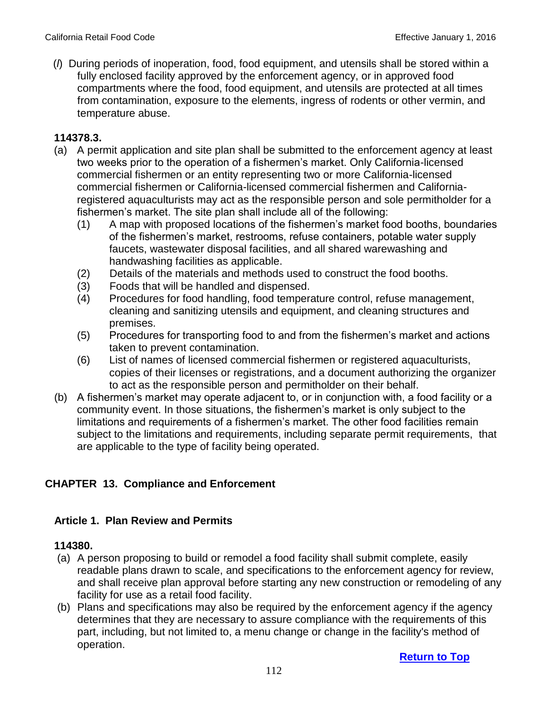(*l*) During periods of inoperation, food, food equipment, and utensils shall be stored within a fully enclosed facility approved by the enforcement agency, or in approved food compartments where the food, food equipment, and utensils are protected at all times from contamination, exposure to the elements, ingress of rodents or other vermin, and temperature abuse.

#### **114378.3.**

- (a) A permit application and site plan shall be submitted to the enforcement agency at least two weeks prior to the operation of a fishermen's market. Only California-licensed commercial fishermen or an entity representing two or more California-licensed commercial fishermen or California-licensed commercial fishermen and Californiaregistered aquaculturists may act as the responsible person and sole permitholder for a fishermen's market. The site plan shall include all of the following:
	- (1) A map with proposed locations of the fishermen's market food booths, boundaries of the fishermen's market, restrooms, refuse containers, potable water supply faucets, wastewater disposal facilities, and all shared warewashing and handwashing facilities as applicable.
	- (2) Details of the materials and methods used to construct the food booths.
	- (3) Foods that will be handled and dispensed.
	- (4) Procedures for food handling, food temperature control, refuse management, cleaning and sanitizing utensils and equipment, and cleaning structures and premises.
	- (5) Procedures for transporting food to and from the fishermen's market and actions taken to prevent contamination.
	- (6) List of names of licensed commercial fishermen or registered aquaculturists, copies of their licenses or registrations, and a document authorizing the organizer to act as the responsible person and permitholder on their behalf.
- (b) A fishermen's market may operate adjacent to, or in conjunction with, a food facility or a community event. In those situations, the fishermen's market is only subject to the limitations and requirements of a fishermen's market. The other food facilities remain subject to the limitations and requirements, including separate permit requirements, that are applicable to the type of facility being operated.

# **CHAPTER 13. Compliance and Enforcement**

### **Article 1. Plan Review and Permits**

#### **114380.**

- (a) A person proposing to build or remodel a food facility shall submit complete, easily readable plans drawn to scale, and specifications to the enforcement agency for review, and shall receive plan approval before starting any new construction or remodeling of any facility for use as a retail food facility.
- (b) Plans and specifications may also be required by the enforcement agency if the agency determines that they are necessary to assure compliance with the requirements of this part, including, but not limited to, a menu change or change in the facility's method of operation.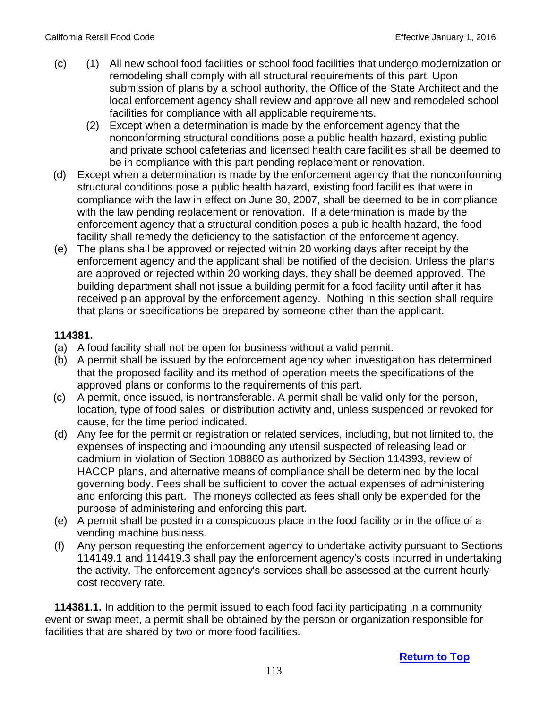- (c) (1) All new school food facilities or school food facilities that undergo modernization or remodeling shall comply with all structural requirements of this part. Upon submission of plans by a school authority, the Office of the State Architect and the local enforcement agency shall review and approve all new and remodeled school facilities for compliance with all applicable requirements.
	- (2) Except when a determination is made by the enforcement agency that the nonconforming structural conditions pose a public health hazard, existing public and private school cafeterias and licensed health care facilities shall be deemed to be in compliance with this part pending replacement or renovation.
- (d) Except when a determination is made by the enforcement agency that the nonconforming structural conditions pose a public health hazard, existing food facilities that were in compliance with the law in effect on June 30, 2007, shall be deemed to be in compliance with the law pending replacement or renovation. If a determination is made by the enforcement agency that a structural condition poses a public health hazard, the food facility shall remedy the deficiency to the satisfaction of the enforcement agency.
- (e) The plans shall be approved or rejected within 20 working days after receipt by the enforcement agency and the applicant shall be notified of the decision. Unless the plans are approved or rejected within 20 working days, they shall be deemed approved. The building department shall not issue a building permit for a food facility until after it has received plan approval by the enforcement agency. Nothing in this section shall require that plans or specifications be prepared by someone other than the applicant.

# **114381.**

- (a) A food facility shall not be open for business without a valid permit.
- (b) A permit shall be issued by the enforcement agency when investigation has determined that the proposed facility and its method of operation meets the specifications of the approved plans or conforms to the requirements of this part.
- (c) A permit, once issued, is nontransferable. A permit shall be valid only for the person, location, type of food sales, or distribution activity and, unless suspended or revoked for cause, for the time period indicated.
- (d) Any fee for the permit or registration or related services, including, but not limited to, the expenses of inspecting and impounding any utensil suspected of releasing lead or cadmium in violation of Section 108860 as authorized by Section 114393, review of HACCP plans, and alternative means of compliance shall be determined by the local governing body. Fees shall be sufficient to cover the actual expenses of administering and enforcing this part. The moneys collected as fees shall only be expended for the purpose of administering and enforcing this part.
- (e) A permit shall be posted in a conspicuous place in the food facility or in the office of a vending machine business.
- (f) Any person requesting the enforcement agency to undertake activity pursuant to Sections 114149.1 and 114419.3 shall pay the enforcement agency's costs incurred in undertaking the activity. The enforcement agency's services shall be assessed at the current hourly cost recovery rate.

 **114381.1.** In addition to the permit issued to each food facility participating in a community event or swap meet, a permit shall be obtained by the person or organization responsible for facilities that are shared by two or more food facilities.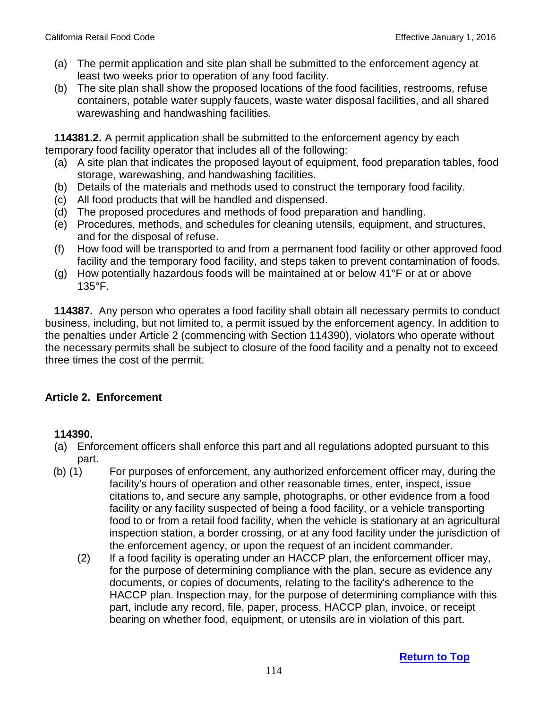- (a) The permit application and site plan shall be submitted to the enforcement agency at least two weeks prior to operation of any food facility.
- (b) The site plan shall show the proposed locations of the food facilities, restrooms, refuse containers, potable water supply faucets, waste water disposal facilities, and all shared warewashing and handwashing facilities.

 **114381.2.** A permit application shall be submitted to the enforcement agency by each temporary food facility operator that includes all of the following:

- (a) A site plan that indicates the proposed layout of equipment, food preparation tables, food storage, warewashing, and handwashing facilities.
- (b) Details of the materials and methods used to construct the temporary food facility.
- (c) All food products that will be handled and dispensed.
- (d) The proposed procedures and methods of food preparation and handling.
- (e) Procedures, methods, and schedules for cleaning utensils, equipment, and structures, and for the disposal of refuse.
- (f) How food will be transported to and from a permanent food facility or other approved food facility and the temporary food facility, and steps taken to prevent contamination of foods.
- (g) How potentially hazardous foods will be maintained at or below 41°F or at or above 135°F.

 **114387.** Any person who operates a food facility shall obtain all necessary permits to conduct business, including, but not limited to, a permit issued by the enforcement agency. In addition to the penalties under Article 2 (commencing with Section 114390), violators who operate without the necessary permits shall be subject to closure of the food facility and a penalty not to exceed three times the cost of the permit.

### **Article 2. Enforcement**

### **114390.**

- (a) Enforcement officers shall enforce this part and all regulations adopted pursuant to this part.
- (b) (1) For purposes of enforcement, any authorized enforcement officer may, during the facility's hours of operation and other reasonable times, enter, inspect, issue citations to, and secure any sample, photographs, or other evidence from a food facility or any facility suspected of being a food facility, or a vehicle transporting food to or from a retail food facility, when the vehicle is stationary at an agricultural inspection station, a border crossing, or at any food facility under the jurisdiction of the enforcement agency, or upon the request of an incident commander.
	- (2) If a food facility is operating under an HACCP plan, the enforcement officer may, for the purpose of determining compliance with the plan, secure as evidence any documents, or copies of documents, relating to the facility's adherence to the HACCP plan. Inspection may, for the purpose of determining compliance with this part, include any record, file, paper, process, HACCP plan, invoice, or receipt bearing on whether food, equipment, or utensils are in violation of this part.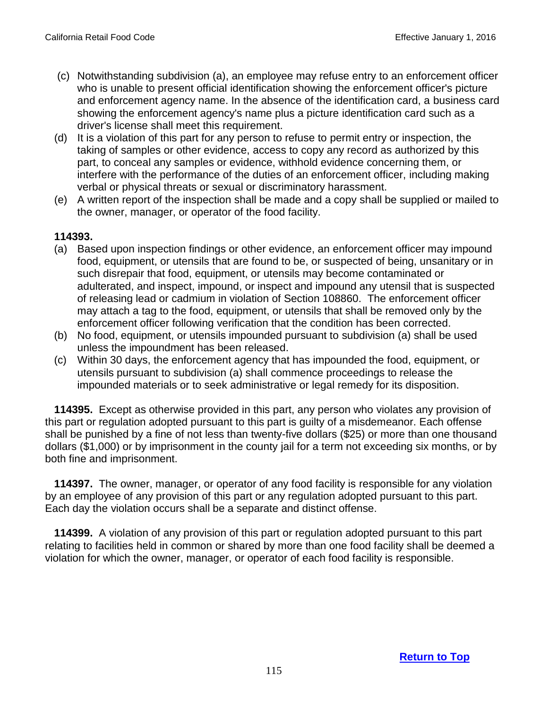- (c) Notwithstanding subdivision (a), an employee may refuse entry to an enforcement officer who is unable to present official identification showing the enforcement officer's picture and enforcement agency name. In the absence of the identification card, a business card showing the enforcement agency's name plus a picture identification card such as a driver's license shall meet this requirement.
- (d) It is a violation of this part for any person to refuse to permit entry or inspection, the taking of samples or other evidence, access to copy any record as authorized by this part, to conceal any samples or evidence, withhold evidence concerning them, or interfere with the performance of the duties of an enforcement officer, including making verbal or physical threats or sexual or discriminatory harassment.
- (e) A written report of the inspection shall be made and a copy shall be supplied or mailed to the owner, manager, or operator of the food facility.

#### **114393.**

- (a) Based upon inspection findings or other evidence, an enforcement officer may impound food, equipment, or utensils that are found to be, or suspected of being, unsanitary or in such disrepair that food, equipment, or utensils may become contaminated or adulterated, and inspect, impound, or inspect and impound any utensil that is suspected of releasing lead or cadmium in violation of Section 108860. The enforcement officer may attach a tag to the food, equipment, or utensils that shall be removed only by the enforcement officer following verification that the condition has been corrected.
- (b) No food, equipment, or utensils impounded pursuant to subdivision (a) shall be used unless the impoundment has been released.
- (c) Within 30 days, the enforcement agency that has impounded the food, equipment, or utensils pursuant to subdivision (a) shall commence proceedings to release the impounded materials or to seek administrative or legal remedy for its disposition.

 **114395.** Except as otherwise provided in this part, any person who violates any provision of this part or regulation adopted pursuant to this part is guilty of a misdemeanor. Each offense shall be punished by a fine of not less than twenty-five dollars (\$25) or more than one thousand dollars (\$1,000) or by imprisonment in the county jail for a term not exceeding six months, or by both fine and imprisonment.

 **114397.** The owner, manager, or operator of any food facility is responsible for any violation by an employee of any provision of this part or any regulation adopted pursuant to this part. Each day the violation occurs shall be a separate and distinct offense.

 **114399.** A violation of any provision of this part or regulation adopted pursuant to this part relating to facilities held in common or shared by more than one food facility shall be deemed a violation for which the owner, manager, or operator of each food facility is responsible.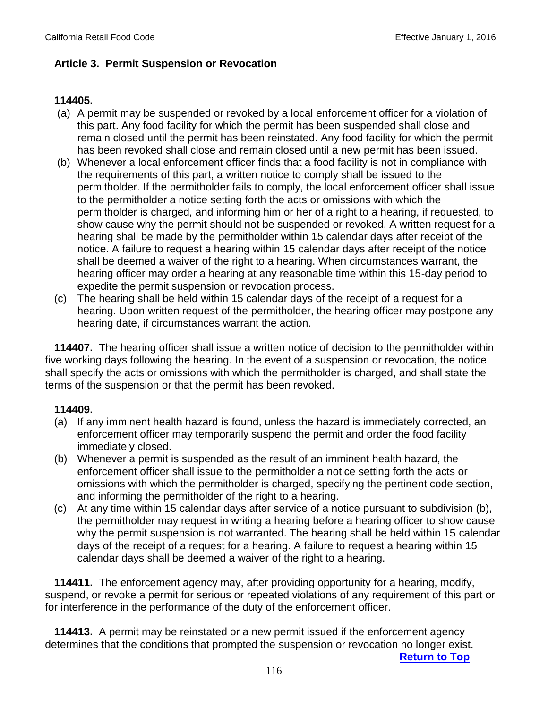### **Article 3. Permit Suspension or Revocation**

### **114405.**

- (a) A permit may be suspended or revoked by a local enforcement officer for a violation of this part. Any food facility for which the permit has been suspended shall close and remain closed until the permit has been reinstated. Any food facility for which the permit has been revoked shall close and remain closed until a new permit has been issued.
- (b) Whenever a local enforcement officer finds that a food facility is not in compliance with the requirements of this part, a written notice to comply shall be issued to the permitholder. If the permitholder fails to comply, the local enforcement officer shall issue to the permitholder a notice setting forth the acts or omissions with which the permitholder is charged, and informing him or her of a right to a hearing, if requested, to show cause why the permit should not be suspended or revoked. A written request for a hearing shall be made by the permitholder within 15 calendar days after receipt of the notice. A failure to request a hearing within 15 calendar days after receipt of the notice shall be deemed a waiver of the right to a hearing. When circumstances warrant, the hearing officer may order a hearing at any reasonable time within this 15-day period to expedite the permit suspension or revocation process.
- (c) The hearing shall be held within 15 calendar days of the receipt of a request for a hearing. Upon written request of the permitholder, the hearing officer may postpone any hearing date, if circumstances warrant the action.

 **114407.** The hearing officer shall issue a written notice of decision to the permitholder within five working days following the hearing. In the event of a suspension or revocation, the notice shall specify the acts or omissions with which the permitholder is charged, and shall state the terms of the suspension or that the permit has been revoked.

### **114409.**

- (a) If any imminent health hazard is found, unless the hazard is immediately corrected, an enforcement officer may temporarily suspend the permit and order the food facility immediately closed.
- (b) Whenever a permit is suspended as the result of an imminent health hazard, the enforcement officer shall issue to the permitholder a notice setting forth the acts or omissions with which the permitholder is charged, specifying the pertinent code section, and informing the permitholder of the right to a hearing.
- (c) At any time within 15 calendar days after service of a notice pursuant to subdivision (b), the permitholder may request in writing a hearing before a hearing officer to show cause why the permit suspension is not warranted. The hearing shall be held within 15 calendar days of the receipt of a request for a hearing. A failure to request a hearing within 15 calendar days shall be deemed a waiver of the right to a hearing.

 **114411.** The enforcement agency may, after providing opportunity for a hearing, modify, suspend, or revoke a permit for serious or repeated violations of any requirement of this part or for interference in the performance of the duty of the enforcement officer.

 **114413.** A permit may be reinstated or a new permit issued if the enforcement agency determines that the conditions that prompted the suspension or revocation no longer exist.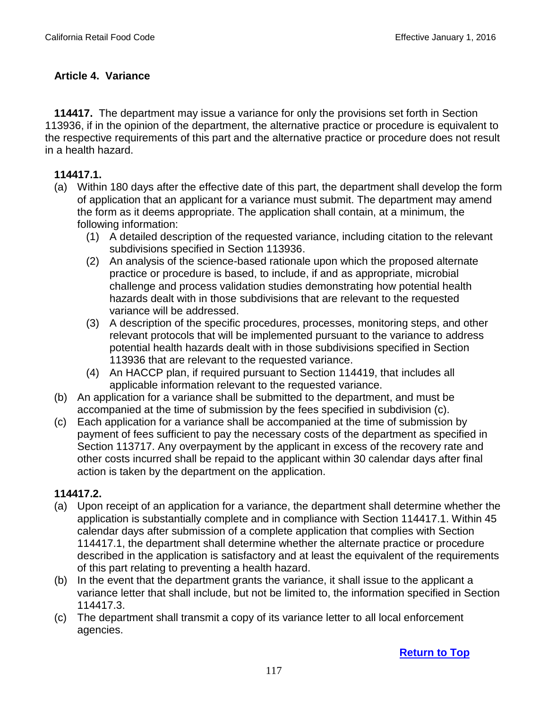# **Article 4. Variance**

 **114417.** The department may issue a variance for only the provisions set forth in Section 113936, if in the opinion of the department, the alternative practice or procedure is equivalent to the respective requirements of this part and the alternative practice or procedure does not result in a health hazard.

### **114417.1.**

- (a) Within 180 days after the effective date of this part, the department shall develop the form of application that an applicant for a variance must submit. The department may amend the form as it deems appropriate. The application shall contain, at a minimum, the following information:
	- (1) A detailed description of the requested variance, including citation to the relevant subdivisions specified in Section 113936.
	- (2) An analysis of the science-based rationale upon which the proposed alternate practice or procedure is based, to include, if and as appropriate, microbial challenge and process validation studies demonstrating how potential health hazards dealt with in those subdivisions that are relevant to the requested variance will be addressed.
	- (3) A description of the specific procedures, processes, monitoring steps, and other relevant protocols that will be implemented pursuant to the variance to address potential health hazards dealt with in those subdivisions specified in Section 113936 that are relevant to the requested variance.
	- (4) An HACCP plan, if required pursuant to Section 114419, that includes all applicable information relevant to the requested variance.
- (b) An application for a variance shall be submitted to the department, and must be accompanied at the time of submission by the fees specified in subdivision (c).
- (c) Each application for a variance shall be accompanied at the time of submission by payment of fees sufficient to pay the necessary costs of the department as specified in Section 113717. Any overpayment by the applicant in excess of the recovery rate and other costs incurred shall be repaid to the applicant within 30 calendar days after final action is taken by the department on the application.

### **114417.2.**

- (a) Upon receipt of an application for a variance, the department shall determine whether the application is substantially complete and in compliance with Section 114417.1. Within 45 calendar days after submission of a complete application that complies with Section 114417.1, the department shall determine whether the alternate practice or procedure described in the application is satisfactory and at least the equivalent of the requirements of this part relating to preventing a health hazard.
- (b) In the event that the department grants the variance, it shall issue to the applicant a variance letter that shall include, but not be limited to, the information specified in Section 114417.3.
- (c) The department shall transmit a copy of its variance letter to all local enforcement agencies.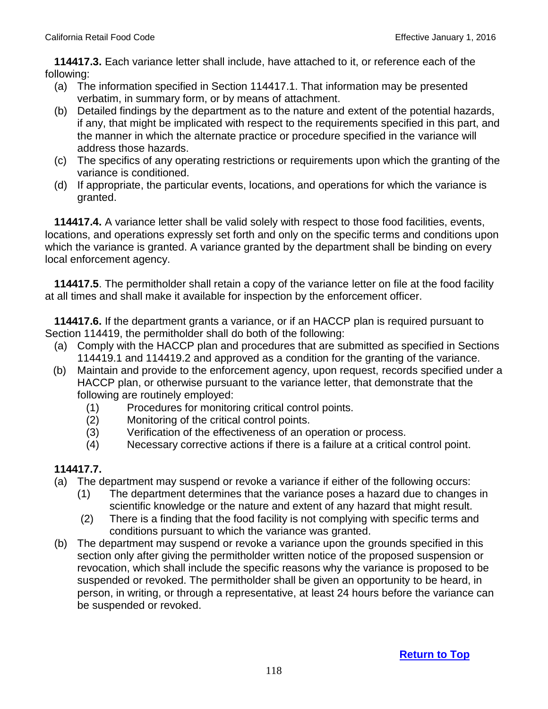**114417.3.** Each variance letter shall include, have attached to it, or reference each of the following:

- (a) The information specified in Section 114417.1. That information may be presented verbatim, in summary form, or by means of attachment.
- (b) Detailed findings by the department as to the nature and extent of the potential hazards, if any, that might be implicated with respect to the requirements specified in this part, and the manner in which the alternate practice or procedure specified in the variance will address those hazards.
- (c) The specifics of any operating restrictions or requirements upon which the granting of the variance is conditioned.
- (d) If appropriate, the particular events, locations, and operations for which the variance is granted.

 **114417.4.** A variance letter shall be valid solely with respect to those food facilities, events, locations, and operations expressly set forth and only on the specific terms and conditions upon which the variance is granted. A variance granted by the department shall be binding on every local enforcement agency.

 **114417.5**. The permitholder shall retain a copy of the variance letter on file at the food facility at all times and shall make it available for inspection by the enforcement officer.

 **114417.6.** If the department grants a variance, or if an HACCP plan is required pursuant to Section 114419, the permitholder shall do both of the following:

- (a) Comply with the HACCP plan and procedures that are submitted as specified in Sections 114419.1 and 114419.2 and approved as a condition for the granting of the variance.
- (b) Maintain and provide to the enforcement agency, upon request, records specified under a HACCP plan, or otherwise pursuant to the variance letter, that demonstrate that the following are routinely employed:
	- (1) Procedures for monitoring critical control points.
	- (2) Monitoring of the critical control points.
	- (3) Verification of the effectiveness of an operation or process.
	- (4) Necessary corrective actions if there is a failure at a critical control point.

### **114417.7.**

- (a) The department may suspend or revoke a variance if either of the following occurs:
	- (1) The department determines that the variance poses a hazard due to changes in scientific knowledge or the nature and extent of any hazard that might result.
	- (2) There is a finding that the food facility is not complying with specific terms and conditions pursuant to which the variance was granted.
- (b) The department may suspend or revoke a variance upon the grounds specified in this section only after giving the permitholder written notice of the proposed suspension or revocation, which shall include the specific reasons why the variance is proposed to be suspended or revoked. The permitholder shall be given an opportunity to be heard, in person, in writing, or through a representative, at least 24 hours before the variance can be suspended or revoked.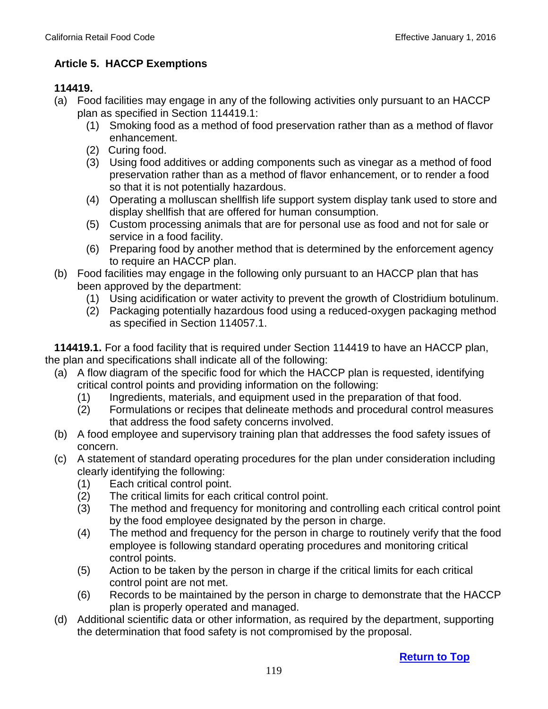### **Article 5. HACCP Exemptions**

### **114419.**

- (a) Food facilities may engage in any of the following activities only pursuant to an HACCP plan as specified in Section 114419.1:
	- (1) Smoking food as a method of food preservation rather than as a method of flavor enhancement.
	- (2) Curing food.
	- (3) Using food additives or adding components such as vinegar as a method of food preservation rather than as a method of flavor enhancement, or to render a food so that it is not potentially hazardous.
	- (4) Operating a molluscan shellfish life support system display tank used to store and display shellfish that are offered for human consumption.
	- (5) Custom processing animals that are for personal use as food and not for sale or service in a food facility.
	- (6) Preparing food by another method that is determined by the enforcement agency to require an HACCP plan.
- (b) Food facilities may engage in the following only pursuant to an HACCP plan that has been approved by the department:
	- (1) Using acidification or water activity to prevent the growth of Clostridium botulinum.
	- (2) Packaging potentially hazardous food using a reduced-oxygen packaging method as specified in Section 114057.1.

 **114419.1.** For a food facility that is required under Section 114419 to have an HACCP plan, the plan and specifications shall indicate all of the following:

- (a) A flow diagram of the specific food for which the HACCP plan is requested, identifying critical control points and providing information on the following:
	- (1) Ingredients, materials, and equipment used in the preparation of that food.
	- (2) Formulations or recipes that delineate methods and procedural control measures that address the food safety concerns involved.
- (b) A food employee and supervisory training plan that addresses the food safety issues of concern.
- (c) A statement of standard operating procedures for the plan under consideration including clearly identifying the following:
	- (1) Each critical control point.
	- (2) The critical limits for each critical control point.
	- (3) The method and frequency for monitoring and controlling each critical control point by the food employee designated by the person in charge.
	- (4) The method and frequency for the person in charge to routinely verify that the food employee is following standard operating procedures and monitoring critical control points.
	- (5) Action to be taken by the person in charge if the critical limits for each critical control point are not met.
	- (6) Records to be maintained by the person in charge to demonstrate that the HACCP plan is properly operated and managed.
- (d) Additional scientific data or other information, as required by the department, supporting the determination that food safety is not compromised by the proposal.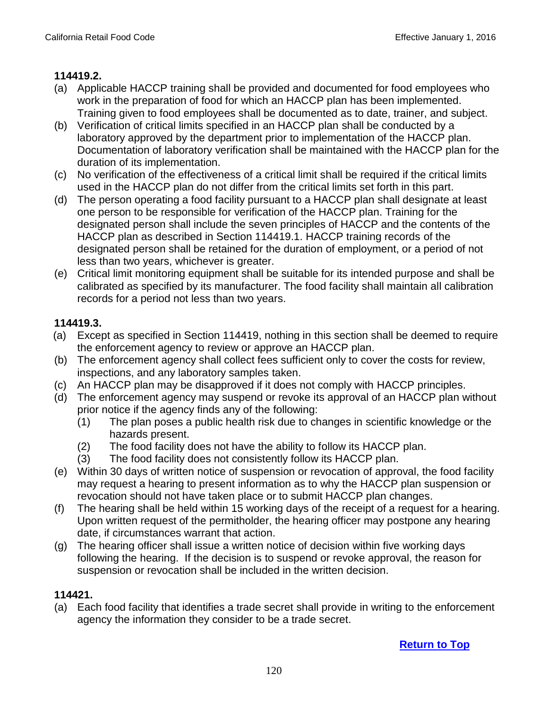### **114419.2.**

- (a) Applicable HACCP training shall be provided and documented for food employees who work in the preparation of food for which an HACCP plan has been implemented. Training given to food employees shall be documented as to date, trainer, and subject.
- (b) Verification of critical limits specified in an HACCP plan shall be conducted by a laboratory approved by the department prior to implementation of the HACCP plan. Documentation of laboratory verification shall be maintained with the HACCP plan for the duration of its implementation.
- (c) No verification of the effectiveness of a critical limit shall be required if the critical limits used in the HACCP plan do not differ from the critical limits set forth in this part.
- (d) The person operating a food facility pursuant to a HACCP plan shall designate at least one person to be responsible for verification of the HACCP plan. Training for the designated person shall include the seven principles of HACCP and the contents of the HACCP plan as described in Section 114419.1. HACCP training records of the designated person shall be retained for the duration of employment, or a period of not less than two years, whichever is greater.
- (e) Critical limit monitoring equipment shall be suitable for its intended purpose and shall be calibrated as specified by its manufacturer. The food facility shall maintain all calibration records for a period not less than two years.

# **114419.3.**

- (a) Except as specified in Section 114419, nothing in this section shall be deemed to require the enforcement agency to review or approve an HACCP plan.
- (b) The enforcement agency shall collect fees sufficient only to cover the costs for review, inspections, and any laboratory samples taken.
- (c) An HACCP plan may be disapproved if it does not comply with HACCP principles.
- (d) The enforcement agency may suspend or revoke its approval of an HACCP plan without prior notice if the agency finds any of the following:
	- (1) The plan poses a public health risk due to changes in scientific knowledge or the hazards present.
	- (2) The food facility does not have the ability to follow its HACCP plan.
	- (3) The food facility does not consistently follow its HACCP plan.
- (e) Within 30 days of written notice of suspension or revocation of approval, the food facility may request a hearing to present information as to why the HACCP plan suspension or revocation should not have taken place or to submit HACCP plan changes.
- (f) The hearing shall be held within 15 working days of the receipt of a request for a hearing. Upon written request of the permitholder, the hearing officer may postpone any hearing date, if circumstances warrant that action.
- (g) The hearing officer shall issue a written notice of decision within five working days following the hearing. If the decision is to suspend or revoke approval, the reason for suspension or revocation shall be included in the written decision.

# **114421.**

(a) Each food facility that identifies a trade secret shall provide in writing to the enforcement agency the information they consider to be a trade secret.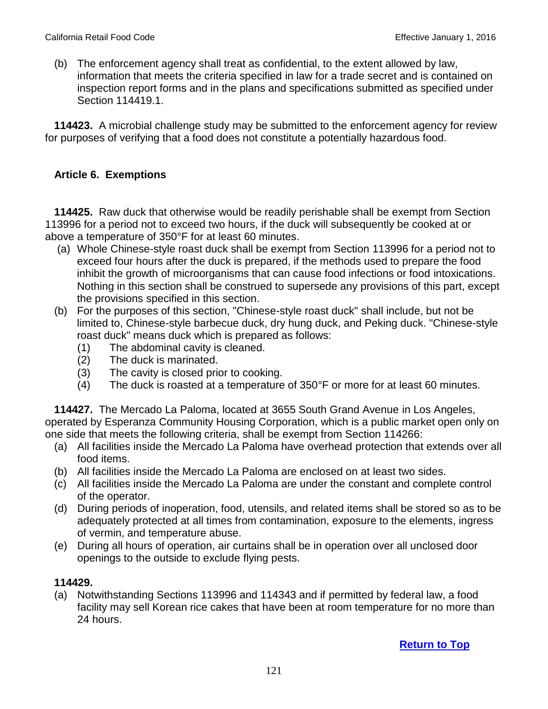(b) The enforcement agency shall treat as confidential, to the extent allowed by law, information that meets the criteria specified in law for a trade secret and is contained on inspection report forms and in the plans and specifications submitted as specified under Section 114419.1.

 **114423.** A microbial challenge study may be submitted to the enforcement agency for review for purposes of verifying that a food does not constitute a potentially hazardous food.

#### **Article 6. Exemptions**

 **114425.** Raw duck that otherwise would be readily perishable shall be exempt from Section 113996 for a period not to exceed two hours, if the duck will subsequently be cooked at or above a temperature of 350°F for at least 60 minutes.

- (a) Whole Chinese-style roast duck shall be exempt from Section 113996 for a period not to exceed four hours after the duck is prepared, if the methods used to prepare the food inhibit the growth of microorganisms that can cause food infections or food intoxications. Nothing in this section shall be construed to supersede any provisions of this part, except the provisions specified in this section.
- (b) For the purposes of this section, "Chinese-style roast duck" shall include, but not be limited to, Chinese-style barbecue duck, dry hung duck, and Peking duck. "Chinese-style roast duck" means duck which is prepared as follows:
	- (1) The abdominal cavity is cleaned.
	- (2) The duck is marinated.
	- (3) The cavity is closed prior to cooking.
	- (4) The duck is roasted at a temperature of 350°F or more for at least 60 minutes.

 **114427.** The Mercado La Paloma, located at 3655 South Grand Avenue in Los Angeles, operated by Esperanza Community Housing Corporation, which is a public market open only on one side that meets the following criteria, shall be exempt from Section 114266:

- (a) All facilities inside the Mercado La Paloma have overhead protection that extends over all food items.
- (b) All facilities inside the Mercado La Paloma are enclosed on at least two sides.
- (c) All facilities inside the Mercado La Paloma are under the constant and complete control of the operator.
- (d) During periods of inoperation, food, utensils, and related items shall be stored so as to be adequately protected at all times from contamination, exposure to the elements, ingress of vermin, and temperature abuse.
- (e) During all hours of operation, air curtains shall be in operation over all unclosed door openings to the outside to exclude flying pests.

### **114429.**

(a) Notwithstanding Sections 113996 and 114343 and if permitted by federal law, a food facility may sell Korean rice cakes that have been at room temperature for no more than 24 hours.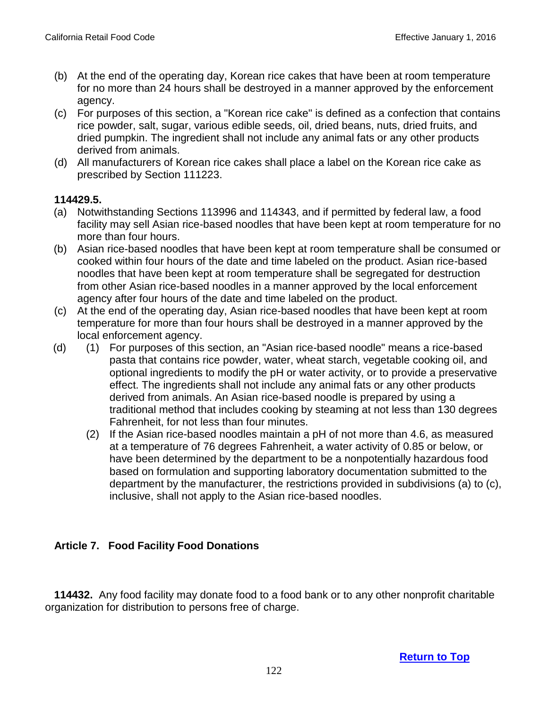- (b) At the end of the operating day, Korean rice cakes that have been at room temperature for no more than 24 hours shall be destroyed in a manner approved by the enforcement agency.
- (c) For purposes of this section, a "Korean rice cake" is defined as a confection that contains rice powder, salt, sugar, various edible seeds, oil, dried beans, nuts, dried fruits, and dried pumpkin. The ingredient shall not include any animal fats or any other products derived from animals.
- (d) All manufacturers of Korean rice cakes shall place a label on the Korean rice cake as prescribed by Section 111223.

### **114429.5.**

- (a) Notwithstanding Sections 113996 and 114343, and if permitted by federal law, a food facility may sell Asian rice-based noodles that have been kept at room temperature for no more than four hours.
- (b) Asian rice-based noodles that have been kept at room temperature shall be consumed or cooked within four hours of the date and time labeled on the product. Asian rice-based noodles that have been kept at room temperature shall be segregated for destruction from other Asian rice-based noodles in a manner approved by the local enforcement agency after four hours of the date and time labeled on the product.
- (c) At the end of the operating day, Asian rice-based noodles that have been kept at room temperature for more than four hours shall be destroyed in a manner approved by the local enforcement agency.
- (d) (1) For purposes of this section, an "Asian rice-based noodle" means a rice-based pasta that contains rice powder, water, wheat starch, vegetable cooking oil, and optional ingredients to modify the pH or water activity, or to provide a preservative effect. The ingredients shall not include any animal fats or any other products derived from animals. An Asian rice-based noodle is prepared by using a traditional method that includes cooking by steaming at not less than 130 degrees Fahrenheit, for not less than four minutes.
	- (2) If the Asian rice-based noodles maintain a pH of not more than 4.6, as measured at a temperature of 76 degrees Fahrenheit, a water activity of 0.85 or below, or have been determined by the department to be a nonpotentially hazardous food based on formulation and supporting laboratory documentation submitted to the department by the manufacturer, the restrictions provided in subdivisions (a) to (c), inclusive, shall not apply to the Asian rice-based noodles.

# **Article 7. Food Facility Food Donations**

 **114432.** Any food facility may donate food to a food bank or to any other nonprofit charitable organization for distribution to persons free of charge.